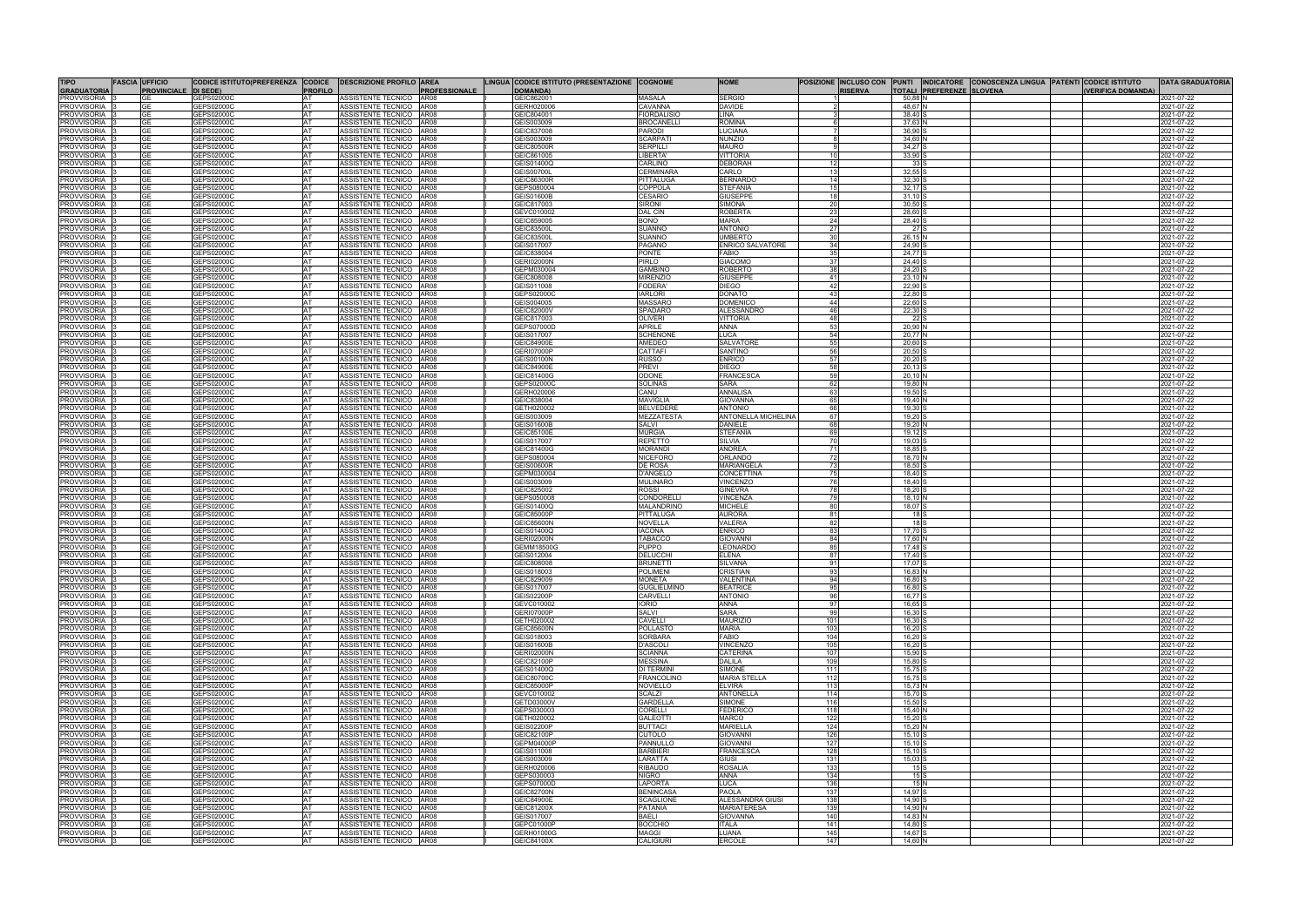| <b>TIPO</b><br><b>GRADUATORIA</b>        | <b>FASCIA UFFICIO</b><br><b>PROVINCIALI</b> | CODICE ISTITUTO(PREFERENZA CODICE<br>DI SEDE) | <b>PROFILO</b>               | <b>DESCRIZIONE PROFILO AREA</b>                      | <b>PROFESSIONALE</b>       | LINGUA CODICE ISTITUTO (PRESENTAZIONE COGNOME<br>DOMANDA) |                                         | <b>NOME</b>                                        | <b>RISERVA</b> |                                 | TOTALI PREFERENZE SLOVENA | POSIZIONE INCLUSO CON PUNTI INDICATORE CONOSCENZA LINGUA PATENTI CODICE ISTITUTO<br>(VERIFICA DOMANDA) | <b>DATA GRADUATORIA</b>  |
|------------------------------------------|---------------------------------------------|-----------------------------------------------|------------------------------|------------------------------------------------------|----------------------------|-----------------------------------------------------------|-----------------------------------------|----------------------------------------------------|----------------|---------------------------------|---------------------------|--------------------------------------------------------------------------------------------------------|--------------------------|
| <b>PROVVISORIA</b>                       | GE                                          | GEPS02000C                                    | AT                           | ASSISTENTE TECNICO AR08                              |                            | GEIC862001                                                | <b>MASALA</b>                           | <b>SERGIC</b>                                      |                | 50,88 N                         |                           |                                                                                                        | 2021-07-22               |
| <b>PROVVISORIA</b>                       | GF                                          | GEPS020000                                    | <b>IAT</b>                   | <b>ASSISTENTE TECNICO</b>                            | AR08                       | GERH02000                                                 | CAVANNA                                 | <b>DAVIDE</b>                                      |                | 48,67 N                         |                           |                                                                                                        | 2021-07-22               |
| PROVVISORIA<br><b>PROVVISORIA</b>        | <b>GE</b><br><b>GE</b>                      | GEPS02000C<br>GEPS020000                      | <b>AT</b><br><b>IAT</b>      | ASSISTENTE TECNICO AR08<br><b>ASSISTENTE TECNICO</b> | AR08                       | GEIC804001<br>GEIS003009                                  | <b>FIORDALISIO</b><br><b>BROCANELLI</b> | LINA<br><b>ROMINA</b>                              |                | 38,40 S<br>37.63                |                           |                                                                                                        | 2021-07-22<br>2021-07-22 |
| <b>PROVVISORIA</b>                       |                                             | GEPS02000C                                    | <b>AT</b>                    | ASSISTENTE TECNICO AR08                              |                            | GEIC837008                                                | <b>PARODI</b>                           | LUCIANA                                            |                | 36,90                           |                           |                                                                                                        | 2021-07-22               |
| <b>PROVVISORIA</b>                       | GE                                          | GEPS02000C                                    | <b>IAT</b>                   | ASSISTENTE TECNICO                                   | AR08                       | GEIS003009                                                | <b>SCARPAT</b>                          | <b>NUNZIO</b>                                      |                | 34,60                           |                           |                                                                                                        | 2021-07-22               |
| <b>PROVVISORIA</b>                       | GЕ                                          | GEPS02000C                                    | <b>AT</b>                    | ASSISTENTE TECNICO                                   | <b>AR08</b>                | <b>GEIC80500R</b>                                         | <b>SERPILLI</b>                         | <b>MAURO</b>                                       |                | 34,27                           |                           |                                                                                                        | 2021-07-22               |
| <b>PROVVISORIA</b><br><b>PROVVISORIA</b> | GΕ<br><b>GE</b>                             | GEPS020000<br>GEPS02000C                      | ΙAΤ<br><b>AT</b>             | ASSISTENTE TECNICO<br>ASSISTENTE TECNICO             | <b>AR08</b><br><b>AR08</b> | GEIC861005<br>GEIS01400Q                                  | _IBERTA<br>CARLINO                      | <b>VITTORIA</b><br><b>DEBORAH</b><br>12            |                | 33,90<br>33 <sup>5</sup>        |                           |                                                                                                        | 2021-07-22<br>2021-07-22 |
| PROVVISORIA                              | GF                                          | GEPS020000                                    | <b>IAT</b>                   | ASSISTENTE TECNICO                                   | <b>AR08</b>                | GEIS00700I                                                | <b>CERMINARA</b>                        | CARLO<br>13                                        |                | 32,55                           |                           |                                                                                                        | 2021-07-22               |
| <b>PROVVISORIA</b>                       | GE                                          | GEPS020000                                    | <b>AT</b>                    | <b>ASSISTENTE TECNICO</b>                            | <b>AR08</b>                | GEIC86300F                                                | <b>PITTALUGA</b>                        | <b>BERNARD</b><br>14                               |                | 32,30                           |                           |                                                                                                        | 2021-07-22               |
| PROVVISORIA<br><b>PROVVISORIA</b>        | GE<br>GE                                    | GEPS02000C<br>GEPS02000C                      | IA1<br><b>AT</b>             | ASSISTENTE TECNICO<br><b>ASSISTENTE TECNICO</b>      | <b>AR08</b><br>AR08        | GEPS080004<br>GEIS01600B                                  | <b>COPPOLA</b><br><b>CESARIO</b>        | <b>STEFANIA</b><br>15<br><b>GIUSEPPI</b><br>18     |                | 32,17<br>31,10                  |                           |                                                                                                        | 2021-07-22<br>2021-07-22 |
| PROVVISORIA                              |                                             | GEPS02000C                                    | IA1                          | ASSISTENTE TECNICO                                   | AR08                       | GEIC817003                                                | Sironi                                  | <b>SIMONA</b><br>20                                |                | 30,50                           |                           |                                                                                                        | 2021-07-22               |
| <b>PROVVISORIA</b>                       | GЕ                                          | GEPS02000C                                    | <b>AT</b>                    | <b>ASSISTENTE TECNICO</b>                            | <b>AR08</b>                | GEVC010002                                                | <b>DAL CIN</b>                          | ROBERT/<br>23                                      |                | 28,60                           |                           |                                                                                                        | 2021-07-22               |
| <b>PROVVISORIA</b>                       |                                             | GEPS02000C                                    | IA <sup>-</sup>              | <b>ASSISTENTE TECNICO</b>                            | AR08                       | <b>GEIC859005</b>                                         | BONO                                    | <b>MARIA</b><br>24                                 |                | 28,40                           |                           |                                                                                                        | 021-07-22                |
| <b>PROVVISORIA</b><br><b>PROVVISORIA</b> | GE                                          | GEPS02000C<br>GEPS020000                      | <b>AT</b><br>IA <sup>-</sup> | <b>ASSISTENTE TECNICO</b><br>ASSISTENTE TECNICO      | AR08<br>AR <sub>08</sub>   | GEIC83500I<br>EIC83500                                    | <b>SUANNO</b><br>SUANNO                 | <b>ANTONIO</b><br>27<br><b>JMBERT</b>              |                | 27 S<br>26,15                   |                           |                                                                                                        | 2021-07-22<br>021-07-22  |
| <b>PROVVISORIA</b>                       | GE                                          | GEPS02000C                                    | <b>IAT</b>                   | ASSISTENTE TECNICO                                   | AR08                       | GEIS017007                                                | <b>PAGANC</b>                           | <b>ENRICO SALVATORE</b><br>34                      |                | 24,90                           |                           |                                                                                                        | 2021-07-22               |
| PROVVISORIA                              | GE                                          | GEPS02000C                                    | <b>IAT</b>                   | ASSISTENTE TECNICO                                   | <b>AR08</b>                | GEIC838004                                                | <b>PONTE</b>                            | 35<br>FABIO                                        |                | 24,77                           |                           |                                                                                                        | 2021-07-22               |
| <b>PROVVISORIA</b><br><b>PROVVISORIA</b> | <b>GE</b>                                   | GEPS02000C<br>GEPS02000C                      | <b>AT</b><br><b>AT</b>       | ASSISTENTE TECNICO<br>ASSISTENTE TECNICO   AR08      | <b>AR08</b>                | GERI02000N<br>GEPM030004                                  | <b>PIRLO</b><br>GAMBINO                 | <b>GIACOMO</b><br>37<br>ROBERTC                    |                | 24,40<br>24,20                  |                           |                                                                                                        | 2021-07-22<br>2021-07-22 |
| <b>PROVVISORIA</b>                       | GE                                          | GEPS02000C                                    | <b>IAT</b>                   | ASSISTENTE TECNICO                                   | AR08                       | GEIC808008                                                | <b>MIRENZIO</b>                         | <b>GIUSEPPE</b><br>41                              |                | 23,10                           |                           |                                                                                                        | 2021-07-22               |
| <b>PROVVISORIA</b>                       | GF                                          | GEPS02000C                                    | <b>AT</b>                    | ASSISTENTE TECNICO AR08                              |                            | GEIS011008                                                | <b>FODERA</b>                           | DIEGO<br>42                                        |                | 22,90                           |                           |                                                                                                        | 2021-07-22               |
| <b>PROVVISORIA</b>                       | GF                                          | GEPS020000                                    | <b>IAT</b>                   | <b>ASSISTENTE TECNICO</b>                            | AR08                       | GEPS020000                                                | <b>IARLORI</b>                          | DONATO<br>43                                       |                | 22,80                           |                           |                                                                                                        | 2021-07-22               |
| <b>PROVVISORIA</b><br><b>PROVVISORIA</b> | GE<br><b>GE</b>                             | GEPS02000C<br>GEPS02000C                      | <b>AT</b><br><b>IAT</b>      | ASSISTENTE TECNICO AR08<br><b>ASSISTENTE TECNICO</b> | AR <sub>08</sub>           | GEIS004005<br>GEIC82000V                                  | <b>MASSARC</b><br><b>SPADARO</b>        | <b>DOMENICC</b><br>44<br><b>ALESSANDRO</b><br>46   |                | 22,60<br>22,30                  |                           |                                                                                                        | 2021-07-22<br>2021-07-22 |
| PROVVISORIA                              | GЕ                                          | GEPS02000C                                    | <b>AT</b>                    | ASSISTENTE TECNICO                                   | <b>AR08</b>                | GEIC817003                                                | <b>OLIVERI</b>                          | <b>VITTORIA</b><br>48                              |                | 22 S                            |                           |                                                                                                        | 2021-07-22               |
| <b>PROVVISORIA</b>                       | <b>GE</b>                                   | GEPS02000C                                    | <b>AT</b>                    | <b>ASSISTENTE TECNICO</b>                            | AR08                       | <b>GEPS07000D</b>                                         | <b>APRILE</b>                           | <b>ANNA</b><br>53                                  |                | 20.90 N                         |                           |                                                                                                        | 2021-07-22               |
| <b>PROVVISORIA</b><br><b>PROVVISORIA</b> | GF                                          | GEPS02000C<br>GEPS02000C                      | <b>AT</b><br><b>IAT</b>      | ASSISTENTE TECNICO AR08<br>ASSISTENTE TECNICO        | AR08                       | 3EIS017007<br>GEIC84900E                                  | SCHENONI<br>AMEDEC                      | 54<br>.UCA<br><b>SALVATOR</b><br>55                |                | 20,77 N<br>20,60                |                           |                                                                                                        | 2021-07-22<br>2021-07-22 |
| <b>PROVVISORIA</b>                       | GE                                          | GEPS02000C                                    | <b>AT</b>                    | ASSISTENTE TECNICO                                   | AR08                       | <b>GERI07000F</b>                                         | <b>CATTAF</b>                           | SANTINO<br>56                                      |                | 20,50                           |                           |                                                                                                        | 2021-07-22               |
| <b>PROVVISORIA</b>                       | GЕ                                          | GEPS020000                                    | ΙAΤ                          | <b>ASSISTENTE TECNICO</b>                            | AR08                       | <b>GEIS00100N</b>                                         | <b>RUSSO</b>                            | <b>ENRICO</b><br>57                                |                | 20,20                           |                           |                                                                                                        | 2021-07-22               |
| <b>PROVVISORIA</b><br><b>PROVVISORIA</b> | GE<br>GE                                    | GEPS02000C<br>GEPS02000C                      | <b>AT</b><br><b>IAT</b>      | ASSISTENTE TECNICO<br>ASSISTENTE TECNICO             | AR08<br><b>AR08</b>        | GEIC84900E<br>GEIC81400G                                  | <b>PREVI</b><br><b>ODONE</b>            | 58<br>DIEGO<br><b>FRANCESC</b><br>59               |                | 20,13<br>$20,10$ M              |                           |                                                                                                        | 2021-07-22<br>2021-07-22 |
| <b>PROVVISORIA</b>                       | GΕ                                          | GEPS02000C                                    | <b>AT</b>                    | <b>ASSISTENTE TECNICO</b>                            | <b>AR08</b>                | GEPS02000C                                                | <b>SOLINAS</b>                          | SARA<br>62                                         |                | 19,80                           |                           |                                                                                                        | 2021-07-22               |
| <b>PROVVISORIA</b>                       | GE                                          | GEPS020000                                    | IAT                          | <b>ASSISTENTE TECNICO</b>                            | <b>AR08</b>                | GERH020006                                                | CANU                                    | ANNALISA<br>63                                     |                | 19.50                           |                           |                                                                                                        | 2021-07-22               |
| <b>PROVVISORIA</b>                       | <b>GE</b>                                   | GEPS02000C                                    | <b>AT</b><br><b>AT</b>       | ASSISTENTE TECNICO                                   | AR08<br>AR08               | GEIC838004                                                | <b>MAVIGLIA</b>                         | <b>GIOVANNA</b><br>65<br>66                        |                | 19,40                           |                           |                                                                                                        | 2021-07-22               |
| PROVVISORIA<br>PROVVISORIA               | GЕ                                          | GEPS020000<br>GEPS02000C                      | <b>AT</b>                    | ASSISTENTE TECNICO<br><b>ASSISTENTE TECNICO</b>      | <b>AR08</b>                | GETH020002<br>GEIS003009                                  | <b>BELVEDERE</b><br><b>MEZZATESTA</b>   | <b>ANTONIO</b><br><b>ANTONELLA MICHELINA</b><br>67 |                | 19,30<br>19,20                  |                           |                                                                                                        | 021-07-22<br>2021-07-22  |
| <b>PROVVISORIA</b>                       | GΕ                                          | GEPS02000C                                    | IA <sub>1</sub>              | <b>ASSISTENTE TECNICO</b>                            | AR08                       | GEIS01600B                                                | <b>SALVI</b>                            | <b>DANIELE</b><br>68                               |                | 19,20                           |                           |                                                                                                        | 021-07-22                |
| <b>PROVVISORIA</b>                       | GF                                          | GEPS02000C                                    | <b>AT</b>                    | <b>ASSISTENTE TECNICC</b>                            | AR08                       | GEIC85100E                                                | <b>MURGIA</b>                           | <b>STEFANIA</b><br>6 <sub>Q</sub>                  |                | 19,12                           |                           |                                                                                                        | 2021-07-22               |
| <b>PROVVISORIA</b><br><b>PROVVISORIA</b> | GЕ<br>GΕ                                    | GEPS02000C<br>GEPS02000C                      | <b>AT</b><br><b>AT</b>       | ASSISTENTE TECNICO<br><b>ASSISTENTE TECNICO</b>      | AR08<br>AR08               | GEIS017007<br>GEIC81400G                                  | <b>REPETTO</b><br><b>MORAND</b>         | SILVIA<br><b>ANDREA</b><br>71                      |                | 19,03<br>18.85                  |                           |                                                                                                        | 2021-07-22<br>2021-07-22 |
| <b>PROVVISORIA</b>                       |                                             | GEPS02000C                                    | <b>AT</b>                    | <b>ASSISTENTE TECNICO</b>                            | <b>AR08</b>                | GEPS080004                                                | <b>NICEFORO</b>                         | ORLANDO<br>72                                      |                | 18,70                           |                           |                                                                                                        | 2021-07-22               |
| <b>PROVVISORIA</b>                       | GE                                          | GEPS02000C                                    | <b>IAT</b>                   | <b>ASSISTENTE TECNICO</b>                            | <b>AR08</b>                | GEIS00600R                                                | <b>DE ROSA</b>                          | <b>MARIANGEL</b><br>73                             |                | 18,50                           |                           |                                                                                                        | 2021-07-22               |
| <b>PROVVISORIA</b><br><b>PROVVISORIA</b> | GE                                          | GEPS02000C<br>GEPS02000C                      | <b>AT</b><br><b>AT</b>       | ASSISTENTE TECNICO AR08<br><b>ASSISTENTE TECNICO</b> | AR08                       | GEPM030004<br>GEIS003009                                  | <b>D'ANGELO</b><br><b>MULINARO</b>      | CONCETTINA<br>75<br>VINCENZC<br>76                 |                | $18,40$ :<br>18,40              |                           |                                                                                                        | 2021-07-22<br>2021-07-22 |
| <b>PROVVISORIA</b>                       | GЕ                                          | GEPS02000C                                    | <b>AT</b>                    | ASSISTENTE TECNICO AR08                              |                            | GEIC825002                                                | <b>ROSSI</b>                            | <b>GINEVRA</b><br>78                               |                | 18,20 S                         |                           |                                                                                                        | 2021-07-22               |
| <b>PROVVISORIA</b>                       | GΕ                                          | GEPS020000                                    | <b>AT</b>                    | ASSISTENTE TECNICO                                   | AR08                       | GEPS05000                                                 | CONDORELL                               | VINCENZA<br>79                                     |                | 18.10                           |                           |                                                                                                        | 2021-07-22               |
| PROVVISORIA<br><b>PROVVISORIA</b>        | GE                                          | GEPS02000C<br>GEPS02000C                      | <b>AT</b><br><b>IAT</b>      | ASSISTENTE TECNICO AR08<br><b>ASSISTENTE TECNICO</b> | AR08                       | 3EIS01400Q<br>GEIC85000F                                  | <b>MALANDRINC</b><br><b>PITTALUGA</b>   | <b>MICHELE</b><br><b>AURORA</b><br>81              |                | 18,07<br>18 S                   |                           |                                                                                                        | 2021-07-22<br>2021-07-22 |
| <b>PROVVISORIA</b>                       | GE                                          | GEPS02000C                                    | <b>AT</b>                    | ASSISTENTE TECNICO                                   | <b>AR08</b>                | GEIC85600N                                                | <b>NOVELLA</b>                          | 82<br><b>VALERIA</b>                               |                | 18 <sup>1</sup>                 |                           |                                                                                                        | 2021-07-22               |
| <b>PROVVISORIA</b>                       | GE                                          | GEPS02000C                                    | <b>IAT</b>                   | <b>ASSISTENTE TECNICO</b>                            | AR08                       | GEIS01400Q                                                | <b>IACONA</b>                           | <b>ENRICO</b><br>83                                |                | 17.70 \$                        |                           |                                                                                                        | 2021-07-22               |
| <b>PROVVISORIA</b>                       | GF<br>GF                                    | GEPS02000C                                    | <b>AT</b><br><b>IAT</b>      | ASSISTENTE TECNICO                                   | AR08<br>AR <sub>08</sub>   | GERI02000N<br>3EMM18500C                                  | TABACCC<br><b>PUPPO</b>                 | GIOVANN<br>84<br><b>LEONARD</b><br>85              |                | 17.60<br>17.48                  |                           |                                                                                                        | 2021-07-22<br>2021-07-22 |
| PROVVISORIA<br>PROVVISORIA               | GF                                          | GEPS02000C<br>3EPS02000C                      | <b>AT</b>                    | ASSISTENTE TECNICO<br><b>ASSISTENTE TECNICO</b>      | AR08                       | GEIS012004                                                | <b>DELUCCH</b>                          | ELENA<br>87                                        |                | 17,40                           |                           |                                                                                                        | 2021-07-22               |
| <b>PROVVISORIA</b>                       | <b>GE</b>                                   | GEPS02000C                                    | IAT.                         | ASSISTENTE TECNICO AR08                              |                            | GEIC808008                                                | <b>BRUNETTI</b>                         | <b>SILVANA</b><br>91                               |                | 17.07                           |                           |                                                                                                        | 2021-07-22               |
| <b>PROVVISORIA</b>                       |                                             | GEPS02000C                                    | <b>AT</b>                    | ASSISTENTE TECNICO AR08                              |                            | GEIS018003<br>GEIC829009                                  | <b>POLIMENI</b><br><b>MONETA</b>        | CRISTIAN<br>94                                     |                | 16,83 N                         |                           |                                                                                                        | 2021-07-22<br>2021-07-22 |
| <b>PROVVISORIA</b><br><b>PROVVISORIA</b> | GE<br><b>GE</b>                             | GEPS02000C<br>GEPS02000C                      | <b>IAT</b><br><b>AT</b>      | ASSISTENTE TECNICO AR08<br>ASSISTENTE TECNICO AR08   |                            | GEIS017007                                                | <b>GUGLIELMINO</b>                      | VALENTINA<br>95<br><b>BEATRICE</b>                 |                | 16,80<br>16,80 S                |                           |                                                                                                        | 2021-07-22               |
| <b>PROVVISORIA</b>                       | GE                                          | GEPS02000C                                    | IAT.                         | ASSISTENTE TECNICO AR08                              |                            | <b>GEIS02200P</b>                                         | <b>CARVELLI</b>                         | <b>ANTONIO</b><br>96                               |                | 16,77                           |                           |                                                                                                        | 2021-07-22               |
| <b>PROVVISORIA</b>                       | GF                                          | GEPS02000C                                    | <b>AT</b>                    | ASSISTENTE TECNICO AR08                              |                            | GEVC010002                                                | <b>IORIO</b>                            | <b>ANNA</b><br>97                                  |                | 16,65                           |                           |                                                                                                        | 2021-07-22               |
| <b>PROVVISORIA</b><br><b>PROVVISORIA</b> | GЕ<br>GE                                    | GEPS02000C<br>GEPS02000C                      | <b>AT</b><br><b>AT</b>       | ASSISTENTE TECNICO AR08<br>ASSISTENTE TECNICO AR08   |                            | <b>GERI07000P</b><br>GETH020002                           | <b>SALVI</b><br><b>CAVELLI</b>          | <b>SARA</b><br>99<br><b>MAURIZIO</b><br>101        |                | 16,30<br>$16,30$ :              |                           |                                                                                                        | 2021-07-22<br>2021-07-22 |
| PROVVISORIA                              | GЕ                                          | GEPS02000C                                    | <b>IAT</b>                   | ASSISTENTE TECNICO AR08                              |                            | <b>GEIC85600N</b>                                         | <b>POLLASTO</b>                         | <b>MARIA</b><br>103                                |                | $16,20$ S                       |                           |                                                                                                        | 2021-07-22               |
| <b>PROVVISORIA</b>                       | GF                                          | GEPS02000C                                    | <b>AT</b>                    | ASSISTENTE TECNICO AR08                              |                            | GEIS018003                                                | <b>SORBARA</b>                          | <b>FABIO</b><br>104                                |                | $16,20$ :                       |                           |                                                                                                        | 2021-07-22               |
| <b>PROVVISORIA</b><br><b>PROVVISORIA</b> | GE<br><b>GE</b>                             | GEPS02000C<br>GEPS02000C                      | <b>IAT</b><br><b>AT</b>      | ASSISTENTE TECNICO AR08<br>ASSISTENTE TECNICO AR08   |                            | GEIS01600B<br><b>GERI02000N</b>                           | <b>D'ASCOLI</b><br><b>SCIANNA</b>       | VINCENZC<br>105<br><b>CATERINA</b><br>107          |                | $16,20$ :<br>15,90              |                           |                                                                                                        | 2021-07-22<br>2021-07-22 |
| <b>PROVVISORIA</b>                       | GЕ                                          | GEPS02000C                                    | <b>AT</b>                    | ASSISTENTE TECNICO AR08                              |                            | GEIC82100P                                                | <b>MESSINA</b>                          | 109<br>DALILA                                      |                | 15,80                           |                           |                                                                                                        | 2021-07-22               |
| <b>PROVVISORIA</b>                       | GE                                          | GEPS02000C                                    | <b>IAT</b>                   | ASSISTENTE TECNICO AR08                              |                            | GEIS01400Q                                                | <b>DI TERMINI</b>                       | <b>SIMONE</b><br>111                               |                | $15,75$ S                       |                           |                                                                                                        | 2021-07-22               |
| PROVVISORIA<br><b>PROVVISORIA</b>        | GЕ<br>GE                                    | GEPS02000C<br>GEPS02000C                      | <b>AT</b><br><b>IAT</b>      | ASSISTENTE TECNICO AR08<br>ASSISTENTE TECNICO AR08   |                            | GEIC80700C<br>GEIC85000P                                  | <b>FRANCOLINO</b><br><b>NOVIELLO</b>    | <b>MARIA STELLA</b><br>112<br><b>ELVIRA</b><br>113 |                | 15,75 S<br>15,73 N              |                           |                                                                                                        | 2021-07-22<br>2021-07-22 |
| PROVVISORIA                              | GE                                          | GEPS02000C                                    | <b>IAT</b>                   | ASSISTENTE TECNICO AR08                              |                            | GEVC010002                                                | <b>SCALZI</b>                           | <b>ANTONELLA</b><br>114                            |                | 15,70 S                         |                           |                                                                                                        | 2021-07-22               |
| <b>PROVVISORIA</b>                       | GE                                          | GEPS02000C                                    | <b>IAT</b>                   | ASSISTENTE TECNICO AR08                              |                            | GETD03000V                                                | <b>GARDELLA</b>                         | <b>SIMONE</b><br>116                               |                | $15,50$ S                       |                           |                                                                                                        | 2021-07-22               |
| PROVVISORIA                              |                                             | GEPS02000C                                    | <b>AT</b>                    | ASSISTENTE TECNICO AR08                              |                            | GEPS030003                                                | <b>CORELLI</b>                          | <b>FEDERICO</b><br>118                             |                | 15,40 N                         |                           |                                                                                                        | 2021-07-22               |
| PROVVISORIA<br>PROVVISORIA               | GE<br><b>GE</b>                             | GEPS02000C<br>GEPS02000C                      | <b>IAT</b><br><b>AT</b>      | ASSISTENTE TECNICO AR08<br>ASSISTENTE TECNICO AR08   |                            | GETH020002<br><b>GEIS02200P</b>                           | <b>GALEOTTI</b><br><b>BUTTACI</b>       | <b>MARCO</b><br>122<br><b>MARIELLA</b><br>124      |                | $15,20$ S<br>15,20 N            |                           |                                                                                                        | 2021-07-22<br>2021-07-22 |
| <b>PROVVISORIA</b>                       | GE                                          | GEPS02000C                                    | <b>IAT</b>                   | ASSISTENTE TECNICO AR08                              |                            | GEIC82100P                                                | <b>CUTOLO</b>                           | 126<br><b>GIOVANNI</b>                             |                | $15,10$ S                       |                           |                                                                                                        | 2021-07-22               |
| PROVVISORIA                              | <b>GE</b>                                   | GEPS02000C                                    | <b>AT</b>                    | ASSISTENTE TECNICO AR08                              |                            | GEPM04000P                                                | <b>PANNULLO</b>                         | 127<br><b>GIOVANNI</b>                             |                | $15,10$ S                       |                           |                                                                                                        | 2021-07-22               |
| <b>PROVVISORIA</b><br>PROVVISORIA        | GE<br>GE                                    | GEPS02000C<br>GEPS02000C                      | <b>IAT</b><br><b>AT</b>      | ASSISTENTE TECNICO AR08<br>ASSISTENTE TECNICO AR08   |                            | GEIS011008<br>GEIS003009                                  | <b>BARBIERI</b><br>LARATTA              | <b>FRANCESCA</b><br>128<br><b>GIUSI</b><br>131     |                | $15,10$ S<br>$15,03$ S          |                           |                                                                                                        | 2021-07-22<br>2021-07-22 |
| <b>PROVVISORIA</b>                       | GE                                          | GEPS02000C                                    | <b>IAT</b>                   | ASSISTENTE TECNICO AR08                              |                            | GERH020006                                                | <b>RIBAUDO</b>                          | <b>ROSALIA</b><br>133                              |                | 15 S                            |                           |                                                                                                        | 2021-07-22               |
| <b>PROVVISORIA</b>                       | <b>GE</b>                                   | GEPS02000C                                    | <b>AT</b>                    | ASSISTENTE TECNICO AR08                              |                            | GEPS030003                                                | <b>NIGRO</b>                            | <b>ANNA</b><br>134                                 |                | 15S                             |                           |                                                                                                        | 2021-07-22               |
| PROVVISORIA<br><b>PROVVISORIA</b>        | GE<br><b>GE</b>                             | GEPS02000C<br>GEPS02000C                      | IAT.<br><b>AT</b>            | ASSISTENTE TECNICO AR08<br>ASSISTENTE TECNICO AR08   |                            | GEPS07000D<br><b>GEIC82700N</b>                           | <b>LAPORTA</b><br><b>BENINCASA</b>      | 136<br>LUCA<br>137<br><b>PAOLA</b>                 |                | 15 N<br>14,97 S                 |                           |                                                                                                        | 2021-07-22<br>2021-07-22 |
| PROVVISORIA                              | GF                                          | GEPS02000C                                    | <b>IAT</b>                   | ASSISTENTE TECNICO AR08                              |                            | GEIC84900E                                                | <b>SCAGLIONE</b>                        | ALESSANDRA GIUSI<br>138                            |                | $14,90$ :                       |                           |                                                                                                        | 2021-07-22               |
| <b>PROVVISORIA</b>                       | GЕ                                          | GEPS02000C                                    | <b>AT</b>                    | ASSISTENTE TECNICO AR08                              |                            | GEIC81200X                                                | <b>PATANIA</b>                          | <b>MARIATERESA</b><br>139                          |                | 14,90                           |                           |                                                                                                        | 2021-07-22               |
| <b>PROVVISORIA</b><br><b>PROVVISORIA</b> | GF<br><b>GE</b>                             | GEPS02000C<br>GEPS02000C                      | <b>IAT</b><br><b>AT</b>      | ASSISTENTE TECNICO AR08<br>ASSISTENTE TECNICO        | <b>AR08</b>                | GEIS017007<br>GEPC01000P                                  | <b>BAELI</b><br><b>BOCCHIO</b>          | 140<br><b>GIOVANNA</b><br><b>ITALA</b><br>141      |                | 14.83 <sup>N</sup><br>$14,80$ : |                           |                                                                                                        | 2021-07-22<br>2021-07-22 |
| PROVVISORIA                              | GЕ                                          | GEPS02000C                                    | <b>IAT</b>                   | ASSISTENTE TECNICO AR08                              |                            | GERH01000G                                                | <b>MAGGI</b>                            | LUANA<br>145                                       |                | 14,67                           |                           |                                                                                                        | 2021-07-22               |
| <b>PROVVISORIA</b>                       | <b>GE</b>                                   | GEPS02000C                                    | <b>AT</b>                    | ASSISTENTE TECNICO AR08                              |                            | GEIC84100X                                                | <b>CALIGIURI</b>                        | 147<br><b>ERCOLE</b>                               |                | 14,60 N                         |                           |                                                                                                        | 2021-07-22               |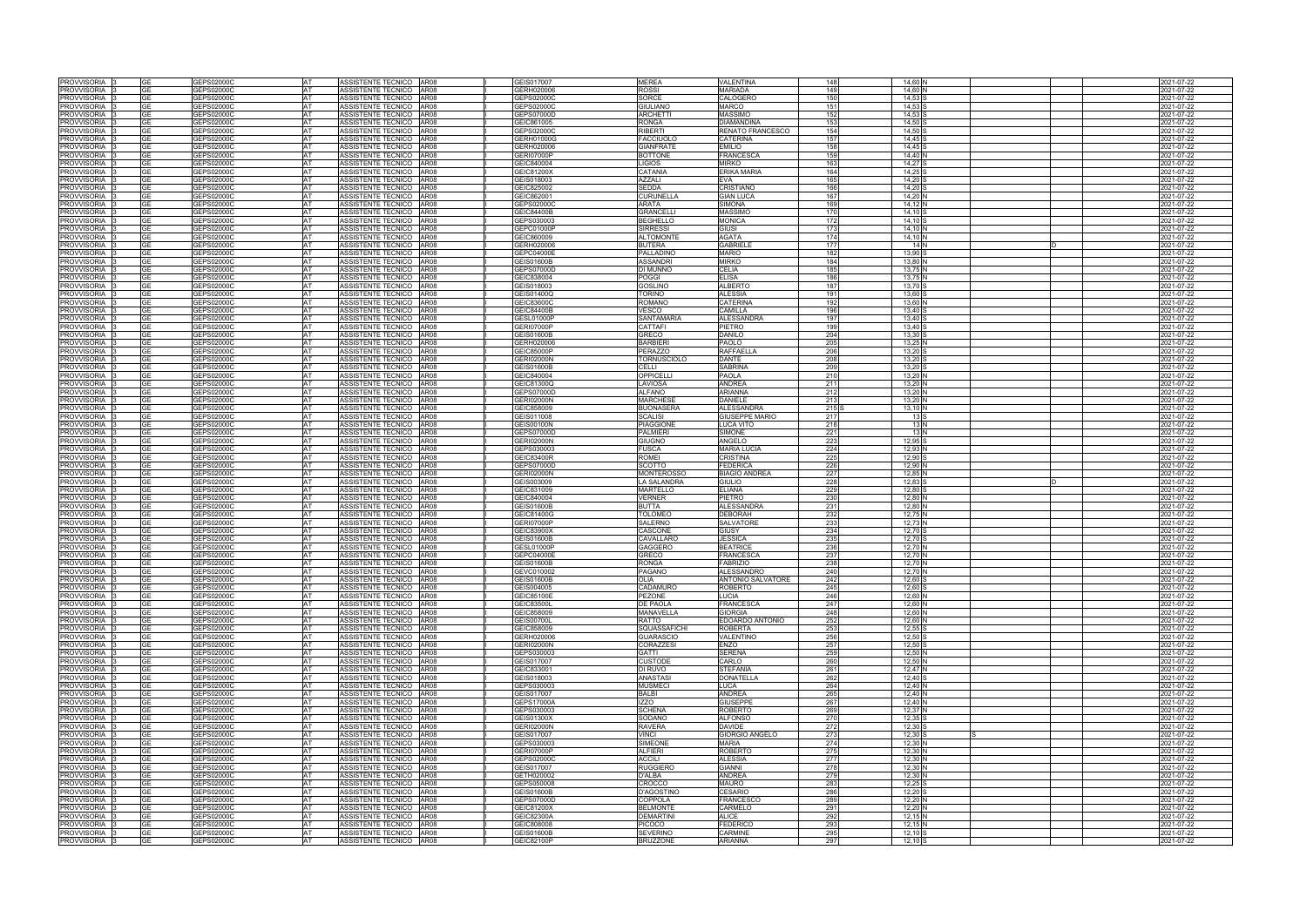| <b>PROVVISORIA</b><br>PROVVISORIA        |                 |                          |                 |                                                      |                                 |                                      |                                       |            |                        |    |                                        |
|------------------------------------------|-----------------|--------------------------|-----------------|------------------------------------------------------|---------------------------------|--------------------------------------|---------------------------------------|------------|------------------------|----|----------------------------------------|
|                                          |                 | GEPS02000C               | <b>AT</b>       | ASSISTENTE TECNICO AR08                              | GEIS017007                      | <b>MEREA</b>                         | <b>VALENTINA</b>                      | 148        | 14.60                  |    | 2021-07-22                             |
|                                          | GE              | GEPS02000C               | AT              | ASSISTENTE TECNICO AR08                              | GERH020006                      | ROSSI                                | <b>MARIADA</b>                        | 149        | 14.60                  |    | 2021-07-22                             |
| <b>PROVVISORIA</b>                       | GE              | GEPS02000C               | AT              | ASSISTENTE TECNICO AR08                              | GEPS02000C                      | SORCE                                | CALOGERO                              | 150        | 14,53                  |    | 2021-07-22                             |
| <b>PROVVISORIA</b>                       | GЕ              | GEPS02000C               | <b>AT</b>       | ASSISTENTE TECNICO AR08                              | GEPS02000C                      | <b>GIULIANO</b>                      | <b>MARCO</b>                          | 151        | 14,53                  |    | 2021-07-22                             |
| <b>PROVVISORIA</b>                       | GЕ              | GEPS02000C               | <b>AT</b>       | ASSISTENTE TECNICO AR08                              | GEPS07000D                      | <b>ARCHETTI</b>                      | <b>MASSIMO</b>                        | 152        | 14,53                  |    | 2021-07-22                             |
| PROVVISORIA                              | GЕ<br>GF        | GEPS02000C               | AT              | ASSISTENTE TECNICO<br>AR08                           | GEIC861005                      | <b>RONGA</b>                         | <b>DIAMANDINA</b>                     | 153        | 14,50                  |    | 2021-07-22                             |
| <b>PROVVISORIA</b>                       | GΕ              | GEPS02000C               | <b>AT</b>       | ASSISTENTE TECNICO AR08<br>ASSISTENTE TECNICO   AR08 | GEPS02000C                      | RIBERTI                              | RENATO FRANCESCO                      | 154<br>157 | 14.50                  |    | 2021-07-22                             |
| PROVVISORIA                              | GЕ              | GEPS02000C               | AT<br>AT        | ASSISTENTE TECNICO<br><b>AR08</b>                    | GERH01000G                      | <b>FACCIUOLO</b>                     | <b>CATERINA</b><br><b>EMILIO</b>      | 158        | $14,45$ S              |    | 2021-07-22                             |
| <b>PROVVISORIA</b>                       |                 | GEPS02000C               |                 | ASSISTENTE TECNICO AR08                              | GERH020006                      | <b>GIANFRATE</b>                     |                                       |            | 14,45                  |    | 2021-07-22                             |
| <b>PROVVISORIA</b>                       | GЕ<br>GЕ        | GEPS02000C               | AT<br><b>AT</b> |                                                      | <b>GERI07000P</b>               | <b>BOTTONE</b>                       | <b>FRANCESCA</b><br><b>MIRKO</b>      | 159<br>163 | 14,40 <sup>N</sup>     |    | 2021-07-22                             |
| <b>PROVVISORIA</b><br><b>PROVVISORIA</b> |                 | GEPS02000C<br>GEPS02000C | AT              | ASSISTENTE TECNICO AR08<br>ASSISTENTE TECNICO AR08   | GEIC840004<br>GEIC81200X        | LIGIOS<br>CATANIA                    | ERIKA MARIA                           | 164        | 14,27<br>14,25         |    | 2021-07-22<br>2021-07-22               |
| <b>PROVVISORIA</b>                       | GΕ              | GEPS02000C               | <b>AT</b>       | ASSISTENTE TECNICO AR08                              | GEIS018003                      | <b>AZZALI</b>                        | <b>EVA</b>                            | 165        | 14,20                  |    | 2021-07-22                             |
| <b>PROVVISORIA</b>                       | GΕ              | GEPS02000C               | AT              | ASSISTENTE TECNICO AR08                              | GEIC825002                      | SEDDA                                | <b>CRISTIANO</b>                      | 166        | $14,20$ S              |    | 2021-07-22                             |
| <b>PROVVISORIA</b>                       | GЕ              | GEPS02000C               | AT              | ASSISTENTE TECNICO AR08                              | GEIC862001                      | <b>CURUNELLA</b>                     | <b>GIAN LUCA</b>                      | 167        | 14,20 N                |    | 2021-07-22                             |
| PROVVISORIA                              | GΕ              | GEPS02000C               | AT              | ASSISTENTE TECNICO AR08                              | GEPS02000C                      | <b>ARATA</b>                         | <b>SIMONA</b>                         | 169        | 14,12 N                |    | 2021-07-22                             |
| PROVVISORIA                              | GЕ              | GEPS02000C               | AT              | ASSISTENTE TECNICO AR08                              | <b>GEIC84400B</b>               | <b>GRANCELLI</b>                     | <b>MASSIMO</b>                        | 170        | $14,10$ S              |    | 2021-07-22                             |
| <b>PROVVISORIA</b>                       | GΕ              | GEPS02000C               | AT              | ASSISTENTE TECNICO<br><b>AR08</b>                    | GEPS030003                      | <b>BEGHELLO</b>                      | <b>MONICA</b>                         | 172        | 14.10S                 |    | 2021-07-22                             |
| PROVVISORIA                              | <b>GE</b>       | GEPS02000C               | AT              | ASSISTENTE TECNICO AR08                              | GEPC01000P                      | <b>SIRRESSI</b>                      | <b>GIUSI</b>                          | 173        | 14.10 N                |    | 2021-07-22                             |
| PROVVISORIA                              |                 | <b>GEPS02000C</b>        | AT              | ASSISTENTE TECNICO AR08                              | GEIC860009                      | <b>ALTOMONT</b>                      | <b>AGATA</b>                          | 174        | 14.10 N                |    | 2021-07-22                             |
| PROVVISORIA                              | GE              | GEPS02000C               | AT              | ASSISTENTE TECNICO AR08                              | GERH020006                      | <b>BUTERA</b>                        | <b>GABRIELE</b>                       | 177        | 14 N                   | ID | 2021-07-22                             |
| <b>PROVVISORIA</b>                       | GЕ              | GEPS02000C               | AT              | ASSISTENTE TECNICO AR08                              | GEPC04000E                      | PALLADINO                            | <b>MARIO</b>                          | 182        | 13.90 S                |    | 2021-07-22                             |
| <b>PROVVISORIA</b>                       | GЕ              | GEPS02000C               | <b>AT</b>       | ASSISTENTE TECNICO<br>AR08                           | <b>GEIS01600B</b>               | <b>ASSANDRI</b>                      | <b>MIRKO</b>                          | 184        | 13,80 N                |    | 2021-07-22                             |
| <b>PROVVISORIA</b>                       | GЕ              | GEPS02000C               | <b>AT</b>       | ASSISTENTE TECNICO AR08                              | GEPS07000D                      | DI MUNNO                             | <b>CELIA</b>                          | 185        | 13.75 N                |    | 2021-07-22                             |
| PROVVISORIA                              | GE              | GEPS02000C               | AT              | ASSISTENTE TECNICO   AR08                            | GEIC838004                      | <b>POGGI</b>                         | <b>ELISA</b>                          | 186        | 13.75 IN               |    | 2021-07-22                             |
| <b>PROVVISORIA</b>                       |                 | GEPS02000C               | AT              | ASSISTENTE TECNICO AR08                              | GEIS018003                      | <b>GOSLINO</b>                       | <b>ALBERTO</b>                        | 187        | 13,70                  |    | 021-07-22                              |
| <b>PROVVISORIA</b>                       | GЕ              | GEPS02000C               | AT              | ASSISTENTE TECNICO<br>AR08                           | GEIS01400Q                      | <b>TORINO</b>                        | <b>ALESSIA</b>                        | 191        | 13,60                  |    | 2021-07-22                             |
| <b>PROVVISORIA</b>                       | GE              | GEPS02000C               | AT              | ASSISTENTE TECNICO AR08                              | GEIC83600C                      | ROMANO                               | <b>CATERINA</b>                       | 192        | 13,60                  |    | 2021-07-22                             |
| <b>PROVVISORIA</b>                       | GЕ              | GEPS02000C               | <b>AT</b>       | ASSISTENTE TECNICO AR08                              | <b>GEIC84400B</b>               | VESCO                                | CAMILLA                               | 196        | 13,40                  |    | 2021-07-22                             |
| <b>PROVVISORIA</b>                       | GЕ              | GEPS02000C               | <b>AT</b>       | ASSISTENTE TECNICO AR08                              | <b>GESL01000P</b>               | SANTAMARIA                           | <b>ALESSANDRA</b>                     | 197        | 13,40                  |    | 2021-07-22                             |
| PROVVISORIA                              | GЕ              | GEPS02000C               | AT              | ASSISTENTE TECNICO<br><b>AR08</b>                    | <b>GERI07000P</b>               | CATTAFI                              | <b>PIETRO</b>                         | 199        | 13,40                  |    | 2021-07-22                             |
| <b>PROVVISORIA</b>                       | GF              | GEPS02000C               | AT              | ASSISTENTE TECNICO AR08                              | <b>GEIS01600B</b>               | GRECO                                | <b>DANILO</b>                         | 204        | 13,30                  |    | 2021-07-22                             |
| <b>PROVVISORIA</b>                       | GЕ<br>GЕ        | GEPS02000C               | <b>AT</b>       | ASSISTENTE TECNICO AR08<br>ASSISTENTE TECNICO AR08   | GERH020006                      | <b>BARBIERI</b>                      | <b>PAOLO</b>                          | 205        | $13,25$ N              |    | 2021-07-22                             |
| <b>PROVVISORIA</b><br><b>PROVVISORIA</b> |                 | GEPS02000C<br>GEPS02000C | AT<br>AT        | ASSISTENTE TECNICO<br><b>AR08</b>                    | GEIC85000P<br><b>GERI02000N</b> | <b>PERAZZO</b><br><b>TORNUSCIOLO</b> | <b>RAFFAELLA</b><br><b>DANTE</b>      | 206<br>208 | 13,20 S<br>$13,20$ S   |    | 2021-07-22<br>2021-07-22               |
| <b>PROVVISORIA</b>                       | GЕ<br><b>GE</b> | GEPS02000C               | <b>AT</b>       | ASSISTENTE TECNICO AR08                              | <b>GEIS01600B</b>               | CELLI                                | <b>SABRINA</b>                        | 209        | $13,20$ S              |    | 2021-07-22                             |
| <b>PROVVISORIA</b>                       | GΕ              | GEPS02000C               | AT              | ASSISTENTE TECNICO AR08                              | GEIC840004                      | OPPICELLI                            | <b>PAOLA</b>                          | 210        | 13,20 <sup>N</sup>     |    | 2021-07-22                             |
| <b>PROVVISORIA</b>                       | GF              | GEPS02000C               | AT              | ASSISTENTE TECNICO<br><b>AR08</b>                    | GEIC81300Q                      | LAVIOSA                              | <b>ANDREA</b>                         | 211        | 13,20 <sup>N</sup>     |    | 021-07-22                              |
| <b>PROVVISORIA</b>                       | GЕ              | GEPS02000C               | AT              | ASSISTENTE TECNICO AR08                              | GEPS07000D                      | ALFANO                               | <b>ARIANNA</b>                        | 212        | 13,20 <sup>N</sup>     |    | 021-07-22                              |
| <b>PROVVISORIA</b>                       | GЕ              | GEPS02000C               | AT              | ASSISTENTE TECNICO AR08                              | <b>GERI02000N</b>               | <b>MARCHESE</b>                      | <b>DANIELE</b>                        | 213        | 13,20 N                |    | 2021-07-22                             |
| <b>PROVVISORIA</b>                       | GΕ              | GEPS02000C               | AT              | ASSISTENTE TECNICO AR08                              | GEIC858009                      | <b>BUONASERA</b>                     | <b>ALESSANDRA</b>                     | 215 S      | $13.10$ N              |    | 2021-07-22                             |
| PROVVISORIA                              | GE              | GEPS02000C               | <b>AT</b>       | ASSISTENTE TECNICO   AR08                            | GEIS011008                      | SCALISI                              | <b>GIUSEPPE MARIO</b>                 | 217        | 13S                    |    | 2021-07-22                             |
| <b>PROVVISORIA</b>                       | GΕ              | GEPS02000C               | AT              | ASSISTENTE TECNICO<br><b>AR08</b>                    | <b>GEIS00100N</b>               | <b>PIAGGIONE</b>                     | LUCA VITO                             | 218        | 13N                    |    | 2021-07-22                             |
| <b>PROVVISORIA</b>                       | GЕ              | GEPS02000C               | AT              | ASSISTENTE TECNICO AR08                              | GEPS07000D                      | PALMIERI                             | <b>SIMONE</b>                         | 221        | 13 N                   |    | 2021-07-22                             |
| <b>PROVVISORIA</b>                       | GЕ              | GEPS02000C               | AT              | ASSISTENTE TECNICO AR08                              | <b>GERI02000N</b>               | GIUGNO                               | ANGELO                                | 223        | 12,95 <sup>S</sup>     |    | 2021-07-22                             |
| <b>PROVVISORIA</b>                       | GЕ              | GEPS02000C               | <b>AT</b>       | ASSISTENTE TECNICO AR08                              | GEPS030003                      | <b>FUSCA</b>                         | <b>MARIA LUCIA</b>                    | 224        | 12,93 N                |    | 2021-07-22                             |
| PROVVISORIA                              | GE              | GEPS02000C               | <b>AT</b>       | ASSISTENTE TECNICO AR08                              | GEIC83400R                      | ROMEI                                | <b>CRISTINA</b>                       | 225        | 12.90 S                |    | 2021-07-22                             |
| <b>PROVVISORIA</b>                       | GЕ              | GEPS02000C               | <b>AT</b>       | ASSISTENTE TECNICO   AR08                            | GEPS07000D                      | SCOTTO                               | <b>FEDERICA</b>                       | 226        | 12,90 N                |    | 2021-07-22                             |
| <b>PROVVISORIA</b>                       |                 | GEPS02000C               | AT              | ASSISTENTE TECNICO   AR08                            | <b>GERI02000N</b>               | <b>MONTEROSSO</b>                    | <b>BIAGIO ANDREA</b>                  | 227        | 12,85 N                |    | 2021-07-22                             |
|                                          |                 |                          |                 |                                                      |                                 | <b>LA SALANDRA</b>                   | <b>GIULIO</b>                         | 228        | 12.83 S                | ID | 2021-07-22                             |
| PROVVISORIA                              | GE              | GEPS02000C               | AT              | ASSISTENTE TECNICO   AR08                            | GEIS003009                      |                                      |                                       |            |                        |    |                                        |
| <b>PROVVISORIA</b>                       | GЕ              | GEPS02000C               | AT              | ASSISTENTE TECNICO AR08                              | GEIC831009                      | <b>MARTELLO</b>                      | <b>ELIANA</b>                         | 229        | 12.80 S                |    | 2021-07-22                             |
| <b>PROVVISORIA</b>                       | GE              | GEPS02000C               | <b>AT</b>       | ASSISTENTE TECNICO   AR08                            | GEIC840004                      | <b>VERNER</b>                        | <b>PIETRO</b>                         | 230        | 12.80N                 |    | 2021-07-22                             |
| <b>PROVVISORIA</b>                       | GЕ              | GEPS02000C               | <b>AT</b>       | ASSISTENTE TECNICO AR08                              | <b>GEIS01600B</b>               | <b>BUTTA</b>                         | <b>ALESSANDRA</b>                     | 231        | 12,80                  |    | 2021-07-22                             |
| PROVVISORIA                              | GЕ              | GEPS02000C               | AT              | ASSISTENTE TECNICO AR08                              | GEIC81400G                      | <b>TOLOMEO</b>                       | <b>DEBORAH</b>                        | 232        | 12,75 <sup>N</sup>     |    | 2021-07-22                             |
| <b>PROVVISORIA</b>                       | GЕ              | GEPS02000C               | <b>AT</b>       | ASSISTENTE TECNICO<br>AR08                           | <b>GERI07000P</b>               | SALERNO                              | <b>SALVATORE</b>                      | 233        | 12,73 <sup>N</sup>     |    | 2021-07-22                             |
| PROVVISORIA                              | GE              | GEPS02000C               | <b>AT</b>       | ASSISTENTE TECNICO<br>AR08                           | GEIC83900X                      | CASCONE                              | <b>GIUSY</b>                          | 234        | 12,70 S                |    | 2021-07-22                             |
| <b>PROVVISORIA</b>                       |                 | GEPS02000C               | AT              | ASSISTENTE TECNICO AR08                              | <b>GEIS01600B</b>               | CAVALLARO                            | <b>JESSICA</b>                        | 235        | 12,70                  |    | 2021-07-22                             |
| PROVVISORIA                              | GЕ              | GEPS02000C               | <b>AT</b>       | ASSISTENTE TECNICO AR08                              | GESL01000P                      | GAGGERO                              | <b>BEATRICE</b>                       | 236        | 12,70 <sup>N</sup>     |    | 2021-07-22                             |
| <b>PROVVISORIA</b>                       |                 | GEPS02000C               | <b>AT</b>       | ASSISTENTE TECNICO AR08                              | GEPC04000E                      | GRECO                                | <b>FRANCESCA</b>                      | 237        | 12,70 N                |    | 2021-07-22                             |
| <b>PROVVISORIA</b>                       |                 | GEPS02000C               | AT              | ASSISTENTE TECNICO AR08                              | GEIS01600B                      | RONGA                                | <b>FABRIZIO</b>                       | 238        | 12,70 N                |    | 2021-07-22                             |
| <b>PROVVISORIA</b>                       |                 | GEPS02000C               | AT              | ASSISTENTE TECNICO AR08                              | GEVC010002                      | <b>PAGANO</b><br>OLIA                | <b>ALESSANDRO</b>                     | 240        | 12,70 N                |    | 2021-07-22                             |
| PROVVISORIA<br>PROVVISORIA               | GЕ<br>GЕ        | GEPS02000C               | AT<br>AT        | ASSISTENTE TECNICO AR08<br>ASSISTENTE TECNICO AR08   | <b>GEIS01600B</b><br>GEIS004005 | CADAMURO                             | ANTONIO SALVATORE<br><b>ROBERTO</b>   | 242        | 12,60 S<br>$12,60$ S   |    | 2021-07-22                             |
| PROVVISORIA                              | GЕ              | GEPS02000C<br>GEPS02000C | AT              | ASSISTENTE TECNICO AR08                              | GEIC85100E                      | <b>PEZONE</b>                        | LUCIA                                 | 245<br>246 | 12,60 N                |    | 2021-07-22<br>2021-07-22               |
| <b>PROVVISORIA</b>                       | GЕ              | GEPS02000C               | AT              | ASSISTENTE TECNICO AR08                              | GEIC83500L                      | <b>DE PAOLA</b>                      | <b>FRANCESCA</b>                      | 247        | 12,60 N                |    | 2021-07-22                             |
| PROVVISORIA                              | GE              | GEPS02000C               | AT              | ASSISTENTE TECNICO AR08                              | GEIC858009                      | MANAVELLA                            | <b>GIORGIA</b>                        | 248        | 12,60 N                |    |                                        |
| PROVVISORIA                              | GE              | GEPS02000C               | AT              | ASSISTENTE TECNICO AR08                              | <b>GEIS00700L</b>               | RATTO                                | EDOARDO ANTONIO                       | 252        | 12,60 N                |    | 2021-07-22                             |
| PROVVISORIA                              | GЕ              | GEPS02000C               | AT              | ASSISTENTE TECNICO AR08                              | GEIC858009                      | SQUASSAFICHI                         | <b>ROBERTA</b>                        | 253        | 12,55 S                |    | 2021-07-22                             |
| PROVVISORIA                              | <b>GE</b>       | GEPS02000C               | AT              | ASSISTENTE TECNICO AR08                              | GERH020006                      | <b>GUARASCIO</b>                     | VALENTINO                             | 256        | $12,50$ S              |    | 2021-07-22                             |
| PROVVISORIA                              | GE              | GEPS02000C               | AT              | ASSISTENTE TECNICO AR08                              | <b>GERI02000N</b>               | <b>CORAZZESI</b>                     | <b>ENZO</b>                           | 257        | $12,50$ S              |    | 2021-07-22                             |
| PROVVISORIA                              | GE              | GEPS02000C               | AT              | ASSISTENTE TECNICO AR08                              | GEPS030003                      | <b>GATTI</b>                         | <b>SERENA</b>                         | 259        | 12,50 N                |    | 2021-07-22                             |
| PROVVISORIA                              | GΕ              | GEPS02000C               | AT              | ASSISTENTE TECNICO AR08                              | GEIS017007                      | CUSTODE                              | CARLO                                 | 260        | 12,50 N                |    |                                        |
| PROVVISORIA I                            | <b>GE</b>       | GEPS02000C               | AT              | ASSISTENTE TECNICO AR08                              | GEIC833001                      | DI RUVO                              | <b>STEFANIA</b>                       | 261        | 12,47 N                |    | 2021-07-22                             |
| PROVVISORIA                              |                 | GEPS02000C               | AT              | ASSISTENTE TECNICO AR08                              | GEIS018003                      | <b>ANASTASI</b>                      | <b>DONATELLA</b>                      | 262        | 12,40 S                |    | 2021-07-22<br>2021-07-22<br>2021-07-22 |
| PROVVISORIA                              | GE              | GEPS02000C               | AT              | ASSISTENTE TECNICO AR08                              | GEPS030003                      | <b>MUSMECI</b>                       | LUCA                                  | 264        | 12,40 N                |    | 2021-07-22                             |
| PROVVISORIA                              | GE              | GEPS02000C               | AT              | ASSISTENTE TECNICO AR08                              | GEIS017007                      | <b>BALBI</b>                         | <b>ANDREA</b>                         | 265        | 12,40 N                |    | 2021-07-22                             |
| PROVVISORIA                              | <b>GE</b>       | GEPS02000C               | AT              | ASSISTENTE TECNICO AR08                              | <b>GEPS17000A</b>               | <b>IZZO</b>                          | <b>GIUSEPPE</b>                       | 267        | 12,40 N                |    | 2021-07-22                             |
| PROVVISORIA                              |                 | GEPS02000C               | <b>AT</b>       | ASSISTENTE TECNICO AR08                              | GEPS030003                      | <b>SCHENA</b>                        | <b>ROBERTO</b>                        | 269        | 12.37 N                |    | 2021-07-22                             |
| PROVVISORIA                              | GЕ              | GEPS02000C               | AT              | ASSISTENTE TECNICO AR08                              | GEIS01300X                      | SODANO                               | <b>ALFONSO</b>                        | 270        | $12,35$ S              |    | 2021-07-22                             |
| PROVVISORIA                              | GЕ              | GEPS02000C               | AT              | ASSISTENTE TECNICO AR08                              | <b>GERI02000N</b>               | <b>RAVERA</b>                        | <b>DAVIDE</b>                         | 272        | $12,30$ S              |    | 2021-07-22                             |
| PROVVISORIA                              | GE<br>GЕ        | GEPS02000C               | AT              | ASSISTENTE TECNICO AR08                              | GEIS017007                      | <b>VINCI</b><br><b>SIMEONE</b>       | <b>GIORGIO ANGELO</b><br><b>MARIA</b> | 273        | $12,30$ S              |    | 2021-07-22                             |
| PROVVISORIA<br>PROVVISORIA               | GЕ              | GEPS02000C<br>GEPS02000C | AT<br>AT        | ASSISTENTE TECNICO AR08<br>ASSISTENTE TECNICO AR08   | GEPS030003<br><b>GERI07000P</b> | <b>ALFIERI</b>                       | <b>ROBERTO</b>                        | 274<br>275 | 12,30 N<br>12,30 N     |    | 2021-07-22<br>2021-07-22               |
| <b>PROVVISORIA</b>                       | GE              | GEPS02000C               | AT              | ASSISTENTE TECNICO AR08                              | GEPS02000C                      | <b>ACCILI</b>                        | <b>ALESSIA</b>                        | 277        | 12,30 N                |    | 2021-07-22                             |
| PROVVISORIA                              | GE              | GEPS02000C               | AT              | ASSISTENTE TECNICO AR08                              | GEIS017007                      | <b>RUGGIERO</b>                      | <b>GIANNI</b>                         | 278        | 12,30 N                |    | 2021-07-22                             |
| PROVVISORIA                              | GЕ              | GEPS02000C               | AT              | ASSISTENTE TECNICO AR08                              | GETH020002                      | D'ALBA                               | <b>ANDREA</b>                         | 279        | 12,30 N                |    | 2021-07-22                             |
| PROVVISORIA                              | GЕ              | GEPS02000C               | AT              | ASSISTENTE TECNICO AR08                              | GEPS050008                      | CROCCO                               | <b>MAURO</b>                          | 283        | $12,25$ S              |    | 2021-07-22                             |
| PROVVISORIA                              | <b>GE</b>       | GEPS02000C               | AT              | ASSISTENTE TECNICO AR08                              | <b>GEIS01600B</b>               | <b>D'AGOSTINO</b>                    | <b>CESARIO</b>                        | 286        | $12,20$ S              |    | 2021-07-22                             |
| PROVVISORIA                              | GΕ              | GEPS02000C               | AT              | ASSISTENTE TECNICO AR08                              | GEPS07000D                      | COPPOLA                              | <b>FRANCESCO</b>                      | 289        | 12,20 N                |    | 2021-07-22                             |
| PROVVISORIA                              | GЕ              | GEPS02000C               | AT              | ASSISTENTE TECNICO AR08                              | GEIC81200X                      | <b>BELMONTE</b>                      | CARMELO                               | 291        | 12,20 N                |    | 2021-07-22                             |
| PROVVISORIA                              | GЕ              | GEPS02000C               | AT              | ASSISTENTE TECNICO AR08                              | GEIC82300A                      | DEMARTINI                            | <b>ALICE</b>                          | 292        | $12,15$ N              |    | 2021-07-22                             |
| PROVVISORIA                              | GE              | GEPS02000C               | AT              | ASSISTENTE TECNICO AR08                              | GEIC808008                      | <b>PICOCO</b>                        | <b>FEDERICO</b>                       | 293        | 12,15 N                |    | 2021-07-22                             |
| <b>PROVVISORIA</b><br>PROVVISORIA 3      | GE<br>GE        | GEPS02000C<br>GEPS02000C | AT<br>AT        | ASSISTENTE TECNICO AR08<br>ASSISTENTE TECNICO AR08   | <b>GEIS01600B</b><br>GEIC82100P | <b>SEVERINO</b><br><b>BRUZZONE</b>   | <b>CARMINE</b><br><b>ARIANNA</b>      | 295<br>297 | $12,10$ S<br>$12,10$ S |    | 2021-07-22<br>2021-07-22               |

|   | 2021-07-22               |
|---|--------------------------|
|   | 2021-07-22               |
|   | 2021-07-22               |
|   | 2021-07-22               |
|   | 2021-07-22               |
|   | 2021-07-22               |
|   | 2021-07-22               |
|   | 2021-07-22               |
|   | 2021-07-22               |
|   | 2021-07-22               |
|   | 2021-07-22               |
|   | 2021-07-22               |
|   | 2021-07-22               |
|   | 2021-07-22               |
|   | 2021-07-22               |
|   | 2021-07-22               |
|   | 2021-07-22               |
|   | 2021-07-22               |
|   | 2021-07-22               |
|   | 2021-07-22               |
| D | 2021-07-22               |
|   | 2021-07-22               |
|   | 2021-07-22               |
|   | 2021-07-22               |
|   | 2021-07-22               |
|   | 2021-07-22               |
|   | 2021-07-22               |
|   | 2021-07-22               |
|   | 2021-07-22               |
|   | 2021-07-22               |
|   | 2021-07-22               |
|   | 2021-07-22               |
|   | 2021-07-22               |
|   | 2021-07-22               |
|   | 2021-07-22               |
|   | 2021-07-22               |
|   | 2021-07-22               |
|   | 2021-07-22               |
|   | 2021-07-22               |
|   | 2021-07-22               |
|   | 2021-07-22               |
|   | 2021-07-22               |
|   | 2021-07-22               |
|   | 2021-07-22               |
|   | 2021-07-22               |
|   | 2021-07-22               |
|   | 2021-07-22               |
|   |                          |
|   | 2021-07-22               |
|   | 2021-07-22               |
| D | 2021-07-22               |
|   | 2021-07-22               |
|   | 2021-07-22               |
|   | 2021-07-22               |
|   | 2021-07-22               |
|   | 2021-07-22               |
|   | 2021-07-22               |
|   | 2021-07-22               |
|   | 2021-07-22               |
|   | 2021-07-22               |
|   | 2021-07-22               |
|   | 2021-07-22               |
|   | 2021-07-22               |
|   | 2021-07-22               |
|   | 2021-07-22               |
|   | 2021-07-22<br>2021-07-22 |
|   | 2021-07-22               |
|   | 2021-07-22               |
|   | 2021-07-22               |
|   | 2021-07-22               |
|   | 2021-07-22               |
|   | 2021-07-22               |
|   | 2021-07-22               |
|   | 2021-07-22               |
|   | 2021-07-22               |
|   | 2021-07-22               |
|   | 2021-07-22               |
|   | 2021-07-22               |
|   | 2021-07-22               |
|   | 2021-07-22               |
|   | 2021-07-22               |
|   | 2021-07-22               |
|   | 2021-07-22               |
|   | 2021-07-22               |
|   | 2021-07-22               |
|   | 2021-07-22               |
|   | 2021-07-22               |
|   | 2021-07-22               |
|   | 2021-07-22               |
|   | 2021-07-22<br>2021-07-22 |
|   | 2021-07-22               |
|   | 2021-07-22               |
|   | 2021-07-22               |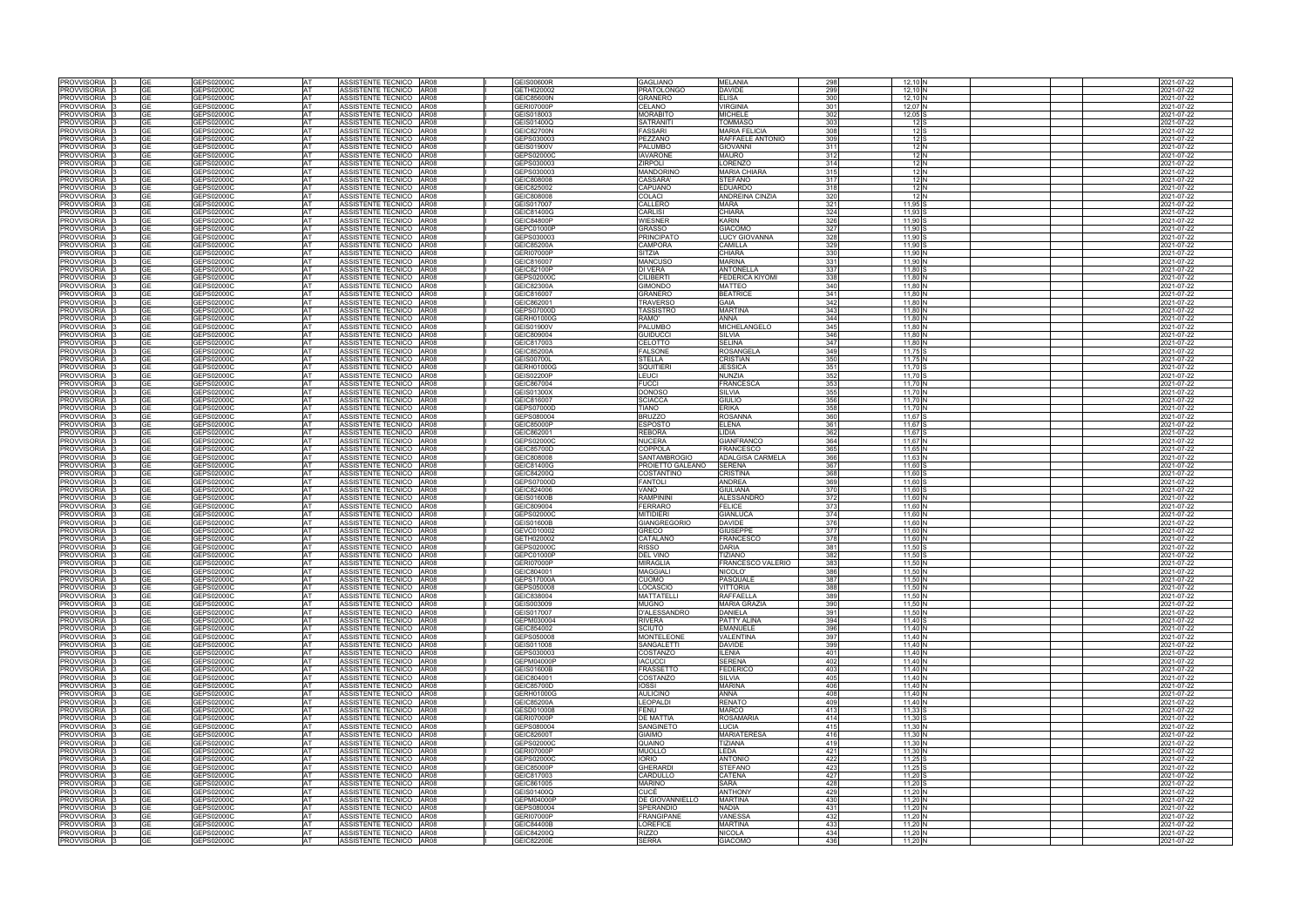| <b>PROVVISORIA</b>                  |                 |                          |           |                                                    |                          |                              |                                 |            |                    |  |                                        |
|-------------------------------------|-----------------|--------------------------|-----------|----------------------------------------------------|--------------------------|------------------------------|---------------------------------|------------|--------------------|--|----------------------------------------|
|                                     |                 | GEPS02000C               | <b>AT</b> | ASSISTENTE TECNICO AR08                            | <b>GEIS00600R</b>        | <b>GAGLIANO</b>              | <b>MELANIA</b>                  | 298        | $12,10$ N          |  | 2021-07-22                             |
| PROVVISORIA                         | GΕ              | GEPS02000C               | AT        | AR08<br>ASSISTENTE TECNICO                         | GETH020002               | PRATOLONGO                   | <b>DAVIDE</b>                   | 299        | 12,10 N            |  | 2021-07-22                             |
| <b>PROVVISORIA</b>                  | <b>GE</b>       | GEPS02000C               | <b>AT</b> | ASSISTENTE TECNICO AR08                            | <b>GEIC85600N</b>        | GRANERO                      | <b>ELISA</b>                    | 300        | $12,10$ N          |  | 2021-07-22                             |
| PROVVISORIA                         | GΕ              | GEPS02000C               | AT        | ASSISTENTE TECNICO AR08                            | <b>GERI07000P</b>        | CELANO                       | <b>VIRGINIA</b>                 | 301        | 12,07 N            |  | 2021-07-22                             |
| <b>PROVVISORIA</b>                  | GF              | GEPS02000C               | <b>AT</b> | ASSISTENTE TECNICO<br>AR08                         | GEIS018003               | <b>MORABITO</b>              | <b>MICHELE</b>                  | 302        | $12,05$ S          |  | 2021-07-22                             |
| <b>PROVVISORIA</b>                  | GЕ              | GEPS02000C               | AT        | ASSISTENTE TECNICO<br><b>AR08</b>                  | GEIS01400Q               | SATRANITI                    | <b>TOMMASO</b>                  | 303        | 12S                |  | 2021-07-22                             |
| <b>PROVVISORIA</b>                  | GE              | GEPS02000C               | AT        | ASSISTENTE TECNICO AR08                            | <b>GEIC82700N</b>        | <b>FASSARI</b>               | <b>MARIA FELICIA</b>            | 308        | $12$ S             |  | 2021-07-22                             |
| PROVVISORIA                         | GE              | GEPS02000C               | AT        | ASSISTENTE TECNICO AR08                            | GEPS030003               | PEZZANO                      | RAFFAELE ANTONIO                | 309        | 12S                |  | 2021-07-22                             |
| <b>PROVVISORIA</b>                  | GE              | GEPS02000C               | <b>AT</b> | ASSISTENTE TECNICO   AR08                          | <b>GEIS01900V</b>        | <b>PALUMBO</b>               | <b>GIOVANNI</b>                 | 311        | 12 N               |  | 2021-07-22                             |
| PROVVISORIA                         | GЕ              | GEPS02000C               | AT        | ASSISTENTE TECNICO<br><b>AR08</b>                  | GEPS02000C               | <b>IAVARONE</b>              | <b>MAURO</b>                    | 312        | 12 N               |  | 2021-07-22                             |
| <b>PROVVISORIA</b>                  | GЕ              | GEPS02000C               | AT        | ASSISTENTE TECNICO<br><b>AR08</b>                  | GEPS030003               | ZIRPOLI                      | <b>LORENZO</b>                  | 314        | 12 N               |  | 2021-07-22                             |
| <b>PROVVISORIA</b>                  | GE              | GEPS02000C               | AT        | ASSISTENTE TECNICO AR08                            | GEPS030003               | <b>MANDORINO</b>             | <b>MARIA CHIARA</b>             | 315        | 12 N               |  | 2021-07-22                             |
|                                     |                 |                          | <b>AT</b> | ASSISTENTE TECNICO   AR08                          |                          |                              |                                 |            |                    |  |                                        |
| <b>PROVVISORIA</b>                  | GE              | GEPS02000C               |           |                                                    | GEIC808008               | <b>CASSARA</b>               | <b>STEFANO</b>                  | 317<br>318 | 12 N<br>12 N       |  | 2021-07-22                             |
| <b>PROVVISORIA</b>                  | GE              | GEPS02000C               | <b>AT</b> | ASSISTENTE TECNICO AR08                            | GEIC825002               | <b>CAPUANO</b>               | <b>EDUARDO</b>                  |            |                    |  | 2021-07-22                             |
| <b>PROVVISORIA</b>                  | GЕ              | GEPS02000C               | <b>AT</b> | ASSISTENTE TECNICO<br><b>AR08</b>                  | GEIC808008               | COLACI                       | <b>ANDREINA CINZIA</b>          | 320        | 12 N               |  | 2021-07-22                             |
| <b>PROVVISORIA</b>                  |                 | GEPS02000C               | AT        | ASSISTENTE TECNICO AR08                            | GEIS017007               | CALLERO                      | <b>MARA</b>                     | 321        | 11.95 <sup>S</sup> |  | 2021-07-22                             |
| PROVVISORIA                         | GE              | GEPS02000C               | <b>AT</b> | ASSISTENTE TECNICO<br><b>AR08</b>                  | GEIC81400G               | <b>CARLISI</b>               | <b>CHIARA</b>                   | 324        | 11.93              |  | 2021-07-22                             |
| <b>PROVVISORIA</b>                  | GЕ              | GEPS02000C               | <b>AT</b> | ASSISTENTE TECNICO   AR08                          | <b>GEIC84800P</b>        | WIESNER                      | <b>KARIN</b>                    | 326        | 11.90 S            |  | 2021-07-22                             |
| <b>PROVVISORIA</b>                  | GЕ              | GEPS02000C               | <b>AT</b> | ASSISTENTE TECNICO<br><b>AR08</b>                  | GEPC01000P               | <b>GRASSO</b>                | <b>GIACOMO</b>                  | 327        | 11.90 S            |  | 2021-07-22                             |
| <b>PROVVISORIA</b>                  |                 | GEPS02000C               | AT        | ASSISTENTE TECNICO AR08                            | GEPS030003               | <b>PRINCIPATO</b>            | <b>LUCY GIOVANNA</b>            | 328        | 11.90              |  | 2021-07-22                             |
| PROVVISORIA                         | GЕ              | GEPS02000C               | AT        | ASSISTENTE TECNICO   AR08                          | <b>GEIC85200A</b>        | CAMPORA                      | CAMILLA                         | 329        | 11,90              |  | 2021-07-22                             |
| <b>PROVVISORIA</b>                  | GΕ              | GEPS02000C               | <b>AT</b> | ASSISTENTE TECNICO<br>AR08                         | <b>GERI07000P</b>        | SITZIA                       | <b>CHIARA</b>                   | 330        | 11,90              |  | 2021-07-22                             |
| PROVVISORIA                         | GE              | GEPS02000C               | <b>AT</b> | ASSISTENTE TECNICO<br>AR08                         | GEIC816007               | <b>MANCUSO</b>               | <b>MARINA</b>                   | 331        | 11.90 <sup>N</sup> |  | 2021-07-22                             |
| <b>PROVVISORIA</b>                  | GЕ              | GEPS02000C               | AT        | ASSISTENTE TECNICO AR08                            | GEIC82100P               | DI VERA                      | <b>ANTONELLA</b>                | 337        | 11,80              |  | 2021-07-22                             |
| PROVVISORIA                         | GЕ              | GEPS02000C               | AT        | ASSISTENTE TECNICO<br><b>AR08</b>                  | GEPS02000C               | CILIBERT                     | <b>FEDERICA KIYOMI</b>          | 338        | 11,80              |  | 2021-07-22                             |
| <b>PROVVISORIA</b>                  | GF              | GEPS02000C               | <b>AT</b> | ASSISTENTE TECNICO AR08                            | <b>GEIC82300A</b>        | GIMONDO                      | <b>MATTEO</b>                   | 340        | 11.80              |  | 2021-07-22                             |
| PROVVISORIA                         | GΕ              | GEPS02000C               | AT        | ASSISTENTE TECNICO<br>AR08                         | GEIC816007               | GRANERO                      | <b>BEATRICI</b>                 | 341        | 11,80 <sup>N</sup> |  | 2021-07-22                             |
| <b>PROVVISORIA</b>                  | GE              |                          | AT        | ASSISTENTE TECNICO<br><b>AR08</b>                  |                          | <b>TRAVERSC</b>              | <b>GAIA</b>                     | 342        | 11,80              |  | 2021-07-22                             |
| <b>PROVVISORIA</b>                  | GЕ              | GEPS02000C               |           |                                                    | GEIC862001               |                              | <b>MARTINA</b>                  | 343        |                    |  |                                        |
|                                     |                 | GEPS02000C               | AT        | ASSISTENTE TECNICO AR08                            | GEPS07000D               | TASSISTRO                    |                                 |            | 11,80              |  | 2021-07-22                             |
| <b>PROVVISORIA</b>                  | GЕ              | GEPS02000C               | <b>AT</b> | ASSISTENTE TECNICO<br><b>AR08</b>                  | GERH01000G               | RAMO'                        | <b>ANNA</b>                     | 344        | 11,80              |  | 2021-07-22                             |
| <b>PROVVISORIA</b>                  | GΕ              | GEPS02000C               | AT        | ASSISTENTE TECNICO<br>AR08                         | GEIS01900V               | PALUMBC                      | <b>MICHELANGELO</b>             | 345        | 11,80 <sup>N</sup> |  | 021-07-22                              |
| <b>PROVVISORIA</b>                  | GЕ              | GEPS02000C               | <b>AT</b> | ASSISTENTE TECNICO AR08                            | GEIC809004               | <b>GUIDUCC</b>               | <b>SILVIA</b>                   | 346        | 11,80              |  | 2021-07-22                             |
| <b>PROVVISORIA</b>                  | GΕ              | GEPS02000C               | AT        | ASSISTENTE TECNICO AR08                            | GEIC817003               | CELOTTO                      | <b>SELINA</b>                   | 347        | 11,80              |  | 021-07-22                              |
| <b>PROVVISORIA</b>                  | GE              | GEPS02000C               | AT        | ASSISTENTE TECNICO AR08                            | <b>GEIC85200A</b>        | <b>FALSONE</b>               | <b>ROSANGELA</b>                | 349        | 11,75 S            |  | 2021-07-22                             |
| PROVVISORIA                         | GЕ              | GEPS02000C               | AT        | ASSISTENTE TECNICO<br>AR08                         | <b>GEIS00700L</b>        | STELLA                       | <b>CRISTIAN</b>                 | 350        | 11,75 N            |  | 2021-07-22                             |
| <b>PROVVISORIA</b>                  | GЕ              | GEPS02000C               | AT        | ASSISTENTE TECNICO<br><b>AR08</b>                  | GERH01000G               | SQUITIER                     | <b>JESSICA</b>                  | 351        | 11,70 S            |  | 2021-07-22                             |
| <b>PROVVISORIA</b>                  | GΕ              | GEPS02000C               | AT        | ASSISTENTE TECNICO AR08                            | <b>GEIS02200P</b>        | LEUCI                        | <b>NUNZIA</b>                   | 352        | 11,70 S            |  | 2021-07-22                             |
| <b>PROVVISORIA</b>                  | GЕ              | GEPS02000C               | AT        | ASSISTENTE TECNICO   AR08                          | GEIC867004               | <b>FUCCI</b>                 | <b>FRANCESCA</b>                | 353        | 11,70 N            |  | 2021-07-22                             |
| PROVVISORIA                         | GΕ              | GEPS02000C               | AT        | <b>AR08</b><br>ASSISTENTE TECNICO                  | <b>GEIS01300X</b>        | DONOSO                       | <b>SILVIA</b>                   | 355        | 11,70 N            |  | 021-07-22                              |
| PROVVISORIA                         | GE              | GEPS02000C               | <b>AT</b> | ASSISTENTE TECNICO AR08                            | GEIC816007               | SCIACCA                      | <b>GIULIO</b>                   | 356        | 11.70 N            |  | 2021-07-22                             |
| <b>PROVVISORIA</b>                  |                 | GEPS02000C               | AT        | ASSISTENTE TECNICO   AR08                          | GEPS07000D               | <b>TIANO</b>                 | <b>ERIKA</b>                    | 358        | 11.70 N            |  | 2021-07-22                             |
| PROVVISORIA                         | GЕ              | GEPS02000C               | <b>AT</b> | ASSISTENTE TECNICO<br><b>AR08</b>                  | GEPS080004               | <b>BRUZZO</b>                | <b>ROSANNA</b>                  | 360        | 11.67 S            |  | 2021-07-22                             |
| <b>PROVVISORIA</b>                  | GЕ              | GEPS02000C               | <b>AT</b> | ASSISTENTE TECNICO AR08                            | GEIC85000P               | <b>ESPOSTO</b>               | <b>ELENA</b>                    | 361        | 11.67 S            |  | 2021-07-22                             |
|                                     |                 |                          |           |                                                    |                          |                              |                                 |            |                    |  |                                        |
| <b>PROVVISORIA</b>                  | <b>GE</b>       | GEPS02000C               | <b>AT</b> | ASSISTENTE TECNICO<br><b>AR08</b>                  | GEIC862001               | <b>REBORA</b>                | LIDIA                           | 362        | 11.67 S            |  | 2021-07-22                             |
| <b>PROVVISORIA</b>                  |                 | GEPS02000C               | AT        | ASSISTENTE TECNICO AR08                            | GEPS02000C               | NUCERA                       | <b>GIANFRANCO</b>               | 364        | 11.67 N            |  | 2021-07-22                             |
| PROVVISORIA                         | GE              | GEPS02000C               | <b>AT</b> | ASSISTENTE TECNICO AR08                            | <b>GEIC85700D</b>        | <b>COPPOLA</b>               | <b>FRANCESCO</b>                | 365        | 11.65 <sup>N</sup> |  | 2021-07-22                             |
|                                     |                 |                          |           |                                                    |                          |                              |                                 |            |                    |  |                                        |
| <b>PROVVISORIA</b>                  | GЕ              | GEPS02000C               | AT        | ASSISTENTE TECNICO<br>AR08                         | GEIC808008               | SANTAMBROGIO                 | <b>ADALGISA CARMELA</b>         | 366        | $11,63$ N          |  | 2021-07-22                             |
| <b>PROVVISORIA</b>                  | GЕ              | GEPS02000C               | <b>AT</b> | ASSISTENTE TECNICO<br><b>AR08</b>                  | GEIC81400G               | PROIETTO GALEANO             | <b>SERENA</b>                   | 367        | 11,60              |  | 2021-07-22                             |
| <b>PROVVISORIA</b>                  | GЕ              | GEPS02000C               | AT        | ASSISTENTE TECNICO AR08                            | GEIC84200Q               | COSTANTINO                   | <b>CRISTINA</b>                 | 368        | 11.60              |  | 2021-07-22                             |
| PROVVISORIA                         | GЕ              | GEPS02000C               | AT        | ASSISTENTE TECNICO<br><b>AR08</b>                  | GEPS07000D               | <b>FANTOLI</b>               | <b>ANDREA</b>                   | 369        | 11,60              |  | 2021-07-22                             |
| <b>PROVVISORIA</b>                  | GΕ              | GEPS02000C               | AT        | ASSISTENTE TECNICO<br><b>AR08</b>                  | GEIC824006               | /ANO                         | <b>GIULIANA</b>                 | 370        | 11,60              |  |                                        |
|                                     |                 |                          |           |                                                    |                          |                              |                                 |            |                    |  | 2021-07-22                             |
| PROVVISORIA                         | GЕ<br>GE        | GEPS02000C               | <b>AT</b> | ASSISTENTE TECNICO<br><b>AR08</b>                  | <b>GEIS01600B</b>        | RAMPININI                    | <b>ALESSANDRO</b>               | 372        | 11.60 N            |  | 2021-07-22                             |
| <b>PROVVISORIA</b>                  |                 | GEPS02000C               | AT        | ASSISTENTE TECNICO<br><b>AR08</b>                  | GEIC809004               | FERRARC                      | <b>FELICE</b>                   | 373        | 11,60 N            |  | 2021-07-22                             |
| <b>PROVVISORIA</b>                  | GЕ              | GEPS02000C               | AT        | ASSISTENTE TECNICO AR08                            | GEPS02000C               | <b>MITIDIERI</b>             | <b>GIANLUCA</b>                 | 374        | 11,60 <sup>N</sup> |  | 2021-07-22                             |
| <b>PROVVISORIA</b>                  | <b>GE</b>       | GEPS02000C               | <b>AT</b> | ASSISTENTE TECNICO<br>AR08                         | <b>GEIS01600B</b>        | <b>GIANGREGORIO</b>          | <b>DAVIDE</b>                   | 376        | 11,60              |  | 2021-07-22                             |
| PROVVISORIA                         | GΕ              | GEPS02000C               | AT        | ASSISTENTE TECNICO<br>AR08                         | GEVC010002               | <b>GRECO</b>                 | <b>GIUSEPPE</b>                 | 377        | 11,60 <sup>N</sup> |  | 2021-07-22                             |
| <b>PROVVISORIA</b>                  | GE              | GEPS02000C               | AT        | ASSISTENTE TECNICO<br><b>AR08</b>                  | GETH020002               | CATALANO                     | <b>FRANCESCO</b>                | 378        | 11,60              |  | 2021-07-22                             |
| <b>PROVVISORIA</b>                  | GΕ              | GEPS02000C               | AT        | ASSISTENTE TECNICO AR08                            | GEPS02000C               | RISSO                        | <b>DARIA</b>                    | 381        | 11,50 \$           |  | 2021-07-22                             |
| <b>PROVVISORIA</b>                  | GЕ              | GEPS02000C               | AT        | ASSISTENTE TECNICO AR08                            | GEPC01000P               | DEL VINO                     | <b>TIZIANO</b>                  | 382        | 11,50              |  | 021-07-22                              |
| PROVVISORIA                         | GE              | GEPS02000C               | AT        | ASSISTENTE TECNICO AR08                            | <b>GERI07000P</b>        | MIRAGLIA                     | <b>FRANCESCO VALERIO</b>        | 383        | 11,50 N            |  | 2021-07-22                             |
| <b>PROVVISORIA</b>                  |                 | GEPS02000C               | <b>AT</b> | ASSISTENTE TECNICO AR08                            | GEIC804001               | MAGGIALI                     | NICOLO'                         | 386        | 11,50 N            |  | 2021-07-22                             |
| PROVVISORIA                         | GΕ              | GEPS02000C               | AT        | ASSISTENTE TECNICO AR08                            | GEPS17000A               | CUOMO                        | <b>PASQUALE</b>                 | 387        | 11,50 N            |  | 2021-07-22                             |
| PROVVISORIA                         | GE              | GEPS02000C               | AT        | ASSISTENTE TECNICO AR08                            | GEPS050008               | <b>LOCASCIO</b>              | <b>VITTORIA</b>                 | 388        | 11,50 N            |  | 2021-07-22                             |
| PROVVISORIA                         | GE              | GEPS02000C               | AT        | ASSISTENTE TECNICO AR08                            | GEIC838004               | MATTATELLI                   | <b>RAFFAELLA</b>                | 389        | 11,50 N            |  | 2021-07-22                             |
| PROVVISORIA                         | GE              | GEPS02000C               | AT        | ASSISTENTE TECNICO AR08                            | GEIS003009               | <b>MUGNO</b>                 | <b>MARIA GRAZIA</b>             | 390        | 11,50 N            |  | 2021-07-22                             |
| PROVVISORIA                         | GЕ              | GEPS02000C               | AT        | ASSISTENTE TECNICO   AR08                          | GEIS017007               | D'ALESSANDRO                 | <b>DANIELA</b>                  | 391        | 11.50 N            |  | 2021-07-22                             |
| PROVVISORIA                         | GE              | GEPS02000C               | AT        | ASSISTENTE TECNICO   AR08                          | GEPM030004               | <b>RIVERA</b>                | <b>PATTY ALINA</b>              | 394        | 11,40 S            |  | 2021-07-22                             |
|                                     | GЕ              | GEPS02000C               | AT        | ASSISTENTE TECNICO AR08                            | GEIC854002               | SCIUTO                       | <b>EMANUELE</b>                 | 396        | 11,40 N            |  |                                        |
| PROVVISORIA<br>PROVVISORIA          | <b>GE</b>       | GEPS02000C               | AT        |                                                    | GEPS050008               |                              | <b>VALENTINA</b>                | 397        |                    |  | 2021-07-22                             |
|                                     |                 |                          |           | ASSISTENTE TECNICO   AR08                          |                          | <b>MONTELEONE</b>            |                                 |            | 11,40 N            |  |                                        |
| PROVVISORIA                         | GЕ              | GEPS02000C               | <b>AT</b> | ASSISTENTE TECNICO AR08                            | GEIS011008               | SANGALETTI                   | <b>DAVIDE</b>                   | 399        | 11.40 N            |  | 2021-07-22                             |
| PROVVISORIA                         | GE              | GEPS02000C               | AT        | ASSISTENTE TECNICO AR08                            | GEPS030003               | <b>COSTANZO</b>              | <b>ILENIA</b>                   | 401        | 11,40 N            |  | 2021-07-22                             |
| PROVVISORIA                         | GЕ              | GEPS02000C               | <b>AT</b> | ASSISTENTE TECNICO AR08                            | GEPM04000P               | <b>IACUCCI</b>               | <b>SERENA</b>                   | 402        | 11,40 $N$          |  | 2021-07-22                             |
| PROVVISORIA                         | GЕ              | GEPS02000C               | AT        | ASSISTENTE TECNICO AR08                            | <b>GEIS01600B</b>        | FRASSETTO                    | <b>FEDERICO</b>                 | 403        | $11,40$ N          |  |                                        |
| PROVVISORIA                         | GЕ              | GEPS02000C               | AT        | ASSISTENTE TECNICO AR08                            | GEIC804001               | COSTANZO                     | <b>SILVIA</b>                   | 405        | $11,40$ N          |  | 2021-07-22<br>2021-07-22<br>2021-07-22 |
| PROVVISORIA                         | GE.             | GEPS02000C               | AT        | ASSISTENTE TECNICO   AR08                          | <b>GEIC85700D</b>        | <b>IOSSI</b>                 | <b>MARINA</b>                   | 406        | $11,40$ N          |  | 2021-07-22                             |
| <b>PROVVISORIA</b>                  | GЕ              | GEPS02000C               | AT        | ASSISTENTE TECNICO AR08                            | GERH01000G               | <b>AULICINO</b>              | <b>ANNA</b>                     | 408        | 11,40 $N$          |  | 2021-07-22                             |
| PROVVISORIA                         | GE              | GEPS02000C               | AT        | ASSISTENTE TECNICO AR08                            | <b>GEIC85200A</b>        | <b>LEOPALDI</b>              | <b>RENATO</b>                   | 409        | 11,40 $N$          |  | 2021-07-22                             |
| PROVVISORIA                         | GE              | GEPS02000C               | <b>AT</b> | ASSISTENTE TECNICO AR08                            | GESD010008               | FENU                         | <b>MARCO</b>                    | 413        | $11,33$ S          |  | 2021-07-22                             |
| PROVVISORIA                         | GЕ              | GEPS02000C               | AT        | ASSISTENTE TECNICO   AR08                          | <b>GERI07000P</b>        | DE MATTIA                    | <b>ROSAMARIA</b>                | 414        | $11,30$ S          |  | 2021-07-22                             |
| PROVVISORIA                         | <b>GE</b>       | GEPS02000C               | AT        | ASSISTENTE TECNICO AR08                            | GEPS080004               | <b>SANGINETO</b>             | LUCIA                           | 415        | 11,30 N            |  | 2021-07-22                             |
| PROVVISORIA                         | GЕ              | GEPS02000C               | AT        | ASSISTENTE TECNICO AR08                            | <b>GEIC82600T</b>        | GIAIMO                       | <b>MARIATERESA</b>              | 416        | $11,30$ N          |  | 2021-07-22                             |
| <b>PROVVISORIA</b>                  | GE              | GEPS02000C               | AT        | ASSISTENTE TECNICO AR08                            | GEPS02000C               | QUAINO                       | <b>TIZIANA</b>                  | 419        | 11,30 $N$          |  | 2021-07-22                             |
| PROVVISORIA                         | GЕ              | GEPS02000C               | AT        | ASSISTENTE TECNICO AR08                            | <b>GERI07000P</b>        | <b>MUOLLO</b>                | LEDA                            | 421        | $11,30$ N          |  | 2021-07-22                             |
| PROVVISORIA                         | <b>GE</b>       | GEPS02000C               | AT        | ASSISTENTE TECNICO AR08                            | GEPS02000C               | <b>IORIO</b>                 | <b>ANTONIO</b>                  | 422        | 11,25 S            |  |                                        |
|                                     | GΕ              |                          |           |                                                    |                          |                              | <b>STEFANO</b>                  |            |                    |  | 2021-07-22                             |
| PROVVISORIA                         | GE              | GEPS02000C               | AT<br>AT  | ASSISTENTE TECNICO AR08                            | GEIC85000P               | <b>GHERARDI</b><br>CARDULLO  |                                 | 423<br>427 | $11,25$ S          |  | 2021-07-22                             |
| PROVVISORIA                         |                 | GEPS02000C               |           | ASSISTENTE TECNICO AR08                            | GEIC817003               |                              | CATENA                          |            | 11,20 S            |  | 2021-07-22                             |
| PROVVISORIA                         |                 | GEPS02000C               | AT        | ASSISTENTE TECNICO AR08                            | GEIC861005               | MARINO                       | <b>SARA</b>                     | 428        | 11,20 S            |  | 2021-07-22                             |
| PROVVISORIA                         | GE              | GEPS02000C               | AT        | ASSISTENTE TECNICO AR08                            | GEIS01400Q               | CUCÉ                         | <b>ANTHONY</b>                  | 429        | 11,20 N            |  | 2021-07-22                             |
| PROVVISORIA                         | GE              | GEPS02000C               | AT        | ASSISTENTE TECNICO AR08                            | <b>GEPM04000P</b>        | DE GIOVANNIELLO              | <b>MARTINA</b>                  | 430        | 11,20 N            |  | 2021-07-22                             |
| PROVVISORIA                         | GE              | GEPS02000C               | AT        | ASSISTENTE TECNICO AR08                            | GEPS080004               | SPERANDIO                    | <b>NADIA</b>                    | 431        | 11,20 N            |  |                                        |
| PROVVISORIA                         |                 | GEPS02000C               | AT        | ASSISTENTE TECNICO AR08                            | <b>GERI07000P</b>        | <b>FRANGIPANE</b>            | <b>VANESSA</b>                  | 432        | 11,20 N            |  | 2021-07-22                             |
| PROVVISORIA                         | GE.             | GEPS02000C               | AT        | ASSISTENTE TECNICO AR08                            | GEIC84400B               | <b>LOREFICE</b>              | <b>MARTINA</b>                  | 433        | 11,20 N            |  | 2021-07-22                             |
| <b>PROVVISORIA</b><br>PROVVISORIA 3 | GЕ<br><b>GE</b> | GEPS02000C<br>GEPS02000C | AT<br>AT  | ASSISTENTE TECNICO AR08<br>ASSISTENTE TECNICO AR08 | GEIC84200Q<br>GEIC82200E | <b>RIZZO</b><br><b>SERRA</b> | <b>NICOLA</b><br><b>GIACOMO</b> | 434<br>436 | 11,20 N<br>11,20 N |  | 2021-07-22<br>2021-07-22<br>2021-07-22 |

|  | 2021-07-22               |
|--|--------------------------|
|  | 2021-07-22               |
|  | 2021-07-22               |
|  | 2021-07-22               |
|  | 2021-07-22               |
|  | 2021-07-22               |
|  | 2021-07-22               |
|  | 2021-07-22               |
|  | 2021-07-22               |
|  | 2021-07-22               |
|  |                          |
|  | 2021-07-22               |
|  | 2021-07-22               |
|  | 2021-07-22               |
|  | 2021-07-22               |
|  | 2021-07-22               |
|  | 2021-07-22               |
|  | 2021-07-22               |
|  | 2021-07-22               |
|  | 2021-07-22               |
|  | 2021-07-22               |
|  | 2021-07-22               |
|  | 2021-07-22               |
|  | 2021-07-22               |
|  | 2021-07-22               |
|  | 2021-07-22               |
|  | 2021-07-22               |
|  | 2021-07-22               |
|  | 2021-07-22               |
|  | 2021-07-22               |
|  | 2021-07-22               |
|  | 2021-07-22               |
|  | 2021-07-22               |
|  | 2021-07-22               |
|  |                          |
|  | 2021-07-22               |
|  | 2021-07-22               |
|  | 2021-07-22               |
|  | 2021-07-22               |
|  | 2021-07-22               |
|  | 2021-07-22               |
|  | 2021-07-22               |
|  | 2021-07-22               |
|  | 2021-07-22               |
|  | 2021-07-22               |
|  | 2021-07-22               |
|  | 2021-07-22               |
|  | 2021-07-22               |
|  | 2021-07-22               |
|  | 2021-07-22               |
|  | 2021-07-22               |
|  | 2021-07-22               |
|  | 2021-07-22               |
|  | 2021-07-22               |
|  | 2021-07-22               |
|  | 2021-07-22               |
|  | 2021-07-22               |
|  | 2021-07-22               |
|  | 2021-07-22               |
|  | 2021-07-22               |
|  | 2021-07-22               |
|  | 2021-07-22               |
|  |                          |
|  | 2021-07-22               |
|  | 2021-07-22               |
|  | 2021-07-22               |
|  | 2021-07-22               |
|  | 2021-07-22               |
|  | 2021-07-22               |
|  | 2021-07-22               |
|  | 2021-07-22               |
|  | 2021-07-22               |
|  | 2021-07-22               |
|  | 2021-07-22               |
|  | 2021-07-22               |
|  | 2021-07-22               |
|  | 2021-07-22               |
|  | 2021-07-22               |
|  | 2021-07-22               |
|  | 2021-07-22               |
|  | 2021-07-22               |
|  | 2021-07-22               |
|  | 2021-07-22               |
|  | 2021-07-22               |
|  | 2021-07-22               |
|  | 2021-07-22               |
|  | 2021-07-22               |
|  | 2021-07-22               |
|  | 2021-07-22               |
|  | 2021-07-22               |
|  |                          |
|  |                          |
|  | 2021-07-22               |
|  | 2021-07-22               |
|  | 2021-07-22               |
|  | 2021-07-22               |
|  | 2021-07-22               |
|  | 2021-07-22<br>2021-07-22 |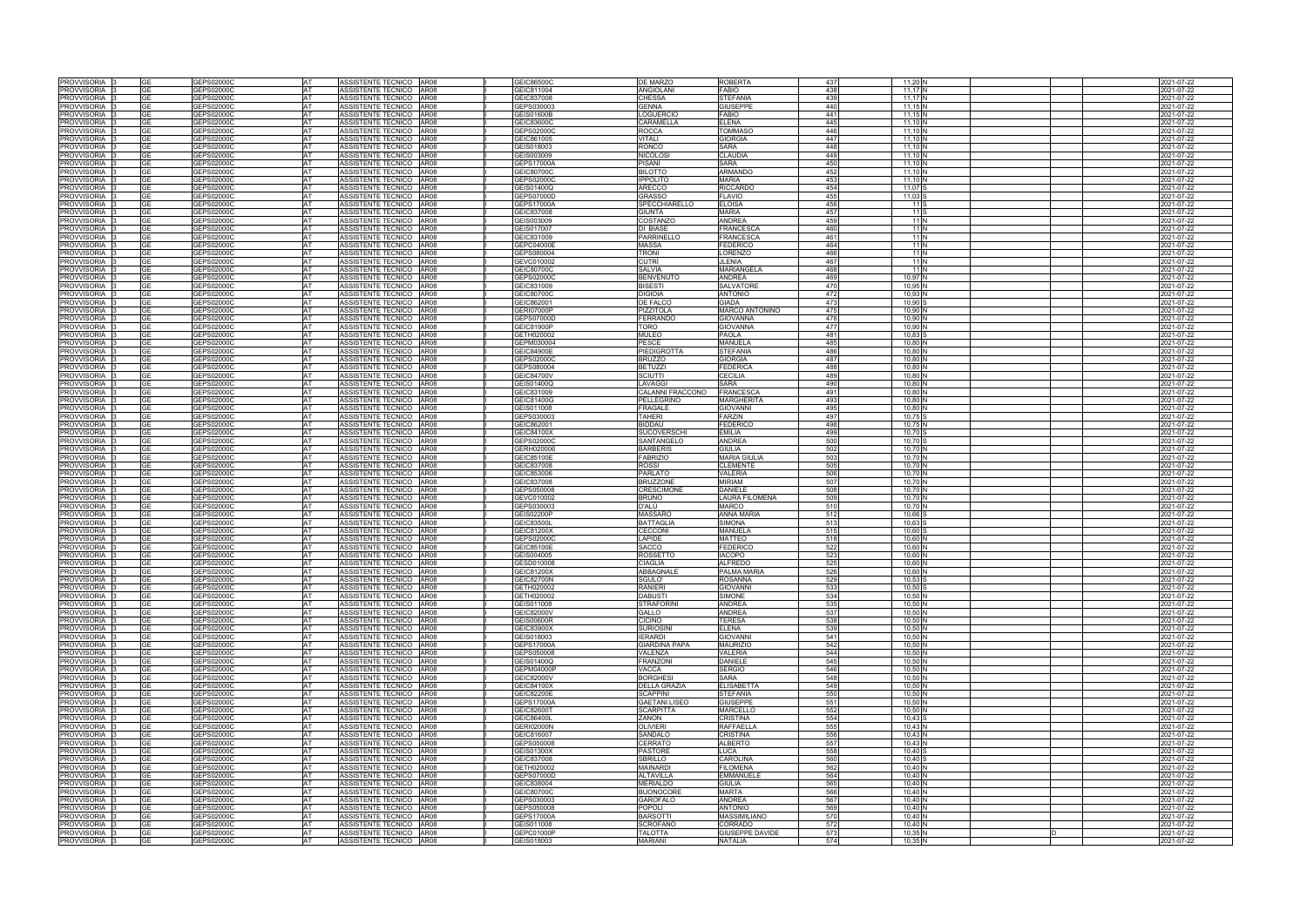| <b>PROVVISORIA</b>                       |                 | GEPS02000C               | <b>AT</b>       | ASSISTENTE TECNICO AR08                              | GEIC86500C               | <b>DE MARZO</b>                      | <b>ROBERTA</b>                   | 437        | $11,20$ N              |    | 2021-07-22               |
|------------------------------------------|-----------------|--------------------------|-----------------|------------------------------------------------------|--------------------------|--------------------------------------|----------------------------------|------------|------------------------|----|--------------------------|
| PROVVISORIA                              | GЕ              | GEPS02000C               | AT              | ASSISTENTE TECNICO AR08                              | GEIC811004               | ANGIOLANI                            | <b>FABIO</b>                     | 438        | 11,17 $N$              |    | 2021-07-22               |
| <b>PROVVISORIA</b>                       | GE              | GEPS02000C               | AT              | ASSISTENTE TECNICO AR08                              | GEIC837008               | CHESSA                               | <b>STEFANIA</b>                  | 439        | 11,17N                 |    | 2021-07-22               |
| <b>PROVVISORIA</b>                       | GЕ              | GEPS02000C               | <b>AT</b>       | ASSISTENTE TECNICO AR08                              | GEPS030003               | <b>GENNA</b>                         | <b>GIUSEPPE</b>                  | 440        | $11,15$ N              |    | 2021-07-22               |
| <b>PROVVISORIA</b>                       | GЕ              | GEPS02000C               | <b>AT</b>       | ASSISTENTE TECNICO AR08                              | <b>GEIS01600B</b>        | LOGUERCIO                            | <b>FABIO</b>                     | 441        | $11,15$ N              |    | 2021-07-22               |
| PROVVISORIA                              | GЕ<br>GF        | GEPS02000C               | AT              | ASSISTENTE TECNICO<br>AR08                           | GEIC83600C               | CARAMELLA                            | <b>ELENA</b>                     | 445        | $11,10$ N              |    | 2021-07-22               |
| <b>PROVVISORIA</b><br>PROVVISORIA        | GΕ              | GEPS02000C<br>GEPS02000C | <b>AT</b><br>AT | ASSISTENTE TECNICO AR08<br>ASSISTENTE TECNICO   AR08 | GEPS02000C<br>GEIC861005 | ROCCA<br>VITALI                      | <b>TOMMASC</b><br><b>GIORGIA</b> | 446<br>447 | 11.10 N<br>11,10 N     |    | 2021-07-22<br>2021-07-22 |
| <b>PROVVISORIA</b>                       | GЕ              | GEPS02000C               | AT              | ASSISTENTE TECNICO<br>AR08                           | GEIS018003               | RONCO                                | <b>SARA</b>                      | 448        | $11,10$ N              |    | 2021-07-22               |
| <b>PROVVISORIA</b>                       | GЕ              | GEPS02000C               | AT              | ASSISTENTE TECNICO AR08                              | GEIS003009               | <b>NICOLOSI</b>                      | <b>CLAUDIA</b>                   | 449        | $11,10$ N              |    | 2021-07-22               |
| <b>PROVVISORIA</b>                       | GE              | GEPS02000C               | <b>AT</b>       | ASSISTENTE TECNICO AR08                              | GEPS17000A               | PISANI                               | <b>SARA</b>                      | 450        | $11,10$ N              |    | 2021-07-22               |
| <b>PROVVISORIA</b>                       |                 | GEPS02000C               | AT              | ASSISTENTE TECNICO AR08                              | GEIC80700C               | <b>BILOTTO</b>                       | <b>ARMANDO</b>                   | 452        | 11,10 N                |    | 2021-07-22               |
| <b>PROVVISORIA</b>                       | GΕ              | GEPS02000C               | <b>AT</b>       | ASSISTENTE TECNICO AR08                              | GEPS02000C               | <b>IPPOLITO</b>                      | <b>MARIA</b>                     | 453        | 11.10 <sup>h</sup>     |    | 2021-07-22               |
| <b>PROVVISORIA</b>                       | GΕ              | GEPS02000C               | AT              | ASSISTENTE TECNICO AR08                              | GEIS01400Q               | ARECCO                               | <b>RICCARDO</b>                  | 454        | 11.07 S                |    | 2021-07-22               |
| <b>PROVVISORIA</b>                       | GЕ              | GEPS02000C               | AT              | ASSISTENTE TECNICO AR08                              | GEPS07000D               | <b>GRASSO</b>                        | <b>FLAVIO</b>                    | 455        | $11.03$ S              |    | 2021-07-22               |
| PROVVISORIA                              | GΕ              | GEPS02000C               | AT              | ASSISTENTE TECNICO AR08                              | <b>GEPS17000A</b>        | SPECCHIARELLO                        | <b>ELOISA</b>                    | 456        | 11 S                   |    | 2021-07-22               |
| PROVVISORIA                              | GЕ              | GEPS02000C               | AT              | ASSISTENTE TECNICO AR08                              | GEIC837008               | <b>GIUNTA</b>                        | <b>MARIA</b>                     | 457        | 11 S                   |    | 2021-07-22               |
| <b>PROVVISORIA</b>                       | GΕ              | GEPS02000C               | AT              | ASSISTENTE TECNICO AR08                              | GEIS003009               | COSTANZO                             | <b>ANDREA</b>                    | 459        | 11N                    |    | 2021-07-22               |
| PROVVISORIA                              | <b>GE</b>       | GEPS02000C               | AT              | ASSISTENTE TECNICO AR08                              | GEIS017007               | DI BIASE                             | <b>FRANCESCA</b>                 | 460        | 11 N                   |    | 2021-07-22               |
| PROVVISORIA                              |                 | <b>GEPS02000C</b>        | AT              | ASSISTENTE TECNICO AR08                              | GEIC831009               | PARRINELLO                           | FRANCESCA                        | 461        | 11 N                   |    | 2021-07-22               |
| PROVVISORIA                              | GE              | GEPS02000C               | AT              | ASSISTENTE TECNICO AR08                              | GEPC04000E               | <b>MASSA</b>                         | <b>FEDERICO</b>                  | 464        | 11 N                   |    | 2021-07-22               |
| <b>PROVVISORIA</b>                       | GЕ              | GEPS02000C               | AT              | ASSISTENTE TECNICO AR08                              | GEPS080004               | <b>TRONI</b>                         | LORENZO                          | 466        | 11N                    |    | 2021-07-22               |
| <b>PROVVISORIA</b>                       | GЕ              | GEPS02000C               | <b>AT</b>       | ASSISTENTE TECNICO   AR08                            | GEVC010002               | CUTRÌ                                | <b>JLENIA</b>                    | 467        | 11 N                   |    | 2021-07-22               |
| <b>PROVVISORIA</b>                       | GЕ              | GEPS02000C               | <b>AT</b>       | ASSISTENTE TECNICO AR08                              | GEIC80700C               | <b>SALVIA</b>                        | <b>MARIANGELA</b>                | 468        | 11 N                   |    | 2021-07-22               |
| PROVVISORIA                              | GE              | GEPS02000C               | AT              | ASSISTENTE TECNICO   AR08                            | GEPS02000C               | <b>BENVENUTO</b>                     | <b>ANDREA</b>                    | 469        | 10.97 N                |    | 2021-07-22               |
| <b>PROVVISORIA</b>                       |                 | GEPS02000C               | AT              | ASSISTENTE TECNICO AR08                              | GEIC831009               | <b>ISESTI</b>                        | <b>SALVATORE</b>                 | 470        | 10,95 <sup>N</sup>     |    | 2021-07-22               |
| <b>PROVVISORIA</b>                       | GЕ              | GEPS02000C               | AT              | ASSISTENTE TECNICO AR08                              | GEIC80700C               | <b>DIGIOIA</b>                       | <b>ANTONIO</b>                   | 472        | 10,93 <sup>N</sup>     |    | 2021-07-22               |
| <b>PROVVISORIA</b>                       | GF              | GEPS02000C               | AT              | ASSISTENTE TECNICO AR08                              | GEIC862001               | DE FALCO                             | <b>GIADA</b>                     | 473        | 10,90                  |    | 2021-07-22               |
| <b>PROVVISORIA</b>                       | GЕ              | GEPS02000C               | <b>AT</b>       | ASSISTENTE TECNICO AR08                              | <b>GERI07000P</b>        | PIZZITOLA                            | <b>MARCO ANTONINO</b>            | 475        | 10,90 <sup>N</sup>     |    | 2021-07-22               |
| <b>PROVVISORIA</b>                       | GЕ              | GEPS02000C               | <b>AT</b>       | ASSISTENTE TECNICO AR08<br>ASSISTENTE TECNICO        | GEPS07000D               | FERRANDO<br>TORO                     | <b>GIOVANNA</b>                  | 476<br>477 | 10,90                  |    | 2021-07-22               |
| PROVVISORIA<br><b>PROVVISORIA</b>        | GЕ<br>GF        | GEPS02000C<br>GEPS02000C | AT<br>AT        | AR08<br>ASSISTENTE TECNICO AR08                      | GEIC81900P<br>GETH020002 | MULEO                                | <b>GIOVANNA</b><br><b>PAOLA</b>  | 481        | 10,90<br>10,83         |    | 2021-07-22               |
| <b>PROVVISORIA</b>                       | GЕ              | GEPS02000C               | <b>AT</b>       | ASSISTENTE TECNICO AR08                              | GEPM030004               | PESCE                                | <b>MANUELA</b>                   | 485        | 10.80 <sup>N</sup>     |    | 2021-07-22<br>2021-07-22 |
| <b>PROVVISORIA</b>                       | GЕ              | GEPS02000C               | AT              | ASSISTENTE TECNICO AR08                              | GEIC84900E               | PIEDIGROTTA                          | <b>STEFANIA</b>                  | 486        | 10,80 <sup>N</sup>     |    | 2021-07-22               |
| <b>PROVVISORIA</b>                       | GЕ              | GEPS02000C               | AT              | ASSISTENTE TECNICO AR08                              | GEPS02000C               | <b>BRUZZO</b>                        | <b>GIORGIA</b>                   | 487        | 10,80 <sup>N</sup>     |    | 2021-07-22               |
| <b>PROVVISORIA</b>                       | <b>GE</b>       | GEPS02000C               | <b>AT</b>       | ASSISTENTE TECNICO AR08                              | GEPS080004               | <b>BETUZZI</b>                       | <b>FEDERICA</b>                  | 488        | 10,80                  |    | 2021-07-22               |
| <b>PROVVISORIA</b>                       | GΕ              | GEPS02000C               | AT              | ASSISTENTE TECNICO AR08                              | GEIC84700V               | SCIUTTI                              | <b>CECILIA</b>                   | 489        | 10,80 <sup>N</sup>     |    | 2021-07-22               |
| <b>PROVVISORIA</b>                       | GF              | GEPS02000C               | AT              | ASSISTENTE TECNICO<br>AR08                           | GEIS01400Q               | LAVAGGI                              | <b>SARA</b>                      | 490        | 10,80 <sup>N</sup>     |    | 021-07-22                |
| <b>PROVVISORIA</b>                       | GЕ              | GEPS02000C               | AT              | ASSISTENTE TECNICO AR08                              | GEIC831009               | CALANNI FRACCONO                     | <b>FRANCESCA</b>                 | 491        | 10,80 <sup>N</sup>     |    | 021-07-22                |
| <b>PROVVISORIA</b>                       | GE              | GEPS02000C               | AT              | ASSISTENTE TECNICO AR08                              | GEIC81400G               | PELLEGRINO                           | <b>MARGHERITA</b>                | 493        | 10,80 N                |    | 2021-07-22               |
| <b>PROVVISORIA</b>                       | GΕ              | GEPS02000C               | AT              | ASSISTENTE TECNICO AR08                              | GEIS011008               | <b>FRAGALE</b>                       | <b>GIOVANNI</b>                  | 495        | 10.80 N                |    | 2021-07-22               |
| <b>PROVVISORIA</b>                       | GE              | GEPS02000C               | <b>AT</b>       | ASSISTENTE TECNICO AR08                              | GEPS030003               | TAHERI                               | <b>FARZIN</b>                    | 497        | $10,75$ S              |    | 2021-07-22               |
| <b>PROVVISORIA</b>                       | GΕ              | GEPS02000C               | AT              | ASSISTENTE TECNICO AR08                              | GEIC862001               | <b>BIDDAU</b>                        | <b>FEDERICO</b>                  | 498        | 10,75 N                |    | 2021-07-22               |
| <b>PROVVISORIA</b>                       | GЕ              | GEPS02000C               | AT              | ASSISTENTE TECNICO AR08                              | GEIC84100X               | <b>SUCOVERSCHI</b>                   | <b>EMILIA</b>                    | 499        | 10,70 S                |    | 2021-07-22               |
| <b>PROVVISORIA</b>                       | GЕ              | GEPS02000C               | AT              | ASSISTENTE TECNICO AR08                              | GEPS02000C               | SANTANGELO                           | <b>ANDREA</b>                    | 500        | 10,70 S                |    | 2021-07-22               |
| PROVVISORIA                              | GЕ              | GEPS02000C               | <b>AT</b>       | ASSISTENTE TECNICO AR08                              | GERH020006               | <b>BARBERIS</b>                      | <b>GIULIA</b>                    | 502        | 10,70 N                |    | 2021-07-22               |
| PROVVISORIA                              | GE              | GEPS02000C               | AT              | ASSISTENTE TECNICO AR08                              | GEIC85100E               | <b>FABRIZIO</b>                      | <b>MARIA GIULIA</b>              | 503        | $10.70$ N              |    | 2021-07-22               |
| <b>PROVVISORIA</b>                       | GЕ              | GEPS02000C               | <b>AT</b>       | ASSISTENTE TECNICO   AR08                            | GEIC837008               | ROSSI                                | <b>CLEMENTE</b>                  | 505        | 10,70 N                |    | 2021-07-22               |
| <b>PROVVISORIA</b>                       |                 | GEPS02000C               | AT              | ASSISTENTE TECNICO   AR08                            | GEIC853006               | <b>PARLATO</b>                       | <b>VALERIA</b><br><b>MIRIAM</b>  | 506        | 10,70 N                |    | 2021-07-22               |
| PROVVISORIA                              | GE<br>GЕ        | GEPS02000C               | AT<br>AT        | ASSISTENTE TECNICO   AR08                            | GEIC837008<br>GEPS050008 | <b>BRUZZONE</b><br><b>CRESCIMONE</b> | <b>DANIELE</b>                   | 507<br>508 | 10.70 N                |    | 2021-07-22               |
| <b>PROVVISORIA</b><br><b>PROVVISORIA</b> | GE              | GEPS02000C<br>GEPS02000C | <b>AT</b>       | ASSISTENTE TECNICO AR08<br>ASSISTENTE TECNICO AR08   | GEVC010002               | <b>BRUNO</b>                         | <b>LAURA FILOMENA</b>            | 509        | 10,70 N<br>10,70 N     |    | 2021-07-22<br>2021-07-22 |
| <b>PROVVISORIA</b>                       | GE              | GEPS02000C               | <b>AT</b>       | ASSISTENTE TECNICO AR08                              | GEPS030003               | D'ALÙ                                | <b>MARCO</b>                     | 510        | 10,70                  |    | 2021-07-22               |
| PROVVISORIA                              | GЕ              | GEPS02000C               | AT              | ASSISTENTE TECNICO AR08                              | <b>GEIS02200P</b>        | MASSARO                              | <b>ANNA MARIA</b>                | 512        | 10,66                  |    | 2021-07-22               |
| <b>PROVVISORIA</b>                       | GЕ              | GEPS02000C               | <b>AT</b>       | ASSISTENTE TECNICO<br>AR08                           | GEIC83500L               | <b>BATTAGLIA</b>                     | <b>SIMONA</b>                    | 513        | 10,63                  |    | 2021-07-22               |
| PROVVISORIA                              | GE              | GEPS02000C               | <b>AT</b>       | ASSISTENTE TECNICO<br>AR08                           | GEIC81200X               | CECCONI                              | <b>MANUELA</b>                   | 515        | 10,60                  |    | 2021-07-22               |
| <b>PROVVISORIA</b>                       |                 | GEPS02000C               | AT              | ASSISTENTE TECNICO AR08                              | GEPS02000C               | LAPIDE                               | <b>MATTEO</b>                    | 518        | 10,60                  |    | 2021-07-22               |
| PROVVISORIA                              | GЕ              | GEPS02000C               | <b>AT</b>       | ASSISTENTE TECNICO AR08                              | GEIC85100E               | SACCO                                | <b>FEDERICO</b>                  | 522        | 10,60                  |    | 2021-07-22               |
| <b>PROVVISORIA</b>                       |                 | GEPS02000C               | <b>AT</b>       | ASSISTENTE TECNICO AR08                              | GEIS004005               | ROSSETTO                             | <b>IACOPO</b>                    | 523        | 10,60                  |    | 2021-07-22               |
| PROVVISORIA                              |                 | GEPS02000C               | AT              | ASSISTENTE TECNICO AR08                              | GESD010008               | CIAGLIA                              | <b>ALFREDC</b>                   | 525        | 10,60 N                |    | 2021-07-22               |
| PROVVISORIA                              |                 | GEPS02000C               | <b>AT</b>       | ASSISTENTE TECNICO AR08                              | GEIC81200X               | ABBAGNALE                            | PALMA MARIA                      | 526        | 10,60 N                |    | 2021-07-22               |
| <b>PROVVISORIA</b>                       | GЕ              | GEPS02000C               | AT              | ASSISTENTE TECNICO AR08                              | <b>GEIC82700N</b>        | SGULO'                               | <b>ROSANNA</b>                   | 529        | $10,53$ S              |    | 2021-07-22               |
| PROVVISORIA                              | GЕ              | GEPS02000C               | AT              | ASSISTENTE TECNICO AR08                              | GETH020002               | <b>RANIERI</b>                       | <b>GIOVANNI</b>                  | 533        | $10,50$ S              |    | 2021-07-22               |
| PROVVISORIA                              | GЕ              | GEPS02000C               | AT              | ASSISTENTE TECNICO AR08                              | GETH020002               | <b>DABUSTI</b>                       | <b>SIMONE</b>                    | 534        | 10,50 N                |    | 2021-07-22               |
| <b>PROVVISORIA</b>                       | GЕ              | GEPS02000C               | AT              | ASSISTENTE TECNICO AR08                              | GEIS011008               | <b>STRAFORINI</b>                    | <b>ANDREA</b>                    | 535        | 10,50 N                |    | 2021-07-22               |
| <b>PROVVISORIA</b>                       | GЕ              | GEPS02000C               | AT              | ASSISTENTE TECNICO AR08                              | GEIC82000V               | <b>GALLO</b>                         | <b>ANDREA</b>                    | 537        | 10,50 N                |    | 2021-07-22               |
| PROVVISORIA                              | GE              | GEPS02000C               | AT              | ASSISTENTE TECNICO AR08<br>ASSISTENTE TECNICO AR08   | <b>GEIS00600R</b>        | <b>CICINO</b><br>SURIOSINI           | <b>TERESA</b><br><b>ELENA</b>    | 538<br>539 | 10,50 N                |    | 2021-07-22               |
| PROVVISORIA<br><b>PROVVISORIA</b>        | GЕ<br><b>GE</b> | GEPS02000C<br>GEPS02000C | AT<br>AT        | ASSISTENTE TECNICO AR08                              | GEIC83900X<br>GEIS018003 | <b>IERARDI</b>                       | <b>GIOVANNI</b>                  | 541        | 10,50 N<br>10,50 N     |    | 2021-07-22<br>2021-07-22 |
| PROVVISORIA                              | GE              | GEPS02000C               | AT              | ASSISTENTE TECNICO AR08                              | <b>GEPS17000A</b>        | <b>GIARDINA PAPA</b>                 | <b>MAURIZIO</b>                  | 542        | 10,50 N                |    | 2021-07-22               |
| PROVVISORIA                              | GE              | GEPS02000C               | AT              | ASSISTENTE TECNICO   AR08                            | GEPS050008               | VALENZA                              | <b>VALERIA</b>                   | 544        | 10,50 N                |    | 2021-07-22               |
| PROVVISORIA                              | GΕ              | GEPS02000C               | AT              | ASSISTENTE TECNICO AR08                              | GEIS01400Q               | <b>FRANZONI</b>                      | <b>DANIELE</b>                   | 545        | 10,50 N                |    | 2021-07-22               |
| <b>PROVVISORIA</b>                       | GE              | GEPS02000C               | AT              | ASSISTENTE TECNICO AR08                              | GEPM04000P               | VACCA                                | <b>SERGIO</b>                    | 546        | 10,50 N                |    | 2021-07-22               |
| PROVVISORIA                              |                 | GEPS02000C               | AT              | ASSISTENTE TECNICO AR08                              | GEIC82000V               | <b>BORGHESI</b>                      | <b>SARA</b>                      | 548        | 10,50 N                |    | 2021-07-22               |
| PROVVISORIA                              | GE              | GEPS02000C               | AT              | ASSISTENTE TECNICO AR08                              | GEIC84100X               | <b>DELLA GRAZIA</b>                  | <b>ELISABETTA</b>                | 549        | 10,50 N                |    | 2021-07-22               |
| PROVVISORIA                              | GE              | GEPS02000C               | AT              | ASSISTENTE TECNICO AR08                              | <b>GEIC82200E</b>        | <b>SCAPPINI</b>                      | <b>STEFANIA</b>                  | 550        | 10,50 N                |    | 2021-07-22               |
| PROVVISORIA                              | <b>GE</b>       | GEPS02000C               | <b>AT</b>       | ASSISTENTE TECNICO   AR08                            | <b>GEPS17000A</b>        | <b>GAETANI LISEO</b>                 | <b>GIUSEPPE</b>                  | 551        | 10,50 N                |    | 2021-07-22               |
| <b>PROVVISORIA</b>                       |                 | GEPS02000C               | <b>AT</b>       | ASSISTENTE TECNICO AR08                              | <b>GEIC82600T</b>        | <b>SCARPITTA</b>                     | <b>MARCELLO</b>                  | 552        | $10,50$ N              |    | 2021-07-22               |
| PROVVISORIA                              | GЕ              | GEPS02000C               | AT              | ASSISTENTE TECNICO   AR08                            | GEIC86400L               | ZANON                                | <b>CRISTINA</b>                  | 554        | $10,43$ S              |    | 2021-07-22               |
| <b>PROVVISORIA</b>                       | GЕ              | GEPS02000C               | AT              | ASSISTENTE TECNICO AR08                              | <b>GERI02000N</b>        | <b>OLIVIERI</b>                      | <b>RAFFAELLA</b>                 | 555        | $10,43$ N              |    | 2021-07-22               |
| PROVVISORIA                              | GE              | GEPS02000C               | AT              | ASSISTENTE TECNICO AR08                              | GEIC816007               | <b>SANDALO</b>                       | <b>CRISTINA</b>                  | 556        | 10,43 N                |    | 2021-07-22               |
| PROVVISORIA                              | GЕ              | GEPS02000C               | AT              | ASSISTENTE TECNICO AR08                              | GEPS050008               | CERRATO                              | <b>ALBERTO</b>                   | 557        | $10,43$ N              |    | 2021-07-22               |
| PROVVISORIA                              | GЕ              | GEPS02000C               | AT              | ASSISTENTE TECNICO AR08                              | <b>GEIS01300X</b>        | <b>PASTORE</b>                       | LUCA                             | 558        | $10,40$ S              |    | 2021-07-22               |
| <b>PROVVISORIA</b>                       | GE              | GEPS02000C               | AT              | ASSISTENTE TECNICO AR08                              | GEIC837008               | <b>SBRILLO</b><br><b>MAINARDI</b>    | CAROLINA<br><b>FILOMENA</b>      | 560        | $10,40$ S<br>$10,40$ N |    | 2021-07-22               |
| PROVVISORIA<br>PROVVISORIA               | GE<br>GЕ        | GEPS02000C<br>GEPS02000C | AT<br>AT        | ASSISTENTE TECNICO AR08<br>ASSISTENTE TECNICO AR08   | GETH020002<br>GEPS07000D | <b>ALTAVILLA</b>                     | <b>EMMANUELE</b>                 | 562<br>564 | $10,40$ N              |    | 2021-07-22<br>2021-07-22 |
| PROVVISORIA                              | GЕ              | GEPS02000C               | AT              | ASSISTENTE TECNICO AR08                              | GEIC838004               | <b>MERIALDO</b>                      | <b>GIULIA</b>                    | 565        | 10,40 N                |    | 2021-07-22               |
| PROVVISORIA                              | <b>GE</b>       | GEPS02000C               | AT              | ASSISTENTE TECNICO AR08                              | GEIC80700C               | <b>BUONOCORE</b>                     | <b>MARTA</b>                     | 566        | $10,40$ N              |    | 2021-07-22               |
| PROVVISORIA                              | GΕ              | GEPS02000C               | AT              | ASSISTENTE TECNICO AR08                              | GEPS030003               | GAROFALO                             | <b>ANDREA</b>                    | 567        | $10,40$ N              |    | 2021-07-22               |
| PROVVISORIA                              | GЕ              | GEPS02000C               | AT              | ASSISTENTE TECNICO AR08                              | GEPS050008               | <b>POPOLI</b>                        | <b>ANTONIO</b>                   | 569        | 10,40 N                |    | 2021-07-22               |
| PROVVISORIA                              | GЕ              | GEPS02000C               | AT              | ASSISTENTE TECNICO AR08                              | <b>GEPS17000A</b>        | <b>BARSOTTI</b>                      | <b>MASSIMILIANO</b>              | 570        | 10,40 N                |    | 2021-07-22               |
| PROVVISORIA                              | GE              | GEPS02000C               | AT              | ASSISTENTE TECNICO AR08                              | GEIS011008               | <b>SCROFANO</b>                      | CORRADO                          | 572        | 10,40 N                |    | 2021-07-22               |
| PROVVISORIA                              | GE              | GEPS02000C               | AT              | ASSISTENTE TECNICO   AR08                            | GEPC01000P               | <b>TALOTTA</b>                       | <b>GIUSEPPE DAVIDE</b>           | 573        | 10,35 N                | ID | 2021-07-22               |
| PROVVISORIA 3                            | GE              | GEPS02000C               | AT              | ASSISTENTE TECNICO AR08                              | GEIS018003               | <b>MARIANI</b>                       | <b>NATALIA</b>                   | 574        | 10,35 N                |    | 2021-07-22               |
|                                          |                 |                          |                 |                                                      |                          |                                      |                                  |            |                        |    |                          |

|   | 2021-07-22               |
|---|--------------------------|
|   | 2021-07-22               |
|   | 2021-07-22               |
|   | 2021-07-22               |
|   | 2021-07-22               |
|   | 2021-07-22               |
|   | 2021-07-22               |
|   | 2021-07-22               |
|   | 2021-07-22               |
|   | 2021-07-22               |
|   | 2021-07-22               |
|   | 2021-07-22               |
|   | 2021-07-22               |
|   | 2021-07-22               |
|   | 2021-07-22               |
|   | 2021-07-22               |
|   | 2021-07-22               |
|   | 2021-07-22               |
|   | 2021-07-22               |
|   | 2021-07-22               |
|   | 2021-07-22               |
|   | 2021-07-22               |
|   | 2021-07-22               |
|   | 2021-07-22               |
|   | 2021-07-22               |
|   | 2021-07-22               |
|   | 2021-07-22               |
|   | 2021-07-22               |
|   | 2021-07-22               |
|   | 2021-07-22               |
|   | 2021-07-22               |
|   | 2021-07-22               |
|   | 2021-07-22               |
|   | 2021-07-22               |
|   | 2021-07-22               |
|   | 2021-07-22               |
|   | 2021-07-22               |
|   | 2021-07-22               |
|   | 2021-07-22               |
|   | 2021-07-22               |
|   | 2021-07-22               |
|   | 2021-07-22               |
|   | 2021-07-22               |
|   | 2021-07-22               |
|   | 2021-07-22               |
|   | 2021-07-22               |
|   | 2021-07-22               |
|   | 2021-07-22               |
|   | 2021-07-22               |
|   | 2021-07-22               |
|   | 2021-07-22               |
|   | 2021-07-22               |
|   | 2021-07-22               |
|   | 2021-07-22               |
|   | 2021-07-22               |
|   | 2021-07-22               |
|   | 2021-07-22               |
|   | 2021-07-22               |
|   | 2021-07-22               |
|   | 2021-07-22               |
|   | 2021-07-22               |
|   | 2021-07-22<br>2021-07-22 |
|   |                          |
|   | 2021-07-22<br>2021-07-22 |
|   | 2021-07-22               |
|   | 2021-07-22               |
|   | 2021-07-22               |
|   | 2021-07-22               |
|   | 2021-07-22               |
|   | 2021-07-22               |
|   | 2021-07-22               |
|   | 2021-07-22               |
|   | 2021-07-22               |
|   |                          |
|   | 2021-07-22<br>2021-07-22 |
|   | 2021-07-22               |
|   | 2021-07-22               |
|   | 2021-07-22               |
|   | 2021-07-22               |
|   | 2021-07-22               |
|   | 2021-07-22               |
|   | 2021-07-22               |
|   | 2021-07-22               |
|   | 2021-07-22               |
|   | 2021-07-22               |
|   |                          |
|   | 2021-07-22               |
|   | 2021-07-22               |
|   | 2021-07-22               |
|   | 2021-07-22               |
|   | 2021-07-22               |
|   | 2021-07-22               |
| D | 2021-07-22<br>2021-07-22 |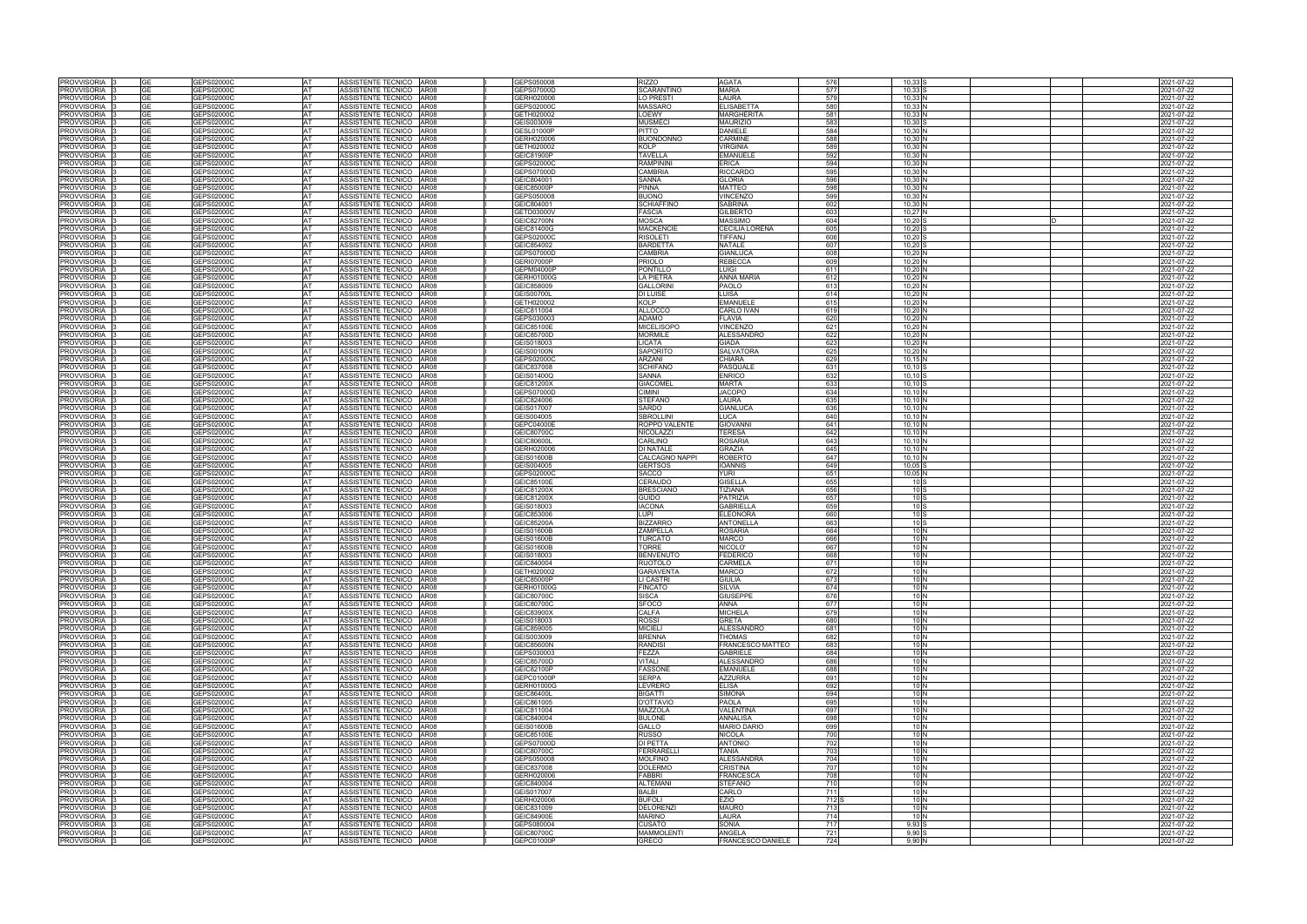| PROVVISORIA<br>PROVVISORIA                  |                        |                          |                        |                                                    |                                 |                                    |                                     |                  |                                    |                          |
|---------------------------------------------|------------------------|--------------------------|------------------------|----------------------------------------------------|---------------------------------|------------------------------------|-------------------------------------|------------------|------------------------------------|--------------------------|
|                                             | GE                     | GEPS02000C               | <b>AT</b>              | ASSISTENTE TECNICO AR08                            | GEPS050008                      | <b>RIZZO</b>                       | <b>AGATA</b>                        | 576              | 10.33                              | 2021-07-22               |
|                                             | GЕ                     | GEPS02000C               | AT                     | ASSISTENTE TECNICO AR08                            | GEPS07000D                      | <b>SCARANTINO</b>                  | <b>MARIA</b>                        | 577              | 10,33                              | 2021-07-22               |
| PROVVISORIA                                 | <b>GE</b>              | GEPS02000C               | AT                     | ASSISTENTE TECNICO AR08                            | GERH020006                      | LO PREST                           | LAURA                               | 579              | 10,33                              | 2021-07-22               |
| PROVVISORIA                                 | <b>GE</b>              | GEPS02000C               | <b>AT</b>              | ASSISTENTE TECNICO AR08                            | GEPS02000C                      | <b>MASSARO</b>                     | <b>ELISABETTA</b>                   | 580              | 10,33                              | 2021-07-22               |
| PROVVISORIA                                 | <b>GE</b>              | GEPS02000C               | AT                     | ASSISTENTE TECNICO AR08                            | GETH020002                      | LOEWY                              | <b>MARGHERITA</b>                   | 581              | 10,33                              | 2021-07-22               |
| PROVVISORIA                                 | GE<br>GE               | GEPS02000C               | AT                     | AR08<br>ASSISTENTE TECNICO                         | GEIS003009                      | <b>MUSMECI</b>                     | <b>MAURIZIO</b>                     | 583              | $10,30$ $\dot{S}$                  | 2021-07-22               |
| PROVVISORIA<br>PROVVISORIA                  |                        | GEPS02000C<br>GEPS02000C | <b>AT</b><br>AT        | ASSISTENTE TECNICO AR08<br>ASSISTENTE TECNICO AR08 | GESL01000P<br>GERH020006        | <b>PITTO</b><br><b>BUONDONNO</b>   | DANIELE<br>CARMINE                  | 584<br>588       | 10.30<br>$10,30$ N                 | 2021-07-22<br>2021-07-22 |
| PROVVISORIA                                 | GЕ<br><b>GE</b>        | GEPS02000C               | AT                     | ASSISTENTE TECNICO<br><b>AR08</b>                  | GETH020002                      | <b>KOLP</b>                        | <b>/IRGINIA</b>                     | 589              | $10,30$ N                          | 2021-07-22               |
| PROVVISORIA                                 | <b>GE</b>              | GEPS02000C               | AT                     | ASSISTENTE TECNICO AR08                            | GEIC81900P                      | <b>TAVELLA</b>                     | <b>EMANUELE</b>                     | 592              | $10,30$ N                          | 2021-07-22               |
| PROVVISORIA                                 | <b>GE</b>              | GEPS02000C               | AT                     | ASSISTENTE TECNICO AR08                            | GEPS02000C                      | <b>RAMPININI</b>                   | ERICA                               | 594              | $10,30$ N                          | 2021-07-22               |
| PROVVISORIA                                 |                        | GEPS02000C               | AT                     | ASSISTENTE TECNICO AR08                            | <b>GEPS07000D</b>               | CAMBRIA                            | RICCARDO                            | 595              | $10,30$ N                          | 2021-07-22               |
| PROVVISORIA                                 | GF                     | GEPS02000C               | AT                     | ASSISTENTE TECNICO AR08                            | GEIC804001                      | <b>SANNA</b>                       | <b>GLORIA</b>                       | 596              | 10.30 <sub>h</sub>                 | 2021-07-22               |
| PROVVISORIA                                 | GЕ                     | GEPS02000C               | AT                     | ASSISTENTE TECNICO AR08                            | GEIC85000P                      | <b>PINNA</b>                       | <b>MATTEO</b>                       | 598              | 10,30 N                            | 2021-07-22               |
| PROVVISORIA 3                               | <b>GE</b>              | GEPS02000C               | AT                     | ASSISTENTE TECNICO AR08                            | GEPS050008                      | <b>BUONO</b>                       | <b>VINCENZO</b>                     | 599              | $10,30$ N                          | 2021-07-22               |
| PROVVISORIA 3                               | GE                     | GEPS02000C               | AT                     | ASSISTENTE TECNICO AR08                            | GEIC804001                      | <b>SCHIAFFINO</b>                  | <b>SABRINA</b>                      | 602              | 10,30 N                            | 2021-07-22               |
| <b>PROVVISORIA</b>                          | GE                     | GEPS02000C               | <b>AT</b>              | ASSISTENTE TECNICO AR08                            | GETD03000V                      | <b>FASCIA</b>                      | <b>GILBERTO</b>                     | 603              | 10,27 N                            | 2021-07-22               |
| PROVVISORIA                                 | GE                     | GEPS02000C               | AT                     | ASSISTENTE TECNICO AR08                            | <b>GEIC82700N</b>               | <b>MOSCA</b>                       | <b>MASSIMO</b>                      | 604              | $10,20$ \$                         | 2021-07-22               |
| PROVVISORIA 3                               | <b>GE</b>              | GEPS02000C               | <b>AT</b>              | ASSISTENTE TECNICO AR08                            | GEIC81400G                      | <b>MACKENCIE</b>                   | CECILIA LORENA                      | 605              | $10,20$ S                          | 2021-07-22               |
| PROVVISORIA 3                               | GE                     | GEPS02000C               | AT                     | ASSISTENTE TECNICO AR08                            | <b>GEPS02000C</b>               | <b>RISOLETI</b>                    | TIFFANJ                             | 606              | 10,20                              | 2021-07-22               |
| PROVVISORIA 3                               | GE.                    | GEPS02000C               | <b>AT</b>              | ASSISTENTE TECNICO AR08                            | GEIC854002                      | <b>BARDETTA</b>                    | <b>NATALE</b>                       | 607              | 10.20 S                            | 2021-07-22               |
| PROVVISORIA 3                               | <b>GE</b>              | GEPS02000C               | AT                     | ASSISTENTE TECNICO AR08                            | GEPS07000D                      | <b>CAMBRIA</b>                     | <b>GIANLUCA</b>                     | 608              | 10,20 N                            | 2021-07-22               |
| PROVVISORIA 3                               | GE                     | GEPS02000C               | <b>AT</b>              | ASSISTENTE TECNICO   AR08                          | <b>GERI07000P</b>               | PRIOLO                             | <b>REBECCA</b>                      | 609              | 10,20 N                            | 2021-07-22               |
| PROVVISORIA 13                              | GE                     | GEPS02000C               | <b>AT</b>              | ASSISTENTE TECNICO AR08                            | <b>GEPM04000P</b>               | PONTILLO                           | LUIGI                               | 611              | $10,20$ N                          | 2021-07-22               |
| PROVVISORIA 13                              | <b>GE</b>              | GEPS02000C               | <b>AT</b>              | ASSISTENTE TECNICO AR08                            | GERH01000G                      | <b>LA PIETRA</b>                   | <b>ANNA MARIA</b>                   | 612              | 10.20 N                            | 2021-07-22               |
| PROVVISORIA 3                               | <b>GE</b>              | GEPS02000C               | AT                     | ASSISTENTE TECNICO   AR08                          | GEIC858009                      | <b>GALLORINI</b>                   | <b>PAOLO</b>                        | 613              | 10,20                              | 021-07-22                |
| PROVVISORIA 3                               | <b>GE</b><br><b>GE</b> | GEPS02000C               | <b>AT</b><br>AT        | ASSISTENTE TECNICO AR08<br>ASSISTENTE TECNICO AR08 | <b>GEIS00700L</b>               | <b>DI LUISE</b><br><b>KOLP</b>     | <b>LUISA</b><br><b>EMANUELE</b>     | 614<br>615       | $10,20$ N<br>10,20                 | 2021-07-22               |
| PROVVISORIA<br>PROVVISORIA                  | GE                     | GEPS02000C<br>GEPS02000C | AT                     | ASSISTENTE TECNICO AR08                            | GETH020002<br>GEIC811004        | <b>ALLOCCO</b>                     | CARLO IVAN                          | 619              | $10,20$ N                          | 2021-07-22<br>2021-07-22 |
| PROVVISORIA                                 | <b>GE</b>              | GEPS02000C               | AT                     | ASSISTENTE TECNICO AR08                            | GEPS030003                      | <b>ADAMO</b>                       | <b>FLAVIA</b>                       | 620              | 10,20 <sup>N</sup>                 | 2021-07-22               |
| PROVVISORIA                                 | GE                     | GEPS02000C               | AT                     | ASSISTENTE TECNICO AR08                            | GEIC85100E                      | <b>MICELISOPO</b>                  | <b>/INCENZO</b>                     | 621              | 10,20                              | 2021-07-22               |
| <b>PROVVISORIA</b>                          | <b>GE</b>              | GEPS02000C               | AT                     | ASSISTENTE TECNICO AR08                            | GEIC85700D                      | <b>MORMILE</b>                     | <b>ALESSANDRO</b>                   | 622              | 10,20 <sup>N</sup>                 | 2021-07-22               |
| PROVVISORIA                                 | GE                     | GEPS02000C               | <b>AT</b>              | ASSISTENTE TECNICO AR08                            | GEIS018003                      | <b>ICATA</b>                       | <b>GIADA</b>                        | 623              | 10.20 <sup>N</sup>                 | 2021-07-22               |
| PROVVISORIA                                 | <b>GE</b>              | GEPS02000C               | <b>AT</b>              | ASSISTENTE TECNICO AR08                            | <b>GEIS00100N</b>               | <b>SAPORITC</b>                    | SALVATORA                           | 625              | 10,20 N                            | 2021-07-22               |
| PROVVISORIA                                 | GЕ                     | GEPS02000C               | AT                     | ASSISTENTE TECNICO AR08                            | GEPS02000C                      | <b>ARZANI</b>                      | CHIARA                              | 629              | $10, 15$ N                         | 2021-07-22               |
| PROVVISORIA                                 | <b>GE</b>              | GEPS02000C               | AT                     | ASSISTENTE TECNICO AR08                            | GEIC837008                      | <b>SCHIFANO</b>                    | PASQUALE                            | 631              | $10, 10$ S                         | 2021-07-22               |
| PROVVISORIA                                 | GE                     | GEPS02000C               | AT                     | ASSISTENTE TECNICO AR08                            | GEIS01400Q                      | SANNA                              | <b>ENRICO</b>                       | 632              | $10, 10$ $\dot{S}$                 | 2021-07-22               |
| PROVVISORIA                                 | GE                     | GEPS02000C               | AT                     | ASSISTENTE TECNICO<br><b>AR08</b>                  | GEIC81200X                      | <b>GIACOME</b>                     | <b>MARTA</b>                        | 633              | $10, 10$ $\dot{S}$                 | 2021-07-22               |
| PROVVISORIA                                 | GE                     | GEPS02000C               | AT                     | ASSISTENTE TECNICO AR08                            | GEPS07000D                      | CIMINI                             | <b>JACOPO</b>                       | 634              | 10.10 N                            | 021-07-22                |
| PROVVISORIA                                 | GE                     | GEPS02000C               | AT                     | ASSISTENTE TECNICO AR08                            | GEIC824006                      | <b>STEFANO</b>                     | LAURA                               | 635              | $10, 10$ N                         | 2021-07-22               |
| PROVVISORIA 3                               | GE                     | GEPS02000C               | AT                     | ASSISTENTE TECNICO AR08                            | GEIS017007                      | <b>SARDO</b>                       | <b>GIANLUCA</b>                     | 636              | 10.10 N                            | 2021-07-22               |
| <b>PROVVISORIA</b>                          | GE                     | GEPS02000C               | <b>AT</b>              | ASSISTENTE TECNICO AR08                            | GEIS004005                      | <b>SBROLLINI</b>                   | LUCA.                               | 640              | $10,10$ N                          | 2021-07-22               |
| PROVVISORIA                                 | GE                     | GEPS02000C               | AT                     | ASSISTENTE TECNICO AR08                            | GEPC04000E                      | <b>ROPPO VALENTE</b>               | <b>GIOVANNI</b>                     | 641              | 10.10 N                            | 2021-07-22               |
| PROVVISORIA 3                               | <b>GE</b>              | GEPS02000C               | AT                     | ASSISTENTE TECNICO AR08                            | GEIC80700C                      | <b>NICOLAZZI</b>                   | <b>TERESA</b>                       | 642              | $10,10$ N                          | 2021-07-22               |
| PROVVISORIA 3                               | GE                     | GEPS02000C               | AT                     | ASSISTENTE TECNICO AR08                            | GEIC80600L                      | CARLINO                            | <b>ROSARIA</b>                      | 643              | 10.10 N                            | 2021-07-22               |
| <b>PROVVISORIA</b><br>PROVVISORIA 13        | GE<br>GE.              | GEPS02000C<br>GEPS02000C | <b>AT</b><br><b>AT</b> | ASSISTENTE TECNICO AR08<br>ASSISTENTE TECNICO AR08 | GERH020006<br>GEIS01600B        | DI NATALE<br><b>CALCAGNO NAPPI</b> | <b>GRAZIA</b><br><b>ROBERTO</b>     | 645<br>647       | $10, 10$ N<br>10.10 N              | 2021-07-22<br>2021-07-22 |
| PROVVISORIA 3                               | <b>GE</b>              | GEPS02000C               | AT                     | ASSISTENTE TECNICO   AR08                          | GEIS004005                      | <b>GERTSOS</b>                     | <b>OANNIS</b>                       | 649              | $10.05$ S                          | 2021-07-22               |
| PROVVISORIA 3                               |                        | GEPS02000C               | AT                     | ASSISTENTE TECNICO   AR08                          | GEPS02000C                      | SACCO                              | YURI                                | 651              | 10,05 N                            | 2021-07-22               |
| PROVVISORIA 13                              | <b>GE</b>              | GEPS02000C               | <b>AT</b>              | ASSISTENTE TECNICO AR08                            | GEIC85100E                      | <b>CERAUDO</b>                     | <b>GISELLA</b>                      | 655              | 10 S                               | 2021-07-22               |
| PROVVISORIA 3                               | <b>GE</b>              | GEPS02000C               | AT                     | ASSISTENTE TECNICO   AR08                          | GEIC81200X                      | <b>BRESCIANO</b>                   | <b>TIZIANA</b>                      | 656              | 10S                                | 2021-07-22               |
| PROVVISORIA I                               | GE                     | GEPS02000C               | AT                     | ASSISTENTE TECNICO AR08                            | GEIC81200X                      | <b>GUIDO</b>                       | <b>PATRIZIA</b>                     | 657              | 10 <sup>5</sup>                    | 2021-07-22               |
| PROVVISORIA 3                               | <b>GE</b>              | GEPS02000C               | AT                     | ASSISTENTE TECNICO AR08                            | GEIS018003                      | <b>IACONA</b>                      | <b>GABRIELLA</b>                    | 659              | 10 <sup>5</sup>                    | 2021-07-22               |
| PROVVISORIA                                 | GЕ                     |                          |                        | ASSISTENTE TECNICO AR08                            | GEIC853006                      | .UPI                               | <b>ELEONORA</b>                     | 660              | 10S                                | 2021-07-22               |
| PROVVISORIA                                 |                        | GEPS02000C               | <b>AT</b>              |                                                    |                                 | <b>BIZZARRO</b>                    | <b>ANTONELLA</b>                    | 663              | 10S                                | 2021-07-22               |
|                                             | GE                     | GEPS02000C               | AT                     | ASSISTENTE TECNICO AR08                            | GEIC85200A                      |                                    |                                     |                  |                                    |                          |
| PROVVISORIA                                 | GE.                    | GEPS02000C               | AT                     | ASSISTENTE TECNICO<br>AR08                         | <b>GEIS01600B</b>               | ZAMPELLA                           | <b>ROSARIA</b>                      | 664              | 10N                                | 2021-07-22               |
| PROVVISORIA                                 | <b>GE</b>              | GEPS02000C               | AT                     | ASSISTENTE TECNICO AR08                            | <b>GEIS01600B</b>               | TURCATO                            | <b>MARCO</b>                        | 666              | 10 <sub>N</sub>                    | 2021-07-22               |
| PROVVISORIA                                 | GE                     | GEPS02000C               | AT                     | ASSISTENTE TECNICO AR08                            | <b>GEIS01600B</b>               | <b>TORRE</b>                       | NICOLO'                             | 667              | 10 <sub>N</sub>                    | 2021-07-22               |
| PROVVISORIA                                 | GE                     | GEPS02000C               | AT                     | ASSISTENTE TECNICO AR08                            | GEIS018003                      | <b>BENVENUTO</b>                   | <b>FEDERICO</b>                     | 668              | 10 <sub>N</sub>                    | 2021-07-22               |
| PROVVISORIA                                 |                        | GEPS02000C               | AT                     | ASSISTENTE TECNICO AR08                            | GEIC840004                      | <b>RUOTOLO</b>                     | CARMELA                             | 671              | 10 <sub>N</sub>                    | 2021-07-22               |
| PROVVISORIA 3                               |                        | GEPS02000C               | <b>AT</b>              | ASSISTENTE TECNICO AR08                            | GETH020002                      | <b>GARAVENTA</b>                   | <b>MARCO</b>                        | 672              | 10 <sub>N</sub>                    | 2021-07-22               |
| PROVVISORIA 3                               | <b>GE</b>              | GEPS02000C               | AT                     | ASSISTENTE TECNICO AR08                            | GEIC85000P                      | LI CASTRI                          | <b>GIULIA</b>                       | 673              | 10 <sub>N</sub>                    | 2021-07-22               |
| PROVVISORIA                                 | <b>GE</b>              | GEPS02000C               | <b>AT</b>              | ASSISTENTE TECNICO AR08                            | GERH01000G                      | <b>FINCATO</b>                     | SILVIA                              | 674              | 10 <sub>N</sub>                    | 2021-07-22               |
| PROVVISORIA                                 | GE                     | GEPS02000C               | AT                     | ASSISTENTE TECNICO AR08                            | GEIC80700C                      | <b>SISCA</b>                       | <b>GIUSEPPE</b>                     | 676              | 10 <sub>N</sub>                    | 2021-07-22               |
| PROVVISORIA 3<br>PROVVISORIA 3              | <b>GE</b><br>GЕ        | GEPS02000C<br>GEPS02000C | AT<br>AT               | ASSISTENTE TECNICO AR08                            | GEIC80700C<br>GEIC83900X        | <b>SFOCO</b><br><b>CALFA</b>       | ANNA<br><b>MICHELA</b>              | 677<br>679       | 10 <sub>N</sub><br>10 <sub>N</sub> | 2021-07-22               |
| PROVVISORIA 3                               | GE.                    | GEPS02000C               | <b>AT</b>              | ASSISTENTE TECNICO AR08<br>ASSISTENTE TECNICO AR08 | GEIS018003                      | <b>ROSSI</b>                       | <b>GRETA</b>                        | 680              | 10 <sub>N</sub>                    | 2021-07-22<br>2021-07-22 |
| PROVVISORIA 3                               | <b>GE</b>              | GEPS02000C               | AT                     | ASSISTENTE TECNICO AR08                            | GEIC859005                      | <b>MICIELI</b>                     | <b>ALESSANDRO</b>                   | 681              | 10 <sub>N</sub>                    | 2021-07-22               |
| PROVVISORIA 3                               | GE                     | GEPS02000C               | AT                     | ASSISTENTE TECNICO AR08                            | GEIS003009                      | <b>BRENNA</b>                      | THOMAS                              | 682              | 10 <sub>N</sub>                    | 2021-07-22               |
| PROVVISORIA 3                               | <b>GE</b>              | GEPS02000C               | AT                     | ASSISTENTE TECNICO AR08                            | <b>GEIC85600N</b>               | <b>RANDISI</b>                     | <b>FRANCESCO MATTEO</b>             | 683              | 10 <sub>N</sub>                    | 2021-07-22               |
| PROVVISORIA 3                               | GE.                    | GEPS02000C               | <b>AT</b>              | ASSISTENTE TECNICO AR08                            | GEPS030003                      | <b>FEZZA</b>                       | <b>GABRIELE</b>                     | 684              | 10 <sub>N</sub>                    | 2021-07-22               |
| PROVVISORIA 3                               | GE                     | GEPS02000C               | AT                     | ASSISTENTE TECNICO AR08                            | GEIC85700D                      | VITALI                             | <b>ALESSANDRO</b>                   | 686              | 10 <sub>N</sub>                    | 2021-07-22               |
| PROVVISORIA 3                               | GE.                    | GEPS02000C               | <b>AT</b>              | ASSISTENTE TECNICO AR08                            | GEIC82100P                      | <b>FASSONE</b>                     | <b>EMANUELE</b>                     | 688              | 10 N                               | 2021-07-22               |
| PROVVISORIA 3                               | GE                     | GEPS02000C               | AT                     | ASSISTENTE TECNICO AR08                            | GEPC01000P                      | <b>SERPA</b>                       | <b>AZZURRA</b>                      | 691              | 10 <sub>N</sub>                    | 2021-07-22               |
| PROVVISORIA 3                               | <b>GE</b>              | GEPS02000C               | <b>AT</b>              | ASSISTENTE TECNICO AR08                            | GERH01000G                      | <b>LEVRERO</b>                     | ELISA                               | 692              | 10 <sub>N</sub>                    | 2021-07-22               |
| PROVVISORIA 3                               | GE.                    | GEPS02000C               | <b>AT</b>              | ASSISTENTE TECNICO AR08                            | <b>GEIC86400L</b>               | <b>BIGATTI</b>                     | <b>SIMONA</b>                       | 694              | 10 <sub>N</sub>                    | 2021-07-22               |
| PROVVISORIA 3                               | GE.                    | GEPS02000C               | <b>AT</b>              | ASSISTENTE TECNICO AR08                            | GEIC861005                      | <b>D'OTTAVIO</b>                   | <b>PAOLA</b>                        | 695              | 10 N                               | 2021-07-22               |
| PROVVISORIA 3                               |                        | GEPS02000C               | <b>AT</b>              | ASSISTENTE TECNICO AR08                            | GEIC811004                      | <b>MAZZOLA</b>                     | <b>VALENTINA</b>                    | 697              | 10 <sub>N</sub>                    | 2021-07-22               |
| PROVVISORIA 3                               | GЕ                     | GEPS02000C               | <b>AT</b>              | ASSISTENTE TECNICO AR08                            | GEIC840004                      | <b>BULONE</b>                      | <b>ANNALISA</b>                     | 698              | 10 <sub>N</sub>                    | 2021-07-22               |
| PROVVISORIA  <br>PROVVISORIA 3              | <b>GE</b><br>GE.       | GEPS02000C<br>GEPS02000C | AT<br>AT               | ASSISTENTE TECNICO AR08<br>ASSISTENTE TECNICO AR08 | <b>GEIS01600B</b><br>GEIC85100E | <b>GALLO</b><br><b>RUSSO</b>       | <b>MARIO DARIO</b><br><b>NICOLA</b> | 699<br>700       | 10 <sub>N</sub><br>10 <sub>N</sub> | 2021-07-22<br>2021-07-22 |
| PROVVISORIA 3                               | <b>GE</b>              | GEPS02000C               | AT                     | ASSISTENTE TECNICO AR08                            | GEPS07000D                      | <b>DI PETTA</b>                    | <b>ANTONIO</b>                      | 702              | 10 <sub>N</sub>                    | 2021-07-22               |
| PROVVISORIA                                 | GЕ                     | GEPS02000C               | AT                     | ASSISTENTE TECNICO AR08                            | GEIC80700C                      | <b>FERRARELLI</b>                  | TANIA                               | 703              | 10 <sub>N</sub>                    | 2021-07-22               |
| PROVVISORIA                                 | GE                     | GEPS02000C               | AT                     | ASSISTENTE TECNICO AR08                            | GEPS050008                      | <b>MOLFINO</b>                     | <b>ALESSANDRA</b>                   | 704              | 10 <sub>N</sub>                    | 2021-07-22               |
| PROVVISORIA                                 | <b>GE</b>              | GEPS02000C               | <b>AT</b>              | ASSISTENTE TECNICO AR08                            | GEIC837008                      | <b>DOLERMO</b>                     | <b>CRISTINA</b>                     | 707              | 10N                                | 2021-07-22               |
| <b>PROVVISORIA</b>                          | GE                     | GEPS02000C               | AT                     | ASSISTENTE TECNICO AR08                            | GERH020006                      | <b>FABBRI</b>                      | <b>FRANCESCA</b>                    | 708              | 10 <sub>N</sub>                    | 2021-07-22               |
| PROVVISORIA 3                               | GE                     | GEPS02000C               | AT                     | ASSISTENTE TECNICO AR08                            | GEIC840004                      | <b>ALTEMANI</b>                    | <b>STEFANO</b>                      | 710              | 10 <sub>N</sub>                    | 2021-07-22               |
| PROVVISORIA I:                              | <b>GE</b>              | GEPS02000C               | <b>AT</b>              | ASSISTENTE TECNICO AR08                            | GEIS017007                      | <b>BALBI</b>                       | CARLO                               | 711              | 10 <sub>N</sub>                    | 2021-07-22               |
| PROVVISORIA                                 | GE                     | GEPS02000C               | AT                     | ASSISTENTE TECNICO AR08                            | GERH020006                      | <b>BUFOLI</b>                      | EZIO                                | 712 <sub>S</sub> | 10 <sub>N</sub>                    | 2021-07-22               |
| PROVVISORIA 3                               | <b>GE</b>              | GEPS02000C               | AT                     | ASSISTENTE TECNICO AR08                            | GEIC831009                      | <b>DELORENZI</b>                   | <b>MAURO</b>                        | 713              | 10 <sub>N</sub>                    | 2021-07-22               |
| PROVVISORIA 3                               | GE                     | GEPS02000C               | AT                     | ASSISTENTE TECNICO AR08                            | GEIC84900E                      | <b>MARINO</b>                      | LAURA                               | 714              | 10N                                | 2021-07-22               |
| PROVVISORIA 3                               | <b>GE</b>              | GEPS02000C               | <b>AT</b>              | ASSISTENTE TECNICO AR08                            | GEPS080004                      | <b>CUSATO</b>                      | <b>SONIA</b>                        | 717              | $9.93$ S                           | 2021-07-22               |
| PROVVISORIA <sup>7</sup> 3<br>PROVVISORIA 3 | <b>GE</b><br>GE        | GEPS02000C<br>GEPS02000C | AT<br>AT               | ASSISTENTE TECNICO AR08<br>ASSISTENTE TECNICO AR08 | GEIC80700C<br>GEPC01000P        | <b>MAMMOLENTI</b><br><b>GRECO</b>  | ANGELA<br><b>FRANCESCO DANIELE</b>  | 721<br>724       | $9,90$ S<br>9,90 N                 | 2021-07-22<br>2021-07-22 |

|   | 2021-07-22               |
|---|--------------------------|
|   | 2021-07-22               |
|   | 2021-07-22               |
|   | 2021-07-22               |
|   | 2021-07-22               |
|   | 2021-07-22               |
|   | 2021-07-22               |
|   | 2021-07-22               |
|   | 2021-07-22               |
|   | 2021-07-22               |
|   | 2021-07-22               |
|   | 2021-07-22               |
|   | 2021-07-22               |
|   | 2021-07-22               |
|   | 2021-07-22               |
|   | 2021-07-22               |
|   | 2021-07-22               |
| D | 2021-07-22               |
|   | 2021-07-22               |
|   | 2021-07-22               |
|   | 2021-07-22               |
|   | 2021-07-22               |
|   | 2021-07-22               |
|   | 2021-07-22               |
|   | 2021-07-22               |
|   | 2021-07-22               |
|   | 2021-07-22               |
|   | 2021-07-22               |
|   | 2021-07-22               |
|   | 2021-07-22               |
|   | 2021-07-22               |
|   | 2021-07-22               |
|   | 2021-07-22               |
|   | 2021-07-22               |
|   | 2021-07-22               |
|   | 2021-07-22               |
|   | 2021-07-22               |
|   | 2021-07-22               |
|   | 2021-07-22               |
|   | 2021-07-22               |
|   | 2021-07-22               |
|   | 2021-07-22               |
|   | 2021-07-22               |
|   | 2021-07-22               |
|   | 2021-07-22               |
|   | 2021-07-22               |
|   | 2021-07-22               |
|   | 2021-07-22               |
|   | 2021-07-22               |
|   | 2021-07-22               |
|   | 2021-07-22<br>2021-07-22 |
|   | 2021-07-22               |
|   | 2021-07-22               |
|   | 2021-07-22               |
|   | 2021-07-22               |
|   | 2021-07-22               |
|   | 2021-07-22               |
|   | 2021-07-22               |
|   | 2021-07-22               |
|   | 2021-07-22               |
|   | 2021-07-22               |
|   | 2021-07-22               |
|   | 2021-07-22               |
|   | 2021-07-22               |
|   | 2021-07-22               |
|   | 2021-07-22               |
|   | 2021-07-22               |
|   | 2021-07-22               |
|   | 2021-07-22               |
|   | 2021-07-22               |
|   | 2021-07-22               |
|   | 2021-07-22               |
|   | 2021-07-22               |
|   | 2021-07-22               |
|   | 2021-07-22               |
|   | 2021-07-22               |
|   | 2021-07-22               |
|   | 2021-07-22               |
|   | 2021-07-22               |
|   | 2021-07-22               |
|   | 2021-07-22               |
|   | 2021-07-22               |
|   | 2021-07-22               |
|   | 2021-07-22               |
|   | 2021-07-22               |
|   | 2021-07-22<br>2021-07-22 |
|   | 2021-07-22               |
|   | 2021-07-22               |
|   | 2021-07-22               |
|   | 2021-07-22               |
|   | 2021-07-22               |
|   | 2021-07-22               |
|   |                          |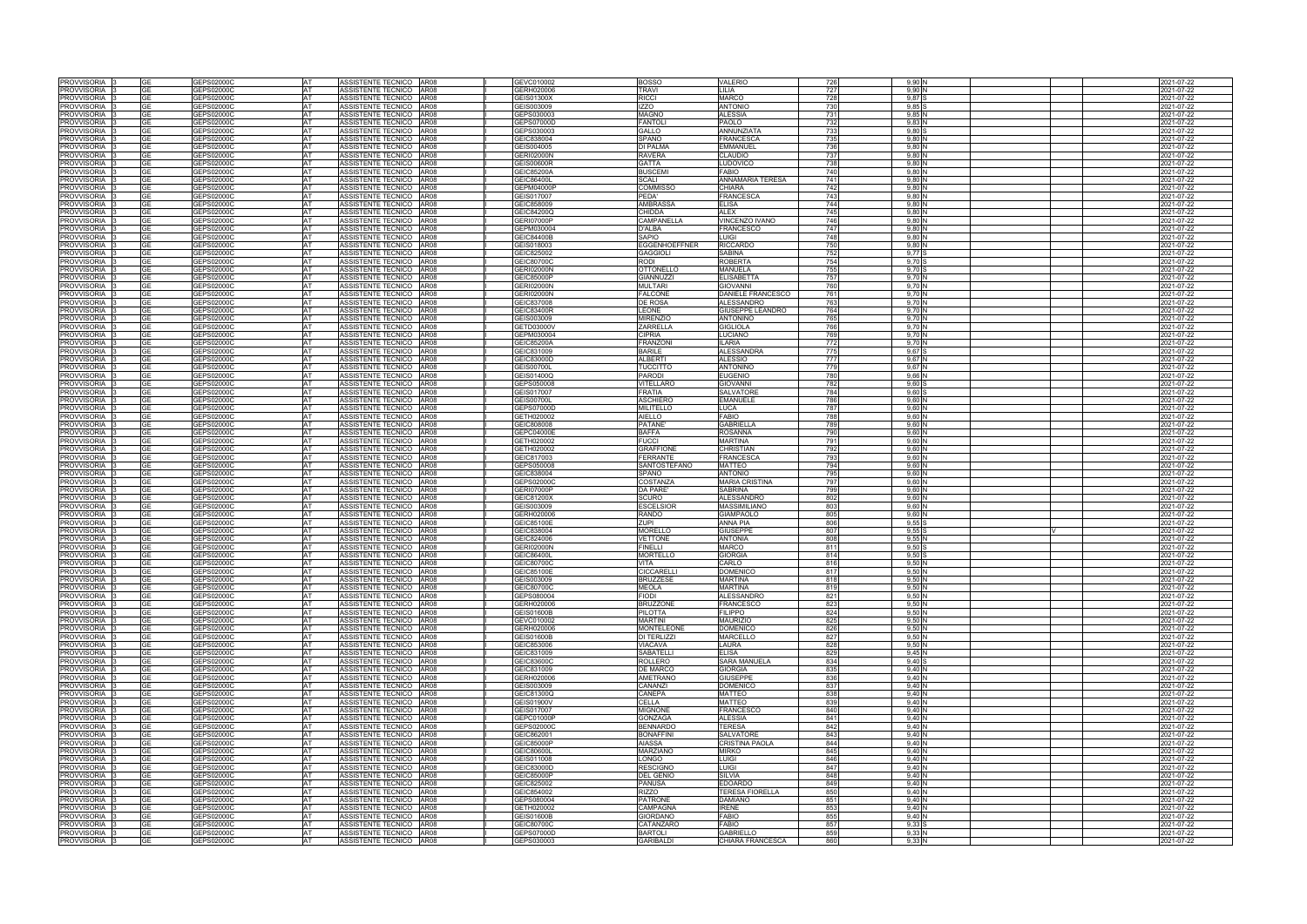| GEPS020000<br><b>AT</b><br>GEVC010002<br><b>BOSSO</b><br>VALERIO<br>9.90<br>2021-07-22<br>ASSISTENTE TECNICO AR08<br>726<br>GEPS02000C<br>GERH020006<br>727<br>9.90 <sub>1</sub><br>PROVVISORIA<br>AT<br>ASSISTENTE TECNICO AR08<br>TRAVI<br>-ILIA<br>2021-07-22<br><b>GE</b><br><b>MARCO</b><br>728<br>9,87<br><b>PROVVISORIA</b><br><b>GE</b><br>GEPS02000C<br>AT<br>ASSISTENTE TECNICO AR08<br>GEIS01300X<br><b>RICCI</b><br>2021-07-22<br><b>IZZO</b><br><b>ANTONIO</b><br>PROVVISORIA<br>GEPS02000C<br>ASSISTENTE TECNICO AR08<br>GEIS003009<br>730<br>9.85<br>2021-07-22<br>AT<br><b>GE</b><br><b>ALESSIA</b><br>PROVVISORIA<br><b>GE</b><br>GEPS02000C<br>AT<br>ASSISTENTE TECNICO AR08<br>GEPS030003<br><b>MAGNO</b><br>731<br>9,85<br>2021-07-22<br>PAOLO<br>GEPS02000C<br>AT<br><b>AR08</b><br>GEPS07000D<br><b>FANTOLI</b><br>732<br>PROVVISORIA<br>GE<br>ASSISTENTE TECNICO<br>9,83<br>2021-07-22<br>GE<br>GEPS02000C<br>AT<br>ASSISTENTE TECNICO AR08<br>GEPS030003<br>GALLO<br><b>ANNUNZIATA</b><br>733<br>9.80:<br>2021-07-22<br><b>PROVVISORIA</b><br>PROVVISORIA<br>GEPS02000C<br>AT<br>ASSISTENTE TECNICO AR08<br>GEIC838004<br>SPANO<br><b>FRANCESCA</b><br>735<br>9,80N<br>2021-07-22<br>GЕ<br>PROVVISORIA<br>GE<br>GEPS02000C<br>AT<br>ASSISTENTE TECNICO<br><b>AR08</b><br>GEIS004005<br><b>DI PALMA</b><br>EMMANUEI<br>736<br>9,80N<br>2021-07-22<br>PROVVISORIA<br><b>GE</b><br>GEPS02000C<br>AT<br>ASSISTENTE TECNICO AR08<br><b>GERI02000N</b><br><b>RAVERA</b><br>CLAUDIO<br>737<br>9,80N<br>2021-07-22<br>PROVVISORIA<br><b>GE</b><br>GEPS02000C<br>AT<br>ASSISTENTE TECNICO AR08<br><b>GEIS00600R</b><br><b>GATTA</b><br><b>LUDOVICO</b><br>738<br>9,80N<br>2021-07-22<br>PROVVISORIA<br>GEPS02000C<br>AT<br>ASSISTENTE TECNICO AR08<br>GEIC85200A<br><b>BUSCEM</b><br>FABIO<br>740<br>9,80N<br>021-07-22<br>PROVVISORIA<br>GF<br>GEPS02000C<br>AT<br>ASSISTENTE TECNICO<br><b>AR08</b><br>GEIC86400L<br><b>SCALI</b><br>ANNAMARIA TERESA<br>741<br>9.80N<br>2021-07-22<br>GEPS02000C<br>AT<br>ASSISTENTE TECNICO<br><b>AR08</b><br><b>GEPM04000F</b><br><b>COMMISSO</b><br>CHIARA<br>742<br>9,80 N<br>2021-07-22<br>PROVVISORIA<br>GЕ<br>PROVVISORIA<br><b>GE</b><br>GEPS02000C<br>AT<br>ASSISTENTE TECNICO AR08<br>GEIS017007<br>PEDA'<br><b>FRANCESCA</b><br>743<br>9,80 N<br>2021-07-22<br><b>GE</b><br>GEPS02000C<br>AT<br>ASSISTENTE TECNICO AR08<br>GEIC858009<br><b>AMBRASSA</b><br>ELISA<br>744<br>9,80 N<br>2021-07-22<br>GEPS02000C<br><b>AT</b><br>ASSISTENTE TECNICO<br>GEIC84200Q<br><b>CHIDDA</b><br><b>ALEX</b><br>745<br>$9,80$ N<br>2021-07-22<br>GE<br>AR08<br>GEPS02000C<br>AT<br>ASSISTENTE TECNICO<br><b>GERI07000P</b><br>CAMPANELLA<br><b>VINCENZO IVANO</b><br>746<br>9,80N<br>2021-07-22<br>GE<br>AR08<br><b>GE</b><br>GEPS02000C<br><b>AT</b><br>ASSISTENTE TECNICO AR08<br>GEPM030004<br>D'ALBA<br><b>FRANCESCO</b><br>747<br>$9,80$ N<br>2021-07-22<br>GEPS02000C<br>AT<br>ASSISTENTE TECNICO AR08<br>GEIC84400B<br>SAPIO<br><b>UIGI</b><br>748<br>9,80N<br>2021-07-22<br>GE<br>750<br>GEPS02000C<br><b>AT</b><br>ASSISTENTE TECNICO AR08<br>GEIS018003<br><b>EGGENHOEFFNER</b><br><b>RICCARDO</b><br>9.80 N<br>2021-07-22<br>GE.<br>AT<br>752<br>PROVVISORIA <sup>1</sup> 3<br><b>GE</b><br>GEPS02000C<br>ASSISTENTE TECNICO AR08<br>GEIC825002<br><b>GAGGIOL</b><br>SABINA<br>9.77 S<br>2021-07-22<br>GEPS02000C<br><b>AT</b><br>ASSISTENTE TECNICO<br>AR08<br>GEIC80700C<br>RODI<br><b>ROBERTA</b><br>754<br>9,70 S<br>2021-07-22<br>GE<br>AT<br>755<br>GEPS02000C<br>ASSISTENTE TECNICO AR08<br><b>GERI02000N</b><br><b>OTTONELLO</b><br><b>MANUELA</b><br>$9.70$ \$<br>2021-07-22<br>PROVVISORIA 13<br>GE<br><b>GIANNUZZI</b><br>GEPS02000C<br>GEIC85000P<br><b>ELISABETTA</b><br>2021-07-22<br>PROVVISORIA 13<br><b>GE</b><br><b>AT</b><br>ASSISTENTE TECNICO AR08<br>757<br>9.70 N<br>AT<br><b>MULTARI</b><br>760<br>9.70<br>021-07-22<br>PROVVISORIA 3<br><b>GE</b><br>GEPS02000C<br><b>GERI02000N</b><br>ASSISTENTE TECNICO   AR08<br><b>GIOVANNI</b><br>GEPS02000C<br><b>GERI02000N</b><br><b>FALCONE</b><br>DANIELE FRANCESCO<br>761<br>9,70N<br>PROVVISORIA 3<br><b>GE</b><br>AT<br>ASSISTENTE TECNICO AR08<br>2021-07-22<br>763<br>9,70<br>PROVVISORIA<br><b>GE</b><br>GEPS02000C<br>AT<br>ASSISTENTE TECNICO AR08<br>GEIC837008<br>DE ROSA<br>ALESSANDRO<br>2021-07-22<br>PROVVISORIA<br>GEPS02000C<br>ASSISTENTE TECNICO AR08<br>GEIC83400R<br><b>EONE</b><br>GIUSEPPE LEANDRO<br>764<br>9,70N<br>2021-07-22<br>AT<br>GE<br>765<br>9,70<br>2021-07-22<br>PROVVISORIA<br><b>GE</b><br>GEPS02000C<br>AT<br>ASSISTENTE TECNICO AR08<br>GEIS003009<br><b>MIRENZIO</b><br><b>ANTONINO</b><br>ZARRELLA<br>GEPS02000C<br>AT<br><b>AR08</b><br>GETD03000V<br><b>GIGLIOLA</b><br>766<br>9,70<br>2021-07-22<br>PROVVISORIA<br>GE<br>ASSISTENTE TECNICO<br><b>GE</b><br>CIPRIA<br>769<br>9,70N<br>PROVVISORIA<br>GEPS02000C<br>AT<br>ASSISTENTE TECNICO AR08<br>GEPM030004<br><b>LUCIANO</b><br>2021-07-22<br><b>ILARIA</b><br>9.70N<br>GEPS02000C<br><b>AT</b><br>ASSISTENTE TECNICO AR08<br><b>GEIC85200A</b><br><b>FRANZON</b><br>772<br>2021-07-22<br>GE<br><b>GE</b><br>GEPS02000C<br>AT<br>ASSISTENTE TECNICO<br><b>AR08</b><br>GEIC831009<br><b>BARILE</b><br><b>ALESSANDRA</b><br>775<br>9,67 S<br>2021-07-22<br>GEPS02000C<br>AT<br>ASSISTENTE TECNICO<br><b>AR08</b><br>GEIC83000D<br><b>ALBERTI</b><br>ALESSIO<br>777<br>9,67 N<br>2021-07-22<br>GЕ<br><b>GE</b><br>GEPS02000C<br>AT<br>ASSISTENTE TECNICO AR08<br><b>GEIS00700L</b><br><b>TUCCITTO</b><br><b>ANTONINO</b><br>779<br>9,67N<br>2021-07-22<br>GE<br>GEPS02000C<br>AT<br>ASSISTENTE TECNICO AR08<br>GEIS01400Q<br><b>PARODI</b><br><b>EUGENIO</b><br>780<br>9,66 N<br>2021-07-22<br><b>GE</b><br>GEPS02000C<br>AT<br>ASSISTENTE TECNICO<br><b>AR08</b><br>GEPS050008<br><b>VITELLARO</b><br><b>GIOVANNI</b><br>782<br>$9,60$ \$<br>021-07-22<br>GEPS02000C<br>AT<br>ASSISTENTE TECNICO AR08<br>GEIS017007<br><b>FRATIA</b><br>SALVATORE<br>784<br>$9,60$ \$<br>021-07-22<br>GE<br>GEPS02000C<br>AT<br>ASSISTENTE TECNICO   AR08<br>GEIS00700I<br><b>ASCHIERO</b><br>EMANUELE<br>786<br>$9,60$ N<br>2021-07-22<br>GE<br><b>GE</b><br>GEPS02000C<br>AT<br>ASSISTENTE TECNICO   AR08<br>GEPS07000D<br><b>MILITELLO</b><br>LUCA<br>787<br>9.60 N<br>2021-07-22<br>GEPS02000C<br><b>AT</b><br>ASSISTENTE TECNICO AR08<br>GETH020002<br><b>AIELLO</b><br>FABIO<br>788<br>$9,60$ N<br>2021-07-22<br>GE<br>GE<br>GEPS02000C<br>AT<br>ASSISTENTE TECNICO<br><b>AR08</b><br>GEIC808008<br><b>PATANE</b><br><b>GABRIELLA</b><br>789<br>$9,60$ N<br>2021-07-22<br>PROVVISORIA<br><b>GE</b><br>GEPS02000C<br>AT<br>ASSISTENTE TECNICO<br>AR08<br>GEPC04000E<br><b>BAFFA</b><br><b>ROSANNA</b><br>790<br>$9,60$ N<br>2021-07-22<br>PROVVISORIA 3<br>GE<br>GEPS02000C<br>AT<br>ASSISTENTE TECNICO AR08<br>GETH020002<br><b>FUCCI</b><br><b>MARTINA</b><br>791<br>9.60 N<br>2021-07-22<br>PROVVISORIA  <br>GEPS02000C<br><b>AT</b><br>ASSISTENTE TECNICO AR08<br>GETH020002<br><b>GRAFFIONE</b><br>CHRISTIAN<br>792<br>9.60 N<br>2021-07-22<br>GE<br><b>AT</b><br><b>FERRANTE</b><br><b>FRANCESCA</b><br>793<br>9.60 N<br>PROVVISORIA 13<br>GE.<br>GEPS02000C<br>ASSISTENTE TECNICO AR08<br>GEIC817003<br>2021-07-22<br>794<br><b>GE</b><br>GEPS02000C<br>AT<br>ASSISTENTE TECNICO   AR08<br>GEPS050008<br><b>SANTOSTEFANO</b><br><b>MATTEO</b><br>9.60 N<br>2021-07-22<br>PROVVISORIA 3<br>795<br>9,60N<br>AT<br>ASSISTENTE TECNICO   AR08<br>GEIC838004<br>SPANO<br><b>ANTONIO</b><br>2021-07-22<br>PROVVISORIA 3<br>GEPS02000C<br>GEPS02000C<br>ASSISTENTE TECNICO AR08<br>GEPS02000C<br><b>COSTANZA</b><br><b>MARIA CRISTINA</b><br>797<br>2021-07-22<br>PROVVISORIA 13<br><b>GE</b><br><b>AT</b><br>$9.60\,N$<br>799<br>PROVVISORIA 3<br><b>GE</b><br>GEPS02000C<br>AT<br>ASSISTENTE TECNICO AR08<br><b>GERI07000P</b><br><b>DA PARE</b><br><b>SABRINA</b><br>9.60 N<br>2021-07-22<br>GEPS020000<br>AT<br>ASSISTENTE TECNICO AR08<br>GEIC81200><br><b>SCURO</b><br>ALESSANDRC<br>802<br>9.60N<br>2021-07-22<br>PROVVISORIA I<br>GE<br>803<br><b>GE</b><br>GEPS02000C<br>AT<br>ASSISTENTE TECNICO AR08<br>GEIS003009<br><b>ESCELSIOR</b><br>9,60<br>2021-07-22<br>PROVVISORIA 3<br>MASSIMILIANO<br>GEPS02000C<br><b>AR08</b><br>GERH020006<br><b>RANDO</b><br><b>GIAMPAOLO</b><br>805<br>9,60 N<br>2021-07-22<br>PROVVISORIA<br>AT<br>ASSISTENTE TECNICO<br>GЕ<br><b>ZUPI</b><br>806<br>9,55<br>2021-07-22<br><b>PROVVISORIA</b><br>GE<br>GEPS02000C<br>AT<br>ASSISTENTE TECNICO<br><b>AR08</b><br>GEIC85100E<br><b>ANNA PIA</b><br><b>MORELLO</b><br>GEPS02000C<br>ASSISTENTE TECNICO<br><b>AR08</b><br>GEIC838004<br><b>GIUSEPPE</b><br>807<br>9.55<br>2021-07-22<br>PROVVISORIA<br><b>GE</b><br>AT<br>GE<br>GEPS02000C<br>AT<br>ASSISTENTE TECNICO AR08<br>GEIC824006<br>VETTONE<br><b>ANTONIA</b><br>808<br>9,55<br>2021-07-22<br>PROVVISORIA<br>GEPS02000C<br><b>AR08</b><br><b>GERI02000N</b><br><b>FINELLI</b><br>MARCO<br>9,50<br>2021-07-22<br>PROVVISORIA<br>AT<br>ASSISTENTE TECNICO<br>811<br>GE<br><b>MORTELLO</b><br><b>GIORGIA</b><br>9.50<br>2021-07-22<br>GE<br>GEPS02000C<br>AT<br>ASSISTENTE TECNICO<br>AR08<br>GEIC86400L<br>814<br>GEPS02000C<br>AT<br>ASSISTENTE TECNICO AR08<br>GEIC80700C<br>VITA<br>CARLO<br>816<br>9,50N<br>2021-07-22<br>GEPS02000C<br>AT<br>ASSISTENTE TECNICO AR08<br>GEIC85100E<br><b>CICCARELL</b><br><b>DOMENICO</b><br>817<br>9,50 N<br>2021-07-22<br><b>GE</b><br>GEPS02000C<br>AT<br>ASSISTENTE TECNICO AR08<br>GEIS003009<br><b>BRUZZESE</b><br><b>MARTINA</b><br>818<br>9,50 N<br>2021-07-22<br><b>MARTINA</b><br><b>GE</b><br>GEPS02000C<br><b>AT</b><br>ASSISTENTE TECNICO AR08<br>GEIC80700C<br><b>MEOLA</b><br>819<br>$9,50$ N<br>2021-07-22<br><b>ALESSANDRO</b><br>GEPS02000C<br>AT<br>ASSISTENTE TECNICO AR08<br>GEPS080004<br><b>FIODI</b><br>821<br>$9,50$ N<br>2021-07-22<br>GE<br>PROVVISORIA I3<br><b>GE</b><br>GEPS02000C<br>AT<br>ASSISTENTE TECNICO AR08<br>GERH020006<br><b>BRUZZONE</b><br><b>FRANCESCO</b><br>823<br>$9,50$ N<br>2021-07-22<br>PROVVISORIA 3<br>GEPS02000C<br>AT<br>ASSISTENTE TECNICO AR08<br>GEIS01600B<br><b>PILOTTA</b><br><b>FILIPPO</b><br>824<br>9,50 N<br>GЕ<br>2021-07-22<br>PROVVISORIA 3<br>GEPS02000C<br>ASSISTENTE TECNICO AR08<br>GEVC010002<br><b>MARTINI</b><br><b>MAURIZIO</b><br>825<br>9,50 N<br>2021-07-22<br>GE.<br><b>AT</b><br>PROVVISORIA 3<br>GEPS02000C<br>AT<br>ASSISTENTE TECNICO AR08<br>GERH020006<br><b>MONTELEONE</b><br><b>DOMENICO</b><br>826<br>$9,50$ N<br>GE<br>2021-07-22<br>PROVVISORIA 3<br><b>GE</b><br>GEPS02000C<br>AT<br>ASSISTENTE TECNICO AR08<br><b>GEIS01600B</b><br><b>DI TERLIZZI</b><br><b>MARCELLO</b><br>827<br>$9,50$ N<br>2021-07-22<br>PROVVISORIA 3<br><b>GE</b><br>GEPS02000C<br>AT<br>ASSISTENTE TECNICO AR08<br>GEIC853006<br>VIACAVA<br>LAURA<br>828<br>$9,50$ N<br>2021-07-22<br>PROVVISORIA 3<br>GEPS02000C<br><b>AT</b><br>ASSISTENTE TECNICO AR08<br>GEIC831009<br><b>SABATELLI</b><br>ELISA<br>829<br>9,45 N<br>GE.<br>2021-07-22<br><b>ROLLERO</b><br>PROVVISORIA 3<br>GEPS02000C<br>AT<br>ASSISTENTE TECNICO AR08<br>GEIC83600C<br>SARA MANUELA<br>834<br>9.40S<br>2021-07-22<br>GЕ<br>GEPS02000C<br><b>DE MARCO</b><br><b>GIORGIA</b><br>835<br>GE.<br><b>AT</b><br>ASSISTENTE TECNICO AR08<br>GEIC831009<br>9.40 N<br>2021-07-22<br>AT<br><b>GIUSEPPE</b><br>9,40 N<br>GEPS02000C<br>ASSISTENTE TECNICO AR08<br><b>AMETRANO</b><br>836<br>2021-07-22<br>GE<br>GERH020006<br>CANANZI<br><b>DOMENICO</b><br>GEPS02000C<br>ASSISTENTE TECNICO   AR08<br>GEIS003009<br>837<br>9,40 N<br><b>AT</b><br>2021-07-22<br><b>GE</b><br>GEPS02000C<br><b>AT</b><br>ASSISTENTE TECNICO AR08<br>GEIC81300Q<br><b>CANEPA</b><br><b>MATTEO</b><br>838<br>9,40 N<br>2021-07-22<br>GE.<br>GEPS02000C<br><b>AT</b><br>ASSISTENTE TECNICO AR08<br><b>GEIS01900V</b><br><b>CELLA</b><br><b>MATTEO</b><br>839<br>9.40 N<br>2021-07-22<br>GE.<br><b>AT</b><br><b>MIGNONE</b><br><b>FRANCESCO</b><br>840<br>9.40N<br>GEPS02000C<br>ASSISTENTE TECNICO AR08<br>GEIS017007<br>2021-07-22<br><b>GONZAGA</b><br>GEPS02000C<br>GEPC01000P<br><b>ALESSIA</b><br>841<br>$9,40$ N<br><b>AT</b><br>ASSISTENTE TECNICO AR08<br>2021-07-22<br>GЕ<br><b>BENNARDO</b><br>$9,40$ N<br><b>GE</b><br>GEPS02000C<br>AT<br>ASSISTENTE TECNICO AR08<br>GEPS02000C<br><b>TERESA</b><br>842<br>2021-07-22<br>GEPS02000C<br><b>BONAFFINI</b><br>843<br>$9,40$ N<br>AT<br>ASSISTENTE TECNICO AR08<br>GEIC862001<br><b>SALVATORE</b><br>2021-07-22<br>GE.<br><b>AIASSA</b><br>9,40<br>PROVVISORIA 3<br><b>GE</b><br>GEPS02000C<br>AT<br>ASSISTENTE TECNICO   AR08<br><b>GEIC85000P</b><br><b>CRISTINA PAOLA</b><br>844<br>2021-07-22<br>845<br>PROVVISORIA<br>GEPS02000C<br>AT<br>ASSISTENTE TECNICO AR08<br>GEIC80600L<br><b>MARZIANO</b><br><b>MIRKO</b><br>$9,40$ N<br>2021-07-22<br>GЕ<br>GEPS02000C<br>LONGO<br>846<br>9,40 N<br>2021-07-22<br>PROVVISORIA<br>AT<br>ASSISTENTE TECNICO AR08<br>GEIS011008<br>UIGI.<br>GЕ<br>GEPS02000C<br>$9,40$ N<br>PROVVISORIA<br>ASSISTENTE TECNICO AR08<br>GEIC83000D<br><b>RESCIGNO</b><br>UIGI.<br>847<br>2021-07-22<br><b>GE</b><br>AT<br>PROVVISORIA  <br>GE<br>GEPS02000C<br>AT<br>ASSISTENTE TECNICO AR08<br>GEIC85000P<br><b>DEL GENIO</b><br>SILVIA<br>848<br>$9,40$ N<br>2021-07-22<br>PROVVISORIA 3<br>GEPS02000C<br>AT<br>ASSISTENTE TECNICO AR08<br>GEIC825002<br><b>PANUSA</b><br><b>EDOARDO</b><br>849<br>$9,40$ N<br>2021-07-22<br>GE<br><b>PROVVISORIA</b><br><b>GE</b><br>GEPS02000C<br><b>AT</b><br>ASSISTENTE TECNICO AR08<br>GEIC854002<br><b>RIZZO</b><br><b>TERESA FIORELLA</b><br>850<br>$9,40$ N<br>2021-07-22<br>GEPS02000C<br>AT<br>ASSISTENTE TECNICO AR08<br>GEPS080004<br><b>PATRONE</b><br><b>DAMIANO</b><br>851<br>$9,40$ N<br>2021-07-22<br>GE<br>CAMPAGNA<br><b>GE</b><br>GEPS02000C<br>AT<br>ASSISTENTE TECNICO AR08<br>GETH020002<br><b>IRENE</b><br>853<br>$9,40$ N<br>2021-07-22<br>FABIO<br>GEPS02000C<br>AT<br>ASSISTENTE TECNICO AR08<br><b>GEIS01600B</b><br><b>GIORDANO</b><br>855<br>$9,40$ N<br>2021-07-22<br>GE<br>GEPS02000C<br>AT<br>GEIC80700C<br>CATANZARO<br><b>FABIO</b><br>857<br>$9,33$ S<br>2021-07-22<br><b>GE</b><br>ASSISTENTE TECNICO AR08<br><b>GE</b><br>GEPS02000C<br>AT<br>GEPS07000D<br><b>BARTOLI</b><br>GABRIELLO<br>859<br>9,33N<br>2021-07-22<br>ASSISTENTE TECNICO AR08<br>GEPS02000C<br>AT<br>ASSISTENTE TECNICO AR08<br>GEPS030003<br><b>GARIBALDI</b><br>CHIARA FRANCESCA<br>860<br>$9,33$ N<br>2021-07-22<br>GE |                            |  |  |  |  |  |  |
|--------------------------------------------------------------------------------------------------------------------------------------------------------------------------------------------------------------------------------------------------------------------------------------------------------------------------------------------------------------------------------------------------------------------------------------------------------------------------------------------------------------------------------------------------------------------------------------------------------------------------------------------------------------------------------------------------------------------------------------------------------------------------------------------------------------------------------------------------------------------------------------------------------------------------------------------------------------------------------------------------------------------------------------------------------------------------------------------------------------------------------------------------------------------------------------------------------------------------------------------------------------------------------------------------------------------------------------------------------------------------------------------------------------------------------------------------------------------------------------------------------------------------------------------------------------------------------------------------------------------------------------------------------------------------------------------------------------------------------------------------------------------------------------------------------------------------------------------------------------------------------------------------------------------------------------------------------------------------------------------------------------------------------------------------------------------------------------------------------------------------------------------------------------------------------------------------------------------------------------------------------------------------------------------------------------------------------------------------------------------------------------------------------------------------------------------------------------------------------------------------------------------------------------------------------------------------------------------------------------------------------------------------------------------------------------------------------------------------------------------------------------------------------------------------------------------------------------------------------------------------------------------------------------------------------------------------------------------------------------------------------------------------------------------------------------------------------------------------------------------------------------------------------------------------------------------------------------------------------------------------------------------------------------------------------------------------------------------------------------------------------------------------------------------------------------------------------------------------------------------------------------------------------------------------------------------------------------------------------------------------------------------------------------------------------------------------------------------------------------------------------------------------------------------------------------------------------------------------------------------------------------------------------------------------------------------------------------------------------------------------------------------------------------------------------------------------------------------------------------------------------------------------------------------------------------------------------------------------------------------------------------------------------------------------------------------------------------------------------------------------------------------------------------------------------------------------------------------------------------------------------------------------------------------------------------------------------------------------------------------------------------------------------------------------------------------------------------------------------------------------------------------------------------------------------------------------------------------------------------------------------------------------------------------------------------------------------------------------------------------------------------------------------------------------------------------------------------------------------------------------------------------------------------------------------------------------------------------------------------------------------------------------------------------------------------------------------------------------------------------------------------------------------------------------------------------------------------------------------------------------------------------------------------------------------------------------------------------------------------------------------------------------------------------------------------------------------------------------------------------------------------------------------------------------------------------------------------------------------------------------------------------------------------------------------------------------------------------------------------------------------------------------------------------------------------------------------------------------------------------------------------------------------------------------------------------------------------------------------------------------------------------------------------------------------------------------------------------------------------------------------------------------------------------------------------------------------------------------------------------------------------------------------------------------------------------------------------------------------------------------------------------------------------------------------------------------------------------------------------------------------------------------------------------------------------------------------------------------------------------------------------------------------------------------------------------------------------------------------------------------------------------------------------------------------------------------------------------------------------------------------------------------------------------------------------------------------------------------------------------------------------------------------------------------------------------------------------------------------------------------------------------------------------------------------------------------------------------------------------------------------------------------------------------------------------------------------------------------------------------------------------------------------------------------------------------------------------------------------------------------------------------------------------------------------------------------------------------------------------------------------------------------------------------------------------------------------------------------------------------------------------------------------------------------------------------------------------------------------------------------------------------------------------------------------------------------------------------------------------------------------------------------------------------------------------------------------------------------------------------------------------------------------------------------------------------------------------------------------------------------------------------------------------------------------------------------------------------------------------------------------------------------------------------------------------------------------------------------------------------------------------------------------------------------------------------------------------------------------------------------------------------------------------------------------------------------------------------------------------------------------------------------------------------------------------------------------------------------------------------------------------------------------------------------------------------------------------------------------------------------------------------------------------------------------------------------------------------------------------------------------------------------------------------------------------------------------------------------------------------------------------------------------------------------------------------------------------------------------------------------------------------------------------------------------------------------------------------------------------------------------------------------------------------------------------------------------------------------------------------------------------------------------------------------------------------------------------------------------------------------------------------------------------------------------------------------------------------------------------------------------------------------------------------------------------------------------------------------------------------------------------------------------------------------------------------------------------------------------------------------------------------------------------------------------------------------------------------------------------------------------------------------------------------------------------------------------------------------------------------------------------------------------------------------------------------------------------------------------------------------------------------------------------------------------------------------------------------------------------------------------------------------------------------------------------------------------------------------------------------------------------------------------------------------------------------------------------------------------------------------------------------------------------------------------------------------------------------------------------------------------------------------------------------------------------------------------------------------------------------------------------------------------------------------------------------------------------------------------------------------------------------------------------------------------------------------------------------------------------------------------------------------------------------------------------------------------------------------------------------------------------------------------------------------------------------------------------------------------------------------------------------------------------------------------------------------------------------------------------------------------------------------------------------------------------------------------------------------------------------------------------------------------------------------------------------------------------------------------------------------------------------------------------------------------------------------------------------------------------------------------------------------------------------------------------------------------------------------------------------------------------------------------------------------------------------------------------------------------------------------------------------------------------------------------------------------------------------------------------------------------------------------------------------------------------------------------------------------------------------------------------------------------------------------------------------------------------------------------------------------------------------------------------------------------------------------------------------------------------------------------------------------------------------------------------------------------------------------------------------------------------------------------------------------------------------------------------------------------------------------------------------------------------------------------------------------------------------------------------------------------------------------------------------------------------------------------------------------------------------------------------------------------------------------------------------------------------------------------------------------------------------------------------------------------------------------------------------------------------------------------------------------------------------------------------------------------------------------------------------------------------------------------------------------------------------------------------------------------------------------------------------------------------------------------------------------------------------------------------------------------------------------------------------------------------------------------------------------------------------------------------------------------------------------------------------------------------------------|----------------------------|--|--|--|--|--|--|
|                                                                                                                                                                                                                                                                                                                                                                                                                                                                                                                                                                                                                                                                                                                                                                                                                                                                                                                                                                                                                                                                                                                                                                                                                                                                                                                                                                                                                                                                                                                                                                                                                                                                                                                                                                                                                                                                                                                                                                                                                                                                                                                                                                                                                                                                                                                                                                                                                                                                                                                                                                                                                                                                                                                                                                                                                                                                                                                                                                                                                                                                                                                                                                                                                                                                                                                                                                                                                                                                                                                                                                                                                                                                                                                                                                                                                                                                                                                                                                                                                                                                                                                                                                                                                                                                                                                                                                                                                                                                                                                                                                                                                                                                                                                                                                                                                                                                                                                                                                                                                                                                                                                                                                                                                                                                                                                                                                                                                                                                                                                                                                                                                                                                                                                                                                                                                                                                                                                                                                                                                                                                                                                                                                                                                                                                                                                                                                                                                                                                                                                                                                                                                                                                                                                                                                                                                                                                                                                                                                                                                                                                                                                                                                                                                                                                                                                                                                                                                                                                                                                                                                                                                                                                                                                                                                                                                                                                                                                                                                                                                                                                                                                                                                                                                                                                                                                                                                                                                                                                                                                                                                                                                                                                                                                                                                                                                                                                                                                                                                                                                                                                                                                                                                                                                                                                                                                                                                                                                                                                                                                                                                                                                                                                                                                                                                                                                                                                                                                                                                                                                                                                                                                                                                                                                                                                                                                                                                                                                                                                                                                                                                                                                                                                                                                                                                                                                                                                                                                                                                                                                                                                                                                                                                                                                                                                                                                                                                                                                                                                                                                                                                                                                                                                                                                                                                                                                                                                                                                                                                                                                                                                                                                                                                                                                                                                                                                                                                                                                                                                                                                                                                                                                                                                                                                                                                                                                                                                                                                                                                                                                                                                                                                                                                                                                                                                                                                                                                                                                                                                                                                                                                                                                                                                                                                                                                                                                                                                                                                                                                                                                                                                                                                                                                                                                                                                                                                                                                                                                                                                          | <b>PROVVISORIA</b>         |  |  |  |  |  |  |
|                                                                                                                                                                                                                                                                                                                                                                                                                                                                                                                                                                                                                                                                                                                                                                                                                                                                                                                                                                                                                                                                                                                                                                                                                                                                                                                                                                                                                                                                                                                                                                                                                                                                                                                                                                                                                                                                                                                                                                                                                                                                                                                                                                                                                                                                                                                                                                                                                                                                                                                                                                                                                                                                                                                                                                                                                                                                                                                                                                                                                                                                                                                                                                                                                                                                                                                                                                                                                                                                                                                                                                                                                                                                                                                                                                                                                                                                                                                                                                                                                                                                                                                                                                                                                                                                                                                                                                                                                                                                                                                                                                                                                                                                                                                                                                                                                                                                                                                                                                                                                                                                                                                                                                                                                                                                                                                                                                                                                                                                                                                                                                                                                                                                                                                                                                                                                                                                                                                                                                                                                                                                                                                                                                                                                                                                                                                                                                                                                                                                                                                                                                                                                                                                                                                                                                                                                                                                                                                                                                                                                                                                                                                                                                                                                                                                                                                                                                                                                                                                                                                                                                                                                                                                                                                                                                                                                                                                                                                                                                                                                                                                                                                                                                                                                                                                                                                                                                                                                                                                                                                                                                                                                                                                                                                                                                                                                                                                                                                                                                                                                                                                                                                                                                                                                                                                                                                                                                                                                                                                                                                                                                                                                                                                                                                                                                                                                                                                                                                                                                                                                                                                                                                                                                                                                                                                                                                                                                                                                                                                                                                                                                                                                                                                                                                                                                                                                                                                                                                                                                                                                                                                                                                                                                                                                                                                                                                                                                                                                                                                                                                                                                                                                                                                                                                                                                                                                                                                                                                                                                                                                                                                                                                                                                                                                                                                                                                                                                                                                                                                                                                                                                                                                                                                                                                                                                                                                                                                                                                                                                                                                                                                                                                                                                                                                                                                                                                                                                                                                                                                                                                                                                                                                                                                                                                                                                                                                                                                                                                                                                                                                                                                                                                                                                                                                                                                                                                                                                                                                                                                          |                            |  |  |  |  |  |  |
|                                                                                                                                                                                                                                                                                                                                                                                                                                                                                                                                                                                                                                                                                                                                                                                                                                                                                                                                                                                                                                                                                                                                                                                                                                                                                                                                                                                                                                                                                                                                                                                                                                                                                                                                                                                                                                                                                                                                                                                                                                                                                                                                                                                                                                                                                                                                                                                                                                                                                                                                                                                                                                                                                                                                                                                                                                                                                                                                                                                                                                                                                                                                                                                                                                                                                                                                                                                                                                                                                                                                                                                                                                                                                                                                                                                                                                                                                                                                                                                                                                                                                                                                                                                                                                                                                                                                                                                                                                                                                                                                                                                                                                                                                                                                                                                                                                                                                                                                                                                                                                                                                                                                                                                                                                                                                                                                                                                                                                                                                                                                                                                                                                                                                                                                                                                                                                                                                                                                                                                                                                                                                                                                                                                                                                                                                                                                                                                                                                                                                                                                                                                                                                                                                                                                                                                                                                                                                                                                                                                                                                                                                                                                                                                                                                                                                                                                                                                                                                                                                                                                                                                                                                                                                                                                                                                                                                                                                                                                                                                                                                                                                                                                                                                                                                                                                                                                                                                                                                                                                                                                                                                                                                                                                                                                                                                                                                                                                                                                                                                                                                                                                                                                                                                                                                                                                                                                                                                                                                                                                                                                                                                                                                                                                                                                                                                                                                                                                                                                                                                                                                                                                                                                                                                                                                                                                                                                                                                                                                                                                                                                                                                                                                                                                                                                                                                                                                                                                                                                                                                                                                                                                                                                                                                                                                                                                                                                                                                                                                                                                                                                                                                                                                                                                                                                                                                                                                                                                                                                                                                                                                                                                                                                                                                                                                                                                                                                                                                                                                                                                                                                                                                                                                                                                                                                                                                                                                                                                                                                                                                                                                                                                                                                                                                                                                                                                                                                                                                                                                                                                                                                                                                                                                                                                                                                                                                                                                                                                                                                                                                                                                                                                                                                                                                                                                                                                                                                                                                                                                                                          |                            |  |  |  |  |  |  |
|                                                                                                                                                                                                                                                                                                                                                                                                                                                                                                                                                                                                                                                                                                                                                                                                                                                                                                                                                                                                                                                                                                                                                                                                                                                                                                                                                                                                                                                                                                                                                                                                                                                                                                                                                                                                                                                                                                                                                                                                                                                                                                                                                                                                                                                                                                                                                                                                                                                                                                                                                                                                                                                                                                                                                                                                                                                                                                                                                                                                                                                                                                                                                                                                                                                                                                                                                                                                                                                                                                                                                                                                                                                                                                                                                                                                                                                                                                                                                                                                                                                                                                                                                                                                                                                                                                                                                                                                                                                                                                                                                                                                                                                                                                                                                                                                                                                                                                                                                                                                                                                                                                                                                                                                                                                                                                                                                                                                                                                                                                                                                                                                                                                                                                                                                                                                                                                                                                                                                                                                                                                                                                                                                                                                                                                                                                                                                                                                                                                                                                                                                                                                                                                                                                                                                                                                                                                                                                                                                                                                                                                                                                                                                                                                                                                                                                                                                                                                                                                                                                                                                                                                                                                                                                                                                                                                                                                                                                                                                                                                                                                                                                                                                                                                                                                                                                                                                                                                                                                                                                                                                                                                                                                                                                                                                                                                                                                                                                                                                                                                                                                                                                                                                                                                                                                                                                                                                                                                                                                                                                                                                                                                                                                                                                                                                                                                                                                                                                                                                                                                                                                                                                                                                                                                                                                                                                                                                                                                                                                                                                                                                                                                                                                                                                                                                                                                                                                                                                                                                                                                                                                                                                                                                                                                                                                                                                                                                                                                                                                                                                                                                                                                                                                                                                                                                                                                                                                                                                                                                                                                                                                                                                                                                                                                                                                                                                                                                                                                                                                                                                                                                                                                                                                                                                                                                                                                                                                                                                                                                                                                                                                                                                                                                                                                                                                                                                                                                                                                                                                                                                                                                                                                                                                                                                                                                                                                                                                                                                                                                                                                                                                                                                                                                                                                                                                                                                                                                                                                                                                                          |                            |  |  |  |  |  |  |
|                                                                                                                                                                                                                                                                                                                                                                                                                                                                                                                                                                                                                                                                                                                                                                                                                                                                                                                                                                                                                                                                                                                                                                                                                                                                                                                                                                                                                                                                                                                                                                                                                                                                                                                                                                                                                                                                                                                                                                                                                                                                                                                                                                                                                                                                                                                                                                                                                                                                                                                                                                                                                                                                                                                                                                                                                                                                                                                                                                                                                                                                                                                                                                                                                                                                                                                                                                                                                                                                                                                                                                                                                                                                                                                                                                                                                                                                                                                                                                                                                                                                                                                                                                                                                                                                                                                                                                                                                                                                                                                                                                                                                                                                                                                                                                                                                                                                                                                                                                                                                                                                                                                                                                                                                                                                                                                                                                                                                                                                                                                                                                                                                                                                                                                                                                                                                                                                                                                                                                                                                                                                                                                                                                                                                                                                                                                                                                                                                                                                                                                                                                                                                                                                                                                                                                                                                                                                                                                                                                                                                                                                                                                                                                                                                                                                                                                                                                                                                                                                                                                                                                                                                                                                                                                                                                                                                                                                                                                                                                                                                                                                                                                                                                                                                                                                                                                                                                                                                                                                                                                                                                                                                                                                                                                                                                                                                                                                                                                                                                                                                                                                                                                                                                                                                                                                                                                                                                                                                                                                                                                                                                                                                                                                                                                                                                                                                                                                                                                                                                                                                                                                                                                                                                                                                                                                                                                                                                                                                                                                                                                                                                                                                                                                                                                                                                                                                                                                                                                                                                                                                                                                                                                                                                                                                                                                                                                                                                                                                                                                                                                                                                                                                                                                                                                                                                                                                                                                                                                                                                                                                                                                                                                                                                                                                                                                                                                                                                                                                                                                                                                                                                                                                                                                                                                                                                                                                                                                                                                                                                                                                                                                                                                                                                                                                                                                                                                                                                                                                                                                                                                                                                                                                                                                                                                                                                                                                                                                                                                                                                                                                                                                                                                                                                                                                                                                                                                                                                                                                                                                          |                            |  |  |  |  |  |  |
|                                                                                                                                                                                                                                                                                                                                                                                                                                                                                                                                                                                                                                                                                                                                                                                                                                                                                                                                                                                                                                                                                                                                                                                                                                                                                                                                                                                                                                                                                                                                                                                                                                                                                                                                                                                                                                                                                                                                                                                                                                                                                                                                                                                                                                                                                                                                                                                                                                                                                                                                                                                                                                                                                                                                                                                                                                                                                                                                                                                                                                                                                                                                                                                                                                                                                                                                                                                                                                                                                                                                                                                                                                                                                                                                                                                                                                                                                                                                                                                                                                                                                                                                                                                                                                                                                                                                                                                                                                                                                                                                                                                                                                                                                                                                                                                                                                                                                                                                                                                                                                                                                                                                                                                                                                                                                                                                                                                                                                                                                                                                                                                                                                                                                                                                                                                                                                                                                                                                                                                                                                                                                                                                                                                                                                                                                                                                                                                                                                                                                                                                                                                                                                                                                                                                                                                                                                                                                                                                                                                                                                                                                                                                                                                                                                                                                                                                                                                                                                                                                                                                                                                                                                                                                                                                                                                                                                                                                                                                                                                                                                                                                                                                                                                                                                                                                                                                                                                                                                                                                                                                                                                                                                                                                                                                                                                                                                                                                                                                                                                                                                                                                                                                                                                                                                                                                                                                                                                                                                                                                                                                                                                                                                                                                                                                                                                                                                                                                                                                                                                                                                                                                                                                                                                                                                                                                                                                                                                                                                                                                                                                                                                                                                                                                                                                                                                                                                                                                                                                                                                                                                                                                                                                                                                                                                                                                                                                                                                                                                                                                                                                                                                                                                                                                                                                                                                                                                                                                                                                                                                                                                                                                                                                                                                                                                                                                                                                                                                                                                                                                                                                                                                                                                                                                                                                                                                                                                                                                                                                                                                                                                                                                                                                                                                                                                                                                                                                                                                                                                                                                                                                                                                                                                                                                                                                                                                                                                                                                                                                                                                                                                                                                                                                                                                                                                                                                                                                                                                                                                                                          |                            |  |  |  |  |  |  |
|                                                                                                                                                                                                                                                                                                                                                                                                                                                                                                                                                                                                                                                                                                                                                                                                                                                                                                                                                                                                                                                                                                                                                                                                                                                                                                                                                                                                                                                                                                                                                                                                                                                                                                                                                                                                                                                                                                                                                                                                                                                                                                                                                                                                                                                                                                                                                                                                                                                                                                                                                                                                                                                                                                                                                                                                                                                                                                                                                                                                                                                                                                                                                                                                                                                                                                                                                                                                                                                                                                                                                                                                                                                                                                                                                                                                                                                                                                                                                                                                                                                                                                                                                                                                                                                                                                                                                                                                                                                                                                                                                                                                                                                                                                                                                                                                                                                                                                                                                                                                                                                                                                                                                                                                                                                                                                                                                                                                                                                                                                                                                                                                                                                                                                                                                                                                                                                                                                                                                                                                                                                                                                                                                                                                                                                                                                                                                                                                                                                                                                                                                                                                                                                                                                                                                                                                                                                                                                                                                                                                                                                                                                                                                                                                                                                                                                                                                                                                                                                                                                                                                                                                                                                                                                                                                                                                                                                                                                                                                                                                                                                                                                                                                                                                                                                                                                                                                                                                                                                                                                                                                                                                                                                                                                                                                                                                                                                                                                                                                                                                                                                                                                                                                                                                                                                                                                                                                                                                                                                                                                                                                                                                                                                                                                                                                                                                                                                                                                                                                                                                                                                                                                                                                                                                                                                                                                                                                                                                                                                                                                                                                                                                                                                                                                                                                                                                                                                                                                                                                                                                                                                                                                                                                                                                                                                                                                                                                                                                                                                                                                                                                                                                                                                                                                                                                                                                                                                                                                                                                                                                                                                                                                                                                                                                                                                                                                                                                                                                                                                                                                                                                                                                                                                                                                                                                                                                                                                                                                                                                                                                                                                                                                                                                                                                                                                                                                                                                                                                                                                                                                                                                                                                                                                                                                                                                                                                                                                                                                                                                                                                                                                                                                                                                                                                                                                                                                                                                                                                                                                                          |                            |  |  |  |  |  |  |
|                                                                                                                                                                                                                                                                                                                                                                                                                                                                                                                                                                                                                                                                                                                                                                                                                                                                                                                                                                                                                                                                                                                                                                                                                                                                                                                                                                                                                                                                                                                                                                                                                                                                                                                                                                                                                                                                                                                                                                                                                                                                                                                                                                                                                                                                                                                                                                                                                                                                                                                                                                                                                                                                                                                                                                                                                                                                                                                                                                                                                                                                                                                                                                                                                                                                                                                                                                                                                                                                                                                                                                                                                                                                                                                                                                                                                                                                                                                                                                                                                                                                                                                                                                                                                                                                                                                                                                                                                                                                                                                                                                                                                                                                                                                                                                                                                                                                                                                                                                                                                                                                                                                                                                                                                                                                                                                                                                                                                                                                                                                                                                                                                                                                                                                                                                                                                                                                                                                                                                                                                                                                                                                                                                                                                                                                                                                                                                                                                                                                                                                                                                                                                                                                                                                                                                                                                                                                                                                                                                                                                                                                                                                                                                                                                                                                                                                                                                                                                                                                                                                                                                                                                                                                                                                                                                                                                                                                                                                                                                                                                                                                                                                                                                                                                                                                                                                                                                                                                                                                                                                                                                                                                                                                                                                                                                                                                                                                                                                                                                                                                                                                                                                                                                                                                                                                                                                                                                                                                                                                                                                                                                                                                                                                                                                                                                                                                                                                                                                                                                                                                                                                                                                                                                                                                                                                                                                                                                                                                                                                                                                                                                                                                                                                                                                                                                                                                                                                                                                                                                                                                                                                                                                                                                                                                                                                                                                                                                                                                                                                                                                                                                                                                                                                                                                                                                                                                                                                                                                                                                                                                                                                                                                                                                                                                                                                                                                                                                                                                                                                                                                                                                                                                                                                                                                                                                                                                                                                                                                                                                                                                                                                                                                                                                                                                                                                                                                                                                                                                                                                                                                                                                                                                                                                                                                                                                                                                                                                                                                                                                                                                                                                                                                                                                                                                                                                                                                                                                                                                                                                          |                            |  |  |  |  |  |  |
|                                                                                                                                                                                                                                                                                                                                                                                                                                                                                                                                                                                                                                                                                                                                                                                                                                                                                                                                                                                                                                                                                                                                                                                                                                                                                                                                                                                                                                                                                                                                                                                                                                                                                                                                                                                                                                                                                                                                                                                                                                                                                                                                                                                                                                                                                                                                                                                                                                                                                                                                                                                                                                                                                                                                                                                                                                                                                                                                                                                                                                                                                                                                                                                                                                                                                                                                                                                                                                                                                                                                                                                                                                                                                                                                                                                                                                                                                                                                                                                                                                                                                                                                                                                                                                                                                                                                                                                                                                                                                                                                                                                                                                                                                                                                                                                                                                                                                                                                                                                                                                                                                                                                                                                                                                                                                                                                                                                                                                                                                                                                                                                                                                                                                                                                                                                                                                                                                                                                                                                                                                                                                                                                                                                                                                                                                                                                                                                                                                                                                                                                                                                                                                                                                                                                                                                                                                                                                                                                                                                                                                                                                                                                                                                                                                                                                                                                                                                                                                                                                                                                                                                                                                                                                                                                                                                                                                                                                                                                                                                                                                                                                                                                                                                                                                                                                                                                                                                                                                                                                                                                                                                                                                                                                                                                                                                                                                                                                                                                                                                                                                                                                                                                                                                                                                                                                                                                                                                                                                                                                                                                                                                                                                                                                                                                                                                                                                                                                                                                                                                                                                                                                                                                                                                                                                                                                                                                                                                                                                                                                                                                                                                                                                                                                                                                                                                                                                                                                                                                                                                                                                                                                                                                                                                                                                                                                                                                                                                                                                                                                                                                                                                                                                                                                                                                                                                                                                                                                                                                                                                                                                                                                                                                                                                                                                                                                                                                                                                                                                                                                                                                                                                                                                                                                                                                                                                                                                                                                                                                                                                                                                                                                                                                                                                                                                                                                                                                                                                                                                                                                                                                                                                                                                                                                                                                                                                                                                                                                                                                                                                                                                                                                                                                                                                                                                                                                                                                                                                                                                                                          |                            |  |  |  |  |  |  |
|                                                                                                                                                                                                                                                                                                                                                                                                                                                                                                                                                                                                                                                                                                                                                                                                                                                                                                                                                                                                                                                                                                                                                                                                                                                                                                                                                                                                                                                                                                                                                                                                                                                                                                                                                                                                                                                                                                                                                                                                                                                                                                                                                                                                                                                                                                                                                                                                                                                                                                                                                                                                                                                                                                                                                                                                                                                                                                                                                                                                                                                                                                                                                                                                                                                                                                                                                                                                                                                                                                                                                                                                                                                                                                                                                                                                                                                                                                                                                                                                                                                                                                                                                                                                                                                                                                                                                                                                                                                                                                                                                                                                                                                                                                                                                                                                                                                                                                                                                                                                                                                                                                                                                                                                                                                                                                                                                                                                                                                                                                                                                                                                                                                                                                                                                                                                                                                                                                                                                                                                                                                                                                                                                                                                                                                                                                                                                                                                                                                                                                                                                                                                                                                                                                                                                                                                                                                                                                                                                                                                                                                                                                                                                                                                                                                                                                                                                                                                                                                                                                                                                                                                                                                                                                                                                                                                                                                                                                                                                                                                                                                                                                                                                                                                                                                                                                                                                                                                                                                                                                                                                                                                                                                                                                                                                                                                                                                                                                                                                                                                                                                                                                                                                                                                                                                                                                                                                                                                                                                                                                                                                                                                                                                                                                                                                                                                                                                                                                                                                                                                                                                                                                                                                                                                                                                                                                                                                                                                                                                                                                                                                                                                                                                                                                                                                                                                                                                                                                                                                                                                                                                                                                                                                                                                                                                                                                                                                                                                                                                                                                                                                                                                                                                                                                                                                                                                                                                                                                                                                                                                                                                                                                                                                                                                                                                                                                                                                                                                                                                                                                                                                                                                                                                                                                                                                                                                                                                                                                                                                                                                                                                                                                                                                                                                                                                                                                                                                                                                                                                                                                                                                                                                                                                                                                                                                                                                                                                                                                                                                                                                                                                                                                                                                                                                                                                                                                                                                                                                                                                                          |                            |  |  |  |  |  |  |
|                                                                                                                                                                                                                                                                                                                                                                                                                                                                                                                                                                                                                                                                                                                                                                                                                                                                                                                                                                                                                                                                                                                                                                                                                                                                                                                                                                                                                                                                                                                                                                                                                                                                                                                                                                                                                                                                                                                                                                                                                                                                                                                                                                                                                                                                                                                                                                                                                                                                                                                                                                                                                                                                                                                                                                                                                                                                                                                                                                                                                                                                                                                                                                                                                                                                                                                                                                                                                                                                                                                                                                                                                                                                                                                                                                                                                                                                                                                                                                                                                                                                                                                                                                                                                                                                                                                                                                                                                                                                                                                                                                                                                                                                                                                                                                                                                                                                                                                                                                                                                                                                                                                                                                                                                                                                                                                                                                                                                                                                                                                                                                                                                                                                                                                                                                                                                                                                                                                                                                                                                                                                                                                                                                                                                                                                                                                                                                                                                                                                                                                                                                                                                                                                                                                                                                                                                                                                                                                                                                                                                                                                                                                                                                                                                                                                                                                                                                                                                                                                                                                                                                                                                                                                                                                                                                                                                                                                                                                                                                                                                                                                                                                                                                                                                                                                                                                                                                                                                                                                                                                                                                                                                                                                                                                                                                                                                                                                                                                                                                                                                                                                                                                                                                                                                                                                                                                                                                                                                                                                                                                                                                                                                                                                                                                                                                                                                                                                                                                                                                                                                                                                                                                                                                                                                                                                                                                                                                                                                                                                                                                                                                                                                                                                                                                                                                                                                                                                                                                                                                                                                                                                                                                                                                                                                                                                                                                                                                                                                                                                                                                                                                                                                                                                                                                                                                                                                                                                                                                                                                                                                                                                                                                                                                                                                                                                                                                                                                                                                                                                                                                                                                                                                                                                                                                                                                                                                                                                                                                                                                                                                                                                                                                                                                                                                                                                                                                                                                                                                                                                                                                                                                                                                                                                                                                                                                                                                                                                                                                                                                                                                                                                                                                                                                                                                                                                                                                                                                                                                                                                          |                            |  |  |  |  |  |  |
|                                                                                                                                                                                                                                                                                                                                                                                                                                                                                                                                                                                                                                                                                                                                                                                                                                                                                                                                                                                                                                                                                                                                                                                                                                                                                                                                                                                                                                                                                                                                                                                                                                                                                                                                                                                                                                                                                                                                                                                                                                                                                                                                                                                                                                                                                                                                                                                                                                                                                                                                                                                                                                                                                                                                                                                                                                                                                                                                                                                                                                                                                                                                                                                                                                                                                                                                                                                                                                                                                                                                                                                                                                                                                                                                                                                                                                                                                                                                                                                                                                                                                                                                                                                                                                                                                                                                                                                                                                                                                                                                                                                                                                                                                                                                                                                                                                                                                                                                                                                                                                                                                                                                                                                                                                                                                                                                                                                                                                                                                                                                                                                                                                                                                                                                                                                                                                                                                                                                                                                                                                                                                                                                                                                                                                                                                                                                                                                                                                                                                                                                                                                                                                                                                                                                                                                                                                                                                                                                                                                                                                                                                                                                                                                                                                                                                                                                                                                                                                                                                                                                                                                                                                                                                                                                                                                                                                                                                                                                                                                                                                                                                                                                                                                                                                                                                                                                                                                                                                                                                                                                                                                                                                                                                                                                                                                                                                                                                                                                                                                                                                                                                                                                                                                                                                                                                                                                                                                                                                                                                                                                                                                                                                                                                                                                                                                                                                                                                                                                                                                                                                                                                                                                                                                                                                                                                                                                                                                                                                                                                                                                                                                                                                                                                                                                                                                                                                                                                                                                                                                                                                                                                                                                                                                                                                                                                                                                                                                                                                                                                                                                                                                                                                                                                                                                                                                                                                                                                                                                                                                                                                                                                                                                                                                                                                                                                                                                                                                                                                                                                                                                                                                                                                                                                                                                                                                                                                                                                                                                                                                                                                                                                                                                                                                                                                                                                                                                                                                                                                                                                                                                                                                                                                                                                                                                                                                                                                                                                                                                                                                                                                                                                                                                                                                                                                                                                                                                                                                                                                                                          |                            |  |  |  |  |  |  |
|                                                                                                                                                                                                                                                                                                                                                                                                                                                                                                                                                                                                                                                                                                                                                                                                                                                                                                                                                                                                                                                                                                                                                                                                                                                                                                                                                                                                                                                                                                                                                                                                                                                                                                                                                                                                                                                                                                                                                                                                                                                                                                                                                                                                                                                                                                                                                                                                                                                                                                                                                                                                                                                                                                                                                                                                                                                                                                                                                                                                                                                                                                                                                                                                                                                                                                                                                                                                                                                                                                                                                                                                                                                                                                                                                                                                                                                                                                                                                                                                                                                                                                                                                                                                                                                                                                                                                                                                                                                                                                                                                                                                                                                                                                                                                                                                                                                                                                                                                                                                                                                                                                                                                                                                                                                                                                                                                                                                                                                                                                                                                                                                                                                                                                                                                                                                                                                                                                                                                                                                                                                                                                                                                                                                                                                                                                                                                                                                                                                                                                                                                                                                                                                                                                                                                                                                                                                                                                                                                                                                                                                                                                                                                                                                                                                                                                                                                                                                                                                                                                                                                                                                                                                                                                                                                                                                                                                                                                                                                                                                                                                                                                                                                                                                                                                                                                                                                                                                                                                                                                                                                                                                                                                                                                                                                                                                                                                                                                                                                                                                                                                                                                                                                                                                                                                                                                                                                                                                                                                                                                                                                                                                                                                                                                                                                                                                                                                                                                                                                                                                                                                                                                                                                                                                                                                                                                                                                                                                                                                                                                                                                                                                                                                                                                                                                                                                                                                                                                                                                                                                                                                                                                                                                                                                                                                                                                                                                                                                                                                                                                                                                                                                                                                                                                                                                                                                                                                                                                                                                                                                                                                                                                                                                                                                                                                                                                                                                                                                                                                                                                                                                                                                                                                                                                                                                                                                                                                                                                                                                                                                                                                                                                                                                                                                                                                                                                                                                                                                                                                                                                                                                                                                                                                                                                                                                                                                                                                                                                                                                                                                                                                                                                                                                                                                                                                                                                                                                                                                                                                                          |                            |  |  |  |  |  |  |
|                                                                                                                                                                                                                                                                                                                                                                                                                                                                                                                                                                                                                                                                                                                                                                                                                                                                                                                                                                                                                                                                                                                                                                                                                                                                                                                                                                                                                                                                                                                                                                                                                                                                                                                                                                                                                                                                                                                                                                                                                                                                                                                                                                                                                                                                                                                                                                                                                                                                                                                                                                                                                                                                                                                                                                                                                                                                                                                                                                                                                                                                                                                                                                                                                                                                                                                                                                                                                                                                                                                                                                                                                                                                                                                                                                                                                                                                                                                                                                                                                                                                                                                                                                                                                                                                                                                                                                                                                                                                                                                                                                                                                                                                                                                                                                                                                                                                                                                                                                                                                                                                                                                                                                                                                                                                                                                                                                                                                                                                                                                                                                                                                                                                                                                                                                                                                                                                                                                                                                                                                                                                                                                                                                                                                                                                                                                                                                                                                                                                                                                                                                                                                                                                                                                                                                                                                                                                                                                                                                                                                                                                                                                                                                                                                                                                                                                                                                                                                                                                                                                                                                                                                                                                                                                                                                                                                                                                                                                                                                                                                                                                                                                                                                                                                                                                                                                                                                                                                                                                                                                                                                                                                                                                                                                                                                                                                                                                                                                                                                                                                                                                                                                                                                                                                                                                                                                                                                                                                                                                                                                                                                                                                                                                                                                                                                                                                                                                                                                                                                                                                                                                                                                                                                                                                                                                                                                                                                                                                                                                                                                                                                                                                                                                                                                                                                                                                                                                                                                                                                                                                                                                                                                                                                                                                                                                                                                                                                                                                                                                                                                                                                                                                                                                                                                                                                                                                                                                                                                                                                                                                                                                                                                                                                                                                                                                                                                                                                                                                                                                                                                                                                                                                                                                                                                                                                                                                                                                                                                                                                                                                                                                                                                                                                                                                                                                                                                                                                                                                                                                                                                                                                                                                                                                                                                                                                                                                                                                                                                                                                                                                                                                                                                                                                                                                                                                                                                                                                                                                                                                          |                            |  |  |  |  |  |  |
|                                                                                                                                                                                                                                                                                                                                                                                                                                                                                                                                                                                                                                                                                                                                                                                                                                                                                                                                                                                                                                                                                                                                                                                                                                                                                                                                                                                                                                                                                                                                                                                                                                                                                                                                                                                                                                                                                                                                                                                                                                                                                                                                                                                                                                                                                                                                                                                                                                                                                                                                                                                                                                                                                                                                                                                                                                                                                                                                                                                                                                                                                                                                                                                                                                                                                                                                                                                                                                                                                                                                                                                                                                                                                                                                                                                                                                                                                                                                                                                                                                                                                                                                                                                                                                                                                                                                                                                                                                                                                                                                                                                                                                                                                                                                                                                                                                                                                                                                                                                                                                                                                                                                                                                                                                                                                                                                                                                                                                                                                                                                                                                                                                                                                                                                                                                                                                                                                                                                                                                                                                                                                                                                                                                                                                                                                                                                                                                                                                                                                                                                                                                                                                                                                                                                                                                                                                                                                                                                                                                                                                                                                                                                                                                                                                                                                                                                                                                                                                                                                                                                                                                                                                                                                                                                                                                                                                                                                                                                                                                                                                                                                                                                                                                                                                                                                                                                                                                                                                                                                                                                                                                                                                                                                                                                                                                                                                                                                                                                                                                                                                                                                                                                                                                                                                                                                                                                                                                                                                                                                                                                                                                                                                                                                                                                                                                                                                                                                                                                                                                                                                                                                                                                                                                                                                                                                                                                                                                                                                                                                                                                                                                                                                                                                                                                                                                                                                                                                                                                                                                                                                                                                                                                                                                                                                                                                                                                                                                                                                                                                                                                                                                                                                                                                                                                                                                                                                                                                                                                                                                                                                                                                                                                                                                                                                                                                                                                                                                                                                                                                                                                                                                                                                                                                                                                                                                                                                                                                                                                                                                                                                                                                                                                                                                                                                                                                                                                                                                                                                                                                                                                                                                                                                                                                                                                                                                                                                                                                                                                                                                                                                                                                                                                                                                                                                                                                                                                                                                                                                                                          | PROVVISORIA 3              |  |  |  |  |  |  |
|                                                                                                                                                                                                                                                                                                                                                                                                                                                                                                                                                                                                                                                                                                                                                                                                                                                                                                                                                                                                                                                                                                                                                                                                                                                                                                                                                                                                                                                                                                                                                                                                                                                                                                                                                                                                                                                                                                                                                                                                                                                                                                                                                                                                                                                                                                                                                                                                                                                                                                                                                                                                                                                                                                                                                                                                                                                                                                                                                                                                                                                                                                                                                                                                                                                                                                                                                                                                                                                                                                                                                                                                                                                                                                                                                                                                                                                                                                                                                                                                                                                                                                                                                                                                                                                                                                                                                                                                                                                                                                                                                                                                                                                                                                                                                                                                                                                                                                                                                                                                                                                                                                                                                                                                                                                                                                                                                                                                                                                                                                                                                                                                                                                                                                                                                                                                                                                                                                                                                                                                                                                                                                                                                                                                                                                                                                                                                                                                                                                                                                                                                                                                                                                                                                                                                                                                                                                                                                                                                                                                                                                                                                                                                                                                                                                                                                                                                                                                                                                                                                                                                                                                                                                                                                                                                                                                                                                                                                                                                                                                                                                                                                                                                                                                                                                                                                                                                                                                                                                                                                                                                                                                                                                                                                                                                                                                                                                                                                                                                                                                                                                                                                                                                                                                                                                                                                                                                                                                                                                                                                                                                                                                                                                                                                                                                                                                                                                                                                                                                                                                                                                                                                                                                                                                                                                                                                                                                                                                                                                                                                                                                                                                                                                                                                                                                                                                                                                                                                                                                                                                                                                                                                                                                                                                                                                                                                                                                                                                                                                                                                                                                                                                                                                                                                                                                                                                                                                                                                                                                                                                                                                                                                                                                                                                                                                                                                                                                                                                                                                                                                                                                                                                                                                                                                                                                                                                                                                                                                                                                                                                                                                                                                                                                                                                                                                                                                                                                                                                                                                                                                                                                                                                                                                                                                                                                                                                                                                                                                                                                                                                                                                                                                                                                                                                                                                                                                                                                                                                                                                                          | PROVVISORIA                |  |  |  |  |  |  |
|                                                                                                                                                                                                                                                                                                                                                                                                                                                                                                                                                                                                                                                                                                                                                                                                                                                                                                                                                                                                                                                                                                                                                                                                                                                                                                                                                                                                                                                                                                                                                                                                                                                                                                                                                                                                                                                                                                                                                                                                                                                                                                                                                                                                                                                                                                                                                                                                                                                                                                                                                                                                                                                                                                                                                                                                                                                                                                                                                                                                                                                                                                                                                                                                                                                                                                                                                                                                                                                                                                                                                                                                                                                                                                                                                                                                                                                                                                                                                                                                                                                                                                                                                                                                                                                                                                                                                                                                                                                                                                                                                                                                                                                                                                                                                                                                                                                                                                                                                                                                                                                                                                                                                                                                                                                                                                                                                                                                                                                                                                                                                                                                                                                                                                                                                                                                                                                                                                                                                                                                                                                                                                                                                                                                                                                                                                                                                                                                                                                                                                                                                                                                                                                                                                                                                                                                                                                                                                                                                                                                                                                                                                                                                                                                                                                                                                                                                                                                                                                                                                                                                                                                                                                                                                                                                                                                                                                                                                                                                                                                                                                                                                                                                                                                                                                                                                                                                                                                                                                                                                                                                                                                                                                                                                                                                                                                                                                                                                                                                                                                                                                                                                                                                                                                                                                                                                                                                                                                                                                                                                                                                                                                                                                                                                                                                                                                                                                                                                                                                                                                                                                                                                                                                                                                                                                                                                                                                                                                                                                                                                                                                                                                                                                                                                                                                                                                                                                                                                                                                                                                                                                                                                                                                                                                                                                                                                                                                                                                                                                                                                                                                                                                                                                                                                                                                                                                                                                                                                                                                                                                                                                                                                                                                                                                                                                                                                                                                                                                                                                                                                                                                                                                                                                                                                                                                                                                                                                                                                                                                                                                                                                                                                                                                                                                                                                                                                                                                                                                                                                                                                                                                                                                                                                                                                                                                                                                                                                                                                                                                                                                                                                                                                                                                                                                                                                                                                                                                                                                                                                                          | PROVVISORIA                |  |  |  |  |  |  |
|                                                                                                                                                                                                                                                                                                                                                                                                                                                                                                                                                                                                                                                                                                                                                                                                                                                                                                                                                                                                                                                                                                                                                                                                                                                                                                                                                                                                                                                                                                                                                                                                                                                                                                                                                                                                                                                                                                                                                                                                                                                                                                                                                                                                                                                                                                                                                                                                                                                                                                                                                                                                                                                                                                                                                                                                                                                                                                                                                                                                                                                                                                                                                                                                                                                                                                                                                                                                                                                                                                                                                                                                                                                                                                                                                                                                                                                                                                                                                                                                                                                                                                                                                                                                                                                                                                                                                                                                                                                                                                                                                                                                                                                                                                                                                                                                                                                                                                                                                                                                                                                                                                                                                                                                                                                                                                                                                                                                                                                                                                                                                                                                                                                                                                                                                                                                                                                                                                                                                                                                                                                                                                                                                                                                                                                                                                                                                                                                                                                                                                                                                                                                                                                                                                                                                                                                                                                                                                                                                                                                                                                                                                                                                                                                                                                                                                                                                                                                                                                                                                                                                                                                                                                                                                                                                                                                                                                                                                                                                                                                                                                                                                                                                                                                                                                                                                                                                                                                                                                                                                                                                                                                                                                                                                                                                                                                                                                                                                                                                                                                                                                                                                                                                                                                                                                                                                                                                                                                                                                                                                                                                                                                                                                                                                                                                                                                                                                                                                                                                                                                                                                                                                                                                                                                                                                                                                                                                                                                                                                                                                                                                                                                                                                                                                                                                                                                                                                                                                                                                                                                                                                                                                                                                                                                                                                                                                                                                                                                                                                                                                                                                                                                                                                                                                                                                                                                                                                                                                                                                                                                                                                                                                                                                                                                                                                                                                                                                                                                                                                                                                                                                                                                                                                                                                                                                                                                                                                                                                                                                                                                                                                                                                                                                                                                                                                                                                                                                                                                                                                                                                                                                                                                                                                                                                                                                                                                                                                                                                                                                                                                                                                                                                                                                                                                                                                                                                                                                                                                                                                                          | PROVVISORIA 3              |  |  |  |  |  |  |
|                                                                                                                                                                                                                                                                                                                                                                                                                                                                                                                                                                                                                                                                                                                                                                                                                                                                                                                                                                                                                                                                                                                                                                                                                                                                                                                                                                                                                                                                                                                                                                                                                                                                                                                                                                                                                                                                                                                                                                                                                                                                                                                                                                                                                                                                                                                                                                                                                                                                                                                                                                                                                                                                                                                                                                                                                                                                                                                                                                                                                                                                                                                                                                                                                                                                                                                                                                                                                                                                                                                                                                                                                                                                                                                                                                                                                                                                                                                                                                                                                                                                                                                                                                                                                                                                                                                                                                                                                                                                                                                                                                                                                                                                                                                                                                                                                                                                                                                                                                                                                                                                                                                                                                                                                                                                                                                                                                                                                                                                                                                                                                                                                                                                                                                                                                                                                                                                                                                                                                                                                                                                                                                                                                                                                                                                                                                                                                                                                                                                                                                                                                                                                                                                                                                                                                                                                                                                                                                                                                                                                                                                                                                                                                                                                                                                                                                                                                                                                                                                                                                                                                                                                                                                                                                                                                                                                                                                                                                                                                                                                                                                                                                                                                                                                                                                                                                                                                                                                                                                                                                                                                                                                                                                                                                                                                                                                                                                                                                                                                                                                                                                                                                                                                                                                                                                                                                                                                                                                                                                                                                                                                                                                                                                                                                                                                                                                                                                                                                                                                                                                                                                                                                                                                                                                                                                                                                                                                                                                                                                                                                                                                                                                                                                                                                                                                                                                                                                                                                                                                                                                                                                                                                                                                                                                                                                                                                                                                                                                                                                                                                                                                                                                                                                                                                                                                                                                                                                                                                                                                                                                                                                                                                                                                                                                                                                                                                                                                                                                                                                                                                                                                                                                                                                                                                                                                                                                                                                                                                                                                                                                                                                                                                                                                                                                                                                                                                                                                                                                                                                                                                                                                                                                                                                                                                                                                                                                                                                                                                                                                                                                                                                                                                                                                                                                                                                                                                                                                                                                                                                          | PROVVISORIA                |  |  |  |  |  |  |
|                                                                                                                                                                                                                                                                                                                                                                                                                                                                                                                                                                                                                                                                                                                                                                                                                                                                                                                                                                                                                                                                                                                                                                                                                                                                                                                                                                                                                                                                                                                                                                                                                                                                                                                                                                                                                                                                                                                                                                                                                                                                                                                                                                                                                                                                                                                                                                                                                                                                                                                                                                                                                                                                                                                                                                                                                                                                                                                                                                                                                                                                                                                                                                                                                                                                                                                                                                                                                                                                                                                                                                                                                                                                                                                                                                                                                                                                                                                                                                                                                                                                                                                                                                                                                                                                                                                                                                                                                                                                                                                                                                                                                                                                                                                                                                                                                                                                                                                                                                                                                                                                                                                                                                                                                                                                                                                                                                                                                                                                                                                                                                                                                                                                                                                                                                                                                                                                                                                                                                                                                                                                                                                                                                                                                                                                                                                                                                                                                                                                                                                                                                                                                                                                                                                                                                                                                                                                                                                                                                                                                                                                                                                                                                                                                                                                                                                                                                                                                                                                                                                                                                                                                                                                                                                                                                                                                                                                                                                                                                                                                                                                                                                                                                                                                                                                                                                                                                                                                                                                                                                                                                                                                                                                                                                                                                                                                                                                                                                                                                                                                                                                                                                                                                                                                                                                                                                                                                                                                                                                                                                                                                                                                                                                                                                                                                                                                                                                                                                                                                                                                                                                                                                                                                                                                                                                                                                                                                                                                                                                                                                                                                                                                                                                                                                                                                                                                                                                                                                                                                                                                                                                                                                                                                                                                                                                                                                                                                                                                                                                                                                                                                                                                                                                                                                                                                                                                                                                                                                                                                                                                                                                                                                                                                                                                                                                                                                                                                                                                                                                                                                                                                                                                                                                                                                                                                                                                                                                                                                                                                                                                                                                                                                                                                                                                                                                                                                                                                                                                                                                                                                                                                                                                                                                                                                                                                                                                                                                                                                                                                                                                                                                                                                                                                                                                                                                                                                                                                                                                                                                          | PROVVISORIA 13             |  |  |  |  |  |  |
|                                                                                                                                                                                                                                                                                                                                                                                                                                                                                                                                                                                                                                                                                                                                                                                                                                                                                                                                                                                                                                                                                                                                                                                                                                                                                                                                                                                                                                                                                                                                                                                                                                                                                                                                                                                                                                                                                                                                                                                                                                                                                                                                                                                                                                                                                                                                                                                                                                                                                                                                                                                                                                                                                                                                                                                                                                                                                                                                                                                                                                                                                                                                                                                                                                                                                                                                                                                                                                                                                                                                                                                                                                                                                                                                                                                                                                                                                                                                                                                                                                                                                                                                                                                                                                                                                                                                                                                                                                                                                                                                                                                                                                                                                                                                                                                                                                                                                                                                                                                                                                                                                                                                                                                                                                                                                                                                                                                                                                                                                                                                                                                                                                                                                                                                                                                                                                                                                                                                                                                                                                                                                                                                                                                                                                                                                                                                                                                                                                                                                                                                                                                                                                                                                                                                                                                                                                                                                                                                                                                                                                                                                                                                                                                                                                                                                                                                                                                                                                                                                                                                                                                                                                                                                                                                                                                                                                                                                                                                                                                                                                                                                                                                                                                                                                                                                                                                                                                                                                                                                                                                                                                                                                                                                                                                                                                                                                                                                                                                                                                                                                                                                                                                                                                                                                                                                                                                                                                                                                                                                                                                                                                                                                                                                                                                                                                                                                                                                                                                                                                                                                                                                                                                                                                                                                                                                                                                                                                                                                                                                                                                                                                                                                                                                                                                                                                                                                                                                                                                                                                                                                                                                                                                                                                                                                                                                                                                                                                                                                                                                                                                                                                                                                                                                                                                                                                                                                                                                                                                                                                                                                                                                                                                                                                                                                                                                                                                                                                                                                                                                                                                                                                                                                                                                                                                                                                                                                                                                                                                                                                                                                                                                                                                                                                                                                                                                                                                                                                                                                                                                                                                                                                                                                                                                                                                                                                                                                                                                                                                                                                                                                                                                                                                                                                                                                                                                                                                                                                                                                                                          |                            |  |  |  |  |  |  |
|                                                                                                                                                                                                                                                                                                                                                                                                                                                                                                                                                                                                                                                                                                                                                                                                                                                                                                                                                                                                                                                                                                                                                                                                                                                                                                                                                                                                                                                                                                                                                                                                                                                                                                                                                                                                                                                                                                                                                                                                                                                                                                                                                                                                                                                                                                                                                                                                                                                                                                                                                                                                                                                                                                                                                                                                                                                                                                                                                                                                                                                                                                                                                                                                                                                                                                                                                                                                                                                                                                                                                                                                                                                                                                                                                                                                                                                                                                                                                                                                                                                                                                                                                                                                                                                                                                                                                                                                                                                                                                                                                                                                                                                                                                                                                                                                                                                                                                                                                                                                                                                                                                                                                                                                                                                                                                                                                                                                                                                                                                                                                                                                                                                                                                                                                                                                                                                                                                                                                                                                                                                                                                                                                                                                                                                                                                                                                                                                                                                                                                                                                                                                                                                                                                                                                                                                                                                                                                                                                                                                                                                                                                                                                                                                                                                                                                                                                                                                                                                                                                                                                                                                                                                                                                                                                                                                                                                                                                                                                                                                                                                                                                                                                                                                                                                                                                                                                                                                                                                                                                                                                                                                                                                                                                                                                                                                                                                                                                                                                                                                                                                                                                                                                                                                                                                                                                                                                                                                                                                                                                                                                                                                                                                                                                                                                                                                                                                                                                                                                                                                                                                                                                                                                                                                                                                                                                                                                                                                                                                                                                                                                                                                                                                                                                                                                                                                                                                                                                                                                                                                                                                                                                                                                                                                                                                                                                                                                                                                                                                                                                                                                                                                                                                                                                                                                                                                                                                                                                                                                                                                                                                                                                                                                                                                                                                                                                                                                                                                                                                                                                                                                                                                                                                                                                                                                                                                                                                                                                                                                                                                                                                                                                                                                                                                                                                                                                                                                                                                                                                                                                                                                                                                                                                                                                                                                                                                                                                                                                                                                                                                                                                                                                                                                                                                                                                                                                                                                                                                                                                                          | PROVVISORIA I              |  |  |  |  |  |  |
|                                                                                                                                                                                                                                                                                                                                                                                                                                                                                                                                                                                                                                                                                                                                                                                                                                                                                                                                                                                                                                                                                                                                                                                                                                                                                                                                                                                                                                                                                                                                                                                                                                                                                                                                                                                                                                                                                                                                                                                                                                                                                                                                                                                                                                                                                                                                                                                                                                                                                                                                                                                                                                                                                                                                                                                                                                                                                                                                                                                                                                                                                                                                                                                                                                                                                                                                                                                                                                                                                                                                                                                                                                                                                                                                                                                                                                                                                                                                                                                                                                                                                                                                                                                                                                                                                                                                                                                                                                                                                                                                                                                                                                                                                                                                                                                                                                                                                                                                                                                                                                                                                                                                                                                                                                                                                                                                                                                                                                                                                                                                                                                                                                                                                                                                                                                                                                                                                                                                                                                                                                                                                                                                                                                                                                                                                                                                                                                                                                                                                                                                                                                                                                                                                                                                                                                                                                                                                                                                                                                                                                                                                                                                                                                                                                                                                                                                                                                                                                                                                                                                                                                                                                                                                                                                                                                                                                                                                                                                                                                                                                                                                                                                                                                                                                                                                                                                                                                                                                                                                                                                                                                                                                                                                                                                                                                                                                                                                                                                                                                                                                                                                                                                                                                                                                                                                                                                                                                                                                                                                                                                                                                                                                                                                                                                                                                                                                                                                                                                                                                                                                                                                                                                                                                                                                                                                                                                                                                                                                                                                                                                                                                                                                                                                                                                                                                                                                                                                                                                                                                                                                                                                                                                                                                                                                                                                                                                                                                                                                                                                                                                                                                                                                                                                                                                                                                                                                                                                                                                                                                                                                                                                                                                                                                                                                                                                                                                                                                                                                                                                                                                                                                                                                                                                                                                                                                                                                                                                                                                                                                                                                                                                                                                                                                                                                                                                                                                                                                                                                                                                                                                                                                                                                                                                                                                                                                                                                                                                                                                                                                                                                                                                                                                                                                                                                                                                                                                                                                                                                                                          |                            |  |  |  |  |  |  |
|                                                                                                                                                                                                                                                                                                                                                                                                                                                                                                                                                                                                                                                                                                                                                                                                                                                                                                                                                                                                                                                                                                                                                                                                                                                                                                                                                                                                                                                                                                                                                                                                                                                                                                                                                                                                                                                                                                                                                                                                                                                                                                                                                                                                                                                                                                                                                                                                                                                                                                                                                                                                                                                                                                                                                                                                                                                                                                                                                                                                                                                                                                                                                                                                                                                                                                                                                                                                                                                                                                                                                                                                                                                                                                                                                                                                                                                                                                                                                                                                                                                                                                                                                                                                                                                                                                                                                                                                                                                                                                                                                                                                                                                                                                                                                                                                                                                                                                                                                                                                                                                                                                                                                                                                                                                                                                                                                                                                                                                                                                                                                                                                                                                                                                                                                                                                                                                                                                                                                                                                                                                                                                                                                                                                                                                                                                                                                                                                                                                                                                                                                                                                                                                                                                                                                                                                                                                                                                                                                                                                                                                                                                                                                                                                                                                                                                                                                                                                                                                                                                                                                                                                                                                                                                                                                                                                                                                                                                                                                                                                                                                                                                                                                                                                                                                                                                                                                                                                                                                                                                                                                                                                                                                                                                                                                                                                                                                                                                                                                                                                                                                                                                                                                                                                                                                                                                                                                                                                                                                                                                                                                                                                                                                                                                                                                                                                                                                                                                                                                                                                                                                                                                                                                                                                                                                                                                                                                                                                                                                                                                                                                                                                                                                                                                                                                                                                                                                                                                                                                                                                                                                                                                                                                                                                                                                                                                                                                                                                                                                                                                                                                                                                                                                                                                                                                                                                                                                                                                                                                                                                                                                                                                                                                                                                                                                                                                                                                                                                                                                                                                                                                                                                                                                                                                                                                                                                                                                                                                                                                                                                                                                                                                                                                                                                                                                                                                                                                                                                                                                                                                                                                                                                                                                                                                                                                                                                                                                                                                                                                                                                                                                                                                                                                                                                                                                                                                                                                                                                                                                                          |                            |  |  |  |  |  |  |
|                                                                                                                                                                                                                                                                                                                                                                                                                                                                                                                                                                                                                                                                                                                                                                                                                                                                                                                                                                                                                                                                                                                                                                                                                                                                                                                                                                                                                                                                                                                                                                                                                                                                                                                                                                                                                                                                                                                                                                                                                                                                                                                                                                                                                                                                                                                                                                                                                                                                                                                                                                                                                                                                                                                                                                                                                                                                                                                                                                                                                                                                                                                                                                                                                                                                                                                                                                                                                                                                                                                                                                                                                                                                                                                                                                                                                                                                                                                                                                                                                                                                                                                                                                                                                                                                                                                                                                                                                                                                                                                                                                                                                                                                                                                                                                                                                                                                                                                                                                                                                                                                                                                                                                                                                                                                                                                                                                                                                                                                                                                                                                                                                                                                                                                                                                                                                                                                                                                                                                                                                                                                                                                                                                                                                                                                                                                                                                                                                                                                                                                                                                                                                                                                                                                                                                                                                                                                                                                                                                                                                                                                                                                                                                                                                                                                                                                                                                                                                                                                                                                                                                                                                                                                                                                                                                                                                                                                                                                                                                                                                                                                                                                                                                                                                                                                                                                                                                                                                                                                                                                                                                                                                                                                                                                                                                                                                                                                                                                                                                                                                                                                                                                                                                                                                                                                                                                                                                                                                                                                                                                                                                                                                                                                                                                                                                                                                                                                                                                                                                                                                                                                                                                                                                                                                                                                                                                                                                                                                                                                                                                                                                                                                                                                                                                                                                                                                                                                                                                                                                                                                                                                                                                                                                                                                                                                                                                                                                                                                                                                                                                                                                                                                                                                                                                                                                                                                                                                                                                                                                                                                                                                                                                                                                                                                                                                                                                                                                                                                                                                                                                                                                                                                                                                                                                                                                                                                                                                                                                                                                                                                                                                                                                                                                                                                                                                                                                                                                                                                                                                                                                                                                                                                                                                                                                                                                                                                                                                                                                                                                                                                                                                                                                                                                                                                                                                                                                                                                                                                                                                          |                            |  |  |  |  |  |  |
|                                                                                                                                                                                                                                                                                                                                                                                                                                                                                                                                                                                                                                                                                                                                                                                                                                                                                                                                                                                                                                                                                                                                                                                                                                                                                                                                                                                                                                                                                                                                                                                                                                                                                                                                                                                                                                                                                                                                                                                                                                                                                                                                                                                                                                                                                                                                                                                                                                                                                                                                                                                                                                                                                                                                                                                                                                                                                                                                                                                                                                                                                                                                                                                                                                                                                                                                                                                                                                                                                                                                                                                                                                                                                                                                                                                                                                                                                                                                                                                                                                                                                                                                                                                                                                                                                                                                                                                                                                                                                                                                                                                                                                                                                                                                                                                                                                                                                                                                                                                                                                                                                                                                                                                                                                                                                                                                                                                                                                                                                                                                                                                                                                                                                                                                                                                                                                                                                                                                                                                                                                                                                                                                                                                                                                                                                                                                                                                                                                                                                                                                                                                                                                                                                                                                                                                                                                                                                                                                                                                                                                                                                                                                                                                                                                                                                                                                                                                                                                                                                                                                                                                                                                                                                                                                                                                                                                                                                                                                                                                                                                                                                                                                                                                                                                                                                                                                                                                                                                                                                                                                                                                                                                                                                                                                                                                                                                                                                                                                                                                                                                                                                                                                                                                                                                                                                                                                                                                                                                                                                                                                                                                                                                                                                                                                                                                                                                                                                                                                                                                                                                                                                                                                                                                                                                                                                                                                                                                                                                                                                                                                                                                                                                                                                                                                                                                                                                                                                                                                                                                                                                                                                                                                                                                                                                                                                                                                                                                                                                                                                                                                                                                                                                                                                                                                                                                                                                                                                                                                                                                                                                                                                                                                                                                                                                                                                                                                                                                                                                                                                                                                                                                                                                                                                                                                                                                                                                                                                                                                                                                                                                                                                                                                                                                                                                                                                                                                                                                                                                                                                                                                                                                                                                                                                                                                                                                                                                                                                                                                                                                                                                                                                                                                                                                                                                                                                                                                                                                                                                                                          |                            |  |  |  |  |  |  |
|                                                                                                                                                                                                                                                                                                                                                                                                                                                                                                                                                                                                                                                                                                                                                                                                                                                                                                                                                                                                                                                                                                                                                                                                                                                                                                                                                                                                                                                                                                                                                                                                                                                                                                                                                                                                                                                                                                                                                                                                                                                                                                                                                                                                                                                                                                                                                                                                                                                                                                                                                                                                                                                                                                                                                                                                                                                                                                                                                                                                                                                                                                                                                                                                                                                                                                                                                                                                                                                                                                                                                                                                                                                                                                                                                                                                                                                                                                                                                                                                                                                                                                                                                                                                                                                                                                                                                                                                                                                                                                                                                                                                                                                                                                                                                                                                                                                                                                                                                                                                                                                                                                                                                                                                                                                                                                                                                                                                                                                                                                                                                                                                                                                                                                                                                                                                                                                                                                                                                                                                                                                                                                                                                                                                                                                                                                                                                                                                                                                                                                                                                                                                                                                                                                                                                                                                                                                                                                                                                                                                                                                                                                                                                                                                                                                                                                                                                                                                                                                                                                                                                                                                                                                                                                                                                                                                                                                                                                                                                                                                                                                                                                                                                                                                                                                                                                                                                                                                                                                                                                                                                                                                                                                                                                                                                                                                                                                                                                                                                                                                                                                                                                                                                                                                                                                                                                                                                                                                                                                                                                                                                                                                                                                                                                                                                                                                                                                                                                                                                                                                                                                                                                                                                                                                                                                                                                                                                                                                                                                                                                                                                                                                                                                                                                                                                                                                                                                                                                                                                                                                                                                                                                                                                                                                                                                                                                                                                                                                                                                                                                                                                                                                                                                                                                                                                                                                                                                                                                                                                                                                                                                                                                                                                                                                                                                                                                                                                                                                                                                                                                                                                                                                                                                                                                                                                                                                                                                                                                                                                                                                                                                                                                                                                                                                                                                                                                                                                                                                                                                                                                                                                                                                                                                                                                                                                                                                                                                                                                                                                                                                                                                                                                                                                                                                                                                                                                                                                                                                                                                                          |                            |  |  |  |  |  |  |
|                                                                                                                                                                                                                                                                                                                                                                                                                                                                                                                                                                                                                                                                                                                                                                                                                                                                                                                                                                                                                                                                                                                                                                                                                                                                                                                                                                                                                                                                                                                                                                                                                                                                                                                                                                                                                                                                                                                                                                                                                                                                                                                                                                                                                                                                                                                                                                                                                                                                                                                                                                                                                                                                                                                                                                                                                                                                                                                                                                                                                                                                                                                                                                                                                                                                                                                                                                                                                                                                                                                                                                                                                                                                                                                                                                                                                                                                                                                                                                                                                                                                                                                                                                                                                                                                                                                                                                                                                                                                                                                                                                                                                                                                                                                                                                                                                                                                                                                                                                                                                                                                                                                                                                                                                                                                                                                                                                                                                                                                                                                                                                                                                                                                                                                                                                                                                                                                                                                                                                                                                                                                                                                                                                                                                                                                                                                                                                                                                                                                                                                                                                                                                                                                                                                                                                                                                                                                                                                                                                                                                                                                                                                                                                                                                                                                                                                                                                                                                                                                                                                                                                                                                                                                                                                                                                                                                                                                                                                                                                                                                                                                                                                                                                                                                                                                                                                                                                                                                                                                                                                                                                                                                                                                                                                                                                                                                                                                                                                                                                                                                                                                                                                                                                                                                                                                                                                                                                                                                                                                                                                                                                                                                                                                                                                                                                                                                                                                                                                                                                                                                                                                                                                                                                                                                                                                                                                                                                                                                                                                                                                                                                                                                                                                                                                                                                                                                                                                                                                                                                                                                                                                                                                                                                                                                                                                                                                                                                                                                                                                                                                                                                                                                                                                                                                                                                                                                                                                                                                                                                                                                                                                                                                                                                                                                                                                                                                                                                                                                                                                                                                                                                                                                                                                                                                                                                                                                                                                                                                                                                                                                                                                                                                                                                                                                                                                                                                                                                                                                                                                                                                                                                                                                                                                                                                                                                                                                                                                                                                                                                                                                                                                                                                                                                                                                                                                                                                                                                                                                                                                          |                            |  |  |  |  |  |  |
|                                                                                                                                                                                                                                                                                                                                                                                                                                                                                                                                                                                                                                                                                                                                                                                                                                                                                                                                                                                                                                                                                                                                                                                                                                                                                                                                                                                                                                                                                                                                                                                                                                                                                                                                                                                                                                                                                                                                                                                                                                                                                                                                                                                                                                                                                                                                                                                                                                                                                                                                                                                                                                                                                                                                                                                                                                                                                                                                                                                                                                                                                                                                                                                                                                                                                                                                                                                                                                                                                                                                                                                                                                                                                                                                                                                                                                                                                                                                                                                                                                                                                                                                                                                                                                                                                                                                                                                                                                                                                                                                                                                                                                                                                                                                                                                                                                                                                                                                                                                                                                                                                                                                                                                                                                                                                                                                                                                                                                                                                                                                                                                                                                                                                                                                                                                                                                                                                                                                                                                                                                                                                                                                                                                                                                                                                                                                                                                                                                                                                                                                                                                                                                                                                                                                                                                                                                                                                                                                                                                                                                                                                                                                                                                                                                                                                                                                                                                                                                                                                                                                                                                                                                                                                                                                                                                                                                                                                                                                                                                                                                                                                                                                                                                                                                                                                                                                                                                                                                                                                                                                                                                                                                                                                                                                                                                                                                                                                                                                                                                                                                                                                                                                                                                                                                                                                                                                                                                                                                                                                                                                                                                                                                                                                                                                                                                                                                                                                                                                                                                                                                                                                                                                                                                                                                                                                                                                                                                                                                                                                                                                                                                                                                                                                                                                                                                                                                                                                                                                                                                                                                                                                                                                                                                                                                                                                                                                                                                                                                                                                                                                                                                                                                                                                                                                                                                                                                                                                                                                                                                                                                                                                                                                                                                                                                                                                                                                                                                                                                                                                                                                                                                                                                                                                                                                                                                                                                                                                                                                                                                                                                                                                                                                                                                                                                                                                                                                                                                                                                                                                                                                                                                                                                                                                                                                                                                                                                                                                                                                                                                                                                                                                                                                                                                                                                                                                                                                                                                                                                                                          |                            |  |  |  |  |  |  |
|                                                                                                                                                                                                                                                                                                                                                                                                                                                                                                                                                                                                                                                                                                                                                                                                                                                                                                                                                                                                                                                                                                                                                                                                                                                                                                                                                                                                                                                                                                                                                                                                                                                                                                                                                                                                                                                                                                                                                                                                                                                                                                                                                                                                                                                                                                                                                                                                                                                                                                                                                                                                                                                                                                                                                                                                                                                                                                                                                                                                                                                                                                                                                                                                                                                                                                                                                                                                                                                                                                                                                                                                                                                                                                                                                                                                                                                                                                                                                                                                                                                                                                                                                                                                                                                                                                                                                                                                                                                                                                                                                                                                                                                                                                                                                                                                                                                                                                                                                                                                                                                                                                                                                                                                                                                                                                                                                                                                                                                                                                                                                                                                                                                                                                                                                                                                                                                                                                                                                                                                                                                                                                                                                                                                                                                                                                                                                                                                                                                                                                                                                                                                                                                                                                                                                                                                                                                                                                                                                                                                                                                                                                                                                                                                                                                                                                                                                                                                                                                                                                                                                                                                                                                                                                                                                                                                                                                                                                                                                                                                                                                                                                                                                                                                                                                                                                                                                                                                                                                                                                                                                                                                                                                                                                                                                                                                                                                                                                                                                                                                                                                                                                                                                                                                                                                                                                                                                                                                                                                                                                                                                                                                                                                                                                                                                                                                                                                                                                                                                                                                                                                                                                                                                                                                                                                                                                                                                                                                                                                                                                                                                                                                                                                                                                                                                                                                                                                                                                                                                                                                                                                                                                                                                                                                                                                                                                                                                                                                                                                                                                                                                                                                                                                                                                                                                                                                                                                                                                                                                                                                                                                                                                                                                                                                                                                                                                                                                                                                                                                                                                                                                                                                                                                                                                                                                                                                                                                                                                                                                                                                                                                                                                                                                                                                                                                                                                                                                                                                                                                                                                                                                                                                                                                                                                                                                                                                                                                                                                                                                                                                                                                                                                                                                                                                                                                                                                                                                                                                                                                                          |                            |  |  |  |  |  |  |
|                                                                                                                                                                                                                                                                                                                                                                                                                                                                                                                                                                                                                                                                                                                                                                                                                                                                                                                                                                                                                                                                                                                                                                                                                                                                                                                                                                                                                                                                                                                                                                                                                                                                                                                                                                                                                                                                                                                                                                                                                                                                                                                                                                                                                                                                                                                                                                                                                                                                                                                                                                                                                                                                                                                                                                                                                                                                                                                                                                                                                                                                                                                                                                                                                                                                                                                                                                                                                                                                                                                                                                                                                                                                                                                                                                                                                                                                                                                                                                                                                                                                                                                                                                                                                                                                                                                                                                                                                                                                                                                                                                                                                                                                                                                                                                                                                                                                                                                                                                                                                                                                                                                                                                                                                                                                                                                                                                                                                                                                                                                                                                                                                                                                                                                                                                                                                                                                                                                                                                                                                                                                                                                                                                                                                                                                                                                                                                                                                                                                                                                                                                                                                                                                                                                                                                                                                                                                                                                                                                                                                                                                                                                                                                                                                                                                                                                                                                                                                                                                                                                                                                                                                                                                                                                                                                                                                                                                                                                                                                                                                                                                                                                                                                                                                                                                                                                                                                                                                                                                                                                                                                                                                                                                                                                                                                                                                                                                                                                                                                                                                                                                                                                                                                                                                                                                                                                                                                                                                                                                                                                                                                                                                                                                                                                                                                                                                                                                                                                                                                                                                                                                                                                                                                                                                                                                                                                                                                                                                                                                                                                                                                                                                                                                                                                                                                                                                                                                                                                                                                                                                                                                                                                                                                                                                                                                                                                                                                                                                                                                                                                                                                                                                                                                                                                                                                                                                                                                                                                                                                                                                                                                                                                                                                                                                                                                                                                                                                                                                                                                                                                                                                                                                                                                                                                                                                                                                                                                                                                                                                                                                                                                                                                                                                                                                                                                                                                                                                                                                                                                                                                                                                                                                                                                                                                                                                                                                                                                                                                                                                                                                                                                                                                                                                                                                                                                                                                                                                                                                                                                          | <b>PROVVISORIA</b>         |  |  |  |  |  |  |
|                                                                                                                                                                                                                                                                                                                                                                                                                                                                                                                                                                                                                                                                                                                                                                                                                                                                                                                                                                                                                                                                                                                                                                                                                                                                                                                                                                                                                                                                                                                                                                                                                                                                                                                                                                                                                                                                                                                                                                                                                                                                                                                                                                                                                                                                                                                                                                                                                                                                                                                                                                                                                                                                                                                                                                                                                                                                                                                                                                                                                                                                                                                                                                                                                                                                                                                                                                                                                                                                                                                                                                                                                                                                                                                                                                                                                                                                                                                                                                                                                                                                                                                                                                                                                                                                                                                                                                                                                                                                                                                                                                                                                                                                                                                                                                                                                                                                                                                                                                                                                                                                                                                                                                                                                                                                                                                                                                                                                                                                                                                                                                                                                                                                                                                                                                                                                                                                                                                                                                                                                                                                                                                                                                                                                                                                                                                                                                                                                                                                                                                                                                                                                                                                                                                                                                                                                                                                                                                                                                                                                                                                                                                                                                                                                                                                                                                                                                                                                                                                                                                                                                                                                                                                                                                                                                                                                                                                                                                                                                                                                                                                                                                                                                                                                                                                                                                                                                                                                                                                                                                                                                                                                                                                                                                                                                                                                                                                                                                                                                                                                                                                                                                                                                                                                                                                                                                                                                                                                                                                                                                                                                                                                                                                                                                                                                                                                                                                                                                                                                                                                                                                                                                                                                                                                                                                                                                                                                                                                                                                                                                                                                                                                                                                                                                                                                                                                                                                                                                                                                                                                                                                                                                                                                                                                                                                                                                                                                                                                                                                                                                                                                                                                                                                                                                                                                                                                                                                                                                                                                                                                                                                                                                                                                                                                                                                                                                                                                                                                                                                                                                                                                                                                                                                                                                                                                                                                                                                                                                                                                                                                                                                                                                                                                                                                                                                                                                                                                                                                                                                                                                                                                                                                                                                                                                                                                                                                                                                                                                                                                                                                                                                                                                                                                                                                                                                                                                                                                                                                                                                          | <b>PROVVISORIA</b>         |  |  |  |  |  |  |
|                                                                                                                                                                                                                                                                                                                                                                                                                                                                                                                                                                                                                                                                                                                                                                                                                                                                                                                                                                                                                                                                                                                                                                                                                                                                                                                                                                                                                                                                                                                                                                                                                                                                                                                                                                                                                                                                                                                                                                                                                                                                                                                                                                                                                                                                                                                                                                                                                                                                                                                                                                                                                                                                                                                                                                                                                                                                                                                                                                                                                                                                                                                                                                                                                                                                                                                                                                                                                                                                                                                                                                                                                                                                                                                                                                                                                                                                                                                                                                                                                                                                                                                                                                                                                                                                                                                                                                                                                                                                                                                                                                                                                                                                                                                                                                                                                                                                                                                                                                                                                                                                                                                                                                                                                                                                                                                                                                                                                                                                                                                                                                                                                                                                                                                                                                                                                                                                                                                                                                                                                                                                                                                                                                                                                                                                                                                                                                                                                                                                                                                                                                                                                                                                                                                                                                                                                                                                                                                                                                                                                                                                                                                                                                                                                                                                                                                                                                                                                                                                                                                                                                                                                                                                                                                                                                                                                                                                                                                                                                                                                                                                                                                                                                                                                                                                                                                                                                                                                                                                                                                                                                                                                                                                                                                                                                                                                                                                                                                                                                                                                                                                                                                                                                                                                                                                                                                                                                                                                                                                                                                                                                                                                                                                                                                                                                                                                                                                                                                                                                                                                                                                                                                                                                                                                                                                                                                                                                                                                                                                                                                                                                                                                                                                                                                                                                                                                                                                                                                                                                                                                                                                                                                                                                                                                                                                                                                                                                                                                                                                                                                                                                                                                                                                                                                                                                                                                                                                                                                                                                                                                                                                                                                                                                                                                                                                                                                                                                                                                                                                                                                                                                                                                                                                                                                                                                                                                                                                                                                                                                                                                                                                                                                                                                                                                                                                                                                                                                                                                                                                                                                                                                                                                                                                                                                                                                                                                                                                                                                                                                                                                                                                                                                                                                                                                                                                                                                                                                                                                                                                          | <b>PROVVISORIA</b>         |  |  |  |  |  |  |
|                                                                                                                                                                                                                                                                                                                                                                                                                                                                                                                                                                                                                                                                                                                                                                                                                                                                                                                                                                                                                                                                                                                                                                                                                                                                                                                                                                                                                                                                                                                                                                                                                                                                                                                                                                                                                                                                                                                                                                                                                                                                                                                                                                                                                                                                                                                                                                                                                                                                                                                                                                                                                                                                                                                                                                                                                                                                                                                                                                                                                                                                                                                                                                                                                                                                                                                                                                                                                                                                                                                                                                                                                                                                                                                                                                                                                                                                                                                                                                                                                                                                                                                                                                                                                                                                                                                                                                                                                                                                                                                                                                                                                                                                                                                                                                                                                                                                                                                                                                                                                                                                                                                                                                                                                                                                                                                                                                                                                                                                                                                                                                                                                                                                                                                                                                                                                                                                                                                                                                                                                                                                                                                                                                                                                                                                                                                                                                                                                                                                                                                                                                                                                                                                                                                                                                                                                                                                                                                                                                                                                                                                                                                                                                                                                                                                                                                                                                                                                                                                                                                                                                                                                                                                                                                                                                                                                                                                                                                                                                                                                                                                                                                                                                                                                                                                                                                                                                                                                                                                                                                                                                                                                                                                                                                                                                                                                                                                                                                                                                                                                                                                                                                                                                                                                                                                                                                                                                                                                                                                                                                                                                                                                                                                                                                                                                                                                                                                                                                                                                                                                                                                                                                                                                                                                                                                                                                                                                                                                                                                                                                                                                                                                                                                                                                                                                                                                                                                                                                                                                                                                                                                                                                                                                                                                                                                                                                                                                                                                                                                                                                                                                                                                                                                                                                                                                                                                                                                                                                                                                                                                                                                                                                                                                                                                                                                                                                                                                                                                                                                                                                                                                                                                                                                                                                                                                                                                                                                                                                                                                                                                                                                                                                                                                                                                                                                                                                                                                                                                                                                                                                                                                                                                                                                                                                                                                                                                                                                                                                                                                                                                                                                                                                                                                                                                                                                                                                                                                                                                                                                          | PROVVISORIA                |  |  |  |  |  |  |
|                                                                                                                                                                                                                                                                                                                                                                                                                                                                                                                                                                                                                                                                                                                                                                                                                                                                                                                                                                                                                                                                                                                                                                                                                                                                                                                                                                                                                                                                                                                                                                                                                                                                                                                                                                                                                                                                                                                                                                                                                                                                                                                                                                                                                                                                                                                                                                                                                                                                                                                                                                                                                                                                                                                                                                                                                                                                                                                                                                                                                                                                                                                                                                                                                                                                                                                                                                                                                                                                                                                                                                                                                                                                                                                                                                                                                                                                                                                                                                                                                                                                                                                                                                                                                                                                                                                                                                                                                                                                                                                                                                                                                                                                                                                                                                                                                                                                                                                                                                                                                                                                                                                                                                                                                                                                                                                                                                                                                                                                                                                                                                                                                                                                                                                                                                                                                                                                                                                                                                                                                                                                                                                                                                                                                                                                                                                                                                                                                                                                                                                                                                                                                                                                                                                                                                                                                                                                                                                                                                                                                                                                                                                                                                                                                                                                                                                                                                                                                                                                                                                                                                                                                                                                                                                                                                                                                                                                                                                                                                                                                                                                                                                                                                                                                                                                                                                                                                                                                                                                                                                                                                                                                                                                                                                                                                                                                                                                                                                                                                                                                                                                                                                                                                                                                                                                                                                                                                                                                                                                                                                                                                                                                                                                                                                                                                                                                                                                                                                                                                                                                                                                                                                                                                                                                                                                                                                                                                                                                                                                                                                                                                                                                                                                                                                                                                                                                                                                                                                                                                                                                                                                                                                                                                                                                                                                                                                                                                                                                                                                                                                                                                                                                                                                                                                                                                                                                                                                                                                                                                                                                                                                                                                                                                                                                                                                                                                                                                                                                                                                                                                                                                                                                                                                                                                                                                                                                                                                                                                                                                                                                                                                                                                                                                                                                                                                                                                                                                                                                                                                                                                                                                                                                                                                                                                                                                                                                                                                                                                                                                                                                                                                                                                                                                                                                                                                                                                                                                                                                                                                          | <b>PROVVISORIA</b>         |  |  |  |  |  |  |
|                                                                                                                                                                                                                                                                                                                                                                                                                                                                                                                                                                                                                                                                                                                                                                                                                                                                                                                                                                                                                                                                                                                                                                                                                                                                                                                                                                                                                                                                                                                                                                                                                                                                                                                                                                                                                                                                                                                                                                                                                                                                                                                                                                                                                                                                                                                                                                                                                                                                                                                                                                                                                                                                                                                                                                                                                                                                                                                                                                                                                                                                                                                                                                                                                                                                                                                                                                                                                                                                                                                                                                                                                                                                                                                                                                                                                                                                                                                                                                                                                                                                                                                                                                                                                                                                                                                                                                                                                                                                                                                                                                                                                                                                                                                                                                                                                                                                                                                                                                                                                                                                                                                                                                                                                                                                                                                                                                                                                                                                                                                                                                                                                                                                                                                                                                                                                                                                                                                                                                                                                                                                                                                                                                                                                                                                                                                                                                                                                                                                                                                                                                                                                                                                                                                                                                                                                                                                                                                                                                                                                                                                                                                                                                                                                                                                                                                                                                                                                                                                                                                                                                                                                                                                                                                                                                                                                                                                                                                                                                                                                                                                                                                                                                                                                                                                                                                                                                                                                                                                                                                                                                                                                                                                                                                                                                                                                                                                                                                                                                                                                                                                                                                                                                                                                                                                                                                                                                                                                                                                                                                                                                                                                                                                                                                                                                                                                                                                                                                                                                                                                                                                                                                                                                                                                                                                                                                                                                                                                                                                                                                                                                                                                                                                                                                                                                                                                                                                                                                                                                                                                                                                                                                                                                                                                                                                                                                                                                                                                                                                                                                                                                                                                                                                                                                                                                                                                                                                                                                                                                                                                                                                                                                                                                                                                                                                                                                                                                                                                                                                                                                                                                                                                                                                                                                                                                                                                                                                                                                                                                                                                                                                                                                                                                                                                                                                                                                                                                                                                                                                                                                                                                                                                                                                                                                                                                                                                                                                                                                                                                                                                                                                                                                                                                                                                                                                                                                                                                                                                                                                          | <b>PROVVISORIA</b>         |  |  |  |  |  |  |
|                                                                                                                                                                                                                                                                                                                                                                                                                                                                                                                                                                                                                                                                                                                                                                                                                                                                                                                                                                                                                                                                                                                                                                                                                                                                                                                                                                                                                                                                                                                                                                                                                                                                                                                                                                                                                                                                                                                                                                                                                                                                                                                                                                                                                                                                                                                                                                                                                                                                                                                                                                                                                                                                                                                                                                                                                                                                                                                                                                                                                                                                                                                                                                                                                                                                                                                                                                                                                                                                                                                                                                                                                                                                                                                                                                                                                                                                                                                                                                                                                                                                                                                                                                                                                                                                                                                                                                                                                                                                                                                                                                                                                                                                                                                                                                                                                                                                                                                                                                                                                                                                                                                                                                                                                                                                                                                                                                                                                                                                                                                                                                                                                                                                                                                                                                                                                                                                                                                                                                                                                                                                                                                                                                                                                                                                                                                                                                                                                                                                                                                                                                                                                                                                                                                                                                                                                                                                                                                                                                                                                                                                                                                                                                                                                                                                                                                                                                                                                                                                                                                                                                                                                                                                                                                                                                                                                                                                                                                                                                                                                                                                                                                                                                                                                                                                                                                                                                                                                                                                                                                                                                                                                                                                                                                                                                                                                                                                                                                                                                                                                                                                                                                                                                                                                                                                                                                                                                                                                                                                                                                                                                                                                                                                                                                                                                                                                                                                                                                                                                                                                                                                                                                                                                                                                                                                                                                                                                                                                                                                                                                                                                                                                                                                                                                                                                                                                                                                                                                                                                                                                                                                                                                                                                                                                                                                                                                                                                                                                                                                                                                                                                                                                                                                                                                                                                                                                                                                                                                                                                                                                                                                                                                                                                                                                                                                                                                                                                                                                                                                                                                                                                                                                                                                                                                                                                                                                                                                                                                                                                                                                                                                                                                                                                                                                                                                                                                                                                                                                                                                                                                                                                                                                                                                                                                                                                                                                                                                                                                                                                                                                                                                                                                                                                                                                                                                                                                                                                                                                                                                          | <b>PROVVISORIA</b>         |  |  |  |  |  |  |
|                                                                                                                                                                                                                                                                                                                                                                                                                                                                                                                                                                                                                                                                                                                                                                                                                                                                                                                                                                                                                                                                                                                                                                                                                                                                                                                                                                                                                                                                                                                                                                                                                                                                                                                                                                                                                                                                                                                                                                                                                                                                                                                                                                                                                                                                                                                                                                                                                                                                                                                                                                                                                                                                                                                                                                                                                                                                                                                                                                                                                                                                                                                                                                                                                                                                                                                                                                                                                                                                                                                                                                                                                                                                                                                                                                                                                                                                                                                                                                                                                                                                                                                                                                                                                                                                                                                                                                                                                                                                                                                                                                                                                                                                                                                                                                                                                                                                                                                                                                                                                                                                                                                                                                                                                                                                                                                                                                                                                                                                                                                                                                                                                                                                                                                                                                                                                                                                                                                                                                                                                                                                                                                                                                                                                                                                                                                                                                                                                                                                                                                                                                                                                                                                                                                                                                                                                                                                                                                                                                                                                                                                                                                                                                                                                                                                                                                                                                                                                                                                                                                                                                                                                                                                                                                                                                                                                                                                                                                                                                                                                                                                                                                                                                                                                                                                                                                                                                                                                                                                                                                                                                                                                                                                                                                                                                                                                                                                                                                                                                                                                                                                                                                                                                                                                                                                                                                                                                                                                                                                                                                                                                                                                                                                                                                                                                                                                                                                                                                                                                                                                                                                                                                                                                                                                                                                                                                                                                                                                                                                                                                                                                                                                                                                                                                                                                                                                                                                                                                                                                                                                                                                                                                                                                                                                                                                                                                                                                                                                                                                                                                                                                                                                                                                                                                                                                                                                                                                                                                                                                                                                                                                                                                                                                                                                                                                                                                                                                                                                                                                                                                                                                                                                                                                                                                                                                                                                                                                                                                                                                                                                                                                                                                                                                                                                                                                                                                                                                                                                                                                                                                                                                                                                                                                                                                                                                                                                                                                                                                                                                                                                                                                                                                                                                                                                                                                                                                                                                                                                                                                          | PROVVISORIA                |  |  |  |  |  |  |
|                                                                                                                                                                                                                                                                                                                                                                                                                                                                                                                                                                                                                                                                                                                                                                                                                                                                                                                                                                                                                                                                                                                                                                                                                                                                                                                                                                                                                                                                                                                                                                                                                                                                                                                                                                                                                                                                                                                                                                                                                                                                                                                                                                                                                                                                                                                                                                                                                                                                                                                                                                                                                                                                                                                                                                                                                                                                                                                                                                                                                                                                                                                                                                                                                                                                                                                                                                                                                                                                                                                                                                                                                                                                                                                                                                                                                                                                                                                                                                                                                                                                                                                                                                                                                                                                                                                                                                                                                                                                                                                                                                                                                                                                                                                                                                                                                                                                                                                                                                                                                                                                                                                                                                                                                                                                                                                                                                                                                                                                                                                                                                                                                                                                                                                                                                                                                                                                                                                                                                                                                                                                                                                                                                                                                                                                                                                                                                                                                                                                                                                                                                                                                                                                                                                                                                                                                                                                                                                                                                                                                                                                                                                                                                                                                                                                                                                                                                                                                                                                                                                                                                                                                                                                                                                                                                                                                                                                                                                                                                                                                                                                                                                                                                                                                                                                                                                                                                                                                                                                                                                                                                                                                                                                                                                                                                                                                                                                                                                                                                                                                                                                                                                                                                                                                                                                                                                                                                                                                                                                                                                                                                                                                                                                                                                                                                                                                                                                                                                                                                                                                                                                                                                                                                                                                                                                                                                                                                                                                                                                                                                                                                                                                                                                                                                                                                                                                                                                                                                                                                                                                                                                                                                                                                                                                                                                                                                                                                                                                                                                                                                                                                                                                                                                                                                                                                                                                                                                                                                                                                                                                                                                                                                                                                                                                                                                                                                                                                                                                                                                                                                                                                                                                                                                                                                                                                                                                                                                                                                                                                                                                                                                                                                                                                                                                                                                                                                                                                                                                                                                                                                                                                                                                                                                                                                                                                                                                                                                                                                                                                                                                                                                                                                                                                                                                                                                                                                                                                                                                                                                          | PROVVISORIA 3              |  |  |  |  |  |  |
|                                                                                                                                                                                                                                                                                                                                                                                                                                                                                                                                                                                                                                                                                                                                                                                                                                                                                                                                                                                                                                                                                                                                                                                                                                                                                                                                                                                                                                                                                                                                                                                                                                                                                                                                                                                                                                                                                                                                                                                                                                                                                                                                                                                                                                                                                                                                                                                                                                                                                                                                                                                                                                                                                                                                                                                                                                                                                                                                                                                                                                                                                                                                                                                                                                                                                                                                                                                                                                                                                                                                                                                                                                                                                                                                                                                                                                                                                                                                                                                                                                                                                                                                                                                                                                                                                                                                                                                                                                                                                                                                                                                                                                                                                                                                                                                                                                                                                                                                                                                                                                                                                                                                                                                                                                                                                                                                                                                                                                                                                                                                                                                                                                                                                                                                                                                                                                                                                                                                                                                                                                                                                                                                                                                                                                                                                                                                                                                                                                                                                                                                                                                                                                                                                                                                                                                                                                                                                                                                                                                                                                                                                                                                                                                                                                                                                                                                                                                                                                                                                                                                                                                                                                                                                                                                                                                                                                                                                                                                                                                                                                                                                                                                                                                                                                                                                                                                                                                                                                                                                                                                                                                                                                                                                                                                                                                                                                                                                                                                                                                                                                                                                                                                                                                                                                                                                                                                                                                                                                                                                                                                                                                                                                                                                                                                                                                                                                                                                                                                                                                                                                                                                                                                                                                                                                                                                                                                                                                                                                                                                                                                                                                                                                                                                                                                                                                                                                                                                                                                                                                                                                                                                                                                                                                                                                                                                                                                                                                                                                                                                                                                                                                                                                                                                                                                                                                                                                                                                                                                                                                                                                                                                                                                                                                                                                                                                                                                                                                                                                                                                                                                                                                                                                                                                                                                                                                                                                                                                                                                                                                                                                                                                                                                                                                                                                                                                                                                                                                                                                                                                                                                                                                                                                                                                                                                                                                                                                                                                                                                                                                                                                                                                                                                                                                                                                                                                                                                                                                                                                                                          | PROVVISORIA                |  |  |  |  |  |  |
|                                                                                                                                                                                                                                                                                                                                                                                                                                                                                                                                                                                                                                                                                                                                                                                                                                                                                                                                                                                                                                                                                                                                                                                                                                                                                                                                                                                                                                                                                                                                                                                                                                                                                                                                                                                                                                                                                                                                                                                                                                                                                                                                                                                                                                                                                                                                                                                                                                                                                                                                                                                                                                                                                                                                                                                                                                                                                                                                                                                                                                                                                                                                                                                                                                                                                                                                                                                                                                                                                                                                                                                                                                                                                                                                                                                                                                                                                                                                                                                                                                                                                                                                                                                                                                                                                                                                                                                                                                                                                                                                                                                                                                                                                                                                                                                                                                                                                                                                                                                                                                                                                                                                                                                                                                                                                                                                                                                                                                                                                                                                                                                                                                                                                                                                                                                                                                                                                                                                                                                                                                                                                                                                                                                                                                                                                                                                                                                                                                                                                                                                                                                                                                                                                                                                                                                                                                                                                                                                                                                                                                                                                                                                                                                                                                                                                                                                                                                                                                                                                                                                                                                                                                                                                                                                                                                                                                                                                                                                                                                                                                                                                                                                                                                                                                                                                                                                                                                                                                                                                                                                                                                                                                                                                                                                                                                                                                                                                                                                                                                                                                                                                                                                                                                                                                                                                                                                                                                                                                                                                                                                                                                                                                                                                                                                                                                                                                                                                                                                                                                                                                                                                                                                                                                                                                                                                                                                                                                                                                                                                                                                                                                                                                                                                                                                                                                                                                                                                                                                                                                                                                                                                                                                                                                                                                                                                                                                                                                                                                                                                                                                                                                                                                                                                                                                                                                                                                                                                                                                                                                                                                                                                                                                                                                                                                                                                                                                                                                                                                                                                                                                                                                                                                                                                                                                                                                                                                                                                                                                                                                                                                                                                                                                                                                                                                                                                                                                                                                                                                                                                                                                                                                                                                                                                                                                                                                                                                                                                                                                                                                                                                                                                                                                                                                                                                                                                                                                                                                                                                                                          | <b>PROVVISORIA</b>         |  |  |  |  |  |  |
|                                                                                                                                                                                                                                                                                                                                                                                                                                                                                                                                                                                                                                                                                                                                                                                                                                                                                                                                                                                                                                                                                                                                                                                                                                                                                                                                                                                                                                                                                                                                                                                                                                                                                                                                                                                                                                                                                                                                                                                                                                                                                                                                                                                                                                                                                                                                                                                                                                                                                                                                                                                                                                                                                                                                                                                                                                                                                                                                                                                                                                                                                                                                                                                                                                                                                                                                                                                                                                                                                                                                                                                                                                                                                                                                                                                                                                                                                                                                                                                                                                                                                                                                                                                                                                                                                                                                                                                                                                                                                                                                                                                                                                                                                                                                                                                                                                                                                                                                                                                                                                                                                                                                                                                                                                                                                                                                                                                                                                                                                                                                                                                                                                                                                                                                                                                                                                                                                                                                                                                                                                                                                                                                                                                                                                                                                                                                                                                                                                                                                                                                                                                                                                                                                                                                                                                                                                                                                                                                                                                                                                                                                                                                                                                                                                                                                                                                                                                                                                                                                                                                                                                                                                                                                                                                                                                                                                                                                                                                                                                                                                                                                                                                                                                                                                                                                                                                                                                                                                                                                                                                                                                                                                                                                                                                                                                                                                                                                                                                                                                                                                                                                                                                                                                                                                                                                                                                                                                                                                                                                                                                                                                                                                                                                                                                                                                                                                                                                                                                                                                                                                                                                                                                                                                                                                                                                                                                                                                                                                                                                                                                                                                                                                                                                                                                                                                                                                                                                                                                                                                                                                                                                                                                                                                                                                                                                                                                                                                                                                                                                                                                                                                                                                                                                                                                                                                                                                                                                                                                                                                                                                                                                                                                                                                                                                                                                                                                                                                                                                                                                                                                                                                                                                                                                                                                                                                                                                                                                                                                                                                                                                                                                                                                                                                                                                                                                                                                                                                                                                                                                                                                                                                                                                                                                                                                                                                                                                                                                                                                                                                                                                                                                                                                                                                                                                                                                                                                                                                                                                                                          |                            |  |  |  |  |  |  |
|                                                                                                                                                                                                                                                                                                                                                                                                                                                                                                                                                                                                                                                                                                                                                                                                                                                                                                                                                                                                                                                                                                                                                                                                                                                                                                                                                                                                                                                                                                                                                                                                                                                                                                                                                                                                                                                                                                                                                                                                                                                                                                                                                                                                                                                                                                                                                                                                                                                                                                                                                                                                                                                                                                                                                                                                                                                                                                                                                                                                                                                                                                                                                                                                                                                                                                                                                                                                                                                                                                                                                                                                                                                                                                                                                                                                                                                                                                                                                                                                                                                                                                                                                                                                                                                                                                                                                                                                                                                                                                                                                                                                                                                                                                                                                                                                                                                                                                                                                                                                                                                                                                                                                                                                                                                                                                                                                                                                                                                                                                                                                                                                                                                                                                                                                                                                                                                                                                                                                                                                                                                                                                                                                                                                                                                                                                                                                                                                                                                                                                                                                                                                                                                                                                                                                                                                                                                                                                                                                                                                                                                                                                                                                                                                                                                                                                                                                                                                                                                                                                                                                                                                                                                                                                                                                                                                                                                                                                                                                                                                                                                                                                                                                                                                                                                                                                                                                                                                                                                                                                                                                                                                                                                                                                                                                                                                                                                                                                                                                                                                                                                                                                                                                                                                                                                                                                                                                                                                                                                                                                                                                                                                                                                                                                                                                                                                                                                                                                                                                                                                                                                                                                                                                                                                                                                                                                                                                                                                                                                                                                                                                                                                                                                                                                                                                                                                                                                                                                                                                                                                                                                                                                                                                                                                                                                                                                                                                                                                                                                                                                                                                                                                                                                                                                                                                                                                                                                                                                                                                                                                                                                                                                                                                                                                                                                                                                                                                                                                                                                                                                                                                                                                                                                                                                                                                                                                                                                                                                                                                                                                                                                                                                                                                                                                                                                                                                                                                                                                                                                                                                                                                                                                                                                                                                                                                                                                                                                                                                                                                                                                                                                                                                                                                                                                                                                                                                                                                                                                                                                                          |                            |  |  |  |  |  |  |
|                                                                                                                                                                                                                                                                                                                                                                                                                                                                                                                                                                                                                                                                                                                                                                                                                                                                                                                                                                                                                                                                                                                                                                                                                                                                                                                                                                                                                                                                                                                                                                                                                                                                                                                                                                                                                                                                                                                                                                                                                                                                                                                                                                                                                                                                                                                                                                                                                                                                                                                                                                                                                                                                                                                                                                                                                                                                                                                                                                                                                                                                                                                                                                                                                                                                                                                                                                                                                                                                                                                                                                                                                                                                                                                                                                                                                                                                                                                                                                                                                                                                                                                                                                                                                                                                                                                                                                                                                                                                                                                                                                                                                                                                                                                                                                                                                                                                                                                                                                                                                                                                                                                                                                                                                                                                                                                                                                                                                                                                                                                                                                                                                                                                                                                                                                                                                                                                                                                                                                                                                                                                                                                                                                                                                                                                                                                                                                                                                                                                                                                                                                                                                                                                                                                                                                                                                                                                                                                                                                                                                                                                                                                                                                                                                                                                                                                                                                                                                                                                                                                                                                                                                                                                                                                                                                                                                                                                                                                                                                                                                                                                                                                                                                                                                                                                                                                                                                                                                                                                                                                                                                                                                                                                                                                                                                                                                                                                                                                                                                                                                                                                                                                                                                                                                                                                                                                                                                                                                                                                                                                                                                                                                                                                                                                                                                                                                                                                                                                                                                                                                                                                                                                                                                                                                                                                                                                                                                                                                                                                                                                                                                                                                                                                                                                                                                                                                                                                                                                                                                                                                                                                                                                                                                                                                                                                                                                                                                                                                                                                                                                                                                                                                                                                                                                                                                                                                                                                                                                                                                                                                                                                                                                                                                                                                                                                                                                                                                                                                                                                                                                                                                                                                                                                                                                                                                                                                                                                                                                                                                                                                                                                                                                                                                                                                                                                                                                                                                                                                                                                                                                                                                                                                                                                                                                                                                                                                                                                                                                                                                                                                                                                                                                                                                                                                                                                                                                                                                                                                                                                          |                            |  |  |  |  |  |  |
|                                                                                                                                                                                                                                                                                                                                                                                                                                                                                                                                                                                                                                                                                                                                                                                                                                                                                                                                                                                                                                                                                                                                                                                                                                                                                                                                                                                                                                                                                                                                                                                                                                                                                                                                                                                                                                                                                                                                                                                                                                                                                                                                                                                                                                                                                                                                                                                                                                                                                                                                                                                                                                                                                                                                                                                                                                                                                                                                                                                                                                                                                                                                                                                                                                                                                                                                                                                                                                                                                                                                                                                                                                                                                                                                                                                                                                                                                                                                                                                                                                                                                                                                                                                                                                                                                                                                                                                                                                                                                                                                                                                                                                                                                                                                                                                                                                                                                                                                                                                                                                                                                                                                                                                                                                                                                                                                                                                                                                                                                                                                                                                                                                                                                                                                                                                                                                                                                                                                                                                                                                                                                                                                                                                                                                                                                                                                                                                                                                                                                                                                                                                                                                                                                                                                                                                                                                                                                                                                                                                                                                                                                                                                                                                                                                                                                                                                                                                                                                                                                                                                                                                                                                                                                                                                                                                                                                                                                                                                                                                                                                                                                                                                                                                                                                                                                                                                                                                                                                                                                                                                                                                                                                                                                                                                                                                                                                                                                                                                                                                                                                                                                                                                                                                                                                                                                                                                                                                                                                                                                                                                                                                                                                                                                                                                                                                                                                                                                                                                                                                                                                                                                                                                                                                                                                                                                                                                                                                                                                                                                                                                                                                                                                                                                                                                                                                                                                                                                                                                                                                                                                                                                                                                                                                                                                                                                                                                                                                                                                                                                                                                                                                                                                                                                                                                                                                                                                                                                                                                                                                                                                                                                                                                                                                                                                                                                                                                                                                                                                                                                                                                                                                                                                                                                                                                                                                                                                                                                                                                                                                                                                                                                                                                                                                                                                                                                                                                                                                                                                                                                                                                                                                                                                                                                                                                                                                                                                                                                                                                                                                                                                                                                                                                                                                                                                                                                                                                                                                                                                                                          |                            |  |  |  |  |  |  |
|                                                                                                                                                                                                                                                                                                                                                                                                                                                                                                                                                                                                                                                                                                                                                                                                                                                                                                                                                                                                                                                                                                                                                                                                                                                                                                                                                                                                                                                                                                                                                                                                                                                                                                                                                                                                                                                                                                                                                                                                                                                                                                                                                                                                                                                                                                                                                                                                                                                                                                                                                                                                                                                                                                                                                                                                                                                                                                                                                                                                                                                                                                                                                                                                                                                                                                                                                                                                                                                                                                                                                                                                                                                                                                                                                                                                                                                                                                                                                                                                                                                                                                                                                                                                                                                                                                                                                                                                                                                                                                                                                                                                                                                                                                                                                                                                                                                                                                                                                                                                                                                                                                                                                                                                                                                                                                                                                                                                                                                                                                                                                                                                                                                                                                                                                                                                                                                                                                                                                                                                                                                                                                                                                                                                                                                                                                                                                                                                                                                                                                                                                                                                                                                                                                                                                                                                                                                                                                                                                                                                                                                                                                                                                                                                                                                                                                                                                                                                                                                                                                                                                                                                                                                                                                                                                                                                                                                                                                                                                                                                                                                                                                                                                                                                                                                                                                                                                                                                                                                                                                                                                                                                                                                                                                                                                                                                                                                                                                                                                                                                                                                                                                                                                                                                                                                                                                                                                                                                                                                                                                                                                                                                                                                                                                                                                                                                                                                                                                                                                                                                                                                                                                                                                                                                                                                                                                                                                                                                                                                                                                                                                                                                                                                                                                                                                                                                                                                                                                                                                                                                                                                                                                                                                                                                                                                                                                                                                                                                                                                                                                                                                                                                                                                                                                                                                                                                                                                                                                                                                                                                                                                                                                                                                                                                                                                                                                                                                                                                                                                                                                                                                                                                                                                                                                                                                                                                                                                                                                                                                                                                                                                                                                                                                                                                                                                                                                                                                                                                                                                                                                                                                                                                                                                                                                                                                                                                                                                                                                                                                                                                                                                                                                                                                                                                                                                                                                                                                                                                                                                                          |                            |  |  |  |  |  |  |
|                                                                                                                                                                                                                                                                                                                                                                                                                                                                                                                                                                                                                                                                                                                                                                                                                                                                                                                                                                                                                                                                                                                                                                                                                                                                                                                                                                                                                                                                                                                                                                                                                                                                                                                                                                                                                                                                                                                                                                                                                                                                                                                                                                                                                                                                                                                                                                                                                                                                                                                                                                                                                                                                                                                                                                                                                                                                                                                                                                                                                                                                                                                                                                                                                                                                                                                                                                                                                                                                                                                                                                                                                                                                                                                                                                                                                                                                                                                                                                                                                                                                                                                                                                                                                                                                                                                                                                                                                                                                                                                                                                                                                                                                                                                                                                                                                                                                                                                                                                                                                                                                                                                                                                                                                                                                                                                                                                                                                                                                                                                                                                                                                                                                                                                                                                                                                                                                                                                                                                                                                                                                                                                                                                                                                                                                                                                                                                                                                                                                                                                                                                                                                                                                                                                                                                                                                                                                                                                                                                                                                                                                                                                                                                                                                                                                                                                                                                                                                                                                                                                                                                                                                                                                                                                                                                                                                                                                                                                                                                                                                                                                                                                                                                                                                                                                                                                                                                                                                                                                                                                                                                                                                                                                                                                                                                                                                                                                                                                                                                                                                                                                                                                                                                                                                                                                                                                                                                                                                                                                                                                                                                                                                                                                                                                                                                                                                                                                                                                                                                                                                                                                                                                                                                                                                                                                                                                                                                                                                                                                                                                                                                                                                                                                                                                                                                                                                                                                                                                                                                                                                                                                                                                                                                                                                                                                                                                                                                                                                                                                                                                                                                                                                                                                                                                                                                                                                                                                                                                                                                                                                                                                                                                                                                                                                                                                                                                                                                                                                                                                                                                                                                                                                                                                                                                                                                                                                                                                                                                                                                                                                                                                                                                                                                                                                                                                                                                                                                                                                                                                                                                                                                                                                                                                                                                                                                                                                                                                                                                                                                                                                                                                                                                                                                                                                                                                                                                                                                                                                                                                          |                            |  |  |  |  |  |  |
|                                                                                                                                                                                                                                                                                                                                                                                                                                                                                                                                                                                                                                                                                                                                                                                                                                                                                                                                                                                                                                                                                                                                                                                                                                                                                                                                                                                                                                                                                                                                                                                                                                                                                                                                                                                                                                                                                                                                                                                                                                                                                                                                                                                                                                                                                                                                                                                                                                                                                                                                                                                                                                                                                                                                                                                                                                                                                                                                                                                                                                                                                                                                                                                                                                                                                                                                                                                                                                                                                                                                                                                                                                                                                                                                                                                                                                                                                                                                                                                                                                                                                                                                                                                                                                                                                                                                                                                                                                                                                                                                                                                                                                                                                                                                                                                                                                                                                                                                                                                                                                                                                                                                                                                                                                                                                                                                                                                                                                                                                                                                                                                                                                                                                                                                                                                                                                                                                                                                                                                                                                                                                                                                                                                                                                                                                                                                                                                                                                                                                                                                                                                                                                                                                                                                                                                                                                                                                                                                                                                                                                                                                                                                                                                                                                                                                                                                                                                                                                                                                                                                                                                                                                                                                                                                                                                                                                                                                                                                                                                                                                                                                                                                                                                                                                                                                                                                                                                                                                                                                                                                                                                                                                                                                                                                                                                                                                                                                                                                                                                                                                                                                                                                                                                                                                                                                                                                                                                                                                                                                                                                                                                                                                                                                                                                                                                                                                                                                                                                                                                                                                                                                                                                                                                                                                                                                                                                                                                                                                                                                                                                                                                                                                                                                                                                                                                                                                                                                                                                                                                                                                                                                                                                                                                                                                                                                                                                                                                                                                                                                                                                                                                                                                                                                                                                                                                                                                                                                                                                                                                                                                                                                                                                                                                                                                                                                                                                                                                                                                                                                                                                                                                                                                                                                                                                                                                                                                                                                                                                                                                                                                                                                                                                                                                                                                                                                                                                                                                                                                                                                                                                                                                                                                                                                                                                                                                                                                                                                                                                                                                                                                                                                                                                                                                                                                                                                                                                                                                                                                                                          |                            |  |  |  |  |  |  |
|                                                                                                                                                                                                                                                                                                                                                                                                                                                                                                                                                                                                                                                                                                                                                                                                                                                                                                                                                                                                                                                                                                                                                                                                                                                                                                                                                                                                                                                                                                                                                                                                                                                                                                                                                                                                                                                                                                                                                                                                                                                                                                                                                                                                                                                                                                                                                                                                                                                                                                                                                                                                                                                                                                                                                                                                                                                                                                                                                                                                                                                                                                                                                                                                                                                                                                                                                                                                                                                                                                                                                                                                                                                                                                                                                                                                                                                                                                                                                                                                                                                                                                                                                                                                                                                                                                                                                                                                                                                                                                                                                                                                                                                                                                                                                                                                                                                                                                                                                                                                                                                                                                                                                                                                                                                                                                                                                                                                                                                                                                                                                                                                                                                                                                                                                                                                                                                                                                                                                                                                                                                                                                                                                                                                                                                                                                                                                                                                                                                                                                                                                                                                                                                                                                                                                                                                                                                                                                                                                                                                                                                                                                                                                                                                                                                                                                                                                                                                                                                                                                                                                                                                                                                                                                                                                                                                                                                                                                                                                                                                                                                                                                                                                                                                                                                                                                                                                                                                                                                                                                                                                                                                                                                                                                                                                                                                                                                                                                                                                                                                                                                                                                                                                                                                                                                                                                                                                                                                                                                                                                                                                                                                                                                                                                                                                                                                                                                                                                                                                                                                                                                                                                                                                                                                                                                                                                                                                                                                                                                                                                                                                                                                                                                                                                                                                                                                                                                                                                                                                                                                                                                                                                                                                                                                                                                                                                                                                                                                                                                                                                                                                                                                                                                                                                                                                                                                                                                                                                                                                                                                                                                                                                                                                                                                                                                                                                                                                                                                                                                                                                                                                                                                                                                                                                                                                                                                                                                                                                                                                                                                                                                                                                                                                                                                                                                                                                                                                                                                                                                                                                                                                                                                                                                                                                                                                                                                                                                                                                                                                                                                                                                                                                                                                                                                                                                                                                                                                                                                                                                                          |                            |  |  |  |  |  |  |
|                                                                                                                                                                                                                                                                                                                                                                                                                                                                                                                                                                                                                                                                                                                                                                                                                                                                                                                                                                                                                                                                                                                                                                                                                                                                                                                                                                                                                                                                                                                                                                                                                                                                                                                                                                                                                                                                                                                                                                                                                                                                                                                                                                                                                                                                                                                                                                                                                                                                                                                                                                                                                                                                                                                                                                                                                                                                                                                                                                                                                                                                                                                                                                                                                                                                                                                                                                                                                                                                                                                                                                                                                                                                                                                                                                                                                                                                                                                                                                                                                                                                                                                                                                                                                                                                                                                                                                                                                                                                                                                                                                                                                                                                                                                                                                                                                                                                                                                                                                                                                                                                                                                                                                                                                                                                                                                                                                                                                                                                                                                                                                                                                                                                                                                                                                                                                                                                                                                                                                                                                                                                                                                                                                                                                                                                                                                                                                                                                                                                                                                                                                                                                                                                                                                                                                                                                                                                                                                                                                                                                                                                                                                                                                                                                                                                                                                                                                                                                                                                                                                                                                                                                                                                                                                                                                                                                                                                                                                                                                                                                                                                                                                                                                                                                                                                                                                                                                                                                                                                                                                                                                                                                                                                                                                                                                                                                                                                                                                                                                                                                                                                                                                                                                                                                                                                                                                                                                                                                                                                                                                                                                                                                                                                                                                                                                                                                                                                                                                                                                                                                                                                                                                                                                                                                                                                                                                                                                                                                                                                                                                                                                                                                                                                                                                                                                                                                                                                                                                                                                                                                                                                                                                                                                                                                                                                                                                                                                                                                                                                                                                                                                                                                                                                                                                                                                                                                                                                                                                                                                                                                                                                                                                                                                                                                                                                                                                                                                                                                                                                                                                                                                                                                                                                                                                                                                                                                                                                                                                                                                                                                                                                                                                                                                                                                                                                                                                                                                                                                                                                                                                                                                                                                                                                                                                                                                                                                                                                                                                                                                                                                                                                                                                                                                                                                                                                                                                                                                                                                                                                          |                            |  |  |  |  |  |  |
|                                                                                                                                                                                                                                                                                                                                                                                                                                                                                                                                                                                                                                                                                                                                                                                                                                                                                                                                                                                                                                                                                                                                                                                                                                                                                                                                                                                                                                                                                                                                                                                                                                                                                                                                                                                                                                                                                                                                                                                                                                                                                                                                                                                                                                                                                                                                                                                                                                                                                                                                                                                                                                                                                                                                                                                                                                                                                                                                                                                                                                                                                                                                                                                                                                                                                                                                                                                                                                                                                                                                                                                                                                                                                                                                                                                                                                                                                                                                                                                                                                                                                                                                                                                                                                                                                                                                                                                                                                                                                                                                                                                                                                                                                                                                                                                                                                                                                                                                                                                                                                                                                                                                                                                                                                                                                                                                                                                                                                                                                                                                                                                                                                                                                                                                                                                                                                                                                                                                                                                                                                                                                                                                                                                                                                                                                                                                                                                                                                                                                                                                                                                                                                                                                                                                                                                                                                                                                                                                                                                                                                                                                                                                                                                                                                                                                                                                                                                                                                                                                                                                                                                                                                                                                                                                                                                                                                                                                                                                                                                                                                                                                                                                                                                                                                                                                                                                                                                                                                                                                                                                                                                                                                                                                                                                                                                                                                                                                                                                                                                                                                                                                                                                                                                                                                                                                                                                                                                                                                                                                                                                                                                                                                                                                                                                                                                                                                                                                                                                                                                                                                                                                                                                                                                                                                                                                                                                                                                                                                                                                                                                                                                                                                                                                                                                                                                                                                                                                                                                                                                                                                                                                                                                                                                                                                                                                                                                                                                                                                                                                                                                                                                                                                                                                                                                                                                                                                                                                                                                                                                                                                                                                                                                                                                                                                                                                                                                                                                                                                                                                                                                                                                                                                                                                                                                                                                                                                                                                                                                                                                                                                                                                                                                                                                                                                                                                                                                                                                                                                                                                                                                                                                                                                                                                                                                                                                                                                                                                                                                                                                                                                                                                                                                                                                                                                                                                                                                                                                                                                                                          |                            |  |  |  |  |  |  |
|                                                                                                                                                                                                                                                                                                                                                                                                                                                                                                                                                                                                                                                                                                                                                                                                                                                                                                                                                                                                                                                                                                                                                                                                                                                                                                                                                                                                                                                                                                                                                                                                                                                                                                                                                                                                                                                                                                                                                                                                                                                                                                                                                                                                                                                                                                                                                                                                                                                                                                                                                                                                                                                                                                                                                                                                                                                                                                                                                                                                                                                                                                                                                                                                                                                                                                                                                                                                                                                                                                                                                                                                                                                                                                                                                                                                                                                                                                                                                                                                                                                                                                                                                                                                                                                                                                                                                                                                                                                                                                                                                                                                                                                                                                                                                                                                                                                                                                                                                                                                                                                                                                                                                                                                                                                                                                                                                                                                                                                                                                                                                                                                                                                                                                                                                                                                                                                                                                                                                                                                                                                                                                                                                                                                                                                                                                                                                                                                                                                                                                                                                                                                                                                                                                                                                                                                                                                                                                                                                                                                                                                                                                                                                                                                                                                                                                                                                                                                                                                                                                                                                                                                                                                                                                                                                                                                                                                                                                                                                                                                                                                                                                                                                                                                                                                                                                                                                                                                                                                                                                                                                                                                                                                                                                                                                                                                                                                                                                                                                                                                                                                                                                                                                                                                                                                                                                                                                                                                                                                                                                                                                                                                                                                                                                                                                                                                                                                                                                                                                                                                                                                                                                                                                                                                                                                                                                                                                                                                                                                                                                                                                                                                                                                                                                                                                                                                                                                                                                                                                                                                                                                                                                                                                                                                                                                                                                                                                                                                                                                                                                                                                                                                                                                                                                                                                                                                                                                                                                                                                                                                                                                                                                                                                                                                                                                                                                                                                                                                                                                                                                                                                                                                                                                                                                                                                                                                                                                                                                                                                                                                                                                                                                                                                                                                                                                                                                                                                                                                                                                                                                                                                                                                                                                                                                                                                                                                                                                                                                                                                                                                                                                                                                                                                                                                                                                                                                                                                                                                                                                                          |                            |  |  |  |  |  |  |
|                                                                                                                                                                                                                                                                                                                                                                                                                                                                                                                                                                                                                                                                                                                                                                                                                                                                                                                                                                                                                                                                                                                                                                                                                                                                                                                                                                                                                                                                                                                                                                                                                                                                                                                                                                                                                                                                                                                                                                                                                                                                                                                                                                                                                                                                                                                                                                                                                                                                                                                                                                                                                                                                                                                                                                                                                                                                                                                                                                                                                                                                                                                                                                                                                                                                                                                                                                                                                                                                                                                                                                                                                                                                                                                                                                                                                                                                                                                                                                                                                                                                                                                                                                                                                                                                                                                                                                                                                                                                                                                                                                                                                                                                                                                                                                                                                                                                                                                                                                                                                                                                                                                                                                                                                                                                                                                                                                                                                                                                                                                                                                                                                                                                                                                                                                                                                                                                                                                                                                                                                                                                                                                                                                                                                                                                                                                                                                                                                                                                                                                                                                                                                                                                                                                                                                                                                                                                                                                                                                                                                                                                                                                                                                                                                                                                                                                                                                                                                                                                                                                                                                                                                                                                                                                                                                                                                                                                                                                                                                                                                                                                                                                                                                                                                                                                                                                                                                                                                                                                                                                                                                                                                                                                                                                                                                                                                                                                                                                                                                                                                                                                                                                                                                                                                                                                                                                                                                                                                                                                                                                                                                                                                                                                                                                                                                                                                                                                                                                                                                                                                                                                                                                                                                                                                                                                                                                                                                                                                                                                                                                                                                                                                                                                                                                                                                                                                                                                                                                                                                                                                                                                                                                                                                                                                                                                                                                                                                                                                                                                                                                                                                                                                                                                                                                                                                                                                                                                                                                                                                                                                                                                                                                                                                                                                                                                                                                                                                                                                                                                                                                                                                                                                                                                                                                                                                                                                                                                                                                                                                                                                                                                                                                                                                                                                                                                                                                                                                                                                                                                                                                                                                                                                                                                                                                                                                                                                                                                                                                                                                                                                                                                                                                                                                                                                                                                                                                                                                                                                                                                          |                            |  |  |  |  |  |  |
|                                                                                                                                                                                                                                                                                                                                                                                                                                                                                                                                                                                                                                                                                                                                                                                                                                                                                                                                                                                                                                                                                                                                                                                                                                                                                                                                                                                                                                                                                                                                                                                                                                                                                                                                                                                                                                                                                                                                                                                                                                                                                                                                                                                                                                                                                                                                                                                                                                                                                                                                                                                                                                                                                                                                                                                                                                                                                                                                                                                                                                                                                                                                                                                                                                                                                                                                                                                                                                                                                                                                                                                                                                                                                                                                                                                                                                                                                                                                                                                                                                                                                                                                                                                                                                                                                                                                                                                                                                                                                                                                                                                                                                                                                                                                                                                                                                                                                                                                                                                                                                                                                                                                                                                                                                                                                                                                                                                                                                                                                                                                                                                                                                                                                                                                                                                                                                                                                                                                                                                                                                                                                                                                                                                                                                                                                                                                                                                                                                                                                                                                                                                                                                                                                                                                                                                                                                                                                                                                                                                                                                                                                                                                                                                                                                                                                                                                                                                                                                                                                                                                                                                                                                                                                                                                                                                                                                                                                                                                                                                                                                                                                                                                                                                                                                                                                                                                                                                                                                                                                                                                                                                                                                                                                                                                                                                                                                                                                                                                                                                                                                                                                                                                                                                                                                                                                                                                                                                                                                                                                                                                                                                                                                                                                                                                                                                                                                                                                                                                                                                                                                                                                                                                                                                                                                                                                                                                                                                                                                                                                                                                                                                                                                                                                                                                                                                                                                                                                                                                                                                                                                                                                                                                                                                                                                                                                                                                                                                                                                                                                                                                                                                                                                                                                                                                                                                                                                                                                                                                                                                                                                                                                                                                                                                                                                                                                                                                                                                                                                                                                                                                                                                                                                                                                                                                                                                                                                                                                                                                                                                                                                                                                                                                                                                                                                                                                                                                                                                                                                                                                                                                                                                                                                                                                                                                                                                                                                                                                                                                                                                                                                                                                                                                                                                                                                                                                                                                                                                                                                                                          |                            |  |  |  |  |  |  |
|                                                                                                                                                                                                                                                                                                                                                                                                                                                                                                                                                                                                                                                                                                                                                                                                                                                                                                                                                                                                                                                                                                                                                                                                                                                                                                                                                                                                                                                                                                                                                                                                                                                                                                                                                                                                                                                                                                                                                                                                                                                                                                                                                                                                                                                                                                                                                                                                                                                                                                                                                                                                                                                                                                                                                                                                                                                                                                                                                                                                                                                                                                                                                                                                                                                                                                                                                                                                                                                                                                                                                                                                                                                                                                                                                                                                                                                                                                                                                                                                                                                                                                                                                                                                                                                                                                                                                                                                                                                                                                                                                                                                                                                                                                                                                                                                                                                                                                                                                                                                                                                                                                                                                                                                                                                                                                                                                                                                                                                                                                                                                                                                                                                                                                                                                                                                                                                                                                                                                                                                                                                                                                                                                                                                                                                                                                                                                                                                                                                                                                                                                                                                                                                                                                                                                                                                                                                                                                                                                                                                                                                                                                                                                                                                                                                                                                                                                                                                                                                                                                                                                                                                                                                                                                                                                                                                                                                                                                                                                                                                                                                                                                                                                                                                                                                                                                                                                                                                                                                                                                                                                                                                                                                                                                                                                                                                                                                                                                                                                                                                                                                                                                                                                                                                                                                                                                                                                                                                                                                                                                                                                                                                                                                                                                                                                                                                                                                                                                                                                                                                                                                                                                                                                                                                                                                                                                                                                                                                                                                                                                                                                                                                                                                                                                                                                                                                                                                                                                                                                                                                                                                                                                                                                                                                                                                                                                                                                                                                                                                                                                                                                                                                                                                                                                                                                                                                                                                                                                                                                                                                                                                                                                                                                                                                                                                                                                                                                                                                                                                                                                                                                                                                                                                                                                                                                                                                                                                                                                                                                                                                                                                                                                                                                                                                                                                                                                                                                                                                                                                                                                                                                                                                                                                                                                                                                                                                                                                                                                                                                                                                                                                                                                                                                                                                                                                                                                                                                                                                                                                                          |                            |  |  |  |  |  |  |
|                                                                                                                                                                                                                                                                                                                                                                                                                                                                                                                                                                                                                                                                                                                                                                                                                                                                                                                                                                                                                                                                                                                                                                                                                                                                                                                                                                                                                                                                                                                                                                                                                                                                                                                                                                                                                                                                                                                                                                                                                                                                                                                                                                                                                                                                                                                                                                                                                                                                                                                                                                                                                                                                                                                                                                                                                                                                                                                                                                                                                                                                                                                                                                                                                                                                                                                                                                                                                                                                                                                                                                                                                                                                                                                                                                                                                                                                                                                                                                                                                                                                                                                                                                                                                                                                                                                                                                                                                                                                                                                                                                                                                                                                                                                                                                                                                                                                                                                                                                                                                                                                                                                                                                                                                                                                                                                                                                                                                                                                                                                                                                                                                                                                                                                                                                                                                                                                                                                                                                                                                                                                                                                                                                                                                                                                                                                                                                                                                                                                                                                                                                                                                                                                                                                                                                                                                                                                                                                                                                                                                                                                                                                                                                                                                                                                                                                                                                                                                                                                                                                                                                                                                                                                                                                                                                                                                                                                                                                                                                                                                                                                                                                                                                                                                                                                                                                                                                                                                                                                                                                                                                                                                                                                                                                                                                                                                                                                                                                                                                                                                                                                                                                                                                                                                                                                                                                                                                                                                                                                                                                                                                                                                                                                                                                                                                                                                                                                                                                                                                                                                                                                                                                                                                                                                                                                                                                                                                                                                                                                                                                                                                                                                                                                                                                                                                                                                                                                                                                                                                                                                                                                                                                                                                                                                                                                                                                                                                                                                                                                                                                                                                                                                                                                                                                                                                                                                                                                                                                                                                                                                                                                                                                                                                                                                                                                                                                                                                                                                                                                                                                                                                                                                                                                                                                                                                                                                                                                                                                                                                                                                                                                                                                                                                                                                                                                                                                                                                                                                                                                                                                                                                                                                                                                                                                                                                                                                                                                                                                                                                                                                                                                                                                                                                                                                                                                                                                                                                                                                                                                          | PROVVISORIA                |  |  |  |  |  |  |
|                                                                                                                                                                                                                                                                                                                                                                                                                                                                                                                                                                                                                                                                                                                                                                                                                                                                                                                                                                                                                                                                                                                                                                                                                                                                                                                                                                                                                                                                                                                                                                                                                                                                                                                                                                                                                                                                                                                                                                                                                                                                                                                                                                                                                                                                                                                                                                                                                                                                                                                                                                                                                                                                                                                                                                                                                                                                                                                                                                                                                                                                                                                                                                                                                                                                                                                                                                                                                                                                                                                                                                                                                                                                                                                                                                                                                                                                                                                                                                                                                                                                                                                                                                                                                                                                                                                                                                                                                                                                                                                                                                                                                                                                                                                                                                                                                                                                                                                                                                                                                                                                                                                                                                                                                                                                                                                                                                                                                                                                                                                                                                                                                                                                                                                                                                                                                                                                                                                                                                                                                                                                                                                                                                                                                                                                                                                                                                                                                                                                                                                                                                                                                                                                                                                                                                                                                                                                                                                                                                                                                                                                                                                                                                                                                                                                                                                                                                                                                                                                                                                                                                                                                                                                                                                                                                                                                                                                                                                                                                                                                                                                                                                                                                                                                                                                                                                                                                                                                                                                                                                                                                                                                                                                                                                                                                                                                                                                                                                                                                                                                                                                                                                                                                                                                                                                                                                                                                                                                                                                                                                                                                                                                                                                                                                                                                                                                                                                                                                                                                                                                                                                                                                                                                                                                                                                                                                                                                                                                                                                                                                                                                                                                                                                                                                                                                                                                                                                                                                                                                                                                                                                                                                                                                                                                                                                                                                                                                                                                                                                                                                                                                                                                                                                                                                                                                                                                                                                                                                                                                                                                                                                                                                                                                                                                                                                                                                                                                                                                                                                                                                                                                                                                                                                                                                                                                                                                                                                                                                                                                                                                                                                                                                                                                                                                                                                                                                                                                                                                                                                                                                                                                                                                                                                                                                                                                                                                                                                                                                                                                                                                                                                                                                                                                                                                                                                                                                                                                                                                                                                          | PROVVISORIA                |  |  |  |  |  |  |
|                                                                                                                                                                                                                                                                                                                                                                                                                                                                                                                                                                                                                                                                                                                                                                                                                                                                                                                                                                                                                                                                                                                                                                                                                                                                                                                                                                                                                                                                                                                                                                                                                                                                                                                                                                                                                                                                                                                                                                                                                                                                                                                                                                                                                                                                                                                                                                                                                                                                                                                                                                                                                                                                                                                                                                                                                                                                                                                                                                                                                                                                                                                                                                                                                                                                                                                                                                                                                                                                                                                                                                                                                                                                                                                                                                                                                                                                                                                                                                                                                                                                                                                                                                                                                                                                                                                                                                                                                                                                                                                                                                                                                                                                                                                                                                                                                                                                                                                                                                                                                                                                                                                                                                                                                                                                                                                                                                                                                                                                                                                                                                                                                                                                                                                                                                                                                                                                                                                                                                                                                                                                                                                                                                                                                                                                                                                                                                                                                                                                                                                                                                                                                                                                                                                                                                                                                                                                                                                                                                                                                                                                                                                                                                                                                                                                                                                                                                                                                                                                                                                                                                                                                                                                                                                                                                                                                                                                                                                                                                                                                                                                                                                                                                                                                                                                                                                                                                                                                                                                                                                                                                                                                                                                                                                                                                                                                                                                                                                                                                                                                                                                                                                                                                                                                                                                                                                                                                                                                                                                                                                                                                                                                                                                                                                                                                                                                                                                                                                                                                                                                                                                                                                                                                                                                                                                                                                                                                                                                                                                                                                                                                                                                                                                                                                                                                                                                                                                                                                                                                                                                                                                                                                                                                                                                                                                                                                                                                                                                                                                                                                                                                                                                                                                                                                                                                                                                                                                                                                                                                                                                                                                                                                                                                                                                                                                                                                                                                                                                                                                                                                                                                                                                                                                                                                                                                                                                                                                                                                                                                                                                                                                                                                                                                                                                                                                                                                                                                                                                                                                                                                                                                                                                                                                                                                                                                                                                                                                                                                                                                                                                                                                                                                                                                                                                                                                                                                                                                                                                                                                          | PROVVISORIA 3              |  |  |  |  |  |  |
|                                                                                                                                                                                                                                                                                                                                                                                                                                                                                                                                                                                                                                                                                                                                                                                                                                                                                                                                                                                                                                                                                                                                                                                                                                                                                                                                                                                                                                                                                                                                                                                                                                                                                                                                                                                                                                                                                                                                                                                                                                                                                                                                                                                                                                                                                                                                                                                                                                                                                                                                                                                                                                                                                                                                                                                                                                                                                                                                                                                                                                                                                                                                                                                                                                                                                                                                                                                                                                                                                                                                                                                                                                                                                                                                                                                                                                                                                                                                                                                                                                                                                                                                                                                                                                                                                                                                                                                                                                                                                                                                                                                                                                                                                                                                                                                                                                                                                                                                                                                                                                                                                                                                                                                                                                                                                                                                                                                                                                                                                                                                                                                                                                                                                                                                                                                                                                                                                                                                                                                                                                                                                                                                                                                                                                                                                                                                                                                                                                                                                                                                                                                                                                                                                                                                                                                                                                                                                                                                                                                                                                                                                                                                                                                                                                                                                                                                                                                                                                                                                                                                                                                                                                                                                                                                                                                                                                                                                                                                                                                                                                                                                                                                                                                                                                                                                                                                                                                                                                                                                                                                                                                                                                                                                                                                                                                                                                                                                                                                                                                                                                                                                                                                                                                                                                                                                                                                                                                                                                                                                                                                                                                                                                                                                                                                                                                                                                                                                                                                                                                                                                                                                                                                                                                                                                                                                                                                                                                                                                                                                                                                                                                                                                                                                                                                                                                                                                                                                                                                                                                                                                                                                                                                                                                                                                                                                                                                                                                                                                                                                                                                                                                                                                                                                                                                                                                                                                                                                                                                                                                                                                                                                                                                                                                                                                                                                                                                                                                                                                                                                                                                                                                                                                                                                                                                                                                                                                                                                                                                                                                                                                                                                                                                                                                                                                                                                                                                                                                                                                                                                                                                                                                                                                                                                                                                                                                                                                                                                                                                                                                                                                                                                                                                                                                                                                                                                                                                                                                                                                                                          | PROVVISORIA                |  |  |  |  |  |  |
|                                                                                                                                                                                                                                                                                                                                                                                                                                                                                                                                                                                                                                                                                                                                                                                                                                                                                                                                                                                                                                                                                                                                                                                                                                                                                                                                                                                                                                                                                                                                                                                                                                                                                                                                                                                                                                                                                                                                                                                                                                                                                                                                                                                                                                                                                                                                                                                                                                                                                                                                                                                                                                                                                                                                                                                                                                                                                                                                                                                                                                                                                                                                                                                                                                                                                                                                                                                                                                                                                                                                                                                                                                                                                                                                                                                                                                                                                                                                                                                                                                                                                                                                                                                                                                                                                                                                                                                                                                                                                                                                                                                                                                                                                                                                                                                                                                                                                                                                                                                                                                                                                                                                                                                                                                                                                                                                                                                                                                                                                                                                                                                                                                                                                                                                                                                                                                                                                                                                                                                                                                                                                                                                                                                                                                                                                                                                                                                                                                                                                                                                                                                                                                                                                                                                                                                                                                                                                                                                                                                                                                                                                                                                                                                                                                                                                                                                                                                                                                                                                                                                                                                                                                                                                                                                                                                                                                                                                                                                                                                                                                                                                                                                                                                                                                                                                                                                                                                                                                                                                                                                                                                                                                                                                                                                                                                                                                                                                                                                                                                                                                                                                                                                                                                                                                                                                                                                                                                                                                                                                                                                                                                                                                                                                                                                                                                                                                                                                                                                                                                                                                                                                                                                                                                                                                                                                                                                                                                                                                                                                                                                                                                                                                                                                                                                                                                                                                                                                                                                                                                                                                                                                                                                                                                                                                                                                                                                                                                                                                                                                                                                                                                                                                                                                                                                                                                                                                                                                                                                                                                                                                                                                                                                                                                                                                                                                                                                                                                                                                                                                                                                                                                                                                                                                                                                                                                                                                                                                                                                                                                                                                                                                                                                                                                                                                                                                                                                                                                                                                                                                                                                                                                                                                                                                                                                                                                                                                                                                                                                                                                                                                                                                                                                                                                                                                                                                                                                                                                                                                                                          | PROVVISORIA                |  |  |  |  |  |  |
|                                                                                                                                                                                                                                                                                                                                                                                                                                                                                                                                                                                                                                                                                                                                                                                                                                                                                                                                                                                                                                                                                                                                                                                                                                                                                                                                                                                                                                                                                                                                                                                                                                                                                                                                                                                                                                                                                                                                                                                                                                                                                                                                                                                                                                                                                                                                                                                                                                                                                                                                                                                                                                                                                                                                                                                                                                                                                                                                                                                                                                                                                                                                                                                                                                                                                                                                                                                                                                                                                                                                                                                                                                                                                                                                                                                                                                                                                                                                                                                                                                                                                                                                                                                                                                                                                                                                                                                                                                                                                                                                                                                                                                                                                                                                                                                                                                                                                                                                                                                                                                                                                                                                                                                                                                                                                                                                                                                                                                                                                                                                                                                                                                                                                                                                                                                                                                                                                                                                                                                                                                                                                                                                                                                                                                                                                                                                                                                                                                                                                                                                                                                                                                                                                                                                                                                                                                                                                                                                                                                                                                                                                                                                                                                                                                                                                                                                                                                                                                                                                                                                                                                                                                                                                                                                                                                                                                                                                                                                                                                                                                                                                                                                                                                                                                                                                                                                                                                                                                                                                                                                                                                                                                                                                                                                                                                                                                                                                                                                                                                                                                                                                                                                                                                                                                                                                                                                                                                                                                                                                                                                                                                                                                                                                                                                                                                                                                                                                                                                                                                                                                                                                                                                                                                                                                                                                                                                                                                                                                                                                                                                                                                                                                                                                                                                                                                                                                                                                                                                                                                                                                                                                                                                                                                                                                                                                                                                                                                                                                                                                                                                                                                                                                                                                                                                                                                                                                                                                                                                                                                                                                                                                                                                                                                                                                                                                                                                                                                                                                                                                                                                                                                                                                                                                                                                                                                                                                                                                                                                                                                                                                                                                                                                                                                                                                                                                                                                                                                                                                                                                                                                                                                                                                                                                                                                                                                                                                                                                                                                                                                                                                                                                                                                                                                                                                                                                                                                                                                                                                                                          | PROVVISORIA                |  |  |  |  |  |  |
|                                                                                                                                                                                                                                                                                                                                                                                                                                                                                                                                                                                                                                                                                                                                                                                                                                                                                                                                                                                                                                                                                                                                                                                                                                                                                                                                                                                                                                                                                                                                                                                                                                                                                                                                                                                                                                                                                                                                                                                                                                                                                                                                                                                                                                                                                                                                                                                                                                                                                                                                                                                                                                                                                                                                                                                                                                                                                                                                                                                                                                                                                                                                                                                                                                                                                                                                                                                                                                                                                                                                                                                                                                                                                                                                                                                                                                                                                                                                                                                                                                                                                                                                                                                                                                                                                                                                                                                                                                                                                                                                                                                                                                                                                                                                                                                                                                                                                                                                                                                                                                                                                                                                                                                                                                                                                                                                                                                                                                                                                                                                                                                                                                                                                                                                                                                                                                                                                                                                                                                                                                                                                                                                                                                                                                                                                                                                                                                                                                                                                                                                                                                                                                                                                                                                                                                                                                                                                                                                                                                                                                                                                                                                                                                                                                                                                                                                                                                                                                                                                                                                                                                                                                                                                                                                                                                                                                                                                                                                                                                                                                                                                                                                                                                                                                                                                                                                                                                                                                                                                                                                                                                                                                                                                                                                                                                                                                                                                                                                                                                                                                                                                                                                                                                                                                                                                                                                                                                                                                                                                                                                                                                                                                                                                                                                                                                                                                                                                                                                                                                                                                                                                                                                                                                                                                                                                                                                                                                                                                                                                                                                                                                                                                                                                                                                                                                                                                                                                                                                                                                                                                                                                                                                                                                                                                                                                                                                                                                                                                                                                                                                                                                                                                                                                                                                                                                                                                                                                                                                                                                                                                                                                                                                                                                                                                                                                                                                                                                                                                                                                                                                                                                                                                                                                                                                                                                                                                                                                                                                                                                                                                                                                                                                                                                                                                                                                                                                                                                                                                                                                                                                                                                                                                                                                                                                                                                                                                                                                                                                                                                                                                                                                                                                                                                                                                                                                                                                                                                                                                                                          |                            |  |  |  |  |  |  |
|                                                                                                                                                                                                                                                                                                                                                                                                                                                                                                                                                                                                                                                                                                                                                                                                                                                                                                                                                                                                                                                                                                                                                                                                                                                                                                                                                                                                                                                                                                                                                                                                                                                                                                                                                                                                                                                                                                                                                                                                                                                                                                                                                                                                                                                                                                                                                                                                                                                                                                                                                                                                                                                                                                                                                                                                                                                                                                                                                                                                                                                                                                                                                                                                                                                                                                                                                                                                                                                                                                                                                                                                                                                                                                                                                                                                                                                                                                                                                                                                                                                                                                                                                                                                                                                                                                                                                                                                                                                                                                                                                                                                                                                                                                                                                                                                                                                                                                                                                                                                                                                                                                                                                                                                                                                                                                                                                                                                                                                                                                                                                                                                                                                                                                                                                                                                                                                                                                                                                                                                                                                                                                                                                                                                                                                                                                                                                                                                                                                                                                                                                                                                                                                                                                                                                                                                                                                                                                                                                                                                                                                                                                                                                                                                                                                                                                                                                                                                                                                                                                                                                                                                                                                                                                                                                                                                                                                                                                                                                                                                                                                                                                                                                                                                                                                                                                                                                                                                                                                                                                                                                                                                                                                                                                                                                                                                                                                                                                                                                                                                                                                                                                                                                                                                                                                                                                                                                                                                                                                                                                                                                                                                                                                                                                                                                                                                                                                                                                                                                                                                                                                                                                                                                                                                                                                                                                                                                                                                                                                                                                                                                                                                                                                                                                                                                                                                                                                                                                                                                                                                                                                                                                                                                                                                                                                                                                                                                                                                                                                                                                                                                                                                                                                                                                                                                                                                                                                                                                                                                                                                                                                                                                                                                                                                                                                                                                                                                                                                                                                                                                                                                                                                                                                                                                                                                                                                                                                                                                                                                                                                                                                                                                                                                                                                                                                                                                                                                                                                                                                                                                                                                                                                                                                                                                                                                                                                                                                                                                                                                                                                                                                                                                                                                                                                                                                                                                                                                                                                                                                                          |                            |  |  |  |  |  |  |
|                                                                                                                                                                                                                                                                                                                                                                                                                                                                                                                                                                                                                                                                                                                                                                                                                                                                                                                                                                                                                                                                                                                                                                                                                                                                                                                                                                                                                                                                                                                                                                                                                                                                                                                                                                                                                                                                                                                                                                                                                                                                                                                                                                                                                                                                                                                                                                                                                                                                                                                                                                                                                                                                                                                                                                                                                                                                                                                                                                                                                                                                                                                                                                                                                                                                                                                                                                                                                                                                                                                                                                                                                                                                                                                                                                                                                                                                                                                                                                                                                                                                                                                                                                                                                                                                                                                                                                                                                                                                                                                                                                                                                                                                                                                                                                                                                                                                                                                                                                                                                                                                                                                                                                                                                                                                                                                                                                                                                                                                                                                                                                                                                                                                                                                                                                                                                                                                                                                                                                                                                                                                                                                                                                                                                                                                                                                                                                                                                                                                                                                                                                                                                                                                                                                                                                                                                                                                                                                                                                                                                                                                                                                                                                                                                                                                                                                                                                                                                                                                                                                                                                                                                                                                                                                                                                                                                                                                                                                                                                                                                                                                                                                                                                                                                                                                                                                                                                                                                                                                                                                                                                                                                                                                                                                                                                                                                                                                                                                                                                                                                                                                                                                                                                                                                                                                                                                                                                                                                                                                                                                                                                                                                                                                                                                                                                                                                                                                                                                                                                                                                                                                                                                                                                                                                                                                                                                                                                                                                                                                                                                                                                                                                                                                                                                                                                                                                                                                                                                                                                                                                                                                                                                                                                                                                                                                                                                                                                                                                                                                                                                                                                                                                                                                                                                                                                                                                                                                                                                                                                                                                                                                                                                                                                                                                                                                                                                                                                                                                                                                                                                                                                                                                                                                                                                                                                                                                                                                                                                                                                                                                                                                                                                                                                                                                                                                                                                                                                                                                                                                                                                                                                                                                                                                                                                                                                                                                                                                                                                                                                                                                                                                                                                                                                                                                                                                                                                                                                                                                                                                          |                            |  |  |  |  |  |  |
|                                                                                                                                                                                                                                                                                                                                                                                                                                                                                                                                                                                                                                                                                                                                                                                                                                                                                                                                                                                                                                                                                                                                                                                                                                                                                                                                                                                                                                                                                                                                                                                                                                                                                                                                                                                                                                                                                                                                                                                                                                                                                                                                                                                                                                                                                                                                                                                                                                                                                                                                                                                                                                                                                                                                                                                                                                                                                                                                                                                                                                                                                                                                                                                                                                                                                                                                                                                                                                                                                                                                                                                                                                                                                                                                                                                                                                                                                                                                                                                                                                                                                                                                                                                                                                                                                                                                                                                                                                                                                                                                                                                                                                                                                                                                                                                                                                                                                                                                                                                                                                                                                                                                                                                                                                                                                                                                                                                                                                                                                                                                                                                                                                                                                                                                                                                                                                                                                                                                                                                                                                                                                                                                                                                                                                                                                                                                                                                                                                                                                                                                                                                                                                                                                                                                                                                                                                                                                                                                                                                                                                                                                                                                                                                                                                                                                                                                                                                                                                                                                                                                                                                                                                                                                                                                                                                                                                                                                                                                                                                                                                                                                                                                                                                                                                                                                                                                                                                                                                                                                                                                                                                                                                                                                                                                                                                                                                                                                                                                                                                                                                                                                                                                                                                                                                                                                                                                                                                                                                                                                                                                                                                                                                                                                                                                                                                                                                                                                                                                                                                                                                                                                                                                                                                                                                                                                                                                                                                                                                                                                                                                                                                                                                                                                                                                                                                                                                                                                                                                                                                                                                                                                                                                                                                                                                                                                                                                                                                                                                                                                                                                                                                                                                                                                                                                                                                                                                                                                                                                                                                                                                                                                                                                                                                                                                                                                                                                                                                                                                                                                                                                                                                                                                                                                                                                                                                                                                                                                                                                                                                                                                                                                                                                                                                                                                                                                                                                                                                                                                                                                                                                                                                                                                                                                                                                                                                                                                                                                                                                                                                                                                                                                                                                                                                                                                                                                                                                                                                                                                                                          |                            |  |  |  |  |  |  |
|                                                                                                                                                                                                                                                                                                                                                                                                                                                                                                                                                                                                                                                                                                                                                                                                                                                                                                                                                                                                                                                                                                                                                                                                                                                                                                                                                                                                                                                                                                                                                                                                                                                                                                                                                                                                                                                                                                                                                                                                                                                                                                                                                                                                                                                                                                                                                                                                                                                                                                                                                                                                                                                                                                                                                                                                                                                                                                                                                                                                                                                                                                                                                                                                                                                                                                                                                                                                                                                                                                                                                                                                                                                                                                                                                                                                                                                                                                                                                                                                                                                                                                                                                                                                                                                                                                                                                                                                                                                                                                                                                                                                                                                                                                                                                                                                                                                                                                                                                                                                                                                                                                                                                                                                                                                                                                                                                                                                                                                                                                                                                                                                                                                                                                                                                                                                                                                                                                                                                                                                                                                                                                                                                                                                                                                                                                                                                                                                                                                                                                                                                                                                                                                                                                                                                                                                                                                                                                                                                                                                                                                                                                                                                                                                                                                                                                                                                                                                                                                                                                                                                                                                                                                                                                                                                                                                                                                                                                                                                                                                                                                                                                                                                                                                                                                                                                                                                                                                                                                                                                                                                                                                                                                                                                                                                                                                                                                                                                                                                                                                                                                                                                                                                                                                                                                                                                                                                                                                                                                                                                                                                                                                                                                                                                                                                                                                                                                                                                                                                                                                                                                                                                                                                                                                                                                                                                                                                                                                                                                                                                                                                                                                                                                                                                                                                                                                                                                                                                                                                                                                                                                                                                                                                                                                                                                                                                                                                                                                                                                                                                                                                                                                                                                                                                                                                                                                                                                                                                                                                                                                                                                                                                                                                                                                                                                                                                                                                                                                                                                                                                                                                                                                                                                                                                                                                                                                                                                                                                                                                                                                                                                                                                                                                                                                                                                                                                                                                                                                                                                                                                                                                                                                                                                                                                                                                                                                                                                                                                                                                                                                                                                                                                                                                                                                                                                                                                                                                                                                                                                                          |                            |  |  |  |  |  |  |
|                                                                                                                                                                                                                                                                                                                                                                                                                                                                                                                                                                                                                                                                                                                                                                                                                                                                                                                                                                                                                                                                                                                                                                                                                                                                                                                                                                                                                                                                                                                                                                                                                                                                                                                                                                                                                                                                                                                                                                                                                                                                                                                                                                                                                                                                                                                                                                                                                                                                                                                                                                                                                                                                                                                                                                                                                                                                                                                                                                                                                                                                                                                                                                                                                                                                                                                                                                                                                                                                                                                                                                                                                                                                                                                                                                                                                                                                                                                                                                                                                                                                                                                                                                                                                                                                                                                                                                                                                                                                                                                                                                                                                                                                                                                                                                                                                                                                                                                                                                                                                                                                                                                                                                                                                                                                                                                                                                                                                                                                                                                                                                                                                                                                                                                                                                                                                                                                                                                                                                                                                                                                                                                                                                                                                                                                                                                                                                                                                                                                                                                                                                                                                                                                                                                                                                                                                                                                                                                                                                                                                                                                                                                                                                                                                                                                                                                                                                                                                                                                                                                                                                                                                                                                                                                                                                                                                                                                                                                                                                                                                                                                                                                                                                                                                                                                                                                                                                                                                                                                                                                                                                                                                                                                                                                                                                                                                                                                                                                                                                                                                                                                                                                                                                                                                                                                                                                                                                                                                                                                                                                                                                                                                                                                                                                                                                                                                                                                                                                                                                                                                                                                                                                                                                                                                                                                                                                                                                                                                                                                                                                                                                                                                                                                                                                                                                                                                                                                                                                                                                                                                                                                                                                                                                                                                                                                                                                                                                                                                                                                                                                                                                                                                                                                                                                                                                                                                                                                                                                                                                                                                                                                                                                                                                                                                                                                                                                                                                                                                                                                                                                                                                                                                                                                                                                                                                                                                                                                                                                                                                                                                                                                                                                                                                                                                                                                                                                                                                                                                                                                                                                                                                                                                                                                                                                                                                                                                                                                                                                                                                                                                                                                                                                                                                                                                                                                                                                                                                                                                                                                          |                            |  |  |  |  |  |  |
|                                                                                                                                                                                                                                                                                                                                                                                                                                                                                                                                                                                                                                                                                                                                                                                                                                                                                                                                                                                                                                                                                                                                                                                                                                                                                                                                                                                                                                                                                                                                                                                                                                                                                                                                                                                                                                                                                                                                                                                                                                                                                                                                                                                                                                                                                                                                                                                                                                                                                                                                                                                                                                                                                                                                                                                                                                                                                                                                                                                                                                                                                                                                                                                                                                                                                                                                                                                                                                                                                                                                                                                                                                                                                                                                                                                                                                                                                                                                                                                                                                                                                                                                                                                                                                                                                                                                                                                                                                                                                                                                                                                                                                                                                                                                                                                                                                                                                                                                                                                                                                                                                                                                                                                                                                                                                                                                                                                                                                                                                                                                                                                                                                                                                                                                                                                                                                                                                                                                                                                                                                                                                                                                                                                                                                                                                                                                                                                                                                                                                                                                                                                                                                                                                                                                                                                                                                                                                                                                                                                                                                                                                                                                                                                                                                                                                                                                                                                                                                                                                                                                                                                                                                                                                                                                                                                                                                                                                                                                                                                                                                                                                                                                                                                                                                                                                                                                                                                                                                                                                                                                                                                                                                                                                                                                                                                                                                                                                                                                                                                                                                                                                                                                                                                                                                                                                                                                                                                                                                                                                                                                                                                                                                                                                                                                                                                                                                                                                                                                                                                                                                                                                                                                                                                                                                                                                                                                                                                                                                                                                                                                                                                                                                                                                                                                                                                                                                                                                                                                                                                                                                                                                                                                                                                                                                                                                                                                                                                                                                                                                                                                                                                                                                                                                                                                                                                                                                                                                                                                                                                                                                                                                                                                                                                                                                                                                                                                                                                                                                                                                                                                                                                                                                                                                                                                                                                                                                                                                                                                                                                                                                                                                                                                                                                                                                                                                                                                                                                                                                                                                                                                                                                                                                                                                                                                                                                                                                                                                                                                                                                                                                                                                                                                                                                                                                                                                                                                                                                                                                                                          |                            |  |  |  |  |  |  |
|                                                                                                                                                                                                                                                                                                                                                                                                                                                                                                                                                                                                                                                                                                                                                                                                                                                                                                                                                                                                                                                                                                                                                                                                                                                                                                                                                                                                                                                                                                                                                                                                                                                                                                                                                                                                                                                                                                                                                                                                                                                                                                                                                                                                                                                                                                                                                                                                                                                                                                                                                                                                                                                                                                                                                                                                                                                                                                                                                                                                                                                                                                                                                                                                                                                                                                                                                                                                                                                                                                                                                                                                                                                                                                                                                                                                                                                                                                                                                                                                                                                                                                                                                                                                                                                                                                                                                                                                                                                                                                                                                                                                                                                                                                                                                                                                                                                                                                                                                                                                                                                                                                                                                                                                                                                                                                                                                                                                                                                                                                                                                                                                                                                                                                                                                                                                                                                                                                                                                                                                                                                                                                                                                                                                                                                                                                                                                                                                                                                                                                                                                                                                                                                                                                                                                                                                                                                                                                                                                                                                                                                                                                                                                                                                                                                                                                                                                                                                                                                                                                                                                                                                                                                                                                                                                                                                                                                                                                                                                                                                                                                                                                                                                                                                                                                                                                                                                                                                                                                                                                                                                                                                                                                                                                                                                                                                                                                                                                                                                                                                                                                                                                                                                                                                                                                                                                                                                                                                                                                                                                                                                                                                                                                                                                                                                                                                                                                                                                                                                                                                                                                                                                                                                                                                                                                                                                                                                                                                                                                                                                                                                                                                                                                                                                                                                                                                                                                                                                                                                                                                                                                                                                                                                                                                                                                                                                                                                                                                                                                                                                                                                                                                                                                                                                                                                                                                                                                                                                                                                                                                                                                                                                                                                                                                                                                                                                                                                                                                                                                                                                                                                                                                                                                                                                                                                                                                                                                                                                                                                                                                                                                                                                                                                                                                                                                                                                                                                                                                                                                                                                                                                                                                                                                                                                                                                                                                                                                                                                                                                                                                                                                                                                                                                                                                                                                                                                                                                                                                                                                                          | PROVVISORIA 3              |  |  |  |  |  |  |
|                                                                                                                                                                                                                                                                                                                                                                                                                                                                                                                                                                                                                                                                                                                                                                                                                                                                                                                                                                                                                                                                                                                                                                                                                                                                                                                                                                                                                                                                                                                                                                                                                                                                                                                                                                                                                                                                                                                                                                                                                                                                                                                                                                                                                                                                                                                                                                                                                                                                                                                                                                                                                                                                                                                                                                                                                                                                                                                                                                                                                                                                                                                                                                                                                                                                                                                                                                                                                                                                                                                                                                                                                                                                                                                                                                                                                                                                                                                                                                                                                                                                                                                                                                                                                                                                                                                                                                                                                                                                                                                                                                                                                                                                                                                                                                                                                                                                                                                                                                                                                                                                                                                                                                                                                                                                                                                                                                                                                                                                                                                                                                                                                                                                                                                                                                                                                                                                                                                                                                                                                                                                                                                                                                                                                                                                                                                                                                                                                                                                                                                                                                                                                                                                                                                                                                                                                                                                                                                                                                                                                                                                                                                                                                                                                                                                                                                                                                                                                                                                                                                                                                                                                                                                                                                                                                                                                                                                                                                                                                                                                                                                                                                                                                                                                                                                                                                                                                                                                                                                                                                                                                                                                                                                                                                                                                                                                                                                                                                                                                                                                                                                                                                                                                                                                                                                                                                                                                                                                                                                                                                                                                                                                                                                                                                                                                                                                                                                                                                                                                                                                                                                                                                                                                                                                                                                                                                                                                                                                                                                                                                                                                                                                                                                                                                                                                                                                                                                                                                                                                                                                                                                                                                                                                                                                                                                                                                                                                                                                                                                                                                                                                                                                                                                                                                                                                                                                                                                                                                                                                                                                                                                                                                                                                                                                                                                                                                                                                                                                                                                                                                                                                                                                                                                                                                                                                                                                                                                                                                                                                                                                                                                                                                                                                                                                                                                                                                                                                                                                                                                                                                                                                                                                                                                                                                                                                                                                                                                                                                                                                                                                                                                                                                                                                                                                                                                                                                                                                                                                                                                          | PROVVISORIA 3              |  |  |  |  |  |  |
|                                                                                                                                                                                                                                                                                                                                                                                                                                                                                                                                                                                                                                                                                                                                                                                                                                                                                                                                                                                                                                                                                                                                                                                                                                                                                                                                                                                                                                                                                                                                                                                                                                                                                                                                                                                                                                                                                                                                                                                                                                                                                                                                                                                                                                                                                                                                                                                                                                                                                                                                                                                                                                                                                                                                                                                                                                                                                                                                                                                                                                                                                                                                                                                                                                                                                                                                                                                                                                                                                                                                                                                                                                                                                                                                                                                                                                                                                                                                                                                                                                                                                                                                                                                                                                                                                                                                                                                                                                                                                                                                                                                                                                                                                                                                                                                                                                                                                                                                                                                                                                                                                                                                                                                                                                                                                                                                                                                                                                                                                                                                                                                                                                                                                                                                                                                                                                                                                                                                                                                                                                                                                                                                                                                                                                                                                                                                                                                                                                                                                                                                                                                                                                                                                                                                                                                                                                                                                                                                                                                                                                                                                                                                                                                                                                                                                                                                                                                                                                                                                                                                                                                                                                                                                                                                                                                                                                                                                                                                                                                                                                                                                                                                                                                                                                                                                                                                                                                                                                                                                                                                                                                                                                                                                                                                                                                                                                                                                                                                                                                                                                                                                                                                                                                                                                                                                                                                                                                                                                                                                                                                                                                                                                                                                                                                                                                                                                                                                                                                                                                                                                                                                                                                                                                                                                                                                                                                                                                                                                                                                                                                                                                                                                                                                                                                                                                                                                                                                                                                                                                                                                                                                                                                                                                                                                                                                                                                                                                                                                                                                                                                                                                                                                                                                                                                                                                                                                                                                                                                                                                                                                                                                                                                                                                                                                                                                                                                                                                                                                                                                                                                                                                                                                                                                                                                                                                                                                                                                                                                                                                                                                                                                                                                                                                                                                                                                                                                                                                                                                                                                                                                                                                                                                                                                                                                                                                                                                                                                                                                                                                                                                                                                                                                                                                                                                                                                                                                                                                                                                                                          | PROVVISORIA 3              |  |  |  |  |  |  |
|                                                                                                                                                                                                                                                                                                                                                                                                                                                                                                                                                                                                                                                                                                                                                                                                                                                                                                                                                                                                                                                                                                                                                                                                                                                                                                                                                                                                                                                                                                                                                                                                                                                                                                                                                                                                                                                                                                                                                                                                                                                                                                                                                                                                                                                                                                                                                                                                                                                                                                                                                                                                                                                                                                                                                                                                                                                                                                                                                                                                                                                                                                                                                                                                                                                                                                                                                                                                                                                                                                                                                                                                                                                                                                                                                                                                                                                                                                                                                                                                                                                                                                                                                                                                                                                                                                                                                                                                                                                                                                                                                                                                                                                                                                                                                                                                                                                                                                                                                                                                                                                                                                                                                                                                                                                                                                                                                                                                                                                                                                                                                                                                                                                                                                                                                                                                                                                                                                                                                                                                                                                                                                                                                                                                                                                                                                                                                                                                                                                                                                                                                                                                                                                                                                                                                                                                                                                                                                                                                                                                                                                                                                                                                                                                                                                                                                                                                                                                                                                                                                                                                                                                                                                                                                                                                                                                                                                                                                                                                                                                                                                                                                                                                                                                                                                                                                                                                                                                                                                                                                                                                                                                                                                                                                                                                                                                                                                                                                                                                                                                                                                                                                                                                                                                                                                                                                                                                                                                                                                                                                                                                                                                                                                                                                                                                                                                                                                                                                                                                                                                                                                                                                                                                                                                                                                                                                                                                                                                                                                                                                                                                                                                                                                                                                                                                                                                                                                                                                                                                                                                                                                                                                                                                                                                                                                                                                                                                                                                                                                                                                                                                                                                                                                                                                                                                                                                                                                                                                                                                                                                                                                                                                                                                                                                                                                                                                                                                                                                                                                                                                                                                                                                                                                                                                                                                                                                                                                                                                                                                                                                                                                                                                                                                                                                                                                                                                                                                                                                                                                                                                                                                                                                                                                                                                                                                                                                                                                                                                                                                                                                                                                                                                                                                                                                                                                                                                                                                                                                                                                                          | PROVVISORIA 3              |  |  |  |  |  |  |
|                                                                                                                                                                                                                                                                                                                                                                                                                                                                                                                                                                                                                                                                                                                                                                                                                                                                                                                                                                                                                                                                                                                                                                                                                                                                                                                                                                                                                                                                                                                                                                                                                                                                                                                                                                                                                                                                                                                                                                                                                                                                                                                                                                                                                                                                                                                                                                                                                                                                                                                                                                                                                                                                                                                                                                                                                                                                                                                                                                                                                                                                                                                                                                                                                                                                                                                                                                                                                                                                                                                                                                                                                                                                                                                                                                                                                                                                                                                                                                                                                                                                                                                                                                                                                                                                                                                                                                                                                                                                                                                                                                                                                                                                                                                                                                                                                                                                                                                                                                                                                                                                                                                                                                                                                                                                                                                                                                                                                                                                                                                                                                                                                                                                                                                                                                                                                                                                                                                                                                                                                                                                                                                                                                                                                                                                                                                                                                                                                                                                                                                                                                                                                                                                                                                                                                                                                                                                                                                                                                                                                                                                                                                                                                                                                                                                                                                                                                                                                                                                                                                                                                                                                                                                                                                                                                                                                                                                                                                                                                                                                                                                                                                                                                                                                                                                                                                                                                                                                                                                                                                                                                                                                                                                                                                                                                                                                                                                                                                                                                                                                                                                                                                                                                                                                                                                                                                                                                                                                                                                                                                                                                                                                                                                                                                                                                                                                                                                                                                                                                                                                                                                                                                                                                                                                                                                                                                                                                                                                                                                                                                                                                                                                                                                                                                                                                                                                                                                                                                                                                                                                                                                                                                                                                                                                                                                                                                                                                                                                                                                                                                                                                                                                                                                                                                                                                                                                                                                                                                                                                                                                                                                                                                                                                                                                                                                                                                                                                                                                                                                                                                                                                                                                                                                                                                                                                                                                                                                                                                                                                                                                                                                                                                                                                                                                                                                                                                                                                                                                                                                                                                                                                                                                                                                                                                                                                                                                                                                                                                                                                                                                                                                                                                                                                                                                                                                                                                                                                                                                                                                          | PROVVISORIA 3              |  |  |  |  |  |  |
|                                                                                                                                                                                                                                                                                                                                                                                                                                                                                                                                                                                                                                                                                                                                                                                                                                                                                                                                                                                                                                                                                                                                                                                                                                                                                                                                                                                                                                                                                                                                                                                                                                                                                                                                                                                                                                                                                                                                                                                                                                                                                                                                                                                                                                                                                                                                                                                                                                                                                                                                                                                                                                                                                                                                                                                                                                                                                                                                                                                                                                                                                                                                                                                                                                                                                                                                                                                                                                                                                                                                                                                                                                                                                                                                                                                                                                                                                                                                                                                                                                                                                                                                                                                                                                                                                                                                                                                                                                                                                                                                                                                                                                                                                                                                                                                                                                                                                                                                                                                                                                                                                                                                                                                                                                                                                                                                                                                                                                                                                                                                                                                                                                                                                                                                                                                                                                                                                                                                                                                                                                                                                                                                                                                                                                                                                                                                                                                                                                                                                                                                                                                                                                                                                                                                                                                                                                                                                                                                                                                                                                                                                                                                                                                                                                                                                                                                                                                                                                                                                                                                                                                                                                                                                                                                                                                                                                                                                                                                                                                                                                                                                                                                                                                                                                                                                                                                                                                                                                                                                                                                                                                                                                                                                                                                                                                                                                                                                                                                                                                                                                                                                                                                                                                                                                                                                                                                                                                                                                                                                                                                                                                                                                                                                                                                                                                                                                                                                                                                                                                                                                                                                                                                                                                                                                                                                                                                                                                                                                                                                                                                                                                                                                                                                                                                                                                                                                                                                                                                                                                                                                                                                                                                                                                                                                                                                                                                                                                                                                                                                                                                                                                                                                                                                                                                                                                                                                                                                                                                                                                                                                                                                                                                                                                                                                                                                                                                                                                                                                                                                                                                                                                                                                                                                                                                                                                                                                                                                                                                                                                                                                                                                                                                                                                                                                                                                                                                                                                                                                                                                                                                                                                                                                                                                                                                                                                                                                                                                                                                                                                                                                                                                                                                                                                                                                                                                                                                                                                                                                                                          | PROVVISORIA 3              |  |  |  |  |  |  |
|                                                                                                                                                                                                                                                                                                                                                                                                                                                                                                                                                                                                                                                                                                                                                                                                                                                                                                                                                                                                                                                                                                                                                                                                                                                                                                                                                                                                                                                                                                                                                                                                                                                                                                                                                                                                                                                                                                                                                                                                                                                                                                                                                                                                                                                                                                                                                                                                                                                                                                                                                                                                                                                                                                                                                                                                                                                                                                                                                                                                                                                                                                                                                                                                                                                                                                                                                                                                                                                                                                                                                                                                                                                                                                                                                                                                                                                                                                                                                                                                                                                                                                                                                                                                                                                                                                                                                                                                                                                                                                                                                                                                                                                                                                                                                                                                                                                                                                                                                                                                                                                                                                                                                                                                                                                                                                                                                                                                                                                                                                                                                                                                                                                                                                                                                                                                                                                                                                                                                                                                                                                                                                                                                                                                                                                                                                                                                                                                                                                                                                                                                                                                                                                                                                                                                                                                                                                                                                                                                                                                                                                                                                                                                                                                                                                                                                                                                                                                                                                                                                                                                                                                                                                                                                                                                                                                                                                                                                                                                                                                                                                                                                                                                                                                                                                                                                                                                                                                                                                                                                                                                                                                                                                                                                                                                                                                                                                                                                                                                                                                                                                                                                                                                                                                                                                                                                                                                                                                                                                                                                                                                                                                                                                                                                                                                                                                                                                                                                                                                                                                                                                                                                                                                                                                                                                                                                                                                                                                                                                                                                                                                                                                                                                                                                                                                                                                                                                                                                                                                                                                                                                                                                                                                                                                                                                                                                                                                                                                                                                                                                                                                                                                                                                                                                                                                                                                                                                                                                                                                                                                                                                                                                                                                                                                                                                                                                                                                                                                                                                                                                                                                                                                                                                                                                                                                                                                                                                                                                                                                                                                                                                                                                                                                                                                                                                                                                                                                                                                                                                                                                                                                                                                                                                                                                                                                                                                                                                                                                                                                                                                                                                                                                                                                                                                                                                                                                                                                                                                                                                                          | PROVVISORIA 3              |  |  |  |  |  |  |
|                                                                                                                                                                                                                                                                                                                                                                                                                                                                                                                                                                                                                                                                                                                                                                                                                                                                                                                                                                                                                                                                                                                                                                                                                                                                                                                                                                                                                                                                                                                                                                                                                                                                                                                                                                                                                                                                                                                                                                                                                                                                                                                                                                                                                                                                                                                                                                                                                                                                                                                                                                                                                                                                                                                                                                                                                                                                                                                                                                                                                                                                                                                                                                                                                                                                                                                                                                                                                                                                                                                                                                                                                                                                                                                                                                                                                                                                                                                                                                                                                                                                                                                                                                                                                                                                                                                                                                                                                                                                                                                                                                                                                                                                                                                                                                                                                                                                                                                                                                                                                                                                                                                                                                                                                                                                                                                                                                                                                                                                                                                                                                                                                                                                                                                                                                                                                                                                                                                                                                                                                                                                                                                                                                                                                                                                                                                                                                                                                                                                                                                                                                                                                                                                                                                                                                                                                                                                                                                                                                                                                                                                                                                                                                                                                                                                                                                                                                                                                                                                                                                                                                                                                                                                                                                                                                                                                                                                                                                                                                                                                                                                                                                                                                                                                                                                                                                                                                                                                                                                                                                                                                                                                                                                                                                                                                                                                                                                                                                                                                                                                                                                                                                                                                                                                                                                                                                                                                                                                                                                                                                                                                                                                                                                                                                                                                                                                                                                                                                                                                                                                                                                                                                                                                                                                                                                                                                                                                                                                                                                                                                                                                                                                                                                                                                                                                                                                                                                                                                                                                                                                                                                                                                                                                                                                                                                                                                                                                                                                                                                                                                                                                                                                                                                                                                                                                                                                                                                                                                                                                                                                                                                                                                                                                                                                                                                                                                                                                                                                                                                                                                                                                                                                                                                                                                                                                                                                                                                                                                                                                                                                                                                                                                                                                                                                                                                                                                                                                                                                                                                                                                                                                                                                                                                                                                                                                                                                                                                                                                                                                                                                                                                                                                                                                                                                                                                                                                                                                                                                                                                          | PROVVISORIA                |  |  |  |  |  |  |
|                                                                                                                                                                                                                                                                                                                                                                                                                                                                                                                                                                                                                                                                                                                                                                                                                                                                                                                                                                                                                                                                                                                                                                                                                                                                                                                                                                                                                                                                                                                                                                                                                                                                                                                                                                                                                                                                                                                                                                                                                                                                                                                                                                                                                                                                                                                                                                                                                                                                                                                                                                                                                                                                                                                                                                                                                                                                                                                                                                                                                                                                                                                                                                                                                                                                                                                                                                                                                                                                                                                                                                                                                                                                                                                                                                                                                                                                                                                                                                                                                                                                                                                                                                                                                                                                                                                                                                                                                                                                                                                                                                                                                                                                                                                                                                                                                                                                                                                                                                                                                                                                                                                                                                                                                                                                                                                                                                                                                                                                                                                                                                                                                                                                                                                                                                                                                                                                                                                                                                                                                                                                                                                                                                                                                                                                                                                                                                                                                                                                                                                                                                                                                                                                                                                                                                                                                                                                                                                                                                                                                                                                                                                                                                                                                                                                                                                                                                                                                                                                                                                                                                                                                                                                                                                                                                                                                                                                                                                                                                                                                                                                                                                                                                                                                                                                                                                                                                                                                                                                                                                                                                                                                                                                                                                                                                                                                                                                                                                                                                                                                                                                                                                                                                                                                                                                                                                                                                                                                                                                                                                                                                                                                                                                                                                                                                                                                                                                                                                                                                                                                                                                                                                                                                                                                                                                                                                                                                                                                                                                                                                                                                                                                                                                                                                                                                                                                                                                                                                                                                                                                                                                                                                                                                                                                                                                                                                                                                                                                                                                                                                                                                                                                                                                                                                                                                                                                                                                                                                                                                                                                                                                                                                                                                                                                                                                                                                                                                                                                                                                                                                                                                                                                                                                                                                                                                                                                                                                                                                                                                                                                                                                                                                                                                                                                                                                                                                                                                                                                                                                                                                                                                                                                                                                                                                                                                                                                                                                                                                                                                                                                                                                                                                                                                                                                                                                                                                                                                                                                                                                          | PROVVISORIA 3              |  |  |  |  |  |  |
|                                                                                                                                                                                                                                                                                                                                                                                                                                                                                                                                                                                                                                                                                                                                                                                                                                                                                                                                                                                                                                                                                                                                                                                                                                                                                                                                                                                                                                                                                                                                                                                                                                                                                                                                                                                                                                                                                                                                                                                                                                                                                                                                                                                                                                                                                                                                                                                                                                                                                                                                                                                                                                                                                                                                                                                                                                                                                                                                                                                                                                                                                                                                                                                                                                                                                                                                                                                                                                                                                                                                                                                                                                                                                                                                                                                                                                                                                                                                                                                                                                                                                                                                                                                                                                                                                                                                                                                                                                                                                                                                                                                                                                                                                                                                                                                                                                                                                                                                                                                                                                                                                                                                                                                                                                                                                                                                                                                                                                                                                                                                                                                                                                                                                                                                                                                                                                                                                                                                                                                                                                                                                                                                                                                                                                                                                                                                                                                                                                                                                                                                                                                                                                                                                                                                                                                                                                                                                                                                                                                                                                                                                                                                                                                                                                                                                                                                                                                                                                                                                                                                                                                                                                                                                                                                                                                                                                                                                                                                                                                                                                                                                                                                                                                                                                                                                                                                                                                                                                                                                                                                                                                                                                                                                                                                                                                                                                                                                                                                                                                                                                                                                                                                                                                                                                                                                                                                                                                                                                                                                                                                                                                                                                                                                                                                                                                                                                                                                                                                                                                                                                                                                                                                                                                                                                                                                                                                                                                                                                                                                                                                                                                                                                                                                                                                                                                                                                                                                                                                                                                                                                                                                                                                                                                                                                                                                                                                                                                                                                                                                                                                                                                                                                                                                                                                                                                                                                                                                                                                                                                                                                                                                                                                                                                                                                                                                                                                                                                                                                                                                                                                                                                                                                                                                                                                                                                                                                                                                                                                                                                                                                                                                                                                                                                                                                                                                                                                                                                                                                                                                                                                                                                                                                                                                                                                                                                                                                                                                                                                                                                                                                                                                                                                                                                                                                                                                                                                                                                                                                                                          |                            |  |  |  |  |  |  |
|                                                                                                                                                                                                                                                                                                                                                                                                                                                                                                                                                                                                                                                                                                                                                                                                                                                                                                                                                                                                                                                                                                                                                                                                                                                                                                                                                                                                                                                                                                                                                                                                                                                                                                                                                                                                                                                                                                                                                                                                                                                                                                                                                                                                                                                                                                                                                                                                                                                                                                                                                                                                                                                                                                                                                                                                                                                                                                                                                                                                                                                                                                                                                                                                                                                                                                                                                                                                                                                                                                                                                                                                                                                                                                                                                                                                                                                                                                                                                                                                                                                                                                                                                                                                                                                                                                                                                                                                                                                                                                                                                                                                                                                                                                                                                                                                                                                                                                                                                                                                                                                                                                                                                                                                                                                                                                                                                                                                                                                                                                                                                                                                                                                                                                                                                                                                                                                                                                                                                                                                                                                                                                                                                                                                                                                                                                                                                                                                                                                                                                                                                                                                                                                                                                                                                                                                                                                                                                                                                                                                                                                                                                                                                                                                                                                                                                                                                                                                                                                                                                                                                                                                                                                                                                                                                                                                                                                                                                                                                                                                                                                                                                                                                                                                                                                                                                                                                                                                                                                                                                                                                                                                                                                                                                                                                                                                                                                                                                                                                                                                                                                                                                                                                                                                                                                                                                                                                                                                                                                                                                                                                                                                                                                                                                                                                                                                                                                                                                                                                                                                                                                                                                                                                                                                                                                                                                                                                                                                                                                                                                                                                                                                                                                                                                                                                                                                                                                                                                                                                                                                                                                                                                                                                                                                                                                                                                                                                                                                                                                                                                                                                                                                                                                                                                                                                                                                                                                                                                                                                                                                                                                                                                                                                                                                                                                                                                                                                                                                                                                                                                                                                                                                                                                                                                                                                                                                                                                                                                                                                                                                                                                                                                                                                                                                                                                                                                                                                                                                                                                                                                                                                                                                                                                                                                                                                                                                                                                                                                                                                                                                                                                                                                                                                                                                                                                                                                                                                                                                                                                                          |                            |  |  |  |  |  |  |
|                                                                                                                                                                                                                                                                                                                                                                                                                                                                                                                                                                                                                                                                                                                                                                                                                                                                                                                                                                                                                                                                                                                                                                                                                                                                                                                                                                                                                                                                                                                                                                                                                                                                                                                                                                                                                                                                                                                                                                                                                                                                                                                                                                                                                                                                                                                                                                                                                                                                                                                                                                                                                                                                                                                                                                                                                                                                                                                                                                                                                                                                                                                                                                                                                                                                                                                                                                                                                                                                                                                                                                                                                                                                                                                                                                                                                                                                                                                                                                                                                                                                                                                                                                                                                                                                                                                                                                                                                                                                                                                                                                                                                                                                                                                                                                                                                                                                                                                                                                                                                                                                                                                                                                                                                                                                                                                                                                                                                                                                                                                                                                                                                                                                                                                                                                                                                                                                                                                                                                                                                                                                                                                                                                                                                                                                                                                                                                                                                                                                                                                                                                                                                                                                                                                                                                                                                                                                                                                                                                                                                                                                                                                                                                                                                                                                                                                                                                                                                                                                                                                                                                                                                                                                                                                                                                                                                                                                                                                                                                                                                                                                                                                                                                                                                                                                                                                                                                                                                                                                                                                                                                                                                                                                                                                                                                                                                                                                                                                                                                                                                                                                                                                                                                                                                                                                                                                                                                                                                                                                                                                                                                                                                                                                                                                                                                                                                                                                                                                                                                                                                                                                                                                                                                                                                                                                                                                                                                                                                                                                                                                                                                                                                                                                                                                                                                                                                                                                                                                                                                                                                                                                                                                                                                                                                                                                                                                                                                                                                                                                                                                                                                                                                                                                                                                                                                                                                                                                                                                                                                                                                                                                                                                                                                                                                                                                                                                                                                                                                                                                                                                                                                                                                                                                                                                                                                                                                                                                                                                                                                                                                                                                                                                                                                                                                                                                                                                                                                                                                                                                                                                                                                                                                                                                                                                                                                                                                                                                                                                                                                                                                                                                                                                                                                                                                                                                                                                                                                                                                                                                          |                            |  |  |  |  |  |  |
|                                                                                                                                                                                                                                                                                                                                                                                                                                                                                                                                                                                                                                                                                                                                                                                                                                                                                                                                                                                                                                                                                                                                                                                                                                                                                                                                                                                                                                                                                                                                                                                                                                                                                                                                                                                                                                                                                                                                                                                                                                                                                                                                                                                                                                                                                                                                                                                                                                                                                                                                                                                                                                                                                                                                                                                                                                                                                                                                                                                                                                                                                                                                                                                                                                                                                                                                                                                                                                                                                                                                                                                                                                                                                                                                                                                                                                                                                                                                                                                                                                                                                                                                                                                                                                                                                                                                                                                                                                                                                                                                                                                                                                                                                                                                                                                                                                                                                                                                                                                                                                                                                                                                                                                                                                                                                                                                                                                                                                                                                                                                                                                                                                                                                                                                                                                                                                                                                                                                                                                                                                                                                                                                                                                                                                                                                                                                                                                                                                                                                                                                                                                                                                                                                                                                                                                                                                                                                                                                                                                                                                                                                                                                                                                                                                                                                                                                                                                                                                                                                                                                                                                                                                                                                                                                                                                                                                                                                                                                                                                                                                                                                                                                                                                                                                                                                                                                                                                                                                                                                                                                                                                                                                                                                                                                                                                                                                                                                                                                                                                                                                                                                                                                                                                                                                                                                                                                                                                                                                                                                                                                                                                                                                                                                                                                                                                                                                                                                                                                                                                                                                                                                                                                                                                                                                                                                                                                                                                                                                                                                                                                                                                                                                                                                                                                                                                                                                                                                                                                                                                                                                                                                                                                                                                                                                                                                                                                                                                                                                                                                                                                                                                                                                                                                                                                                                                                                                                                                                                                                                                                                                                                                                                                                                                                                                                                                                                                                                                                                                                                                                                                                                                                                                                                                                                                                                                                                                                                                                                                                                                                                                                                                                                                                                                                                                                                                                                                                                                                                                                                                                                                                                                                                                                                                                                                                                                                                                                                                                                                                                                                                                                                                                                                                                                                                                                                                                                                                                                                                                                                          |                            |  |  |  |  |  |  |
|                                                                                                                                                                                                                                                                                                                                                                                                                                                                                                                                                                                                                                                                                                                                                                                                                                                                                                                                                                                                                                                                                                                                                                                                                                                                                                                                                                                                                                                                                                                                                                                                                                                                                                                                                                                                                                                                                                                                                                                                                                                                                                                                                                                                                                                                                                                                                                                                                                                                                                                                                                                                                                                                                                                                                                                                                                                                                                                                                                                                                                                                                                                                                                                                                                                                                                                                                                                                                                                                                                                                                                                                                                                                                                                                                                                                                                                                                                                                                                                                                                                                                                                                                                                                                                                                                                                                                                                                                                                                                                                                                                                                                                                                                                                                                                                                                                                                                                                                                                                                                                                                                                                                                                                                                                                                                                                                                                                                                                                                                                                                                                                                                                                                                                                                                                                                                                                                                                                                                                                                                                                                                                                                                                                                                                                                                                                                                                                                                                                                                                                                                                                                                                                                                                                                                                                                                                                                                                                                                                                                                                                                                                                                                                                                                                                                                                                                                                                                                                                                                                                                                                                                                                                                                                                                                                                                                                                                                                                                                                                                                                                                                                                                                                                                                                                                                                                                                                                                                                                                                                                                                                                                                                                                                                                                                                                                                                                                                                                                                                                                                                                                                                                                                                                                                                                                                                                                                                                                                                                                                                                                                                                                                                                                                                                                                                                                                                                                                                                                                                                                                                                                                                                                                                                                                                                                                                                                                                                                                                                                                                                                                                                                                                                                                                                                                                                                                                                                                                                                                                                                                                                                                                                                                                                                                                                                                                                                                                                                                                                                                                                                                                                                                                                                                                                                                                                                                                                                                                                                                                                                                                                                                                                                                                                                                                                                                                                                                                                                                                                                                                                                                                                                                                                                                                                                                                                                                                                                                                                                                                                                                                                                                                                                                                                                                                                                                                                                                                                                                                                                                                                                                                                                                                                                                                                                                                                                                                                                                                                                                                                                                                                                                                                                                                                                                                                                                                                                                                                                                                                                          |                            |  |  |  |  |  |  |
|                                                                                                                                                                                                                                                                                                                                                                                                                                                                                                                                                                                                                                                                                                                                                                                                                                                                                                                                                                                                                                                                                                                                                                                                                                                                                                                                                                                                                                                                                                                                                                                                                                                                                                                                                                                                                                                                                                                                                                                                                                                                                                                                                                                                                                                                                                                                                                                                                                                                                                                                                                                                                                                                                                                                                                                                                                                                                                                                                                                                                                                                                                                                                                                                                                                                                                                                                                                                                                                                                                                                                                                                                                                                                                                                                                                                                                                                                                                                                                                                                                                                                                                                                                                                                                                                                                                                                                                                                                                                                                                                                                                                                                                                                                                                                                                                                                                                                                                                                                                                                                                                                                                                                                                                                                                                                                                                                                                                                                                                                                                                                                                                                                                                                                                                                                                                                                                                                                                                                                                                                                                                                                                                                                                                                                                                                                                                                                                                                                                                                                                                                                                                                                                                                                                                                                                                                                                                                                                                                                                                                                                                                                                                                                                                                                                                                                                                                                                                                                                                                                                                                                                                                                                                                                                                                                                                                                                                                                                                                                                                                                                                                                                                                                                                                                                                                                                                                                                                                                                                                                                                                                                                                                                                                                                                                                                                                                                                                                                                                                                                                                                                                                                                                                                                                                                                                                                                                                                                                                                                                                                                                                                                                                                                                                                                                                                                                                                                                                                                                                                                                                                                                                                                                                                                                                                                                                                                                                                                                                                                                                                                                                                                                                                                                                                                                                                                                                                                                                                                                                                                                                                                                                                                                                                                                                                                                                                                                                                                                                                                                                                                                                                                                                                                                                                                                                                                                                                                                                                                                                                                                                                                                                                                                                                                                                                                                                                                                                                                                                                                                                                                                                                                                                                                                                                                                                                                                                                                                                                                                                                                                                                                                                                                                                                                                                                                                                                                                                                                                                                                                                                                                                                                                                                                                                                                                                                                                                                                                                                                                                                                                                                                                                                                                                                                                                                                                                                                                                                                                                                                          |                            |  |  |  |  |  |  |
|                                                                                                                                                                                                                                                                                                                                                                                                                                                                                                                                                                                                                                                                                                                                                                                                                                                                                                                                                                                                                                                                                                                                                                                                                                                                                                                                                                                                                                                                                                                                                                                                                                                                                                                                                                                                                                                                                                                                                                                                                                                                                                                                                                                                                                                                                                                                                                                                                                                                                                                                                                                                                                                                                                                                                                                                                                                                                                                                                                                                                                                                                                                                                                                                                                                                                                                                                                                                                                                                                                                                                                                                                                                                                                                                                                                                                                                                                                                                                                                                                                                                                                                                                                                                                                                                                                                                                                                                                                                                                                                                                                                                                                                                                                                                                                                                                                                                                                                                                                                                                                                                                                                                                                                                                                                                                                                                                                                                                                                                                                                                                                                                                                                                                                                                                                                                                                                                                                                                                                                                                                                                                                                                                                                                                                                                                                                                                                                                                                                                                                                                                                                                                                                                                                                                                                                                                                                                                                                                                                                                                                                                                                                                                                                                                                                                                                                                                                                                                                                                                                                                                                                                                                                                                                                                                                                                                                                                                                                                                                                                                                                                                                                                                                                                                                                                                                                                                                                                                                                                                                                                                                                                                                                                                                                                                                                                                                                                                                                                                                                                                                                                                                                                                                                                                                                                                                                                                                                                                                                                                                                                                                                                                                                                                                                                                                                                                                                                                                                                                                                                                                                                                                                                                                                                                                                                                                                                                                                                                                                                                                                                                                                                                                                                                                                                                                                                                                                                                                                                                                                                                                                                                                                                                                                                                                                                                                                                                                                                                                                                                                                                                                                                                                                                                                                                                                                                                                                                                                                                                                                                                                                                                                                                                                                                                                                                                                                                                                                                                                                                                                                                                                                                                                                                                                                                                                                                                                                                                                                                                                                                                                                                                                                                                                                                                                                                                                                                                                                                                                                                                                                                                                                                                                                                                                                                                                                                                                                                                                                                                                                                                                                                                                                                                                                                                                                                                                                                                                                                                                                                          | PROVVISORIA                |  |  |  |  |  |  |
|                                                                                                                                                                                                                                                                                                                                                                                                                                                                                                                                                                                                                                                                                                                                                                                                                                                                                                                                                                                                                                                                                                                                                                                                                                                                                                                                                                                                                                                                                                                                                                                                                                                                                                                                                                                                                                                                                                                                                                                                                                                                                                                                                                                                                                                                                                                                                                                                                                                                                                                                                                                                                                                                                                                                                                                                                                                                                                                                                                                                                                                                                                                                                                                                                                                                                                                                                                                                                                                                                                                                                                                                                                                                                                                                                                                                                                                                                                                                                                                                                                                                                                                                                                                                                                                                                                                                                                                                                                                                                                                                                                                                                                                                                                                                                                                                                                                                                                                                                                                                                                                                                                                                                                                                                                                                                                                                                                                                                                                                                                                                                                                                                                                                                                                                                                                                                                                                                                                                                                                                                                                                                                                                                                                                                                                                                                                                                                                                                                                                                                                                                                                                                                                                                                                                                                                                                                                                                                                                                                                                                                                                                                                                                                                                                                                                                                                                                                                                                                                                                                                                                                                                                                                                                                                                                                                                                                                                                                                                                                                                                                                                                                                                                                                                                                                                                                                                                                                                                                                                                                                                                                                                                                                                                                                                                                                                                                                                                                                                                                                                                                                                                                                                                                                                                                                                                                                                                                                                                                                                                                                                                                                                                                                                                                                                                                                                                                                                                                                                                                                                                                                                                                                                                                                                                                                                                                                                                                                                                                                                                                                                                                                                                                                                                                                                                                                                                                                                                                                                                                                                                                                                                                                                                                                                                                                                                                                                                                                                                                                                                                                                                                                                                                                                                                                                                                                                                                                                                                                                                                                                                                                                                                                                                                                                                                                                                                                                                                                                                                                                                                                                                                                                                                                                                                                                                                                                                                                                                                                                                                                                                                                                                                                                                                                                                                                                                                                                                                                                                                                                                                                                                                                                                                                                                                                                                                                                                                                                                                                                                                                                                                                                                                                                                                                                                                                                                                                                                                                                                                                                          | PROVVISORIA 3              |  |  |  |  |  |  |
|                                                                                                                                                                                                                                                                                                                                                                                                                                                                                                                                                                                                                                                                                                                                                                                                                                                                                                                                                                                                                                                                                                                                                                                                                                                                                                                                                                                                                                                                                                                                                                                                                                                                                                                                                                                                                                                                                                                                                                                                                                                                                                                                                                                                                                                                                                                                                                                                                                                                                                                                                                                                                                                                                                                                                                                                                                                                                                                                                                                                                                                                                                                                                                                                                                                                                                                                                                                                                                                                                                                                                                                                                                                                                                                                                                                                                                                                                                                                                                                                                                                                                                                                                                                                                                                                                                                                                                                                                                                                                                                                                                                                                                                                                                                                                                                                                                                                                                                                                                                                                                                                                                                                                                                                                                                                                                                                                                                                                                                                                                                                                                                                                                                                                                                                                                                                                                                                                                                                                                                                                                                                                                                                                                                                                                                                                                                                                                                                                                                                                                                                                                                                                                                                                                                                                                                                                                                                                                                                                                                                                                                                                                                                                                                                                                                                                                                                                                                                                                                                                                                                                                                                                                                                                                                                                                                                                                                                                                                                                                                                                                                                                                                                                                                                                                                                                                                                                                                                                                                                                                                                                                                                                                                                                                                                                                                                                                                                                                                                                                                                                                                                                                                                                                                                                                                                                                                                                                                                                                                                                                                                                                                                                                                                                                                                                                                                                                                                                                                                                                                                                                                                                                                                                                                                                                                                                                                                                                                                                                                                                                                                                                                                                                                                                                                                                                                                                                                                                                                                                                                                                                                                                                                                                                                                                                                                                                                                                                                                                                                                                                                                                                                                                                                                                                                                                                                                                                                                                                                                                                                                                                                                                                                                                                                                                                                                                                                                                                                                                                                                                                                                                                                                                                                                                                                                                                                                                                                                                                                                                                                                                                                                                                                                                                                                                                                                                                                                                                                                                                                                                                                                                                                                                                                                                                                                                                                                                                                                                                                                                                                                                                                                                                                                                                                                                                                                                                                                                                                                                                                                          | PROVVISORIA 3              |  |  |  |  |  |  |
|                                                                                                                                                                                                                                                                                                                                                                                                                                                                                                                                                                                                                                                                                                                                                                                                                                                                                                                                                                                                                                                                                                                                                                                                                                                                                                                                                                                                                                                                                                                                                                                                                                                                                                                                                                                                                                                                                                                                                                                                                                                                                                                                                                                                                                                                                                                                                                                                                                                                                                                                                                                                                                                                                                                                                                                                                                                                                                                                                                                                                                                                                                                                                                                                                                                                                                                                                                                                                                                                                                                                                                                                                                                                                                                                                                                                                                                                                                                                                                                                                                                                                                                                                                                                                                                                                                                                                                                                                                                                                                                                                                                                                                                                                                                                                                                                                                                                                                                                                                                                                                                                                                                                                                                                                                                                                                                                                                                                                                                                                                                                                                                                                                                                                                                                                                                                                                                                                                                                                                                                                                                                                                                                                                                                                                                                                                                                                                                                                                                                                                                                                                                                                                                                                                                                                                                                                                                                                                                                                                                                                                                                                                                                                                                                                                                                                                                                                                                                                                                                                                                                                                                                                                                                                                                                                                                                                                                                                                                                                                                                                                                                                                                                                                                                                                                                                                                                                                                                                                                                                                                                                                                                                                                                                                                                                                                                                                                                                                                                                                                                                                                                                                                                                                                                                                                                                                                                                                                                                                                                                                                                                                                                                                                                                                                                                                                                                                                                                                                                                                                                                                                                                                                                                                                                                                                                                                                                                                                                                                                                                                                                                                                                                                                                                                                                                                                                                                                                                                                                                                                                                                                                                                                                                                                                                                                                                                                                                                                                                                                                                                                                                                                                                                                                                                                                                                                                                                                                                                                                                                                                                                                                                                                                                                                                                                                                                                                                                                                                                                                                                                                                                                                                                                                                                                                                                                                                                                                                                                                                                                                                                                                                                                                                                                                                                                                                                                                                                                                                                                                                                                                                                                                                                                                                                                                                                                                                                                                                                                                                                                                                                                                                                                                                                                                                                                                                                                                                                                                                                                                                          | PROVVISORIA 3              |  |  |  |  |  |  |
|                                                                                                                                                                                                                                                                                                                                                                                                                                                                                                                                                                                                                                                                                                                                                                                                                                                                                                                                                                                                                                                                                                                                                                                                                                                                                                                                                                                                                                                                                                                                                                                                                                                                                                                                                                                                                                                                                                                                                                                                                                                                                                                                                                                                                                                                                                                                                                                                                                                                                                                                                                                                                                                                                                                                                                                                                                                                                                                                                                                                                                                                                                                                                                                                                                                                                                                                                                                                                                                                                                                                                                                                                                                                                                                                                                                                                                                                                                                                                                                                                                                                                                                                                                                                                                                                                                                                                                                                                                                                                                                                                                                                                                                                                                                                                                                                                                                                                                                                                                                                                                                                                                                                                                                                                                                                                                                                                                                                                                                                                                                                                                                                                                                                                                                                                                                                                                                                                                                                                                                                                                                                                                                                                                                                                                                                                                                                                                                                                                                                                                                                                                                                                                                                                                                                                                                                                                                                                                                                                                                                                                                                                                                                                                                                                                                                                                                                                                                                                                                                                                                                                                                                                                                                                                                                                                                                                                                                                                                                                                                                                                                                                                                                                                                                                                                                                                                                                                                                                                                                                                                                                                                                                                                                                                                                                                                                                                                                                                                                                                                                                                                                                                                                                                                                                                                                                                                                                                                                                                                                                                                                                                                                                                                                                                                                                                                                                                                                                                                                                                                                                                                                                                                                                                                                                                                                                                                                                                                                                                                                                                                                                                                                                                                                                                                                                                                                                                                                                                                                                                                                                                                                                                                                                                                                                                                                                                                                                                                                                                                                                                                                                                                                                                                                                                                                                                                                                                                                                                                                                                                                                                                                                                                                                                                                                                                                                                                                                                                                                                                                                                                                                                                                                                                                                                                                                                                                                                                                                                                                                                                                                                                                                                                                                                                                                                                                                                                                                                                                                                                                                                                                                                                                                                                                                                                                                                                                                                                                                                                                                                                                                                                                                                                                                                                                                                                                                                                                                                                                                                                                          | PROVVISORIA <sup>7</sup> 3 |  |  |  |  |  |  |
|                                                                                                                                                                                                                                                                                                                                                                                                                                                                                                                                                                                                                                                                                                                                                                                                                                                                                                                                                                                                                                                                                                                                                                                                                                                                                                                                                                                                                                                                                                                                                                                                                                                                                                                                                                                                                                                                                                                                                                                                                                                                                                                                                                                                                                                                                                                                                                                                                                                                                                                                                                                                                                                                                                                                                                                                                                                                                                                                                                                                                                                                                                                                                                                                                                                                                                                                                                                                                                                                                                                                                                                                                                                                                                                                                                                                                                                                                                                                                                                                                                                                                                                                                                                                                                                                                                                                                                                                                                                                                                                                                                                                                                                                                                                                                                                                                                                                                                                                                                                                                                                                                                                                                                                                                                                                                                                                                                                                                                                                                                                                                                                                                                                                                                                                                                                                                                                                                                                                                                                                                                                                                                                                                                                                                                                                                                                                                                                                                                                                                                                                                                                                                                                                                                                                                                                                                                                                                                                                                                                                                                                                                                                                                                                                                                                                                                                                                                                                                                                                                                                                                                                                                                                                                                                                                                                                                                                                                                                                                                                                                                                                                                                                                                                                                                                                                                                                                                                                                                                                                                                                                                                                                                                                                                                                                                                                                                                                                                                                                                                                                                                                                                                                                                                                                                                                                                                                                                                                                                                                                                                                                                                                                                                                                                                                                                                                                                                                                                                                                                                                                                                                                                                                                                                                                                                                                                                                                                                                                                                                                                                                                                                                                                                                                                                                                                                                                                                                                                                                                                                                                                                                                                                                                                                                                                                                                                                                                                                                                                                                                                                                                                                                                                                                                                                                                                                                                                                                                                                                                                                                                                                                                                                                                                                                                                                                                                                                                                                                                                                                                                                                                                                                                                                                                                                                                                                                                                                                                                                                                                                                                                                                                                                                                                                                                                                                                                                                                                                                                                                                                                                                                                                                                                                                                                                                                                                                                                                                                                                                                                                                                                                                                                                                                                                                                                                                                                                                                                                                                                                                          | PROVVISORIA 3              |  |  |  |  |  |  |

|   | 2021-07-22               |
|---|--------------------------|
|   | 2021-07-22               |
|   | 2021-07-22               |
|   | 2021-07-22               |
|   | 2021-07-22               |
|   | 2021-07-22               |
|   | 2021-07-22               |
|   | 2021-07-22               |
|   | 2021-07-22               |
|   | 2021-07-22               |
|   |                          |
|   | 2021-07-22               |
|   | 2021-07-22               |
|   | 2021-07-22               |
|   | 2021-07-22               |
|   | 2021-07-22               |
|   | 2021-07-22               |
|   | 2021-07-22               |
|   | 2021-07-22               |
|   | 2021-07-22               |
|   | 2021-07-22               |
|   | 2021-07-22               |
|   | 2021-07-22               |
|   | 2021-07-22               |
|   | 2021-07-22               |
|   | 2021-07-22               |
|   | 2021-07-22               |
|   | 2021-07-22               |
|   | 2021-07-22               |
|   | 2021-07-22               |
|   | 2021-07-22               |
|   | 2021-07-22               |
|   | 2021-07-22               |
|   | 2021-07-22               |
|   |                          |
|   | 2021-07-22               |
|   | 2021-07-22               |
|   | 2021-07-22               |
|   | 2021-07-22               |
|   | 2021-07-22               |
|   | 2021-07-22               |
|   | 2021-07-22               |
|   | 2021-07-22               |
|   | 2021-07-22               |
|   | 2021-07-22               |
|   | 2021-07-22               |
|   | 2021-07-22               |
|   | 2021-07-22               |
|   | 2021-07-22               |
|   | 2021-07-22               |
|   | 2021-07-22               |
|   | 2021-07-22               |
|   | 2021-07-22               |
|   | 2021-07-22               |
|   | 2021-07-22               |
|   | 2021-07-22               |
|   | 2021-07-22               |
| V | 2021-07-22               |
|   | 2021-07-22               |
|   | 2021-07-22               |
|   | 2021-07-22               |
|   |                          |
|   | 2021-07-22               |
|   | 2021-07-22               |
|   | 2021-07-22               |
|   | 2021-07-22               |
|   | 2021-07-22               |
|   | 2021-07-22               |
|   | 2021-07-22               |
|   | 2021-07-22               |
|   |                          |
|   | 2021-07-22               |
|   | 2021-07-22               |
|   | 2021-07-22               |
|   | 2021-07-22               |
|   | 2021-07-22               |
|   | 2021-07-22               |
|   | 2021-07-22               |
|   | 2021-07-22               |
|   | 2021-07-22               |
|   | 2021-07-22               |
|   | 2021-07-22               |
|   | 2021-07-22               |
|   | 2021-07-22               |
|   | 2021-07-22               |
|   |                          |
|   | 2021-07-22               |
|   | 2021-07-22               |
|   | 2021-07-22               |
|   | 2021-07-22               |
|   | 2021-07-22               |
|   | 2021-07-22               |
|   | 2021-07-22               |
|   | 2021-07-22               |
|   | 2021-07-22               |
|   | 2021-07-22               |
|   | 2021-07-22               |
|   | 2021-07-22<br>2021-07-22 |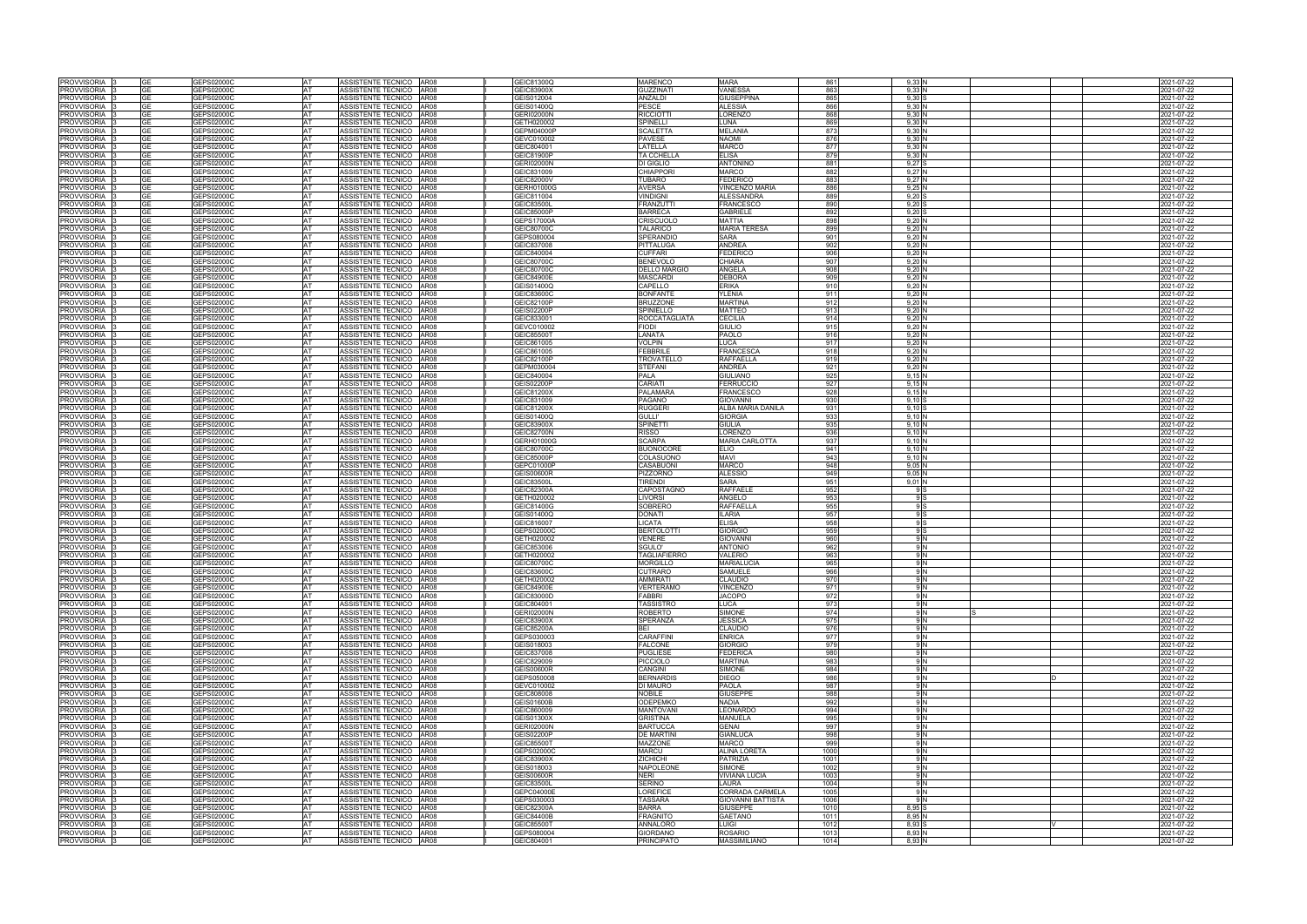| <b>PROVVISORIA</b>             |      | GEPS02000C               |                 | ASSISTENTE TECNICO AR08                            |             | GEIC81300Q               | <b>MARENCO</b>                       | <b>MARA</b>                    | 861          | 9,33              |  | 2021-07-22               |
|--------------------------------|------|--------------------------|-----------------|----------------------------------------------------|-------------|--------------------------|--------------------------------------|--------------------------------|--------------|-------------------|--|--------------------------|
| <b>PROVVISORIA</b>             |      | GEPS02000C               | AT              | ASSISTENTE TECNICO                                 | AR08        | GEIC83900X               | <b>GUZZINATI</b>                     | VANESSA                        | 863          | 9,33N             |  | 2021-07-22               |
| <b>PROVVISORIA</b>             | GE   | GEPS02000C               | AT              | ASSISTENTE TECNICO                                 | AR08        | GEIS012004               | ANZALDI                              | GIUSEPPINA                     | 865          | $9,30$ S          |  | 2021-07-22               |
|                                |      |                          |                 |                                                    |             |                          |                                      |                                |              |                   |  |                          |
| PROVVISORIA                    | ٩F   | <b>GEPS02000C</b>        | AT              | ASSISTENTE TECNICO AR08                            |             | GEIS01400Q               | PESCE                                | ALESSIA                        | 866          | 9,30N             |  | 2021-07-22               |
| <b>PROVVISORIA</b>             |      | GEPS02000C               | AT              | <b>ASSISTENTE TECNICO</b>                          | <b>AR08</b> | <b>GERI02000N</b>        | <b>RICCIOTTI</b>                     | ORENZO                         | 868          | 9,30 N            |  | 021-07-22                |
| PROVVISORIA                    | GF   | GEPS02000C               | AT              | ASSISTENTE TECNICO                                 | AR08        | GETH020002               | SPINELLI                             | UNA                            | 869          | 9,30N             |  | 2021-07-22               |
| <b>PROVVISORIA</b>             | GΕ   | <b>GEPS02000C</b>        | AT              | ASSISTENTE TECNICO AR08                            |             | GEPM04000P               | <b>SCALETTA</b>                      | MELANIA                        | 873          | 9.30 <sub>h</sub> |  | 2021-07-22               |
| PROVVISORIA                    | ٩F   | GEPS02000C               | <b>AT</b>       | ASSISTENTE TECNICO AR08                            |             | GEVC010002               | <b>PAVESE</b>                        | NAOMI                          | 876          | 9,30 N            |  | 2021-07-22               |
| PROVVISORIA                    | GЕ   | GEPS02000C               | <b>AT</b>       | ASSISTENTE TECNICO                                 | AR08        | GEIC804001               | LATELLA                              | <b>MARCO</b>                   | 877          | 9,30 N            |  | 2021-07-22               |
| <b>PROVVISORIA</b>             | GF   | GEPS02000C               | AT              | <b>ASSISTENTE TECNICO</b>                          | AR08        | GEIC81900P               | <b>TA CCHELLA</b>                    | ELISA                          | 879          | 9,30 N            |  | 2021-07-22               |
|                                | GE   |                          | AT              |                                                    | AR08        | <b>GERI02000N</b>        |                                      | <b>ANTONINO</b>                | 881          | $9,27$ S          |  |                          |
| PROVVISORIA                    |      | GEPS02000C               |                 | ASSISTENTE TECNICO                                 |             |                          | DI GIGLIO                            |                                |              |                   |  | 2021-07-22               |
| PROVVISORIA                    | GE   | GEPS02000C               | AT              | ASSISTENTE TECNICO AR08                            |             | GEIC831009               | <b>CHIAPPORI</b>                     | <b>MARCO</b>                   | 882          | 9,27 N            |  | 2021-07-22               |
| PROVVISORIA                    | GF   | GEPS02000C               | AT              | ASSISTENTE TECNICO                                 | AR08        | GEIC82000V               | <b>TUBARO</b>                        | <b>FEDERICO</b>                | 883          | 9,27 N            |  | 2021-07-22               |
| PROVVISORIA                    | GЕ   | GEPS02000C               | <b>AT</b>       | ASSISTENTE TECNICO AR08                            |             | GERH01000G               | <b>AVERSA</b>                        | VINCENZO MARIA                 | 886          | 9,25 N            |  | 2021-07-22               |
| PROVVISORIA                    | GЕ   | GEPS02000C               | <b>AT</b>       | ASSISTENTE TECNICO AR08                            |             | GEIC811004               | <b>VINDIGNI</b>                      | ALESSANDRA                     | 889          | $9.20$ S          |  | 2021-07-22               |
| PROVVISORIA                    |      | 3EPS02000C               | AT              | ASSISTENTE TECNICO AR08                            |             | GEIC83500L               | <b>FRANZUTTI</b>                     | FRANCESCO                      | 890          | $9,20$ \$         |  | 2021-07-22               |
| PROVVISORIA                    | GF   | GEPS02000C               | <b>AT</b>       | ASSISTENTE TECNICO                                 | AR08        | GEIC85000P               | <b>BARRECA</b>                       | <b>GABRIELE</b>                | 892          | 9,20S             |  | 2021-07-22               |
| PROVVISORIA                    | GE   | GEPS02000C               | <b>AT</b>       | ASSISTENTE TECNICO AR08                            |             | <b>GEPS17000A</b>        | <b>CRISCUOLO</b>                     | MATTIA                         | 898          | 9.20N             |  | 2021-07-22               |
|                                |      |                          |                 |                                                    |             |                          |                                      |                                |              |                   |  |                          |
| PROVVISORIA                    | GF   | GEPS02000C               | AT              | ASSISTENTE TECNICO                                 | AR08        | GEIC80700C               | <b>TALARICO</b>                      | <b>MARIA TERESA</b>            | 899          | $9,20$ N          |  | 2021-07-22               |
| PROVVISORIA                    |      | GEPS02000C               | AT              | ASSISTENTE TECNICO AR08                            |             | GEPS080004               | SPERANDIO                            | <b>SARA</b>                    | 901          | 9.20              |  | 2021-07-22               |
| PROVVISORIA                    | GF   | GEPS02000C               | AT              | ASSISTENTE TECNICO AR08                            |             | GEIC837008               | PITTALUGA                            | ANDREA                         | 902          | $9,20$ N          |  | 2021-07-22               |
| <b>PROVVISORIA</b>             |      | GEPS02000C               | AT              | <b>ASSISTENTE TECNICO</b>                          | AR08        | GEIC840004               | <b>CUFFARI</b>                       | FEDERICO                       | 906          | 9,20N             |  | 2021-07-22               |
| PROVVISORIA                    | GЕ   | GEPS02000C               | AT              | ASSISTENTE TECNICO                                 | AR08        | GEIC80700C               | <b>BENEVOLO</b>                      | CHIARA                         | 907          | 9,20N             |  | 2021-07-22               |
| PROVVISORIA                    | GF   | GEPS02000C               | AT              | ASSISTENTE TECNICO                                 | AR08        | GEIC80700C               | <b>DELLO MARGIO</b>                  | ANGELA                         | 908          | 9,20              |  | 2021-07-22               |
|                                |      |                          |                 |                                                    |             |                          |                                      |                                |              |                   |  |                          |
| PROVVISORIA                    | GF   | GEPS02000C               | AT              | ASSISTENTE TECNICO                                 | AR08        | GEIC84900E               | <b>MASCARDI</b>                      | DEBORA                         | 909          | $9,20$ N          |  | 2021-07-22               |
| <b>PROVVISORIA</b>             |      | GEPS02000C               | AT              | <b>ASSISTENTE TECNICO</b>                          | AR08        | GEIS01400Q               | CAPELLO                              | ERIKA                          | 910          | 9.20N             |  | 2021-07-22               |
| <b>PROVVISORIA</b>             |      | GEPS02000C               | AT              | <b>ASSISTENTE TECNICO</b>                          | <b>AR08</b> | GEIC83600C               | <b>BONFANTE</b>                      | <b>LENIA</b>                   | 911          | 9,20N             |  | 2021-07-22               |
| <b>PROVVISORIA</b>             | GF   | GEPS02000C               | AT              | <b>ASSISTENTE TECNICO</b>                          | <b>AR08</b> | GEIC82100P               | <b>BRUZZONE</b>                      | <b>MARTINA</b>                 | 912          | 9,20N             |  | 2021-07-22               |
| PROVVISORIA                    | GЕ   | GEPS02000C               | AT              | ASSISTENTE TECNICO AR08                            |             | <b>GEIS02200P</b>        | SPINIELLO                            | <b>MATTEO</b>                  | 913          | $9,20$ N          |  | 2021-07-22               |
| <b>PROVVISORIA</b>             | GF   | GEPS02000C               | AT              | ASSISTENTE TECNICO                                 | AR08        | GEIC833001               | <b>ROCCATAGLIATA</b>                 | CECILIA                        | 914          | $9,20$ N          |  | 2021-07-22               |
| <b>PROVVISORIA</b>             |      | <b>GEPS02000C</b>        | AT              | ASSISTENTE TECNICO                                 | <b>AR08</b> | GEVC010002               | FIODI                                | <b>GIULIO</b>                  | 915          | 9,20N             |  | 021-07-22                |
|                                |      |                          |                 |                                                    |             |                          |                                      |                                |              |                   |  |                          |
| <b>PROVVISORIA</b>             | GE   | GEPS02000C               | AT              | ASSISTENTE TECNICO                                 | AR08        | GEIC85500T               | LANATA                               | <b>PAOLO</b>                   | 916          | $9,20$ N          |  | 2021-07-22               |
| PROVVISORIA                    |      | EPS02000C                | AT              | ASSISTENTE TECNICO AR08                            |             | GEIC861005               | /OLPIN                               | .UCA                           | 917          | 9,20              |  | 021-07-22                |
| PROVVISORIA                    | GЕ   | GEPS02000C               | <b>AT</b>       | ASSISTENTE TECNICO   AR08                          |             | GEIC861005               | <b>FEBBRILE</b>                      | <b>FRANCESCA</b>               | 918          | 9,20 N            |  | 2021-07-22               |
| PROVVISORIA                    | GE   | GEPS02000C               | AT              | ASSISTENTE TECNICO AR08                            |             | GEIC82100P               | TROVATELLO                           | RAFFAELLA                      | 919          | $9,20$ N          |  | 2021-07-22               |
| PROVVISORIA                    | GE   | GEPS02000C               | AT              | ASSISTENTE TECNICO                                 | <b>AR08</b> | GEPM030004               | <b>STEFANI</b>                       | ANDREA                         | 921          | $9,20$ N          |  | 2021-07-22               |
| PROVVISORIA                    |      | GEPS02000C               | AT              | ASSISTENTE TECNICO AR08                            |             | GEIC840004               | PALA                                 | GIULIANO                       | 925          | 9,15 N            |  | 2021-07-22               |
|                                | GЕ   |                          | <b>AT</b>       | ASSISTENTE TECNICO   AR08                          |             | <b>GEIS02200P</b>        | CARIATI                              | <b>FERRUCCIO</b>               | 927          | 9.15N             |  |                          |
| PROVVISORIA                    |      | GEPS02000C               |                 |                                                    |             |                          |                                      |                                |              |                   |  | 2021-07-22               |
| <b>PROVVISORIA</b>             |      | EPS02000C                | AT              | ASSISTENTE TECNICO AR08                            |             | GEIC81200X               | <b>PALAMARA</b>                      | FRANCESCO                      | 928          | 9.15N             |  | 021-07-22                |
| PROVVISORIA 3                  | GE   | GEPS02000C               | <b>AT</b>       | ASSISTENTE TECNICO AR08                            |             | GEIC831009               | <b>PAGANO</b>                        | GIOVANNI                       | 930          | 9.10 S            |  | 2021-07-22               |
| PROVVISORIA                    |      | GEPS02000C               | AT              | ASSISTENTE TECNICO AR08                            |             | GEIC81200X               | <b>RUGGERI</b>                       | ALBA MARIA DANILA              | 931          | $9.10$ S          |  | 2021-07-22               |
| PROVVISORIA                    | GF   | GEPS02000C               | <b>AT</b>       | ASSISTENTE TECNICO                                 | AR08        | GEIS01400Q               | <b>GULLI'</b>                        | GIORGIA                        | 933          | 9,10 N            |  | 2021-07-22               |
| PROVVISORIA                    | GЕ   | GEPS02000C               | <b>AT</b>       | ASSISTENTE TECNICO   AR08                          |             | GEIC83900X               | <b>SPINETTI</b>                      | <b>GIULIA</b>                  | 935          | 9.10 <sub>N</sub> |  | 2021-07-22               |
| PROVVISORIA                    | GE   | GEPS02000C               | <b>AT</b>       | ASSISTENTE TECNICO AR08                            |             | <b>GEIC82700N</b>        | <b>RISSO</b>                         | LORENZO                        | 936          | 9.10 <sub>N</sub> |  | 2021-07-22               |
|                                |      |                          |                 |                                                    |             |                          |                                      |                                |              |                   |  |                          |
| PROVVISORIA                    |      | GEPS02000C               | AT              | ASSISTENTE TECNICO AR08                            |             | GERH01000G               | <b>SCARPA</b>                        | <b>MARIA CARLOTTA</b>          | 937          | $9,10$ N          |  | 2021-07-22               |
| PROVVISORIA                    | GF   | GEPS02000C               | <b>AT</b>       | ASSISTENTE TECNICO                                 | AR08        | GEIC80700C               | <b>BUONOCORE</b>                     | ELIO                           | 941          | 9.10 <sub>h</sub> |  | 2021-07-22               |
| <b>PROVVISORIA</b>             |      |                          |                 |                                                    |             |                          |                                      |                                |              |                   |  | 2021-07-22               |
|                                |      | GEPS02000C               | AT              | <b>ASSISTENTE TECNICO</b>                          | AR08        | GEIC85000P               | COLASUONO                            | <b>MAVI</b>                    | 943          | 9,10N             |  |                          |
| PROVVISORIA                    | GF   | GEPS02000C               | AT              | ASSISTENTE TECNICO                                 | AR08        | GEPC01000P               | CASABUONI                            | <b>MARCO</b>                   | 948          | 9.05 N            |  | 2021-07-22               |
|                                | GF   |                          |                 |                                                    |             |                          |                                      |                                |              |                   |  |                          |
| PROVVISORIA                    |      | GEPS02000C               | AT              | ASSISTENTE TECNICO                                 | AR08        | <b>GEIS00600R</b>        | PIZZORNO                             | <b>ALESSIO</b>                 | 949          | 9.05              |  | 2021-07-22               |
| PROVVISORIA                    | GF   | GEPS02000C               | <b>AT</b>       | ASSISTENTE TECNICO                                 | AR08        | GEIC83500L               | <b>TIRENDI</b>                       | SARA                           | 951          | $9,01$ N          |  | 2021-07-22               |
| <b>PROVVISORIA</b>             |      | GEPS02000C               | AT              | ASSISTENTE TECNICO                                 | <b>AR08</b> | GEIC82300A               | CAPOSTAGNO                           | RAFFAELE                       | 952          |                   |  | 2021-07-22               |
| PROVVISORIA                    | GF   | GEPS02000C               | AT              | ASSISTENTE TECNICO                                 | AR08        | GETH020002               | <b>IVORSI</b>                        | ANGELO                         | 953          |                   |  | 2021-07-22               |
| <b>PROVVISORIA</b>             | GΕ   | GEPS02000C               | AT              | ASSISTENTE TECNICO                                 | <b>AR08</b> | GEIC81400G               | <b>SOBRERC</b>                       | <b>RAFFAELLA</b>               | 955          |                   |  | 2021-07-22               |
| PROVVISORIA                    | GF   | <b>GEPS02000C</b>        | AT              | ASSISTENTE TECNICO AR08                            |             | GEIS01400Q               | <b>DONATI</b>                        | LARIA                          | 957          |                   |  | 2021-07-22               |
|                                | GE   |                          |                 |                                                    |             |                          |                                      |                                |              | 9 S               |  |                          |
| <b>PROVVISORIA</b>             |      | GEPS02000C               | AT              | ASSISTENTE TECNICO                                 | AR08        | GEIC816007               | <b>ICATA</b>                         | ELISA                          | 958          |                   |  | 2021-07-22               |
| <b>PROVVISORIA</b>             |      | <b>GEPS02000C</b>        | AT              | <b>ASSISTENTE TECNICO</b>                          | <b>AR08</b> | GEPS02000C               | <b>BERTOLOTTI</b>                    | <b>GIORGIO</b>                 | 959          |                   |  | 2021-07-22               |
| <b>PROVVISORIA</b>             | GΕ   | <b>GEPS02000C</b>        | AT              | <b>ASSISTENTE TECNICO</b>                          | <b>AR08</b> | GETH020002               | <b>/ENERE</b>                        | <b>GIOVANNI</b>                | 960          | 9 N               |  | 2021-07-22               |
| PROVVISORIA                    | GF   | GEPS02000C               | AT              | ASSISTENTE TECNICO AR08                            |             | GEIC853006               | SGULO'                               | <b>ANTONIO</b>                 | 962          | 9 N               |  | 2021-07-22               |
| PROVVISORIA                    |      | <b>GEPS02000C</b>        | <b>AT</b>       | ASSISTENTE TECNICO AR08                            |             | GETH020002               | <b>TAGLIAFIERRO</b>                  | VALERIO                        | 963          | 9 N               |  | 021-07-22                |
| PROVVISORIA 3                  | GE   | GEPS02000C               | AT              | ASSISTENTE TECNICO AR08                            |             | GEIC80700C               | <b>MORGILLO</b>                      | <b>MARIALUCIA</b>              | 965          | 9 N               |  | 2021-07-22               |
| PROVVISORIA 3                  |      | GEPS02000C               |                 | ASSISTENTE TECNICO AR08                            |             | GEIC83600C               | CUTRARO                              | SAMUELE                        | 966          |                   |  | 2021-07-22               |
| PROVVISORIA                    |      | GEPS02000C               | AT              | ASSISTENTE TECNICO   AR08                          |             | GETH020002               | <b>AMMIRATI</b>                      | CLAUDIO                        | 970          | 9 N               |  |                          |
|                                |      |                          |                 |                                                    |             |                          |                                      |                                |              |                   |  | 2021-07-22               |
| PROVVISORIA 3                  | GE   | GEPS02000C               | <b>AT</b>       | ASSISTENTE TECNICO AR08                            |             | GEIC84900E               | <b>VERTERAMO</b>                     | <b>VINCENZO</b>                | 971          | 9 N               |  | 2021-07-22               |
| PROVVISORIA                    | GЕ   | GEPS02000C               | <b>AT</b>       | ASSISTENTE TECNICO AR08                            |             | GEIC83000D               | <b>FABBRI</b>                        | <b>JACOPO</b>                  | 972          | 9 N               |  | 2021-07-22               |
| PROVVISORIA                    |      | GEPS02000C               | <b>AT</b>       | ASSISTENTE TECNICO AR08                            |             | GEIC804001               | <b>TASSISTRO</b>                     | LUCA                           | 973          | 9 N               |  | 2021-07-22               |
| PROVVISORIA 13                 | GF   | GEPS02000C               | <b>AT</b>       | ASSISTENTE TECNICO AR08                            |             | <b>GERI02000N</b>        | <b>ROBERTO</b>                       | <b>SIMONE</b>                  | 974          | 9 N               |  | 2021-07-22               |
| PROVVISORIA                    | GF   | GEPS02000C               | <b>AT</b>       | ASSISTENTE TECNICO AR08                            |             | GEIC83900X               | <b>SPERANZA</b>                      | <b>JESSICA</b>                 | 975          | 9 N               |  | 2021-07-22               |
| PROVVISORIA                    |      | GEPS02000C               | <b>AT</b>       | ASSISTENTE TECNICO AR08                            |             | GEIC85200A               | BEI                                  | <b>CLAUDIO</b>                 | 976          | 9 N               |  | 2021-07-22               |
| PROVVISORIA 3                  | GE   | GEPS02000C               | <b>AT</b>       | ASSISTENTE TECNICO   AR08                          |             | GEPS030003               | <b>CARAFFINI</b>                     | <b>ENRICA</b>                  | 977          | 9 N               |  | 2021-07-22               |
| <b>PROVVISORIA</b> 3           |      | GEPS02000C               | <b>AT</b>       | ASSISTENTE TECNICO AR08                            |             | GEIS018003               | <b>FALCONE</b>                       | GIORGIO                        | 979          | 9 N               |  | 2021-07-22               |
| PROVVISORIA                    | GF   |                          | <b>AT</b>       | ASSISTENTE TECNICO AR08                            |             | GEIC837008               | <b>PUGLIESE</b>                      | <b>FEDERICA</b>                | 980          | 9 N               |  | 2021-07-22               |
|                                |      | GEPS02000C               | AT              |                                                    |             |                          |                                      | <b>MARTINA</b>                 | 983          |                   |  |                          |
| PROVVISORIA                    |      | GEPS02000C               |                 | ASSISTENTE TECNICO AR08                            |             | GEIC829009               | <b>PICCIOLO</b>                      |                                |              |                   |  | 2021-07-22               |
| PROVVISORIA                    | GF   | GEPS02000C               | <b>AT</b>       | ASSISTENTE TECNICO AR08                            |             | <b>GEIS00600R</b>        | CANGINI                              | <b>SIMONE</b>                  | 984          | 9 IN              |  |                          |
| PROVVISORIA                    |      | GEPS02000C               | AT              | ASSISTENTE TECNICO AR08                            |             | GEPS050008               | <b>BERNARDIS</b>                     | <b>DIEGO</b>                   | 986          |                   |  | 2021-07-22<br>2021-07-22 |
| PROVVISORIA                    | GE   | GEPS02000C               | <b>AT</b>       | ASSISTENTE TECNICO AR08                            |             | GEVC010002               | <b>DI MAURO</b>                      | <b>PAOLA</b>                   | 987          | 9 IN              |  | 2021-07-22               |
| PROVVISORIA                    |      | GEPS02000C               | AT              | ASSISTENTE TECNICO AR08                            |             | GEIC808008               | <b>NOBILE</b>                        | <b>GIUSEPPE</b>                | 988          | 9 N               |  | 2021-07-22               |
| PROVVISORIA                    | GF   | GEPS02000C               | <b>AT</b>       | ASSISTENTE TECNICO AR08                            |             | <b>GEIS01600B</b>        | <b>ODEPEMKO</b>                      | <b>NADIA</b>                   | 992          | 9 N               |  | 2021-07-22               |
| PROVVISORIA                    |      | GEPS02000C               | AT              | ASSISTENTE TECNICO AR08                            |             | GEIC860009               | <b>MANTOVANI</b>                     | LEONARDO                       | 994          |                   |  | 2021-07-22               |
| PROVVISORIA                    |      | GEPS02000C               | AT              | ASSISTENTE TECNICO AR08                            |             | GEIS01300X               | <b>GRISTINA</b>                      | <b>MANUELA</b>                 | 995          | 9 N               |  |                          |
|                                | GE   |                          | <b>AT</b>       |                                                    |             |                          |                                      | GENAI                          |              | 9 N               |  | 2021-07-22               |
| PROVVISORIA                    |      | GEPS02000C               |                 | ASSISTENTE TECNICO AR08                            |             | <b>GERI02000N</b>        | <b>BARTUCCA</b>                      |                                | 997          |                   |  | 2021-07-22               |
| PROVVISORIA                    | GF   | GEPS02000C               | AT              | ASSISTENTE TECNICO AR08                            |             | <b>GEIS02200P</b>        | <b>DE MARTINI</b>                    | <b>GIANLUCA</b>                | 998          | 9 N               |  | 2021-07-22               |
| PROVVISORIA                    |      | GEPS02000C               | AT              | ASSISTENTE TECNICO AR08                            |             | GEIC85500T               | MAZZONE                              | <b>MARCO</b>                   | 999          | 9 N               |  | 2021-07-22               |
| PROVVISORIA                    | GF   | GEPS02000C               | AT              | ASSISTENTE TECNICO AR08                            |             | GEPS02000C               | <b>MARCU</b>                         | ALINA LORETA                   | 1000         | 9 N               |  | 2021-07-22               |
| PROVVISORIA                    | GE   | GEPS02000C               | <b>AT</b>       | ASSISTENTE TECNICO AR08                            |             | GEIC83900X               | <b>ZICHICHI</b>                      | <b>PATRIZIA</b>                | 1001         | 9 N               |  | 2021-07-22               |
| PROVVISORIA                    |      | GEPS02000C               | AT              | ASSISTENTE TECNICO AR08                            |             | GEIS018003               | <b>NAPOLEONE</b>                     | SIMONE                         | 1002         | 9 N               |  | 2021-07-22               |
| PROVVISORIA 3                  | GE   | GEPS02000C               | <b>AT</b>       | ASSISTENTE TECNICO AR08                            |             | GEIS00600R               | <b>NERI</b>                          | VIVIANA LUCIA                  | 1003         | 9 N               |  | 2021-07-22               |
| PROVVISORIA                    |      | GEPS02000C               | AT              | ASSISTENTE TECNICO AR08                            |             | GEIC83500L               | <b>SERINO</b>                        | LAURA                          | 1004         | 9 N               |  | 2021-07-22               |
| PROVVISORIA                    | GE   |                          | AT              | ASSISTENTE TECNICO AR08                            |             | GEPC04000E               | <b>LOREFICE</b>                      | CORRADA CARMELA                | 1005         | 9 N               |  |                          |
|                                |      | GEPS02000C               |                 |                                                    |             |                          |                                      |                                |              | 9 N               |  | 2021-07-22               |
| PROVVISORIA <sup>3</sup>       | GЕ   | GEPS02000C               | <b>AT</b>       | ASSISTENTE TECNICO AR08                            |             | GEPS030003               | <b>TASSARA</b>                       | GIOVANNI BATTISTA              | 1006         |                   |  | 2021-07-22               |
| PROVVISORIA                    | GE   | GEPS02000C               | <b>AT</b>       | ASSISTENTE TECNICO AR08                            |             | GEIC82300A               | <b>BARRA</b>                         | <b>GIUSEPPE</b>                | 1010         | 8,95 S            |  | 2021-07-22               |
| PROVVISORIA                    |      | GEPS02000C               | AT              | ASSISTENTE TECNICO AR08                            |             | <b>GEIC84400B</b>        | <b>FRAGNITO</b>                      | <b>GAETANO</b>                 | 1011         | 8.95 N            |  | 2021-07-22               |
| PROVVISORIA                    | GE   | GEPS02000C               | <b>AT</b>       | ASSISTENTE TECNICO AR08                            |             | GEIC85500T               | <b>ANNALORO</b>                      | LUIGI                          | 1012         | 8.93 S            |  | 2021-07-22               |
| PROVVISORIA  <br>PROVVISORIA 3 | IGE. | GEPS02000C<br>GEPS02000C | AT<br><b>AT</b> | ASSISTENTE TECNICO AR08<br>ASSISTENTE TECNICO AR08 |             | GEPS080004<br>GEIC804001 | <b>GIORDANO</b><br><b>PRINCIPATO</b> | ROSARIO<br><b>MASSIMILIANO</b> | 1013<br>1014 | 8,93 N<br>8.93 N  |  | 2021-07-22<br>2021-07-22 |

|   | 2021-07-22               |
|---|--------------------------|
|   | 2021-07-22               |
|   | 2021-07-22               |
|   | 2021-07-22               |
|   | 2021-07-22               |
|   | 2021-07-22               |
|   | 2021-07-22               |
|   | 2021-07-22               |
|   | 2021-07-22               |
|   | 2021-07-22               |
|   | 2021-07-22               |
|   | 2021-07-22               |
|   | 2021-07-22               |
|   | 2021-07-22               |
|   | 2021-07-22               |
|   | 2021-07-22               |
|   | 2021-07-22               |
|   | 2021-07-22               |
|   | 2021-07-22               |
|   | 2021-07-22               |
|   | 2021-07-22               |
|   | 2021-07-22               |
|   | 2021-07-22               |
|   |                          |
|   | 2021-07-22<br>2021-07-22 |
|   |                          |
|   | 2021-07-22               |
|   | 2021-07-22<br>2021-07-22 |
|   |                          |
|   | 2021-07-22               |
|   | 2021-07-22               |
|   | 2021-07-22               |
|   | 2021-07-22               |
|   | 2021-07-22               |
|   | 2021-07-22               |
|   | 2021-07-22               |
|   | 2021-07-22               |
|   | 2021-07-22               |
|   | 2021-07-22               |
|   | 2021-07-22               |
|   | 2021-07-22               |
|   | 2021-07-22               |
|   | 2021-07-22               |
|   | 2021-07-22               |
|   | 2021-07-22               |
|   | 2021-07-22               |
|   | 2021-07-22               |
|   | 2021-07-22               |
|   | 2021-07-22               |
|   | 2021-07-22               |
|   | 2021-07-22               |
|   | 2021-07-22               |
|   | 2021-07-22               |
|   | 2021-07-22<br>2021-07-22 |
|   | 2021-07-22               |
|   | 2021-07-22               |
|   |                          |
|   | 2021-07-22               |
|   | 2021-07-22               |
|   | 2021-07-22<br>2021-07-22 |
|   |                          |
|   | 2021-07-22               |
|   | 2021-07-22               |
|   | 2021-07-22               |
|   | 2021-07-22               |
|   | 2021-07-22               |
|   | 2021-07-22               |
|   | 2021-07-22               |
|   | 2021-07-22<br>2021-07-22 |
|   | 2021-07-22               |
|   | 2021-07-22               |
|   | 2021-07-22               |
|   | 2021-07-22               |
|   | 2021-07-22               |
| D | 2021-07-22               |
|   | 2021-07-22               |
|   | 2021-07-22               |
|   |                          |
|   | 2021-07-22<br>2021-07-22 |
|   | 2021-07-22               |
|   | 2021-07-22               |
|   | 2021-07-22               |
|   | 2021-07-22               |
|   | 2021-07-22               |
|   | 2021-07-22               |
|   | 2021-07-22               |
|   | 2021-07-22               |
|   | 2021-07-22               |
|   | 2021-07-22               |
|   | 2021-07-22               |
|   | 2021-07-22               |
| V | 2021-07-22               |
|   | 2021-07-22               |
|   | 2021-07-22               |
|   |                          |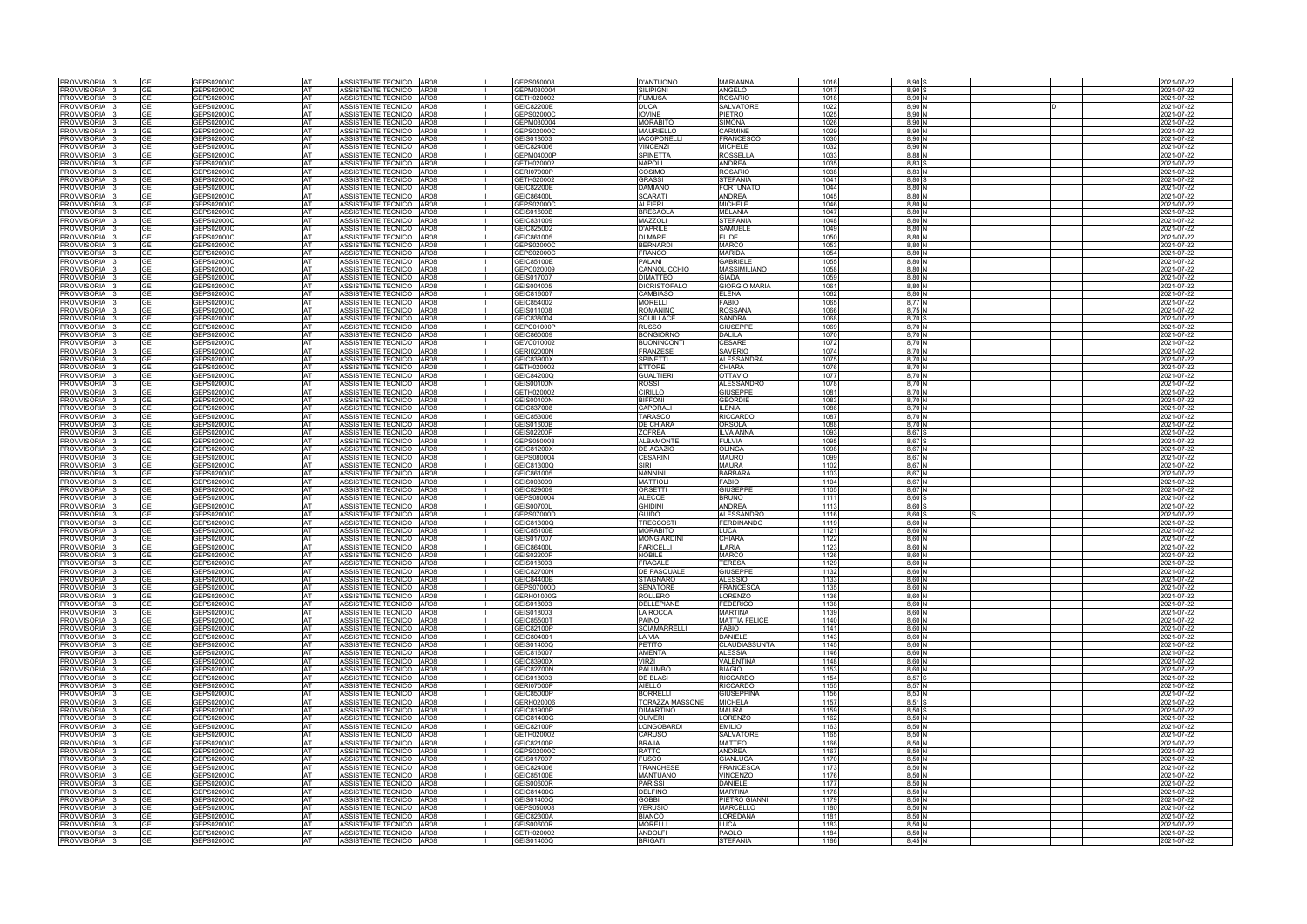| <b>PROVVISORIA</b>        |           | GEPS02000C        | <b>AT</b> | ASSISTENTE TECNICO AR08   |             | GEPS050008        | D'ANTUONO           | <b>MARIANNA</b>      | 1016 | 8.90:             |  | 2021-07-22 |
|---------------------------|-----------|-------------------|-----------|---------------------------|-------------|-------------------|---------------------|----------------------|------|-------------------|--|------------|
| PROVVISORIA               | GЕ        | GEPS02000C        | AT        | ASSISTENTE TECNICO AR08   |             | GEPM030004        | <b>SILIPIGNI</b>    | ANGELO               | 1017 | 8.90              |  | 2021-07-22 |
| <b>PROVVISORIA</b>        |           | GEPS02000C        | AT        | ASSISTENTE TECNICO AR08   |             | GETH020002        | <b>FUMUSA</b>       | ROSARIO              | 1018 | 8,90N             |  | 2021-07-22 |
| <b>PROVVISORIA</b>        | GF        | <b>GEPS02000C</b> | AT        | ASSISTENTE TECNICO AR08   |             | GEIC82200E        | <b>DUCA</b>         | <b>SALVATORE</b>     | 1022 | 8.90 <sub>h</sub> |  | 2021-07-22 |
| <b>PROVVISORIA</b>        | GE        | GEPS02000C        | AT        | ASSISTENTE TECNICO AR08   |             | GEPS02000C        | <b>IOVINE</b>       | PIETRO               | 1025 | 8,90N             |  | 2021-07-22 |
| PROVVISORIA               | GF        | GEPS02000C        | AT        | ASSISTENTE TECNICO        | AR08        | GEPM030004        | <b>MORABITO</b>     | <b>SIMONA</b>        | 1026 | 8,90 N            |  | 2021-07-22 |
| <b>PROVVISORIA</b>        |           | GEPS02000C        | AT        | ASSISTENTE TECNICO AR08   |             | GEPS02000C        | <b>MAURIELLO</b>    | CARMINE              | 1029 | 8.90 N            |  | 2021-07-22 |
| <b>PROVVISORIA</b>        |           | GEPS02000C        | AT        | ASSISTENTE TECNICO AR08   |             | GEIS018003        | <b>IACOPONELLI</b>  | FRANCESCO            | 1030 | 8,90 N            |  | 2021-07-22 |
| <b>PROVVISORIA</b>        | ุา⊏       | GEPS02000C        | AT        | <b>ASSISTENTE TECNICO</b> | <b>AR08</b> | GEIC824006        | <b>VINCENZI</b>     | <b>MICHELE</b>       | 1032 | 8,90 N            |  | 021-07-22  |
| PROVVISORIA               | GЕ        | GEPS02000C        | AT        | ASSISTENTE TECNICO AR08   |             | GEPM04000P        | <b>SPINETTA</b>     | ROSSELLA             | 1033 | 8,88 N            |  | 2021-07-22 |
|                           |           |                   |           |                           |             |                   |                     |                      |      |                   |  |            |
| <b>PROVVISORIA</b>        | GE        | GEPS02000C        | AT        | ASSISTENTE TECNICO AR08   |             | GETH020002        | <b>NAPOLI</b>       | ANDREA               | 1035 | 8,83              |  | 2021-07-22 |
| <b>PROVVISORIA</b>        |           | <b>GEPS02000C</b> | AT        | ASSISTENTE TECNICO AR08   |             | <b>GERI07000P</b> | COSIMO              | ROSARIO              | 1038 | 8,83N             |  | 2021-07-22 |
| <b>PROVVISORIA</b>        |           | GEPS02000C        | AT        | ASSISTENTE TECNICO        | <b>AR08</b> | GETH020002        | <b>GRASSI</b>       | STEFANIA             | 1041 | 8.80 S            |  | 2021-07-22 |
| PROVVISORIA               |           | GEPS02000C        | AT        | ASSISTENTE TECNICO        | AR08        | GEIC82200E        | <b>DAMIANC</b>      | FORTUNATO            | 1044 | 8,80 N            |  | 2021-07-22 |
| PROVVISORIA               | GE        | GEPS02000C        | AT        | ASSISTENTE TECNICO        | AR08        | GEIC86400L        | <b>SCARATI</b>      | <b>ANDREA</b>        | 1045 | 8,80 N            |  | 2021-07-22 |
| PROVVISORIA               | GF        | GEPS02000C        | <b>AT</b> | ASSISTENTE TECNICO AR08   |             | GEPS02000C        | <b>ALFIERI</b>      | MICHELE              | 1046 | 8,80 N            |  | 2021-07-22 |
| <b>PROVVISORIA</b>        | GF        | GEPS02000C        | <b>AT</b> | ASSISTENTE TECNICO        | AR08        | GEIS01600B        | <b>BRESAOL</b>      | <b>MELANIA</b>       | 1047 | 8,80 N            |  | 2021-07-22 |
| PROVVISORIA               |           | <b>GEPS02000C</b> | AT        | ASSISTENTE TECNICO        | AR08        | GEIC831009        | MAZZOLI             | <b>STEFANIA</b>      | 1048 | 8,80 N            |  | 2021-07-22 |
| PROVVISORIA               | GE        | GEPS02000C        | <b>AT</b> | ASSISTENTE TECNICO AR08   |             | GEIC825002        | <b>D'APRILE</b>     | SAMUELE              | 1049 | 8,80 N            |  | 2021-07-22 |
| PROVVISORIA               |           | 6EPS02000C        | AT        | ASSISTENTE TECNICO AR08   |             | GEIC861005        | DI MARE             | ELIDE                | 1050 | $8,80$ $N$        |  | 2021-07-22 |
| PROVVISORIA               | GE        | GEPS02000C        | <b>AT</b> | ASSISTENTE TECNICO AR08   |             | GEPS02000C        | <b>BERNARDI</b>     | <b>MARCO</b>         | 1053 | 8.80 N            |  | 2021-07-22 |
| <b>PROVVISORIA</b>        | GE        | GEPS02000C        | AT        | ASSISTENTE TECNICO AR08   |             | GEPS02000C        | <b>FRANCO</b>       | <b>MARIDA</b>        | 1054 | 8,80 N            |  | 2021-07-22 |
|                           | GF        | GEPS02000C        |           |                           |             |                   |                     | <b>GABRIEL</b>       |      |                   |  |            |
| PROVVISORIA               |           |                   | <b>AT</b> | ASSISTENTE TECNICO        | AR08        | GEIC85100E        | PALANI              |                      | 1055 | 8,80 N            |  | 2021-07-22 |
| PROVVISORIA               |           | GEPS02000C        | AT        | ASSISTENTE TECNICO   AR08 |             | GEPC020009        | CANNOLICCHIO        | <b>MASSIMILIANO</b>  | 1058 | 8.80N             |  | 2021-07-22 |
| PROVVISORIA               | GE        | GEPS02000C        | <b>AT</b> | ASSISTENTE TECNICO AR08   |             | GEIS017007        | <b>DIMATTEO</b>     | <b>GIADA</b>         | 1059 | 8.80 N            |  | 2021-07-22 |
| <b>PROVVISORIA</b>        |           | <b>GEPS02000C</b> | AT        | ASSISTENTE TECNICO AR08   |             | GEIS004005        | <b>DICRISTOFALO</b> | <b>GIORGIO MARIA</b> | 1061 | 8,80              |  | 021-07-22  |
| PROVVISORIA               | GE        | GEPS02000C        | <b>AT</b> | ASSISTENTE TECNICO AR08   |             | GEIC816007        | CAMBIASO            | ELENA                | 1062 | 8.80 <sub>h</sub> |  | 2021-07-22 |
| PROVVISORIA               |           | GEPS02000C        | AT        | ASSISTENTE TECNICO AR08   |             | GEIC854002        | MORELLI             | FABIO                | 1065 | $8,77$ $N$        |  | 2021-07-22 |
| PROVVISORIA               | GF        | GEPS02000C        | AT        | ASSISTENTE TECNICO AR08   |             | GEIS011008        | ROMANINO            | <b>ROSSANA</b>       | 1066 | 8,75 N            |  | 2021-07-22 |
| PROVVISORIA               | GF        | GEPS02000C        | AT        | ASSISTENTE TECNICO        | AR08        | GEIC838004        | SQUILLACE           | SANDRA               | 1068 | 8,70              |  | 2021-07-22 |
| PROVVISORIA               | GE        | GEPS02000C        | AT        | ASSISTENTE TECNICO        | AR08        | GEPC01000P        | <b>RUSSO</b>        | <b>GIUSEPPE</b>      | 1069 | 8.70              |  | 2021-07-22 |
| <b>PROVVISORIA</b>        |           | GEPS02000C        | AT        | ASSISTENTE TECNICO AR08   |             | GEIC860009        | <b>BONGIORNO</b>    | DALILA               | 1070 | 8,70              |  | 2021-07-22 |
| <b>PROVVISORIA</b>        | GF        | GEPS02000C        | AT        | ASSISTENTE TECNICO AR08   |             | GEVC010002        | <b>BUONINCONT</b>   | CESARE               | 1072 | 8.70 N            |  | 2021-07-22 |
| <b>PROVVISORIA</b>        | GF        | GEPS02000C        | AT        | ASSISTENTE TECNICO        | AR08        | <b>GERI02000N</b> | <b>FRANZESE</b>     | SAVERIO              | 1074 | 8,70 N            |  | 2021-07-22 |
|                           |           |                   |           |                           |             |                   |                     |                      |      |                   |  |            |
| PROVVISORIA               | ЭF        | GEPS02000C        | AT        | ASSISTENTE TECNICO        | AR08        | GEIC83900X        | <b>SPINETTI</b>     | ALESSANDRA           | 1075 | 8,70 N            |  | 2021-07-22 |
| <b>PROVVISORIA</b>        | GE        | GEPS02000C        | AT        | ASSISTENTE TECNICO AR08   |             | GETH020002        | <b>ETTORE</b>       | <b>CHIARA</b>        | 1076 | 8.70 N            |  | 2021-07-22 |
| PROVVISORIA               |           | GEPS02000C        | AT        | ASSISTENTE TECNICO AR08   |             | GEIC84200Q        | <b>GUALTIERI</b>    | OTTAVIO              | 1077 | 8,70 N            |  | 2021-07-22 |
| <b>PROVVISORIA</b>        |           | GEPS02000C        | AT        | <b>ASSISTENTE TECNICO</b> | <b>AR08</b> | <b>GEIS00100N</b> | <b>ROSSI</b>        | <b>ALESSANDRO</b>    | 1078 | 8,70 N            |  | 021-07-22  |
| PROVVISORIA               | GF        | GEPS02000C        | AT        | ASSISTENTE TECNICO AR08   |             | GETH020002        | CIRILLO             | <b>GIUSEPPE</b>      | 1081 | 8,70              |  | 021-07-22  |
| PROVVISORIA               | GE        | GEPS02000C        | AT        | ASSISTENTE TECNICO AR08   |             | <b>GEIS00100N</b> | <b>BIFFONI</b>      | GEORDIE              | 1083 | 8,70 N            |  | 2021-07-22 |
| PROVVISORIA               | GF        | GEPS02000C        | <b>AT</b> | ASSISTENTE TECNICO AR08   |             | GEIC837008        | <b>CAPORALI</b>     | <b>ILENIA</b>        | 1086 | 8,70 N            |  | 2021-07-22 |
| PROVVISORIA               | GE        | GEPS02000C        | <b>AT</b> | ASSISTENTE TECNICO AR08   |             | GEIC853006        | <b>TARASCO</b>      | <b>RICCARDO</b>      | 1087 | 8,70 N            |  | 2021-07-22 |
| PROVVISORIA               |           | GEPS02000C        | AT        | ASSISTENTE TECNICO        | AR08        | <b>GEIS01600B</b> | <b>DE CHIARA</b>    | ORSOLA               | 1088 | 8,70 N            |  | 2021-07-22 |
| PROVVISORIA               | GE        | GEPS02000C        | AT        | ASSISTENTE TECNICO        | AR08        | GEIS02200P        | <b>ZOFREA</b>       | <b>ILVA ANNA</b>     | 1093 | 8.67 S            |  | 2021-07-22 |
| PROVVISORIA               | GE        | GEPS02000C        | <b>AT</b> | ASSISTENTE TECNICO AR08   |             | GEPS050008        | <b>ALBAMONTE</b>    | <b>FULVIA</b>        | 1095 | 8.67 S            |  | 2021-07-22 |
| <b>PROVVISORIA</b>        |           | GEPS02000C        | <b>AT</b> | ASSISTENTE TECNICO AR08   |             | GEIC81200X        | <b>DE AGAZIC</b>    | OLINGA               | 1098 | 8.67 N            |  | 2021-07-22 |
| PROVVISORIA               | GE        | GEPS02000C        | <b>AT</b> |                           |             | GEPS080004        | <b>CESARINI</b>     | <b>MAURO</b>         | 1099 | 8.67 N            |  |            |
|                           |           |                   |           | ASSISTENTE TECNICO AR08   |             |                   |                     |                      |      |                   |  | 2021-07-22 |
| PROVVISORIA               | GF        | GEPS02000C        | <b>AT</b> | ASSISTENTE TECNICO AR08   |             | GEIC81300Q        | SIRI                | <b>MAURA</b>         | 1102 | 8.67 N            |  | 2021-07-22 |
| PROVVISORIA               |           | 3EPS02000C        | AT        | ASSISTENTE TECNICO   AR08 |             | GEIC861005        | <b>NANNINI</b>      | <b>BARBARA</b>       | 1103 | 8.67 N            |  | 2021-07-22 |
| PROVVISORIA               | GE        | GEPS02000C        | <b>AT</b> | ASSISTENTE TECNICO AR08   |             | GEIS003009        | <b>MATTIOL</b>      | <b>FABIO</b>         | 1104 | 8.67 N            |  | 2021-07-22 |
| <b>PROVVISORIA</b>        | GЕ        | GEPS02000C        | AT        | ASSISTENTE TECNICO AR08   |             | GEIC829009        | <b>ORSETTI</b>      | <b>GIUSEPPE</b>      | 1105 | 8.67 N            |  | 2021-07-22 |
| PROVVISORIA               |           | <b>GEPS02000C</b> | <b>AT</b> | ASSISTENTE TECNICO        | AR08        | GEPS080004        | <b>ALECCE</b>       | <b>BRUNO</b>         | 1111 | $8.60$ :          |  | 2021-07-22 |
| PROVVISORIA               | GF        | GEPS02000C        | AT        | ASSISTENTE TECNICO AR08   |             | <b>GEIS00700L</b> | <b>GHIDINI</b>      | <b>ANDREA</b>        | 1113 | $8,60$ :          |  | 2021-07-22 |
| PROVVISORIA               | GF        | GEPS02000C        | IAT.      | ASSISTENTE TECNICO        | AR08        | GEPS07000D        | <b>GUIDO</b>        | ALESSANDRO           | 1116 | $8,60$ \$         |  | 2021-07-22 |
| <b>PROVVISORIA</b>        |           | GEPS02000C        | AT        | ASSISTENTE TECNICO        | AR08        | GEIC81300Q        | <b>TRECCOSTI</b>    | <b>FERDINANDO</b>    | 1119 | 8,60N             |  | 2021-07-22 |
| PROVVISORIA               | GE        | GEPS02000C        | AT        | ASSISTENTE TECNICO        | AR08        | GEIC85100E        | <b>MORABITO</b>     | <b>LUCA</b>          | 1121 | 8.60N             |  | 2021-07-22 |
| <b>PROVVISORIA</b>        |           | GEPS02000C        | AT        | ASSISTENTE TECNICO        | AR08        | GEIS017007        | <b>MONGIARDINI</b>  | CHIARA               | 1122 | 8,60              |  | 2021-07-22 |
| PROVVISORIA               |           | GEPS02000C        | IAT.      | ASSISTENTE TECNICO        | AR08        | GEIC86400L        | <b>FARICELLI</b>    | LARIA                | 1123 | 8,60 N            |  | 2021-07-22 |
|                           |           |                   |           |                           |             |                   | <b>NOBILE</b>       | <b>MARCO</b>         | 1126 | 8.60N             |  |            |
| <b>PROVVISORIA</b>        |           | GEPS02000C        |           | ASSISTENTE TECNICO AR08   |             | <b>GEIS02200P</b> |                     |                      |      |                   |  | 2021-07-22 |
| PROVVISORIA               |           | GEPS02000C        | AT        | ASSISTENTE TECNICO AR08   |             | GEIS018003        | FRAGALE             | TERESA               | 1129 | 8,60 N            |  | 2021-07-22 |
| PROVVISORIA 3             |           | GEPS02000C        |           | ASSISTENTE TECNICO AR08   |             | <b>GEIC82700N</b> | DE PASQUALE         | <b>GIUSEPPE</b>      | 1132 | 8,60 N            |  | 2021-07-22 |
| PROVVISORIA               | <b>GE</b> | GEPS02000C        | AT        | ASSISTENTE TECNICO AR08   |             | <b>GEIC84400B</b> | <b>STAGNARO</b>     | ALESSIO              | 1133 | 8,60 N            |  | 2021-07-22 |
| PROVVISORIA               | GΕ        | GEPS02000C        | AT        | ASSISTENTE TECNICO AR08   |             | GEPS07000D        | <b>SENATORE</b>     | FRANCESCA            | 1135 | 8,60 N            |  | 2021-07-22 |
| PROVVISORIA               |           | GEPS02000C        | AT        | ASSISTENTE TECNICO AR08   |             | GERH01000G        | <b>ROLLERO</b>      | ORENZO.              | 1136 | 8,60 N            |  | 2021-07-22 |
| PROVVISORIA               | GF        | GEPS02000C        | AT        | ASSISTENTE TECNICO AR08   |             | GEIS018003        | <b>DELLEPIANE</b>   | <b>FEDERICO</b>      | 1138 | 8,60 N            |  | 2021-07-22 |
| PROVVISORIA               |           | GEPS02000C        | AT        | ASSISTENTE TECNICO AR08   |             | GEIS018003        | <b>LA ROCCA</b>     | <b>MARTINA</b>       | 1139 | 8,60 N            |  | 2021-07-22 |
| PROVVISORIA               | GE        | GEPS02000C        | <b>AT</b> | ASSISTENTE TECNICO AR08   |             | <b>GEIC85500T</b> | <b>PAINO</b>        | <b>MATTIA FELICE</b> | 1140 | 8,60 N            |  | 2021-07-22 |
| <b>PROVVISORIA</b>        | GF        | GEPS02000C        | AT        | ASSISTENTE TECNICO AR08   |             | GEIC82100P        | <b>SCIAMARRELLI</b> | FABIO                | 1141 | 8,60 N            |  | 2021-07-22 |
| PROVVISORIA               | GE        | GEPS02000C        | AT        | ASSISTENTE TECNICO AR08   |             | GEIC804001        | <b>LA VIA</b>       | <b>DANIELE</b>       | 1143 | 8,60 N            |  | 2021-07-22 |
| PROVVISORIA 3             | GE        | GEPS02000C        | AT        | ASSISTENTE TECNICO AR08   |             | GEIS01400Q        | <b>PETITO</b>       | <b>CLAUDIASSUNTA</b> | 1145 | 8,60 N            |  | 2021-07-22 |
| PROVVISORIA 3             | GE        | GEPS02000C        | <b>AT</b> | ASSISTENTE TECNICO AR08   |             | GEIC816007        | <b>AMENTA</b>       | <b>ALESSIA</b>       | 1146 | 8,60 N            |  | 2021-07-22 |
| PROVVISORIA 3             |           | GEPS02000C        | AT        | ASSISTENTE TECNICO AR08   |             | GEIC83900X        | VIRZI               | VALENTINA            | 1148 | 8,60 N            |  | 2021-07-22 |
| PROVVISORIA 3             | GE        | GEPS02000C        | <b>AT</b> | ASSISTENTE TECNICO AR08   |             | <b>GEIC82700N</b> | <b>PALUMBO</b>      | <b>BIAGIO</b>        | 1153 | 8.60 N            |  | 2021-07-22 |
|                           |           |                   | AT        |                           |             |                   | <b>DE BLASI</b>     |                      | 1154 | 8,57 S            |  |            |
| PROVVISORIA 3             |           | GEPS02000C        |           | ASSISTENTE TECNICO AR08   |             | GEIS018003        |                     | <b>RICCARDO</b>      |      |                   |  | 2021-07-22 |
| PROVVISORIA               | GF        | GEPS02000C        | <b>AT</b> | ASSISTENTE TECNICO AR08   |             | <b>GERI07000P</b> | <b>AIELLO</b>       | <b>RICCARDO</b>      | 1155 | 8,57 N            |  | 2021-07-22 |
| PROVVISORIA 3             | GE        | GEPS02000C        | <b>AT</b> | ASSISTENTE TECNICO AR08   |             | GEIC85000P        | <b>BORRELLI</b>     | <b>GIUSEPPINA</b>    | 1156 | 8,53 N            |  | 2021-07-22 |
| PROVVISORIA               | GE        | GEPS02000C        | <b>AT</b> | ASSISTENTE TECNICO AR08   |             | GERH020006        | TORAZZA MASSONE     | <b>MICHELA</b>       | 1157 | 8.51 S            |  | 2021-07-22 |
| PROVVISORIA               |           | GEPS02000C        | AT        | ASSISTENTE TECNICO AR08   |             | GEIC81900P        | <b>DIMARTINO</b>    | <b>MAURA</b>         | 1159 | 8.50              |  | 2021-07-22 |
| PROVVISORIA               | GF        | GEPS02000C        | <b>AT</b> | ASSISTENTE TECNICO   AR08 |             | GEIC81400G        | <b>OLIVERI</b>      | LORENZO              | 1162 | 8,50 N            |  | 2021-07-22 |
| PROVVISORIA               |           | GEPS02000C        | AT        | ASSISTENTE TECNICO AR08   |             | GEIC82100P        | LONGOBARDI          | EMILIO               | 1163 | 8,50 N            |  | 2021-07-22 |
| PROVVISORIA               | GE        | GEPS02000C        | <b>AT</b> | ASSISTENTE TECNICO AR08   |             | GETH020002        | <b>CARUSO</b>       | SALVATORE            | 1165 | 8,50 N            |  | 2021-07-22 |
| PROVVISORIA               | GF        | GEPS02000C        | AT        | ASSISTENTE TECNICO AR08   |             | GEIC82100P        | <b>BRAJA</b>        | <b>MATTEO</b>        | 1166 | 8,50              |  | 2021-07-22 |
| PROVVISORIA               | GF        | GEPS02000C        | <b>AT</b> | ASSISTENTE TECNICO AR08   |             | GEPS02000C        | <b>RATTO</b>        | ANDREA               | 1167 | 8,50 N            |  | 2021-07-22 |
| PROVVISORIA               |           | GEPS02000C        | AT        | ASSISTENTE TECNICO AR08   |             | GEIS017007        | <b>FUSCO</b>        | <b>GIANLUCA</b>      | 1170 | 8,50 N            |  | 2021-07-22 |
| PROVVISORIA               | GF        | GEPS02000C        | <b>AT</b> | ASSISTENTE TECNICO AR08   |             | GEIC824006        | <b>TRANCHESE</b>    | <b>FRANCESCA</b>     | 1173 | 8,50 N            |  | 2021-07-22 |
| PROVVISORIA               | GF        | GEPS02000C        | <b>AT</b> | ASSISTENTE TECNICO AR08   |             | GEIC85100E        | <b>MANTUANO</b>     | <b>VINCENZO</b>      | 1176 | 8,50 N            |  | 2021-07-22 |
| PROVVISORIA               | GЕ        | GEPS02000C        | AT        | ASSISTENTE TECNICO AR08   |             | <b>GEIS00600R</b> | <b>PARISSI</b>      | DANIELE              | 1177 | 8,50 N            |  | 2021-07-22 |
|                           |           |                   |           |                           |             |                   |                     |                      |      |                   |  |            |
| PROVVISORIA               | GE        | GEPS02000C        | <b>AT</b> | ASSISTENTE TECNICO AR08   |             | GEIC81400G        | <b>DELFINO</b>      | <b>MARTINA</b>       | 1178 | 8,50 N            |  | 2021-07-22 |
| PROVVISORIA               |           | GEPS02000C        | AT        | ASSISTENTE TECNICO AR08   |             | GEIS01400Q        | <b>GOBBI</b>        | PIETRO GIANNI        | 1179 | 8,50 N            |  | 2021-07-22 |
| PROVVISORIA               | GF        | GEPS02000C        | <b>AT</b> | ASSISTENTE TECNICO AR08   |             | GEPS050008        | <b>VERUSIO</b>      | <b>MARCELLO</b>      | 1180 | 8,50 N            |  | 2021-07-22 |
| PROVVISORIA               |           | GEPS02000C        | AT        | ASSISTENTE TECNICO AR08   |             | GEIC82300A        | <b>BIANCO</b>       | OREDANA              | 1181 | 8,50 N            |  | 2021-07-22 |
| PROVVISORIA               | GE        | GEPS02000C        | <b>AT</b> | ASSISTENTE TECNICO AR08   |             | GEIS00600R        | <b>MORELLI</b>      | LUCA                 | 1183 | 8,50 N            |  | 2021-07-22 |
|                           |           |                   |           | ASSISTENTE TECNICO AR08   |             |                   | <b>ANDOLFI</b>      |                      |      |                   |  |            |
| PROVVISORIA <sup>13</sup> | GE        | GEPS02000C        | AT        |                           |             | GETH020002        |                     | <b>PAOLO</b>         | 1184 | 8,50 N            |  | 2021-07-22 |
| PROVVISORIA 3             | GE        | GEPS02000C        | AT        | ASSISTENTE TECNICO AR08   |             | GEIS01400Q        | <b>BRIGATI</b>      | <b>STEFANIA</b>      | 1186 | 8,45 N            |  | 2021-07-22 |

|   |  | 2021-07-22               |
|---|--|--------------------------|
|   |  | 2021-07-22               |
|   |  | 2021-07-22               |
| D |  | 2021-07-22               |
|   |  |                          |
|   |  | 2021-07-22               |
|   |  | 2021-07-22               |
|   |  | 2021-07-22               |
|   |  | 2021-07-22               |
|   |  | 2021-07-22               |
|   |  | 2021-07-22               |
|   |  | 2021-07-22               |
|   |  | 2021-07-22               |
|   |  | 2021-07-22               |
|   |  | 2021-07-22               |
|   |  | 2021-07-22               |
|   |  |                          |
|   |  | 2021-07-22               |
|   |  | 2021-07-22               |
|   |  | 2021-07-22               |
|   |  | 2021-07-22               |
|   |  | 2021-07-22               |
|   |  | 2021-07-22               |
|   |  | 2021-07-22               |
|   |  | 2021-07-22               |
|   |  | 2021-07-22               |
|   |  | 2021-07-22               |
|   |  |                          |
|   |  | 2021-07-22<br>2021-07-22 |
|   |  |                          |
|   |  | 2021-07-22               |
|   |  | 2021-07-22               |
|   |  | 2021-07-22               |
|   |  | 2021-07-22               |
|   |  | 2021-07-22               |
|   |  | 2021-07-22               |
|   |  | 2021-07-22               |
|   |  | 2021-07-22               |
|   |  | 2021-07-22               |
|   |  | 2021-07-22               |
|   |  | 2021-07-22               |
|   |  | 2021-07-22               |
|   |  | 2021-07-22               |
|   |  |                          |
|   |  | 2021-07-22               |
|   |  | 2021-07-22               |
|   |  | 2021-07-22               |
|   |  | 2021-07-22               |
|   |  | 2021-07-22               |
|   |  | 2021-07-22               |
|   |  | 2021-07-22               |
|   |  | 2021-07-22               |
|   |  | 2021-07-22               |
|   |  | 2021-07-22               |
|   |  | 2021-07-22               |
|   |  | 2021-07-22               |
|   |  | 2021-07-22               |
|   |  | 2021-07-22               |
|   |  | 2021-07-22               |
|   |  | 2021-07-22               |
|   |  | 2021-07-22               |
|   |  |                          |
|   |  | 2021-07-22               |
|   |  | 2021-07-22               |
|   |  | 2021-07-22               |
|   |  | 2021-07-22               |
|   |  | 2021-07-22               |
|   |  | 2021-07-22               |
|   |  | 2021-07-22               |
|   |  | 2021-07-22               |
|   |  | 2021-07-22               |
|   |  | 2021-07-22               |
|   |  | 2021-07-22               |
|   |  | 2021-07-22               |
|   |  | 2021-07-22               |
|   |  | 2021-07-22               |
|   |  | 2021-07-22               |
|   |  | 2021-07-22               |
|   |  | 2021-07-22               |
|   |  | 2021-07-22               |
|   |  |                          |
|   |  | 2021-07-22               |
|   |  | 2021-07-22               |
|   |  | 2021-07-22               |
|   |  | 2021-07-22               |
|   |  | 2021-07-22               |
|   |  | 2021-07-22               |
|   |  | 2021-07-22               |
|   |  | 2021-07-22               |
|   |  | 2021-07-22               |
|   |  | 2021-07-22               |
|   |  | 2021-07-22               |
|   |  | 2021-07-22               |
|   |  | 2021-07-22               |
|   |  | 2021-07-22               |
|   |  | 2021-07-22               |
|   |  | 2021-07-22               |
|   |  | 2021-07-22               |
|   |  | 2021-07-22               |
|   |  | 2021-07-22               |
|   |  |                          |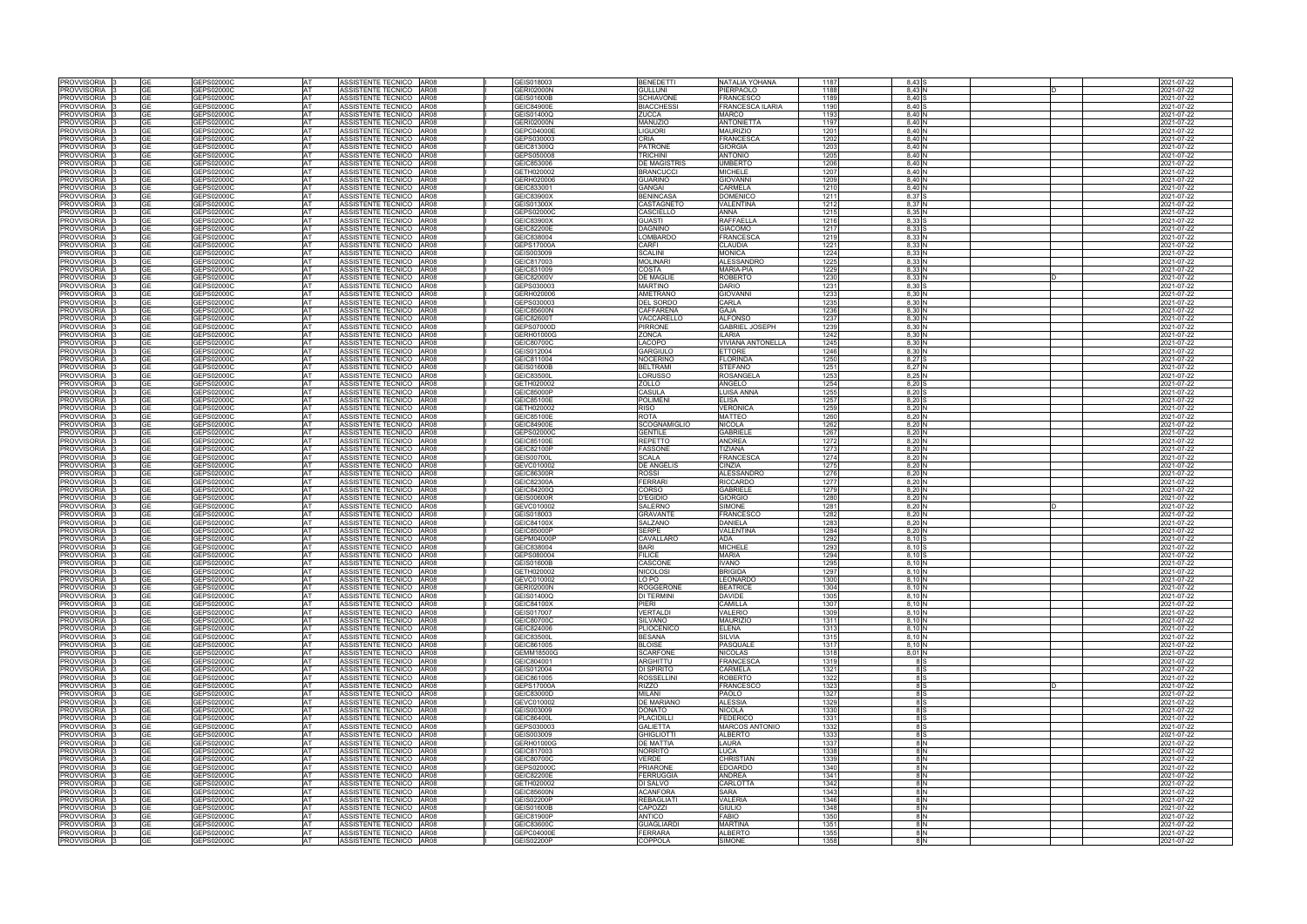| <b>PROVVISORIA</b> |           |                          |            |                                                       |                          |                     |                          |              |            |  |                                                      |
|--------------------|-----------|--------------------------|------------|-------------------------------------------------------|--------------------------|---------------------|--------------------------|--------------|------------|--|------------------------------------------------------|
|                    | GЕ        | GEPS02000C               | AT         | ASSISTENTE TECNICO AR08                               | GEIS018003               | <b>BENEDETTI</b>    | NATALIA YOHANA           | 1187         | 8,43 S     |  | 2021-07-22                                           |
| PROVVISORIA        | GЕ        | GEPS02000C               | AT         | ASSISTENTE TECNICO AR08                               | <b>GERI02000N</b>        | GULLUNI             | <b>PIERPAOLO</b>         | 1188         | 8,43 N     |  | 2021-07-22                                           |
| <b>PROVVISORIA</b> | GЕ        | GEPS02000C               | AT         | ASSISTENTE TECNICO AR08                               | <b>GEIS01600B</b>        | <b>SCHIAVONE</b>    | <b>FRANCESCO</b>         | 1189         | 8,40 S     |  | 2021-07-22                                           |
| PROVVISORIA        |           | GEPS02000C               | AT         | ASSISTENTE TECNICO AR08                               | <b>GEIC84900E</b>        | <b>BIACCHESS</b>    | <b>FRANCESCA ILARIA</b>  | 1190         | 8,40 S     |  | 2021-07-22                                           |
| <b>PROVVISORIA</b> | GЕ        | GEPS02000C               | AT         | ASSISTENTE TECNICO AR08                               | GEIS01400Q               | <b>ZUCCA</b>        | <b>MARCO</b>             | 1193         | 8,40 N     |  | 2021-07-22                                           |
| PROVVISORIA        | GЕ        | GEPS02000C               | AT         | ASSISTENTE TECNICO<br>AR08                            | <b>GERI02000N</b>        | <b>MANUZIO</b>      | <b>ANTONIETTA</b>        | 1197         | 8,40 N     |  | 2021-07-22                                           |
| <b>PROVVISORIA</b> | GE        | GEPS02000C               | <b>AT</b>  | ASSISTENTE TECNICO AR08                               | <b>GEPC04000E</b>        | LIGUORI             | <b>MAURIZIO</b>          | 1201         | 8.40 N     |  | 2021-07-22                                           |
| PROVVISORIA        | GЕ        | GEPS02000C               | <b>AT</b>  | ASSISTENTE TECNICO AR08                               | GEPS030003               | CRIA                | <b>FRANCESCA</b>         | 1202         | 8,40 N     |  | 2021-07-22                                           |
| PROVVISORIA        | GЕ        | GEPS02000C               | <b>AT</b>  | ASSISTENTE TECNICO<br>AR08                            | GEIC81300Q               | <b>PATRONE</b>      | <b>GIORGIA</b>           | 1203         | 8,40 N     |  | 2021-07-22                                           |
| PROVVISORIA        | GЕ        | GEPS02000C               | <b>AT</b>  | ASSISTENTE TECNICO   AR08                             | GEPS050008               | <b>TRICHINI</b>     | <b>ANTONIO</b>           | 1205         | 8,40 N     |  | 2021-07-22                                           |
| PROVVISORIA        | <b>GE</b> | GEPS02000C               | <b>AT</b>  | ASSISTENTE TECNICO<br><b>AR08</b>                     | GEIC853006               | <b>DE MAGISTRIS</b> | <b>UMBERTO</b>           | 1206         | 8.40 N     |  | 2021-07-22                                           |
| <b>PROVVISORIA</b> |           | GEPS02000C               | AT         | ASSISTENTE TECNICO AR08                               | GETH020002               | <b>BRANCUCC</b>     | <b>MICHELE</b>           | 1207         | 8.40 N     |  | 2021-07-22                                           |
| PROVVISORIA        | GE        | GEPS02000C               | <b>AT</b>  | ASSISTENTE TECNICO   AR08                             | GERH020006               | <b>GUARINO</b>      | <b>GIOVANNI</b>          | 1209         | 8.40N      |  | 2021-07-22                                           |
| <b>PROVVISORIA</b> | GЕ        | GEPS02000C               | AT         | ASSISTENTE TECNICO<br>AR08                            | GEIC833001               | GANGAI              | <b>CARMELA</b>           | 1210         | $8,40$ N   |  | 2021-07-22                                           |
| <b>PROVVISORIA</b> | GЕ        | GEPS02000C               | AT         | ASSISTENTE TECNICO<br><b>AR08</b>                     | GEIC83900X               | <b>BENINCASA</b>    | <b>DOMENICO</b>          | 1211         | 8,37 S     |  | 2021-07-22                                           |
| <b>PROVVISORIA</b> | GE        | GEPS02000C               | <b>AT</b>  | ASSISTENTE TECNICO AR08                               | <b>GEIS01300X</b>        | CASTAGNETO          | VALENTINA                | 1212         | 8,37 N     |  | 2021-07-22                                           |
| PROVVISORIA        | GЕ        | GEPS02000C               | <b>AT</b>  | <b>AR08</b><br>ASSISTENTE TECNICO                     | GEPS02000C               | CASCIELLO           | <b>ANNA</b>              | 1215         | $8,35$ N   |  | 2021-07-22                                           |
| <b>PROVVISORIA</b> | GЕ        | GEPS02000C               | AT         | ASSISTENTE TECNICO<br>AR08                            | GEIC83900X               | <b>GUASTI</b>       | <b>RAFFAELLA</b>         | 1216         | 8,33       |  | 2021-07-22                                           |
| <b>PROVVISORIA</b> | GЕ        | GEPS02000C               | AT         | ASSISTENTE TECNICO<br>AR08                            | <b>GEIC82200E</b>        | <b>DAGNINO</b>      | <b>GIACOMO</b>           | 1217         | 8,33       |  | 2021-07-22                                           |
| PROVVISORIA        | GE        | GEPS02000C               | AT         | ASSISTENTE TECNICO<br><b>AR08</b>                     | GEIC838004               | <b>OMBARDO</b>      | <b>FRANCESCA</b>         | 1219         | 8,33       |  | 2021-07-22                                           |
| <b>PROVVISORIA</b> | GЕ        | GEPS02000C               | AT         | ASSISTENTE TECNICO<br>AR08                            | GEPS17000A               | CARFI               | <b>CLAUDIA</b>           | 1221         | 8,33N      |  | 2021-07-22                                           |
| <b>PROVVISORIA</b> | <b>GE</b> | GEPS02000C               | <b>AT</b>  | ASSISTENTE TECNICO<br>AR08                            | GEIS003009               | SCALINI             | <b>MONICA</b>            | 1224         | 8,33N      |  | 2021-07-22                                           |
| PROVVISORIA        | GΕ        | GEPS02000C               | AT         | ASSISTENTE TECNICO<br><b>AR08</b>                     | GEIC817003               | <b>MOLINARI</b>     | <b>ALESSANDRO</b>        | 1225         | 8,33N      |  | 2021-07-22                                           |
| <b>PROVVISORIA</b> | GE        | GEPS02000C               | AT         | ASSISTENTE TECNICO<br><b>AR08</b>                     | GEIC831009               | COSTA               | <b>MARIA-PIA</b>         | 1229         | 8,33N      |  | 2021-07-22                                           |
| <b>PROVVISORIA</b> | GЕ        | GEPS02000C               | AT         | ASSISTENTE TECNICO AR08                               | GEIC82000V               | DE MAGLIE           | <b>ROBERTO</b>           | 1230         | 8,33N      |  | 2021-07-22                                           |
| <b>PROVVISORIA</b> | GЕ        |                          | <b>AT</b>  | <b>AR08</b>                                           |                          | <b>MARTINO</b>      | <b>DARIO</b>             |              | 8,30       |  |                                                      |
|                    |           | GEPS02000C<br>GEPS02000C | AT         | ASSISTENTE TECNICO                                    | GEPS030003<br>GERH020006 | AMETRANO            | <b>GIOVANNI</b>          | 1231<br>1233 | 8,30 N     |  | 021-07-22                                            |
| PROVVISORIA        | GE        |                          |            | ASSISTENTE TECNICO<br>AR08                            |                          |                     |                          |              |            |  | 2021-07-22                                           |
| <b>PROVVISORIA</b> | GЕ        | GEPS02000C               | AT         | ASSISTENTE TECNICO<br>AR08<br>ASSISTENTE TECNICO AR08 | GEPS030003               | <b>DEL SORDO</b>    | <b>CARLA</b>             | 1235         | 8,30 N     |  | 2021-07-22                                           |
| PROVVISORIA        |           | GEPS02000C               | AT         |                                                       | <b>GEIC85600N</b>        | CAFFARENA           | <b>GAJA</b>              | 1236         | 8,30 N     |  | 2021-07-22                                           |
| <b>PROVVISORIA</b> | GЕ        | GEPS02000C               | AT         | ASSISTENTE TECNICO<br>AR08                            | <b>GEIC82600T</b>        | VACCARELLO          | <b>ALFONSO</b>           | 1237         | 8,30 N     |  | 2021-07-22                                           |
| <b>PROVVISORIA</b> | GЕ        | GEPS02000C               | AT         | ASSISTENTE TECNICO<br>AR08                            | GEPS07000D               | <b>PIRRONE</b>      | <b>GABRIEL JOSEPH</b>    | 1239         | 8,30 N     |  | 2021-07-22                                           |
| <b>PROVVISORIA</b> | GЕ        | GEPS02000C               | AT         | ASSISTENTE TECNICO<br><b>AR08</b>                     | GERH01000G               | ZONCA               | <b>ILARIA</b>            | 1242         | 8,30 N     |  | 2021-07-22                                           |
| <b>PROVVISORIA</b> |           | GEPS02000C               | <b>AT</b>  | ASSISTENTE TECNICO AR08                               | GEIC80700C               | LACOPO              | <b>VIVIANA ANTONELLA</b> | 1245         | 8.30 N     |  | 2021-07-22                                           |
| PROVVISORIA        | GE        | GEPS02000C               | <b>AT</b>  | ASSISTENTE TECNICO AR08                               | GEIS012004               | <b>GARGIULO</b>     | <b>ETTORE</b>            | 1246         | 8,30 N     |  | 2021-07-22                                           |
| PROVVISORIA        | GF        | GEPS02000C               | AT         | <b>AR08</b><br>ASSISTENTE TECNICO                     | GEIC811004               | <b>NOCERINO</b>     | <b>FLORINDA</b>          | 1250         | 8,27 S     |  | 2021-07-22                                           |
| PROVVISORIA        | GE        | GEPS02000C               | <b>AT</b>  | ASSISTENTE TECNICO<br><b>AR08</b>                     | <b>GEIS01600B</b>        | <b>BELTRAMI</b>     | <b>STEFANO</b>           | 1251         | 8.27 N     |  | 2021-07-22                                           |
| PROVVISORIA        | GE        | GEPS02000C               | <b>AT</b>  | ASSISTENTE TECNICO AR08                               | <b>GEIC83500L</b>        | LORUSSO             | <b>ROSANGELA</b>         | 1253         | 8,25 N     |  | 2021-07-22                                           |
| <b>PROVVISORIA</b> | GЕ        | GEPS02000C               | <b>AT</b>  | ASSISTENTE TECNICO<br>AR <sub>08</sub>                | GETH020002               | <b>ZOLLO</b>        | <b>ANGELO</b>            | 1254         | 8,20S      |  | 2021-07-22                                           |
| PROVVISORIA        | GE        | GEPS02000C               | <b>AT</b>  | ASSISTENTE TECNICO AR08                               | GEIC85000P               | CASULA              | <b>LUISA ANNA</b>        | 1255         | 8,20       |  | 2021-07-22                                           |
| PROVVISORIA        | GЕ        | GEPS02000C               | AT         | ASSISTENTE TECNICO<br>AR <sub>08</sub>                | GEIC85100E               | POLIMENI            | <b>ELISA</b>             | 1257         | 8,20S      |  | 2021-07-22                                           |
| <b>PROVVISORIA</b> | GE        | <b>GEPS02000C</b>        | AT         | ASSISTENTE TECNICO AR08                               | GETH020002               | <b>RISO</b>         | <b>VERONICA</b>          | 1259         | $8,20$ $N$ |  | 2021-07-22                                           |
| PROVVISORIA        | GE        | GEPS02000C               | <b>AT</b>  | ASSISTENTE TECNICO<br><b>AR08</b>                     | GEIC85100E               | ROTA                | <b>MATTEO</b>            | 1260         | $8,20$ N   |  | 2021-07-22                                           |
| <b>PROVVISORIA</b> | GЕ        | GEPS02000C               | AT         | ASSISTENTE TECNICO<br>AR08                            | GEIC84900E               | SCOGNAMIGLIO        | <b>NICOLA</b>            | 1262         | $8,20$ N   |  | 2021-07-22                                           |
| PROVVISORIA        | GЕ        | GEPS02000C               | AT         | ASSISTENTE TECNICO<br><b>AR08</b>                     | GEPS02000C               | <b>GENTILE</b>      | <b>GABRIELE</b>          | 1267         | $8,20$ N   |  | 2021-07-22                                           |
| <b>PROVVISORIA</b> | GE        | GEPS02000C               | <b>AT</b>  | ASSISTENTE TECNICO AR08                               | GEIC85100E               | REPETTO             | <b>ANDREA</b>            | 1272         | $8,20$ $N$ |  | 2021-07-22                                           |
| PROVVISORIA        | GΕ        | GEPS02000C               | <b>AT</b>  | ASSISTENTE TECNICO<br>AR <sub>08</sub>                | GEIC82100P               | <b>FASSONE</b>      | <b>TIZIANA</b>           | 1273         | $8,20$ N   |  | 2021-07-22                                           |
| <b>PROVVISORIA</b> | GЕ        | GEPS02000C               | <b>AT</b>  | ASSISTENTE TECNICO<br>AR08                            | <b>GEIS00700L</b>        | <b>SCALA</b>        | <b>FRANCESCA</b>         | 1274         | 8,20 N     |  | 2021-07-22                                           |
| PROVVISORIA        | GЕ        | GEPS02000C               | AT         | ASSISTENTE TECNICO<br><b>AR08</b>                     | GEVC010002               | DE ANGELIS          | <b>CINZIA</b>            | 1275         | $8,20$ N   |  | 2021-07-22                                           |
|                    |           |                          |            |                                                       |                          |                     |                          |              |            |  |                                                      |
|                    |           |                          |            |                                                       |                          |                     |                          |              |            |  |                                                      |
| <b>PROVVISORIA</b> | GE        | GEPS02000C               | AT         | ASSISTENTE TECNICO<br><b>AR08</b>                     | GEIC86300R               | ROSSI               | <b>ALESSANDRO</b>        | 1276         | $8,20$ N   |  | 2021-07-22                                           |
| <b>PROVVISORIA</b> | GΕ        | GEPS02000C               | AT         | ASSISTENTE TECNICO<br>AR08                            | GEIC82300A               | <b>FERRARI</b>      | <b>RICCARDO</b>          | 1277         | $8,20$ N   |  | 2021-07-22                                           |
| <b>PROVVISORIA</b> | GЕ        | GEPS02000C               | <b>AT</b>  | ASSISTENTE TECNICO<br>AR08                            | GEIC84200Q               | CORSO               | <b>GABRIELE</b>          | 1279         | $8,20$ N   |  | 2021-07-22                                           |
| <b>PROVVISORIA</b> | GΕ        | GEPS02000C               | AT         | ASSISTENTE TECNICO<br>AR08                            | <b>GEIS00600R</b>        | <b>D'EGIDIO</b>     | <b>GIORGIO</b>           | 1280         | $8,20$ N   |  | 021-07-22                                            |
| PROVVISORIA        | GE        | GEPS02000C               | AT         | ASSISTENTE TECNICO AR08                               | GEVC010002               | <b>SALERNO</b>      | <b>SIMONE</b>            | 1281         | $8,20$ N   |  | 2021-07-22                                           |
| PROVVISORIA        | GΕ        | GEPS02000C               | AT         | ASSISTENTE TECNICO   AR08                             | GEIS018003               | <b>GRAVANTE</b>     | FRANCESCO                | 1282         | 8,20 N     |  | 2021-07-22                                           |
| <b>PROVVISORIA</b> | GЕ        | GEPS02000C               | AT         | ASSISTENTE TECNICO<br><b>AR08</b>                     | GEIC84100X               | SALZANO             | <b>DANIELA</b>           | 1283         | 8,20 N     |  | 2021-07-22                                           |
| <b>PROVVISORIA</b> | GE        | GEPS02000C               | AT         | ASSISTENTE TECNICO<br>AR08                            | GEIC85000P               | SERPE               | <b>VALENTINA</b>         | 1284         | 8,20 N     |  | 2021-07-22                                           |
| PROVVISORIA        | GЕ        | GEPS02000C               | <b>AT</b>  | ASSISTENTE TECNICO<br>AR <sub>08</sub>                | <b>GEPM04000P</b>        | CAVALLARO           | <b>ADA</b>               | 1292         | 8,10 S     |  | 2021-07-22                                           |
| PROVVISORIA        |           | GEPS02000C               | AT         | ASSISTENTE TECNICO AR08                               | GEIC838004               | <b>BARI</b>         | <b>MICHELE</b>           | 1293         | $8.10$ S   |  | 2021-07-22                                           |
| <b>PROVVISORIA</b> | GE        | GEPS02000C               | <b>AT</b>  | ASSISTENTE TECNICO AR08                               | GEPS080004               | <b>FILICE</b>       | <b>MARIA</b>             | 1294         | 8.10 S     |  | 2021-07-22                                           |
| PROVVISORIA        |           | GEPS02000C               | AT         | ASSISTENTE TECNICO AR08                               | <b>GEIS01600B</b>        | CASCONE             | <b>IVANO</b>             | 1295         | 8,10 N     |  |                                                      |
| PROVVISORIA        |           | GEPS02000C               | <b>IAT</b> | ASSISTENTE TECNICO AR08                               | GETH020002               | <b>NICOLOSI</b>     | <b>BRIGIDA</b>           | 1297         | 8,10 N     |  | 2021-07-22                                           |
| PROVVISORIA        | <b>GE</b> | GEPS02000C               | AT         | ASSISTENTE TECNICO   AR08                             | GEVC010002               | LO PO               | <b>LEONARDO</b>          | 1300         | 8.10 N     |  |                                                      |
| PROVVISORIA        | GE        | GEPS02000C               | <b>AT</b>  | ASSISTENTE TECNICO AR08                               | <b>GERI02000N</b>        | <b>ROGGERONE</b>    | <b>BEATRICE</b>          | 1304         | 8,10 N     |  | 2021-07-22                                           |
| PROVVISORIA        | GΕ        | GEPS02000C               | AT         | ASSISTENTE TECNICO AR08                               | GEIS01400Q               | DI TERMINI          | <b>DAVIDE</b>            | 1305         | 8,10 N     |  | 2021-07-22                                           |
| PROVVISORIA        | GЕ        | GEPS02000C               | AT         | ASSISTENTE TECNICO AR08                               | GEIC84100X               | PIERI               | <b>CAMILLA</b>           | 1307         | 8.10 N     |  |                                                      |
| PROVVISORIA        | GE        | GEPS02000C               | <b>AT</b>  | ASSISTENTE TECNICO AR08                               | GEIS017007               | VERTALDI            | <b>VALERIO</b>           | 1309         | 8,10 N     |  | 2021-07-22                                           |
| PROVVISORIA        | <b>GE</b> | GEPS02000C               | AT         | ASSISTENTE TECNICO AR08                               | GEIC80700C               | <b>SILVANO</b>      | <b>MAURIZIO</b>          | 1311         | 8,10 N     |  | 2021-07-22                                           |
| PROVVISORIA        | GE        | GEPS02000C               | AT         | ASSISTENTE TECNICO AR08                               | GEIC824006               | <b>PLIOCENICO</b>   | <b>ELENA</b>             | 1313         | $8,10$ N   |  | 2021-07-22                                           |
| PROVVISORIA        | GЕ        | GEPS02000C               | AT         | ASSISTENTE TECNICO AR08                               | <b>GEIC83500L</b>        | <b>BESANA</b>       | <b>SILVIA</b>            | 1315         | 8,10 N     |  | 2021-07-22<br>2021-07-22<br>2021-07-22<br>2021-07-22 |
| PROVVISORIA        | GЕ        | GEPS02000C               | AT         | ASSISTENTE TECNICO AR08                               | GEIC861005               | <b>BLOISE</b>       | <b>PASQUALE</b>          | 1317         | 8,10N      |  | 2021-07-22                                           |
| PROVVISORIA        | GE        | GEPS02000C               | AT         | ASSISTENTE TECNICO AR08                               | <b>GEMM18500G</b>        | <b>SCARFONE</b>     | <b>NICOLAS</b>           | 1318         | 8,01 N     |  | 2021-07-22                                           |
| PROVVISORIA        | GЕ        | GEPS02000C               | AT         | ASSISTENTE TECNICO AR08                               | GEIC804001               | ARGHITTU            | <b>FRANCESCA</b>         | 1319         |            |  | 2021-07-22                                           |
| PROVVISORIA        | GE        | GEPS02000C               | AT         | ASSISTENTE TECNICO AR08                               | GEIS012004               | DI SPIRITO          | <b>CARMELA</b>           | 1321         | -8 IS      |  | 2021-07-22                                           |
| PROVVISORIA        | <b>GE</b> | GEPS02000C               | AT         | ASSISTENTE TECNICO AR08                               | GEIC861005               | <b>ROSSELLINI</b>   | <b>ROBERTO</b>           | 1322         | 8 S        |  | 2021-07-22                                           |
| <b>PROVVISORIA</b> | GΕ        | GEPS02000C               | AT         | ASSISTENTE TECNICO AR08                               | GEPS17000A               | RIZZO               | <b>FRANCESCO</b>         | 1323         | -8 IS      |  | 2021-07-22                                           |
| PROVVISORIA        | GЕ        | GEPS02000C               | AT         | ASSISTENTE TECNICO AR08                               | GEIC83000D               | <b>MILANI</b>       | <b>PAOLO</b>             | 1327         | 8 S        |  | 2021-07-22                                           |
| PROVVISORIA        | GE        | GEPS02000C               | AT         | ASSISTENTE TECNICO AR08                               | GEVC010002               | DE MARIANO          | <b>ALESSIA</b>           | 1329         | -815       |  | 2021-07-22                                           |
| <b>PROVVISORIA</b> | GE        | GEPS02000C               | <b>AT</b>  | ASSISTENTE TECNICO AR08                               | GEIS003009               | DONATO              | <b>NICOLA</b>            | 1330         |            |  | 2021-07-22                                           |
| PROVVISORIA        | GЕ        | GEPS02000C               | AT         | ASSISTENTE TECNICO AR08                               | <b>GEIC86400L</b>        | <b>PLACIDILLI</b>   | <b>FEDERICO</b>          | 1331         | 8 S        |  | 2021-07-22                                           |
| PROVVISORIA        | GE        | GEPS02000C               | AT         | ASSISTENTE TECNICO AR08                               | GEPS030003               | <b>GALIETTA</b>     | <b>MARCOS ANTONIO</b>    | 1332         | 8 S        |  | 2021-07-22                                           |
| PROVVISORIA        | GЕ        | GEPS02000C               | AT         | ASSISTENTE TECNICO AR08                               | GEIS003009               | <b>GHIGLIOTTI</b>   | ALBERTO                  | 1333         |            |  | 2021-07-22                                           |
| PROVVISORIA        | <b>GE</b> | GEPS02000C               | AT         | ASSISTENTE TECNICO AR08                               | GERH01000G               | <b>DE MATTIA</b>    | LAURA                    | 1337         | 8 N        |  | 2021-07-22                                           |
| PROVVISORIA        | GΕ        | GEPS02000C               | AT         | ASSISTENTE TECNICO AR08                               | GEIC817003               | <b>NORRITO</b>      | LUCA                     | 1338         | 8 N        |  | 2021-07-22                                           |
| PROVVISORIA        | GE        | GEPS02000C               | AT         | ASSISTENTE TECNICO AR08                               | GEIC80700C               | <b>VERDE</b>        | <b>CHRISTIAN</b>         | 1339         | 8 N        |  | 2021-07-22                                           |
| PROVVISORIA        | GЕ        | GEPS02000C               | AT         | ASSISTENTE TECNICO AR08                               | GEPS02000C               | <b>PRIARONE</b>     | <b>EDOARDO</b>           | 1340         | 8 N        |  | 2021-07-22                                           |
| PROVVISORIA        | GE        | GEPS02000C               | AT         | ASSISTENTE TECNICO   AR08                             | GEIC82200E               | <b>FERRUGGIA</b>    | <b>ANDREA</b>            | 1341         | 8 N        |  | 2021-07-22                                           |
| PROVVISORIA        | GЕ        | GEPS02000C               | AT         | ASSISTENTE TECNICO AR08                               | GETH020002               | DI SALVO            | <b>CARLOTTA</b>          | 1342         | 8 N        |  | 2021-07-22                                           |
| PROVVISORIA        | <b>GE</b> | GEPS02000C               | AT         | ASSISTENTE TECNICO AR08                               | <b>GEIC85600N</b>        | <b>ACANFORA</b>     | <b>SARA</b>              | 1343         | 8 N        |  | 2021-07-22                                           |
| PROVVISORIA        | GЕ        | GEPS02000C               | AT         | ASSISTENTE TECNICO AR08                               | <b>GEIS02200P</b>        | <b>REBAGLIATI</b>   | <b>VALERIA</b>           | 1346         | 8 N        |  | 2021-07-22                                           |
| PROVVISORIA        | GE        | GEPS02000C               | AT         | ASSISTENTE TECNICO AR08                               | <b>GEIS01600B</b>        | CAPOZZI             | <b>GIULIO</b>            | 1348         | 8 N        |  | 2021-07-22                                           |
| PROVVISORIA        |           | GEPS02000C               | <b>AT</b>  | ASSISTENTE TECNICO AR08                               | GEIC81900P               | ANTICO              | <b>FABIO</b>             | 1350         | 8 N        |  | 2021-07-22                                           |
| PROVVISORIA        | GE        | GEPS02000C               | AT         | ASSISTENTE TECNICO AR08                               | GEIC83600C               | <b>GUAGLIARDI</b>   | <b>MARTINA</b>           | 1351         | 8 N        |  | 2021-07-22                                           |
| PROVVISORIA        | <b>GE</b> | GEPS02000C               | AT         | ASSISTENTE TECNICO AR08                               | GEPC04000E               | <b>FERRARA</b>      | <b>ALBERTO</b>           | 1355         | 8 N        |  | 2021-07-22                                           |
| PROVVISORIA 3      | GE        | GEPS02000C               | AT         | ASSISTENTE TECNICO AR08                               | <b>GEIS02200P</b>        | COPPOLA             | <b>SIMONE</b>            | 1358         | 8 N        |  | 2021-07-22                                           |

|   | 2021-07-22               |
|---|--------------------------|
| D | 2021-07-22               |
|   | 2021-07-22               |
|   | 2021-07-22               |
|   |                          |
|   | 2021-07-22               |
|   | 2021-07-22               |
|   | 2021-07-22               |
|   | 2021-07-22               |
|   |                          |
|   | 2021-07-22               |
|   | 2021-07-22               |
|   | 2021-07-22               |
|   | 2021-07-22               |
|   |                          |
|   | 2021-07-22               |
|   | 2021-07-22               |
|   | 2021-07-22               |
|   | 2021-07-22               |
|   | 2021-07-22               |
|   |                          |
|   | 2021-07-22               |
|   | 2021-07-22               |
|   | 2021-07-22               |
|   | 2021-07-22               |
|   | 2021-07-22               |
|   |                          |
|   | 2021-07-22               |
|   | 2021-07-22               |
| D | 2021-07-22               |
|   | 2021-07-22               |
|   | 2021-07-22               |
|   |                          |
|   | 2021-07-22               |
|   | 2021-07-22               |
|   | 2021-07-22               |
|   | 2021-07-22               |
|   | 2021-07-22               |
|   |                          |
|   | 2021-07-22               |
|   | 2021-07-22               |
|   | 2021-07-22               |
|   | 2021-07-22               |
|   | 2021-07-22               |
|   | 2021-07-22               |
|   |                          |
|   | 2021-07-22               |
|   | 2021-07-22               |
|   | 2021-07-22               |
|   | 2021-07-22               |
|   |                          |
|   | 2021-07-22               |
|   | 2021-07-22               |
|   | 2021-07-22               |
|   | 2021-07-22               |
|   |                          |
|   |                          |
|   | 2021-07-22               |
|   | 2021-07-22               |
|   | 2021-07-22               |
|   | 2021-07-22               |
|   | 2021-07-22               |
|   | 2021-07-22               |
|   |                          |
| D | 2021-07-22               |
|   | 2021-07-22               |
|   | 2021-07-22               |
|   | 2021-07-22               |
|   | 2021-07-22               |
|   | 2021-07-22               |
|   |                          |
|   | 2021-07-22               |
|   | 2021-07-22               |
|   | 2021-07-22               |
|   | 2021-07-22               |
|   | 2021-07-22               |
|   | 2021-07-22               |
|   |                          |
|   | 2021-07-22               |
|   | 2021-07-22               |
|   | 2021-07-22               |
|   | 2021-07-22               |
|   | 2021-07-22               |
|   | 2021-07-22               |
|   | 2021-07-22               |
|   |                          |
|   | 2021-07-22               |
|   | 2021-07-22               |
|   | 2021-07-22               |
| D | 2021-07-22               |
|   | 2021-07-22               |
|   | 2021-07-22               |
|   |                          |
|   | 2021-07-22               |
|   | 2021-07-22               |
|   | 2021-07-22               |
|   | 2021-07-22               |
|   | 2021-07-22               |
|   | 2021-07-22               |
|   |                          |
|   | 2021-07-22               |
|   | 2021-07-22               |
|   | 2021-07-22               |
|   | 2021-07-22               |
|   | 2021-07-22               |
|   | 2021-07-22               |
|   |                          |
|   | 2021-07-22               |
|   | 2021-07-22               |
|   | 2021-07-22               |
|   | 2021-07-22<br>2021-07-22 |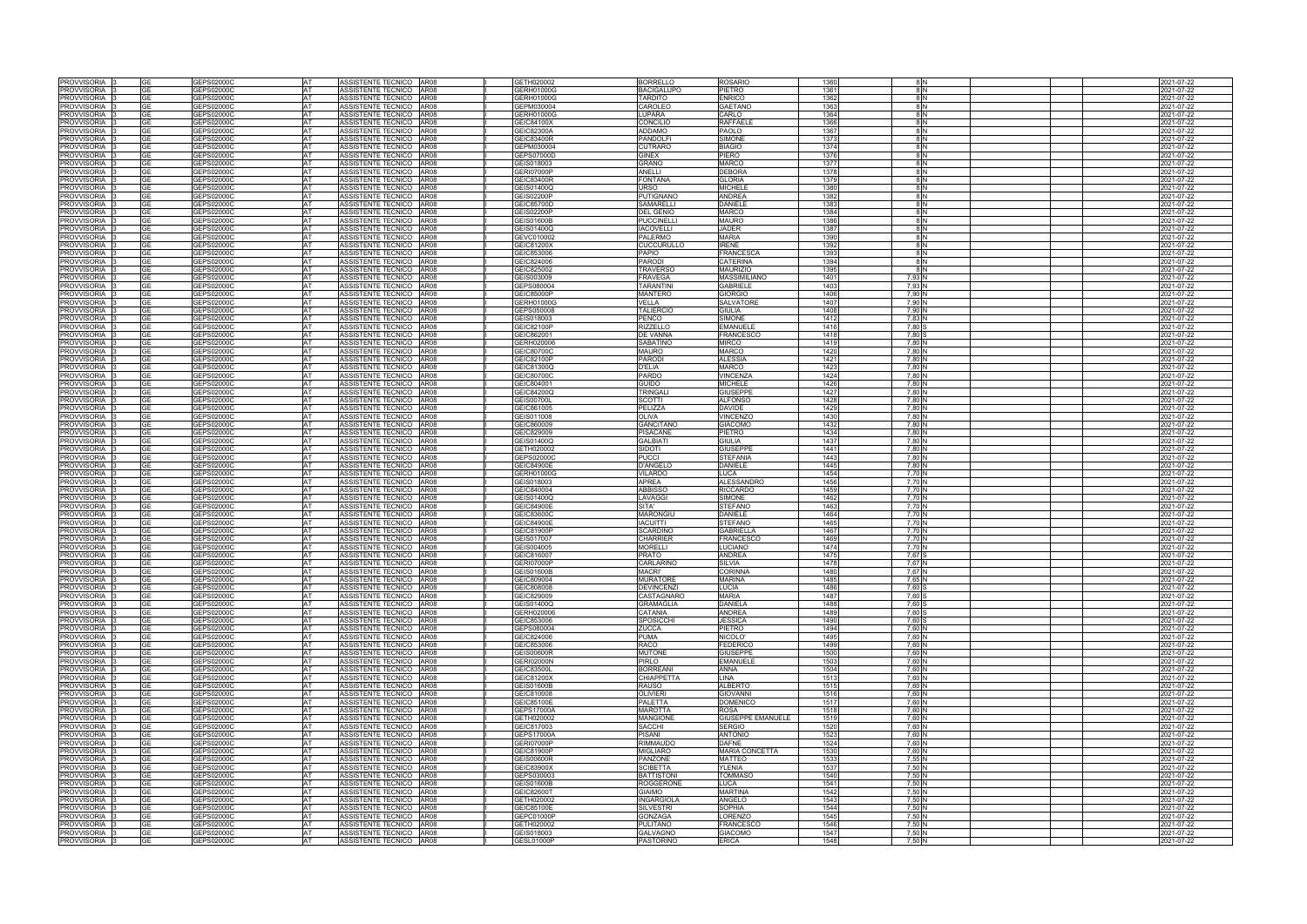| PROVVISORIA                    | GE        | GEPS02000C               | <b>AT</b> | ASSISTENTE TECNICO AR08                            | GETH020002               | <b>BORRELLO</b>              | <b>ROSARIO</b>        | 1360 |                   |  | 2021-07-22               |
|--------------------------------|-----------|--------------------------|-----------|----------------------------------------------------|--------------------------|------------------------------|-----------------------|------|-------------------|--|--------------------------|
| PROVVISORIA                    | GЕ        | GEPS02000C               | AT        | ASSISTENTE TECNICO AR08                            | GERH01000G               | <b>BACIGALUPO</b>            | PIETRO                | 1361 |                   |  | 2021-07-22               |
| PROVVISORIA                    | <b>GE</b> | GEPS02000C               | AT        | ASSISTENTE TECNICO AR08                            | GERH01000G               | <b>TARDITO</b>               | <b>ENRICO</b>         | 1362 |                   |  | 2021-07-22               |
| PROVVISORIA                    | <b>GE</b> | GEPS02000C               | <b>AT</b> | ASSISTENTE TECNICO AR08                            | GEPM030004               | CAROLEO                      | <b>GAETANO</b>        | 1363 | 8 N               |  | 2021-07-22               |
| PROVVISORIA                    | <b>GE</b> | GEPS02000C               | AT        | ASSISTENTE TECNICO AR08                            | GERH01000G               | LUPARA                       | CARLO                 | 1364 |                   |  | 2021-07-22               |
| PROVVISORIA                    | <b>GE</b> | GEPS02000C               | AT        | ASSISTENTE TECNICO AR08                            | GEIC84100X               | CONCILIO                     | RAFFAELE              | 1366 | -8 IN             |  | 2021-07-22               |
| PROVVISORIA                    | GE        | GEPS02000C               | <b>AT</b> | ASSISTENTE TECNICO AR08                            | GEIC82300A               | <b>ADDAMO</b>                | PAOLO                 | 1367 | 8 N               |  | 2021-07-22               |
| PROVVISORIA                    | GЕ        | GEPS02000C               | AT        | ASSISTENTE TECNICO AR08                            | GEIC83400R               | <b>PANDOLF</b>               | SIMONE                | 1373 | 8 N               |  | 2021-07-22               |
| PROVVISORIA                    | GE        | GEPS02000C               | AT        | ASSISTENTE TECNICO<br>AR08                         | GEPM030004               | <b>CUTRARO</b>               | <b>BIAGIO</b>         | 1374 | 8 N               |  | 2021-07-22               |
| PROVVISORIA                    | <b>GE</b> | GEPS02000C               | AT        | ASSISTENTE TECNICO AR08                            | GEPS07000D               | <b>GINEX</b>                 | PIERO                 | 1376 | -8 IN             |  | 2021-07-22               |
| PROVVISORIA                    | <b>GE</b> | GEPS02000C               | <b>AT</b> | ASSISTENTE TECNICO AR08                            | GEIS018003               | <b>GRANO</b>                 | <b>MARCO</b>          | 1377 | 8 N               |  | 2021-07-22               |
| PROVVISORIA                    |           | GEPS02000C               | AT        | ASSISTENTE TECNICO AR08                            | <b>GERI07000P</b>        | ANELLI                       | <b>DEBORA</b>         | 1378 | 8 N               |  | 2021-07-22               |
| PROVVISORIA                    | GF        | GEPS02000C               | AT        | ASSISTENTE TECNICO AR08                            | GEIC83400R               | <b>FONTANA</b>               | <b>GLORIA</b>         | 1379 | 8 N               |  | 2021-07-22               |
| PROVVISORIA                    | GE        | GEPS02000C               | AT        | ASSISTENTE TECNICO AR08                            | GEIS01400Q               | URSO                         | <b>MICHELE</b>        | 1380 | 8 <sub>IN</sub>   |  | 2021-07-22               |
| PROVVISORIA 3                  | <b>GE</b> | GEPS02000C               | AT        | ASSISTENTE TECNICO AR08                            | GEIS02200P               | <b>PUTIGNANO</b>             | <b>ANDREA</b>         | 1382 | 8 N               |  | 2021-07-22               |
| PROVVISORIA 3                  | GE        | GEPS02000C               | AT        | ASSISTENTE TECNICO AR08                            | GEIC85700D               | <b>SAMARELLI</b>             | <b>DANIELE</b>        | 1383 | 8 N               |  | 2021-07-22               |
| PROVVISORIA                    | GE        | GEPS02000C               | <b>AT</b> | ASSISTENTE TECNICO AR08                            | <b>GEIS02200P</b>        | <b>DEL GENIO</b>             | <b>MARCO</b>          | 1384 | 8 N               |  | 2021-07-22               |
| PROVVISORIA                    | GЕ        | GEPS02000C               | AT        | ASSISTENTE TECNICO AR08                            | <b>GEIS01600B</b>        | <b>PUCCINELLI</b>            | <b>MAURO</b>          | 1386 | 8 I N             |  | 2021-07-22               |
| PROVVISORIA 3                  | <b>GE</b> | GEPS02000C               | <b>AT</b> | ASSISTENTE TECNICO AR08                            | GEIS01400Q               | <b>IACOVELLI</b>             | <b>JADER</b>          | 1387 | 8 N               |  | 2021-07-22               |
|                                | GE        |                          | AT        |                                                    |                          |                              | <b>MARIA</b>          | 1390 |                   |  |                          |
| PROVVISORIA 3<br>PROVVISORIA 3 | GE.       | GEPS02000C<br>GEPS02000C | <b>AT</b> | ASSISTENTE TECNICO AR08<br>ASSISTENTE TECNICO AR08 | GEVC010002<br>GEIC81200X | PALERMO<br><b>CUCCURULLO</b> | <b>IRENE</b>          | 1392 | 8 N               |  | 2021-07-22<br>2021-07-22 |
| PROVVISORIA 3                  | <b>GE</b> | GEPS02000C               | AT        | ASSISTENTE TECNICO AR08                            | GEIC853006               | PAPIO                        | <b>FRANCESCA</b>      | 1393 | 8 N               |  |                          |
|                                |           |                          | <b>AT</b> | ASSISTENTE TECNICO   AR08                          |                          |                              | <b>CATERINA</b>       | 1394 |                   |  | 2021-07-22               |
| PROVVISORIA 3                  | GE        | GEPS02000C               |           |                                                    | GEIC824006               | <b>PARODI</b>                |                       |      | 8 N               |  | 2021-07-22               |
| PROVVISORIA 13                 | GE        | GEPS02000C               | <b>AT</b> | ASSISTENTE TECNICO AR08                            | GEIC825002               | <b>TRAVERSC</b>              | <b>MAURIZIO</b>       | 1395 | 8 N               |  | 2021-07-22               |
| PROVVISORIA 13                 | <b>GE</b> | GEPS02000C               | <b>AT</b> | ASSISTENTE TECNICO AR08                            | GEIS003009               | <b>FRAVEGA</b>               | <b>MASSIMILIANO</b>   | 1401 | 7.93 N            |  | 2021-07-22               |
| PROVVISORIA 3                  | <b>GE</b> | GEPS02000C               | AT        | ASSISTENTE TECNICO   AR08                          | GEPS080004               | <b>TARANTINI</b>             | <b>GABRIELE</b>       | 1403 | 7.93 <sup>N</sup> |  | 021-07-22                |
| PROVVISORIA 3                  | GE.       | GEPS02000C               | <b>AT</b> | ASSISTENTE TECNICO AR08                            | GEIC85000P               | <b>MANTERO</b>               | <b>GIORGIO</b>        | 1406 | 7,90 <sup>N</sup> |  | 2021-07-22               |
| PROVVISORIA                    | <b>GE</b> | GEPS02000C               | AT        | ASSISTENTE TECNICO AR08                            | GERH01000G               | VELLA                        | SALVATORE             | 1407 | 7,90 M            |  | 2021-07-22               |
| PROVVISORIA                    | GE        | GEPS02000C               | AT        | ASSISTENTE TECNICO AR08                            | GEPS050008               | <b>TALIERCIO</b>             | <b>GIULIA</b>         | 1408 | 7,90 N            |  | 2021-07-22               |
| PROVVISORIA                    | <b>GE</b> | GEPS02000C               | AT        | ASSISTENTE TECNICO AR08                            | GEIS018003               | PENCO                        | <b>SIMONE</b>         | 1412 | 7,83              |  | 2021-07-22               |
| PROVVISORIA                    | GE        | GEPS02000C               | AT        | ASSISTENTE TECNICO AR08                            | GEIC82100P               | <b>RIZZELLO</b>              | <b>EMANUELE</b>       | 1416 | 7,80              |  | 2021-07-22               |
| PROVVISORIA                    | <b>GE</b> | GEPS02000C               | AT        | ASSISTENTE TECNICO AR08                            | GEIC862001               | DE VANNA                     | <b>FRANCESCC</b>      | 1418 | 7,80              |  | 2021-07-22               |
| PROVVISORIA                    | GE        | GEPS02000C               | <b>AT</b> | ASSISTENTE TECNICO AR08                            | GERH020006               | <b>SABATINO</b>              | <b>MIRCO</b>          | 1419 | 7.80 N            |  | 2021-07-22               |
| PROVVISORIA                    | <b>GE</b> | GEPS02000C               | AT        | ASSISTENTE TECNICO AR08                            | GEIC80700C               | <b>MAURO</b>                 | <b>MARCO</b>          | 1420 | 7,80 N            |  | 2021-07-22               |
| PROVVISORIA                    | GЕ        | GEPS02000C               | AT        | ASSISTENTE TECNICO AR08                            | GEIC82100P               | <b>PARODI</b>                | <b>ALESSIA</b>        | 1421 | 7,80 <sup>N</sup> |  | 2021-07-22               |
| PROVVISORIA                    | <b>GE</b> | GEPS02000C               | AT        | ASSISTENTE TECNICO AR08                            | GEIC81300Q               | <b>D'ELIA</b>                | <b>MARCO</b>          | 1423 | 7,80 N            |  | 2021-07-22               |
| PROVVISORIA                    | GE        | GEPS02000C               | AT        | ASSISTENTE TECNICO AR08                            | GEIC80700C               | <b>PARDO</b>                 | <b>JINCENZA</b>       | 1424 | 7,80 N            |  | 2021-07-22               |
| PROVVISORIA                    | <b>GE</b> | GEPS02000C               | AT        | ASSISTENTE TECNICO<br>AR08                         | GEIC804001               | <b>GUIDO</b>                 | <b>MICHELE</b>        | 1426 | 7,80 N            |  | 2021-07-22               |
| PROVVISORIA                    | GЕ        | GEPS02000C               | AT        | ASSISTENTE TECNICO AR08                            | GEIC84200Q               | <b>TRINGAL</b>               | <b>GIUSEPPE</b>       | 1427 | 7,80 <sup>N</sup> |  | 021-07-22                |
| PROVVISORIA                    | GE        | GEPS02000C               | AT        | ASSISTENTE TECNICO AR08                            | <b>GEIS00700L</b>        | <b>SCOTTI</b>                | <b>ALFONSO</b>        | 1428 | 7,80 N            |  | 2021-07-22               |
| PROVVISORIA 3                  | <b>GE</b> | GEPS02000C               | AT        | ASSISTENTE TECNICO AR08                            | GEIC861005               | PELIZZA                      | <b>DAVIDE</b>         | 1429 | 7,80 N            |  | 2021-07-22               |
| PROVVISORIA                    | GE        | GEPS02000C               | <b>AT</b> | ASSISTENTE TECNICO AR08                            | GEIS011008               | <b>OLIVA</b>                 | <b>/INCENZO</b>       | 1430 | 7,80 N            |  | 2021-07-22               |
| PROVVISORIA                    | GE        | GEPS02000C               | AT        | ASSISTENTE TECNICO AR08                            | GEIC860009               | <b>GANCITANO</b>             | <b>GIACOMO</b>        | 1432 | 7,80 N            |  | 2021-07-22               |
| PROVVISORIA 3                  | <b>GE</b> | GEPS02000C               | AT        | ASSISTENTE TECNICO AR08                            | GEIC829009               | <b>PISACANE</b>              | PIETRO                | 1434 | 7,80 N            |  | 2021-07-22               |
| PROVVISORIA 3                  | GE        | GEPS02000C               | AT        | ASSISTENTE TECNICO AR08                            | GEIS01400Q               | <b>GALBIATI</b>              | GIULIA                | 1437 | 7,80 N            |  | 2021-07-22               |
| PROVVISORIA 3                  | GE        | GEPS02000C               | <b>AT</b> | ASSISTENTE TECNICO AR08                            | GETH020002               | SIDOTI                       | <b>GIUSEPPE</b>       | 1441 | 7,80 N            |  | 2021-07-22               |
| PROVVISORIA 13                 | GE.       | GEPS02000C               | <b>AT</b> | ASSISTENTE TECNICO AR08                            | GEPS02000C               | <b>PUCCI</b>                 | <b>STEFANIA</b>       | 1443 | 7.80 N            |  | 2021-07-22               |
| PROVVISORIA 3                  | <b>GE</b> | GEPS02000C               | AT        | ASSISTENTE TECNICO   AR08                          | <b>GEIC84900E</b>        | <b>D'ANGELO</b>              | <b>DANIELE</b>        | 1445 | 7.80 N            |  | 2021-07-22               |
| PROVVISORIA 3                  |           | GEPS02000C               | AT        | ASSISTENTE TECNICO   AR08                          | GERH01000G               | VILARDO                      | LUCA.                 | 1454 | 7.70 N            |  | 2021-07-22               |
| PROVVISORIA 13                 | <b>GE</b> | GEPS02000C               | <b>AT</b> | ASSISTENTE TECNICO AR08                            | GEIS018003               | <b>APREA</b>                 | <b>ALESSANDRO</b>     | 1456 | 7.70 N            |  | 2021-07-22               |
| PROVVISORIA 3                  | <b>GE</b> | GEPS02000C               | AT        | ASSISTENTE TECNICO   AR08                          | GEIC840004               | <b>ABBISSO</b>               | <b>RICCARDO</b>       | 1459 | 7.70 N            |  | 2021-07-22               |
| PROVVISORIA I:                 | GE        | GEPS02000C               | AT        | ASSISTENTE TECNICO AR08                            | GEIS01400Q               | LAVAGGI                      | <b>SIMONE</b>         | 1462 | 7.70 N            |  | 2021-07-22               |
| PROVVISORIA 3                  | <b>GE</b> | GEPS02000C               | AT        | ASSISTENTE TECNICO AR08                            | GEIC84900E               | SITA'                        | <b>STEFANO</b>        | 1463 | 7,70 <sup>N</sup> |  | 2021-07-22               |
| PROVVISORIA                    | GЕ        | GEPS02000C               | <b>AT</b> | ASSISTENTE TECNICO AR08                            | GEIC83600C               | <b>MARONGIU</b>              | DANIELE               | 1464 | 7,70 N            |  | 2021-07-22               |
| PROVVISORIA                    | <b>GE</b> | GEPS02000C               | AT        | ASSISTENTE TECNICO AR08                            | GEIC84900E               | <b>IACUITTI</b>              | STEFANO               | 1465 | 7,70 <sup>N</sup> |  | 2021-07-22               |
|                                | GE.       | GEPS02000C               | AT        |                                                    | GEIC81900P               | <b>SCARDINO</b>              | <b>GABRIELLA</b>      | 1467 | 7,70 N            |  | 2021-07-22               |
| PROVVISORIA                    | <b>GE</b> |                          | AT        | ASSISTENTE TECNICO AR08<br>ASSISTENTE TECNICO AR08 |                          |                              |                       | 1469 | 7,70 <sup>N</sup> |  |                          |
| PROVVISORIA                    |           | GEPS02000C               |           |                                                    | GEIS017007               | <b>CHARRIER</b>              | <b>FRANCESCC</b>      |      |                   |  | 2021-07-22               |
| PROVVISORIA                    | GE        | GEPS02000C               | AT        | ASSISTENTE TECNICO AR08                            | GEIS004005               | <b>MORELLI</b>               | <b>UCIANO</b>         | 1474 | 7,70 N            |  | 2021-07-22               |
| PROVVISORIA                    | GE        | GEPS02000C               | AT        | ASSISTENTE TECNICO AR08                            | GEIC816007               | <b>PRATO</b>                 | ANDREA                | 1475 | 7.67              |  | 2021-07-22               |
| PROVVISORIA                    | GE        | GEPS02000C               | AT        | ASSISTENTE TECNICO AR08                            | <b>GERI07000P</b>        | CARLARINO                    | SILVIA                | 1478 | 7,67 N            |  | 2021-07-22               |
| PROVVISORIA 3                  |           | GEPS02000C               | AT        | ASSISTENTE TECNICO AR08                            | <b>GEIS01600B</b>        | <b>MACRI'</b>                | <b>CORINNA</b>        | 1480 | 7,67 N            |  | 2021-07-22               |
| PROVVISORIA 3                  | <b>GE</b> | GEPS02000C               | AT        | ASSISTENTE TECNICO AR08                            | GEIC809004               | <b>MURATORE</b>              | <b>MARINA</b>         | 1485 | 7,65 N            |  | 2021-07-22               |
| PROVVISORIA                    | <b>GE</b> | GEPS02000C               | AT        | ASSISTENTE TECNICO AR08                            | GEIC808008               | <b>DEVINCENZI</b>            | LUCIA                 | 1486 | 7,60 S            |  | 2021-07-22               |
| PROVVISORIA                    | GE        | GEPS02000C               | AT        | ASSISTENTE TECNICO AR08                            | GEIC829009               | CASTAGNARO                   | <b>MARIA</b>          | 1487 | 7,60              |  | 2021-07-22               |
| PROVVISORIA 3                  | <b>GE</b> | GEPS02000C               | AT        | ASSISTENTE TECNICO AR08                            | GEIS01400Q               | <b>GRAMAGLIA</b>             | <b>DANIELA</b>        | 1488 | 7,60 S            |  | 2021-07-22               |
| PROVVISORIA 3                  | GЕ        | GEPS02000C               | AT        | ASSISTENTE TECNICO   AR08                          | GERH020006               | CATANIA                      | <b>ANDREA</b>         | 1489 | 7,60 S            |  | 2021-07-22               |
| PROVVISORIA 3                  | GE.       | GEPS02000C               | <b>AT</b> | ASSISTENTE TECNICO   AR08                          | GEIC853006               | <b>SPOSICCHI</b>             | <b>JESSICA</b>        | 1490 | 7,60 S            |  | 2021-07-22               |
| PROVVISORIA <sup>13</sup>      | GE        | GEPS02000C               | AT        | ASSISTENTE TECNICO AR08                            | GEPS080004               | <b>ZUCCA</b>                 | PIETRO                | 1494 | 7,60 N            |  | 2021-07-22               |
| PROVVISORIA 3                  | GE        | GEPS02000C               | AT        | ASSISTENTE TECNICO AR08                            | GEIC824006               | <b>PUMA</b>                  | NICOLO'               | 1495 | 7,60 N            |  | 2021-07-22               |
| PROVVISORIA 3                  | <b>GE</b> | GEPS02000C               | AT        | ASSISTENTE TECNICO AR08                            | GEIC853006               | <b>RACO</b>                  | <b>FEDERICO</b>       | 1499 | 7,60 N            |  | 2021-07-22               |
| PROVVISORIA 3                  | GE.       | GEPS02000C               | <b>AT</b> | ASSISTENTE TECNICO AR08                            | <b>GEIS00600R</b>        | <b>MUTONE</b>                | <b>GIUSEPPE</b>       | 1500 | 7,60 N            |  | 2021-07-22               |
| PROVVISORIA 3                  | GE        | GEPS02000C               | AT        | ASSISTENTE TECNICO AR08                            | <b>GERI02000N</b>        | <b>PIRLO</b>                 | <b>EMANUELE</b>       | 1503 | 7,60 N            |  | 2021-07-22               |
| PROVVISORIA 3                  | GE.       | GEPS02000C               | <b>AT</b> | ASSISTENTE TECNICO AR08                            | GEIC83500L               | <b>BORREANI</b>              | ANNA                  | 1504 | 7.60 N            |  | 2021-07-22               |
| PROVVISORIA 3                  | GE        | GEPS02000C               | AT        | ASSISTENTE TECNICO AR08                            | GEIC81200X               | <b>CHIAPPETTA</b>            | LINA                  | 1513 | 7,60 N            |  | 2021-07-22               |
| PROVVISORIA 3                  | <b>GE</b> | GEPS02000C               | <b>AT</b> | ASSISTENTE TECNICO AR08                            | <b>GEIS01600B</b>        | <b>RAUSO</b>                 | <b>ALBERTO</b>        | 1515 | 7,60 N            |  | 2021-07-22               |
| PROVVISORIA 3                  | GE.       | GEPS02000C               | <b>AT</b> | ASSISTENTE TECNICO AR08                            | GEIC810008               | <b>OLIVIERI</b>              | <b>GIOVANNI</b>       | 1516 | 7,60 N            |  | 2021-07-22               |
| PROVVISORIA 3                  | GE.       | GEPS02000C               | <b>AT</b> | ASSISTENTE TECNICO   AR08                          | GEIC85100E               | <b>PALETTA</b>               | <b>DOMENICO</b>       | 1517 | 7.60 N            |  | 2021-07-22               |
| PROVVISORIA 3                  |           | GEPS02000C               | <b>AT</b> | ASSISTENTE TECNICO AR08                            | <b>GEPS17000A</b>        | <b>MAROTTA</b>               | <b>ROSA</b>           | 1518 | 7.60 N            |  | 2021-07-22               |
| PROVVISORIA 3                  | GЕ        | GEPS02000C               | <b>AT</b> | ASSISTENTE TECNICO AR08                            | GETH020002               | <b>MANGIONE</b>              | GIUSEPPE EMANUELE     | 1519 | 7,60 N            |  | 2021-07-22               |
| PROVVISORIA                    | <b>GE</b> | GEPS02000C               | AT        | ASSISTENTE TECNICO AR08                            | GEIC817003               | SACCHI                       | <b>SERGIO</b>         | 1520 | 7,60 N            |  | 2021-07-22               |
| PROVVISORIA 3                  | GE.       | GEPS02000C               | AT        | ASSISTENTE TECNICO AR08                            | <b>GEPS17000A</b>        | <b>PISANI</b>                | <b>ANTONIO</b>        | 1523 | 7,60 N            |  | 2021-07-22               |
| PROVVISORIA 3                  | <b>GE</b> | GEPS02000C               | AT        | ASSISTENTE TECNICO   AR08                          | <b>GERI07000P</b>        | <b>RIMMAUDO</b>              | <b>DAFNE</b>          | 1524 | 7,60              |  | 2021-07-22               |
| PROVVISORIA                    | GЕ        | GEPS02000C               | AT        | ASSISTENTE TECNICO AR08                            | GEIC81900P               | <b>MIGLIARO</b>              | <b>MARIA CONCETTA</b> | 1530 | 7,60 N            |  | 2021-07-22               |
| PROVVISORIA                    | GE        | GEPS02000C               | AT        | ASSISTENTE TECNICO AR08                            | <b>GEIS00600R</b>        | PANZONE                      | MATTEO                | 1533 | 7,55 N            |  | 2021-07-22               |
| PROVVISORIA                    | <b>GE</b> | GEPS02000C               | <b>AT</b> | ASSISTENTE TECNICO AR08                            | GEIC83900X               | <b>SCIBETTA</b>              | YLENIA                | 1537 | 7,50 N            |  | 2021-07-22               |
| <b>PROVVISORIA</b>             | <b>GE</b> | GEPS02000C               | AT        | ASSISTENTE TECNICO AR08                            | GEPS030003               | <b>BATTISTONI</b>            | <b>TOMMASO</b>        | 1540 | 7,50 N            |  | 2021-07-22               |
| PROVVISORIA 3                  | GE        | GEPS02000C               | AT        | ASSISTENTE TECNICO AR08                            | <b>GEIS01600B</b>        | <b>ROGGERONE</b>             | LUCA                  | 1541 | 7,50 N            |  | 2021-07-22               |
| PROVVISORIA I:                 | <b>GE</b> | GEPS02000C               | AT        | ASSISTENTE TECNICO AR08                            | GEIC82600T               | <b>GIAIMO</b>                | <b>MARTINA</b>        | 1542 | 7,50 N            |  | 2021-07-22               |
| PROVVISORIA                    | GE        | GEPS02000C               | AT        | ASSISTENTE TECNICO AR08                            | GETH020002               | <b>INGARGIOLA</b>            | ANGELO                | 1543 | 7,50 N            |  | 2021-07-22               |
| PROVVISORIA 3                  | <b>GE</b> | GEPS02000C               | AT        | ASSISTENTE TECNICO AR08                            | GEIC85100E               | <b>SILVESTRI</b>             | <b>SOPHIA</b>         | 1544 | 7,50 N            |  | 2021-07-22               |
| PROVVISORIA 3                  | GE        | GEPS02000C               | AT        | ASSISTENTE TECNICO AR08                            | GEPC01000P               | <b>GONZAGA</b>               | _ORENZO               | 1545 | 7,50 N            |  | 2021-07-22               |
| PROVVISORIA 3                  | <b>GE</b> | GEPS02000C               | <b>AT</b> | ASSISTENTE TECNICO AR08                            | GETH020002               | <b>PULITANO</b>              | <b>FRANCESCO</b>      | 1546 | 7,50 N            |  | 2021-07-22               |
| PROVVISORIA <sup>7</sup> 3     | <b>GE</b> | GEPS02000C               | AT        | ASSISTENTE TECNICO AR08                            | GEIS018003               | <b>GALVAGNO</b>              | <b>GIACOMO</b>        | 1547 | 7,50 N            |  | 2021-07-22               |
|                                |           |                          |           |                                                    |                          |                              |                       |      |                   |  |                          |
| PROVVISORIA 3                  | GE        | GEPS02000C               | AT        | ASSISTENTE TECNICO AR08                            | GESL01000P               | <b>PASTORINO</b>             | <b>ERICA</b>          | 1548 | 7,50 N            |  | 2021-07-22               |

|  | 2021-07-22               |
|--|--------------------------|
|  | 2021-07-22               |
|  | 2021-07-22               |
|  | 2021-07-22               |
|  | 2021-07-22               |
|  | 2021-07-22               |
|  | 2021-07-22               |
|  | 2021-07-22               |
|  | 2021-07-22               |
|  | 2021-07-22               |
|  |                          |
|  | 2021-07-22               |
|  | 2021-07-22               |
|  | 2021-07-22               |
|  | 2021-07-22               |
|  | 2021-07-22               |
|  | 2021-07-22               |
|  | 2021-07-22               |
|  | 2021-07-22               |
|  | 2021-07-22               |
|  | 2021-07-22               |
|  | 2021-07-22               |
|  | 2021-07-22               |
|  | 2021-07-22               |
|  | 2021-07-22               |
|  | 2021-07-22               |
|  | 2021-07-22               |
|  | 2021-07-22               |
|  | 2021-07-22               |
|  | 2021-07-22               |
|  | 2021-07-22               |
|  | 2021-07-22               |
|  | 2021-07-22               |
|  | 2021-07-22               |
|  |                          |
|  | 2021-07-22               |
|  | 2021-07-22               |
|  | 2021-07-22               |
|  | 2021-07-22               |
|  | 2021-07-22               |
|  | 2021-07-22               |
|  | 2021-07-22               |
|  | 2021-07-22               |
|  | 2021-07-22               |
|  | 2021-07-22               |
|  | 2021-07-22               |
|  | 2021-07-22               |
|  | 2021-07-22               |
|  | 2021-07-22               |
|  | 2021-07-22               |
|  | 2021-07-22               |
|  | 2021-07-22               |
|  | 2021-07-22               |
|  | 2021-07-22               |
|  | 2021-07-22               |
|  | 2021-07-22               |
|  | 2021-07-22               |
|  | 2021-07-22               |
|  | 2021-07-22               |
|  | 2021-07-22               |
|  | 2021-07-22               |
|  | 2021-07-22               |
|  |                          |
|  | 2021-07-22               |
|  | 2021-07-22               |
|  | 2021-07-22               |
|  | 2021-07-22               |
|  | 2021-07-22               |
|  | 2021-07-22               |
|  | 2021-07-22               |
|  | 2021-07-22               |
|  | 2021-07-22               |
|  | 2021-07-22               |
|  | 2021-07-22               |
|  | 2021-07-22               |
|  | 2021-07-22               |
|  | 2021-07-22               |
|  | 2021-07-22               |
|  | 2021-07-22               |
|  | 2021-07-22               |
|  | 2021-07-22               |
|  | 2021-07-22               |
|  | 2021-07-22               |
|  | 2021-07-22               |
|  | 2021-07-22               |
|  | 2021-07-22               |
|  | 2021-07-22               |
|  | 2021-07-22               |
|  | 2021-07-22               |
|  | 2021-07-22               |
|  |                          |
|  |                          |
|  | 2021-07-22               |
|  | 2021-07-22               |
|  | 2021-07-22               |
|  | 2021-07-22               |
|  | 2021-07-22               |
|  | 2021-07-22<br>2021-07-22 |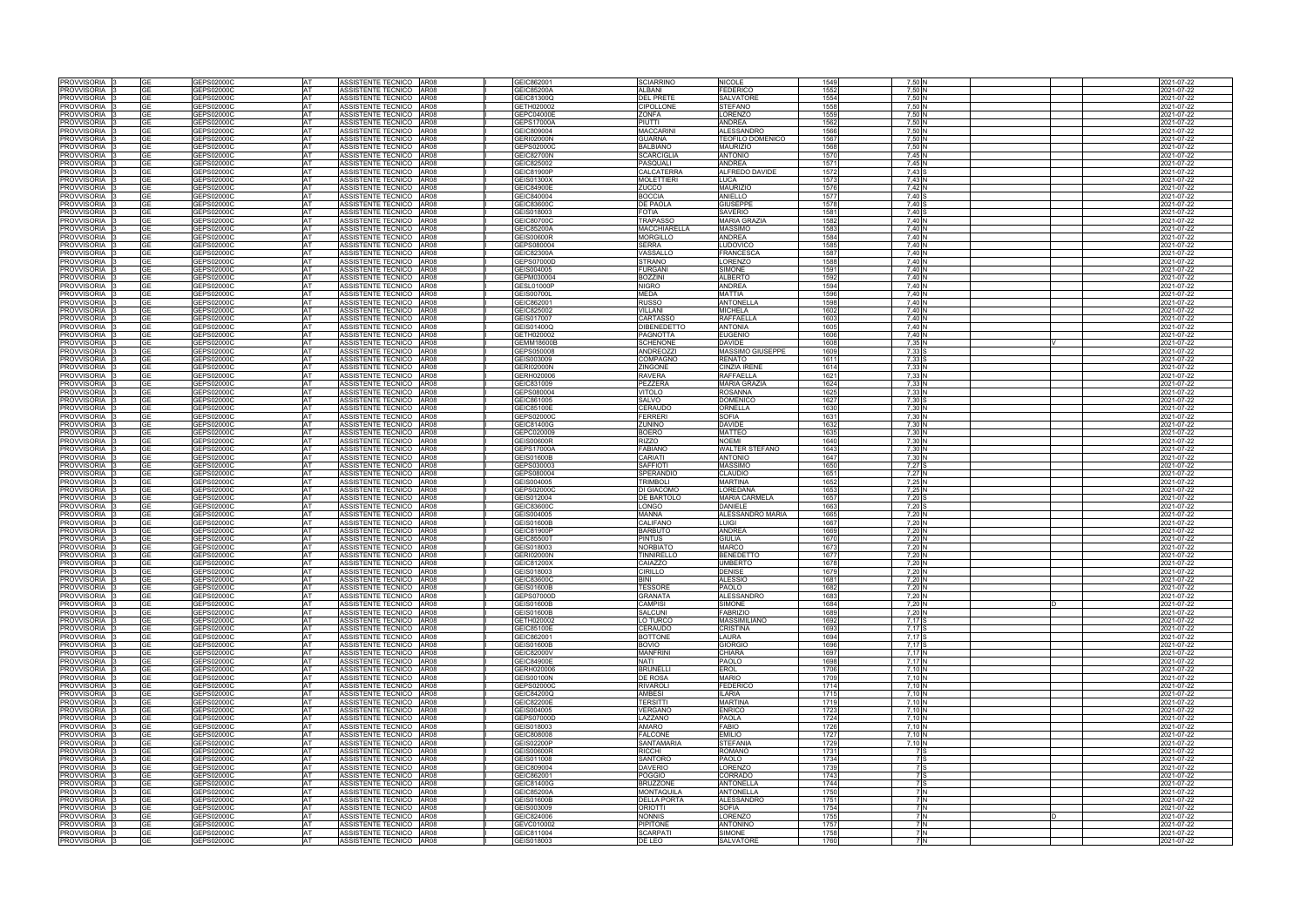| PROVVISORIA                               | GE        | GEPS02000C               | AT              | ASSISTENTE TECNICO AR08                            | GEIC862001               | <b>SCIARRINO</b>          | <b>NICOLE</b>                     | 1549         | 7,50              | 2021-07-22               |
|-------------------------------------------|-----------|--------------------------|-----------------|----------------------------------------------------|--------------------------|---------------------------|-----------------------------------|--------------|-------------------|--------------------------|
| PROVVISORIA                               | GE        | GEPS02000C               | AT              | <b>AR08</b><br>ASSISTENTE TECNICO                  | GEIC85200A               | <b>ALBANI</b>             | <b>EDERICO</b>                    | 1552         | 7,50 <sup>N</sup> | 2021-07-22               |
| PROVVISORIA                               | <b>GE</b> | GEPS02000C               | AT              | ASSISTENTE TECNICO AR08                            | GEIC81300Q               | <b>DEL PRETE</b>          | <b>SALVATORE</b>                  | 1554         | 7,50 N            | 2021-07-22               |
| PROVVISORIA                               | GE        | GEPS02000C               | AT              | ASSISTENTE TECNICO AR08                            | GETH020002               | <b>CIPOLLONE</b>          | STEFANO                           | 1558         | 7,50 N            | 2021-07-22               |
| PROVVISORIA                               | GE        | GEPS02000C               | AT              | ASSISTENTE TECNICO<br><b>AR08</b>                  | GEPC04000E               | <b>ZONFA</b>              | <b>ORENZO</b>                     | 1559         | 7,50 N            | 021-07-22                |
| PROVVISORIA                               | GЕ        | GEPS02000C               | AT              | ASSISTENTE TECNICO AR08                            | GEPS17000A               | <b>PIUTTI</b>             | <b>ANDREA</b>                     | 1562         | 7,50 N            | 2021-07-22               |
| PROVVISORIA                               | GE        | GEPS02000C               | AT              | ASSISTENTE TECNICO AR08                            | GEIC809004               | <b>MACCARIN</b>           | ALESSANDRO                        | 1566         | 7,50 <sup>N</sup> | 2021-07-22               |
|                                           | GE        | GEPS02000C               | AT              | ASSISTENTE TECNICO   AR08                          | GERI02000N               | <b>GUARNA</b>             | <b><i>TEOFILO DOMENICO</i></b>    | 1567         | 7,50 N            |                          |
| PROVVISORIA 3                             |           |                          |                 |                                                    |                          |                           |                                   |              |                   | 2021-07-22               |
| PROVVISORIA                               | GE        | GEPS02000C               | <b>AT</b>       | ASSISTENTE TECNICO   AR08                          | GEPS02000C               | <b>BALBIANO</b>           | <b>MAURIZIO</b>                   | 1568         | 7,50 N            | 2021-07-22               |
| PROVVISORIA                               | GE        | GEPS02000C               | AT              | ASSISTENTE TECNICO<br>AR08                         | <b>GEIC82700N</b>        | <b>SCARCIGLIA</b>         | <b>ANTONIO</b>                    | 1570         | 7,45 N            | 2021-07-22               |
| PROVVISORIA                               | <b>GE</b> | GEPS02000C               | <b>AT</b>       | ASSISTENTE TECNICO<br>AR08                         | GEIC825002               | <b>PASQUALI</b>           | <b>ANDREA</b>                     | 1571         | 7,45 N            | 2021-07-22               |
| PROVVISORIA 3                             | GE        | GEPS02000C               | AT              | ASSISTENTE TECNICO AR08                            | GEIC81900P               | CALCATERRA                | ALFREDO DAVIDE                    | 1572         | 7,43 S            | 2021-07-22               |
|                                           |           |                          |                 |                                                    |                          |                           |                                   |              |                   |                          |
| <b>PROVVISORIA</b>                        | GE        | GEPS02000C               | <b>AT</b>       | ASSISTENTE TECNICO AR08                            | GEIS01300X               | <b>MOLETTIER</b>          | LUCA.                             | 1573         | 7,43 N            | 2021-07-22               |
| PROVVISORIA 13                            | <b>GE</b> | GEPS02000C               | <b>AT</b>       | ASSISTENTE TECNICO AR08                            | GEIC84900E               | <b>ZUCCO</b>              | <b>MAURIZIO</b>                   | 1576         | 7.42 N            | 2021-07-22               |
| PROVVISORIA 13                            | GE        | GEPS02000C               | AT              | ASSISTENTE TECNICO   AR08                          | GEIC840004               | <b>BOCCIA</b>             | ANIELLO                           | 1577         | 7.40 S            | 2021-07-22               |
| PROVVISORIA 3                             | GF        | GEPS02000C               | AT              | ASSISTENTE TECNICO   AR08                          | GEIC83600C               | DE PAOL                   | <b>GIUSEPPE</b>                   | 1578         | $7,40$ \$         | 2021-07-22               |
| PROVVISORIA 3                             | GE        | GEPS02000C               | <b>AT</b>       | ASSISTENTE TECNICO   AR08                          | GEIS018003               | <b>FOTIA</b>              | <b>SAVERIO</b>                    | 1581         | 7,40 S            | 2021-07-22               |
| PROVVISORIA 3                             |           |                          |                 |                                                    |                          |                           |                                   | 1582         |                   |                          |
|                                           | <b>GE</b> | GEPS02000C               | <b>AT</b>       | ASSISTENTE TECNICO AR08                            | GEIC80700C               | <b>TRAPASSO</b>           | <b>MARIA GRAZIA</b>               |              | 7.40 N            | 2021-07-22               |
| PROVVISORIA 3                             | <b>GE</b> | GEPS02000C               | AT              | ASSISTENTE TECNICO AR08                            | GEIC85200A               | <b>MACCHIARELLA</b>       | <b>MASSIMO</b>                    | 1583         | 7.40 N            | 2021-07-22               |
| PROVVISORIA 3                             |           | GEPS02000C               | AT              | ASSISTENTE TECNICO   AR08                          | <b>GEIS00600R</b>        | <b>MORGILLO</b>           | <b>ANDREA</b>                     | 1584         | 7.40              | 2021-07-22               |
| PROVVISORIA                               | GЕ        | GEPS02000C               | <b>AT</b>       | ASSISTENTE TECNICO   AR08                          | GEPS080004               | <b>SERRA</b>              | <b>UDOVICO</b>                    | 1585         | 7,40 N            | 2021-07-22               |
| PROVVISORIA                               | GE        | GEPS02000C               | AT              | ASSISTENTE TECNICO<br><b>AR08</b>                  | GEIC82300A               | VASSALLO                  | <b>FRANCESCA</b>                  | 1587         | 7,40              | 2021-07-22               |
| PROVVISORIA                               | <b>GE</b> | GEPS02000C               | AT              | ASSISTENTE TECNICO AR08                            | GEPS07000D               | <b>STRANO</b>             | <b>ORENZO</b>                     | 1588         | $7,40$ N          | 2021-07-22               |
|                                           |           |                          |                 |                                                    |                          |                           |                                   |              |                   |                          |
| PROVVISORIA                               | <b>GE</b> | GEPS02000C               | AT              | ASSISTENTE TECNICO AR08                            | GEIS004005               | <b>FURGANI</b>            | <b>SIMONE</b>                     | 1591         | 7,40              | 2021-07-22               |
| PROVVISORIA                               | GЕ        | GEPS02000C               | AT              | AR <sub>08</sub><br>ASSISTENTE TECNICO             | GEPM030004               | <b>BOZZINI</b>            | <b>ALBERTO</b>                    | 1592         | $7,40$ N          | 2021-07-22               |
| PROVVISORIA                               | GE        | GEPS02000C               | AT              | ASSISTENTE TECNICO AR08                            | GESL01000P               | <b>NIGRO</b>              | <b>ANDREA</b>                     | 1594         | 7,40 M            | 2021-07-22               |
| PROVVISORIA                               | GE        | GEPS02000C               | AT              | ASSISTENTE TECNICO<br><b>AR08</b>                  | <b>GEIS00700L</b>        | <b>MEDA</b>               | <b>MATTIA</b>                     | 1596         | 7,40 N            | 2021-07-22               |
| PROVVISORIA                               | GE        | GEPS02000C               | AT              | ASSISTENTE TECNICO<br><b>AR08</b>                  | GEIC862001               | <b>RUSSO</b>              | <b>ANTONELLA</b>                  | 1598         | $7,40$ N          | 2021-07-22               |
|                                           |           |                          |                 |                                                    |                          |                           |                                   |              |                   |                          |
| PROVVISORIA                               | GE        | GEPS02000C               | AT              | ASSISTENTE TECNICO AR08                            | GEIC825002               | /ILLANI                   | <b>MICHELA</b>                    | 1602         | 7,40 N            | 2021-07-22               |
| PROVVISORIA                               | <b>GE</b> | GEPS02000C               | AT              | ASSISTENTE TECNICO<br><b>AR08</b>                  | GEIS017007               | CARTASSC                  | <b>RAFFAELLA</b>                  | 1603         | 7,40 N            | 2021-07-22               |
| <b>PROVVISORIA</b>                        | GE        | GEPS02000C               | AT              | ASSISTENTE TECNICO<br><b>AR08</b>                  | GEIS01400Q               | <b>DIBENEDETTO</b>        | <b>ANTONIA</b>                    | 1605         | $7,40$ N          | 021-07-22                |
| PROVVISORIA                               | <b>GE</b> | GEPS02000C               | AT              | ASSISTENTE TECNICO AR08                            | GETH020002               | <b>PAGNOTTA</b>           | <b>EUGENIO</b>                    | 1606         | 7,40 N            | 2021-07-22               |
|                                           | GE        |                          | AT              |                                                    |                          |                           |                                   |              |                   |                          |
| PROVVISORIA                               |           | GEPS02000C               |                 | ASSISTENTE TECNICO AR08                            | <b>GEMM18600E</b>        | SCHENONE                  | DAVIDE                            | 1608         | 7,35              | 021-07-22                |
| PROVVISORIA                               | <b>GE</b> | GEPS02000C               | <b>AT</b>       | ASSISTENTE TECNICO AR08                            | GEPS050008               | <b>ANDREOZZI</b>          | <b>MASSIMO GIUSEPPE</b>           | 1609         | 7,33 S            | 2021-07-22               |
| PROVVISORIA                               | <b>GE</b> | GEPS02000C               | AT              | ASSISTENTE TECNICO AR08                            | GEIS003009               | COMPAGNO                  | RENATO                            | 1611         | 7,33 S            | 2021-07-22               |
| PROVVISORIA                               | <b>GE</b> | GEPS02000C               | AT              | ASSISTENTE TECNICO<br>AR <sub>08</sub>             | GERI02000N               | <b>ZINGONE</b>            | CINZIA IRENE                      | 1614         | 7,33 N            | 2021-07-22               |
| PROVVISORIA 3                             | GE        | GEPS02000C               | AT              | ASSISTENTE TECNICO AR08                            | GERH020006               | <b>RAVERA</b>             | <b>RAFFAELLA</b>                  | 1621         | 7,33 N            | 2021-07-22               |
|                                           |           |                          |                 |                                                    |                          |                           |                                   |              |                   |                          |
| PROVVISORIA 3                             | <b>GE</b> | GEPS02000C               | <b>AT</b>       | ASSISTENTE TECNICO   AR08                          | GEIC831009               | PEZZERA                   | <b>MARIA GRAZIA</b>               | 1624         | 7,33 N            | 2021-07-22               |
| PROVVISORIA 3                             | GE        | GEPS02000C               | AT              | ASSISTENTE TECNICO   AR08                          | GEPS080004               | <b>VITOLO</b>             | ROSANNA                           | 1625         | 7,33 N            | 021-07-22                |
| PROVVISORIA 3                             | <b>GE</b> | GEPS02000C               | AT              | ASSISTENTE TECNICO AR08                            | GEIC861005               | SALVO                     | <b>DOMENICO</b>                   | 1627         | 7.30 S            | 2021-07-22               |
| PROVVISORIA 13                            | GE        | GEPS02000C               | AT              | ASSISTENTE TECNICO   AR08                          | GEIC85100E               | CERAUDC                   | ORNELLA                           | 1630         | 7,30 N            | 2021-07-22               |
| PROVVISORIA                               | GE        | GEPS02000C               | <b>AT</b>       | ASSISTENTE TECNICO   AR08                          | GEPS02000C               | <b>FERRER</b>             | SOFIA                             | 1631         | 7,30 N            | 2021-07-22               |
| PROVVISORIA 13                            | <b>GE</b> | GEPS02000C               | <b>AT</b>       | ASSISTENTE TECNICO   AR08                          | GEIC81400G               | <b>ZUNINO</b>             | <b>DAVIDE</b>                     | 1632         | 7,30 N            | 2021-07-22               |
|                                           |           |                          |                 |                                                    |                          |                           |                                   |              |                   |                          |
| PROVVISORIA 13                            | <b>GE</b> | GEPS02000C               | AT              | ASSISTENTE TECNICO   AR08                          | GEPC020009               | <b>BOERO</b>              | <b>MATTEO</b>                     | 1635         | 7.30 N            | 2021-07-22               |
| PROVVISORIA 3                             | GΕ        | GEPS02000C               | AT              | ASSISTENTE TECNICO   AR08                          | <b>GEIS00600R</b>        | <b>RIZZO</b>              | <b>NOEMI</b>                      | 1640         | 7,30 N            | 2021-07-22               |
| PROVVISORIA                               | GF        | GEPS02000C               | <b>AT</b>       | ASSISTENTE TECNICO   AR08                          | <b>GEPS17000A</b>        | <b>FABIANC</b>            | <b>WALTER STEFANO</b>             | 1643         | 7.30 N            | 2021-07-22               |
| PROVVISORIA                               | <b>GE</b> | GEPS02000C               | AT              | ASSISTENTE TECNICO<br>AR08                         | <b>GEIS01600B</b>        | CARIATI                   | <b>ANTONIO</b>                    | 1647         | 7,30 <sup>N</sup> | 2021-07-22               |
| PROVVISORIA                               | GE        | GEPS02000C               | AT              | ASSISTENTE TECNICO<br><b>AR08</b>                  | GEPS030003               | SAFFIOTI                  | <b>MASSIMO</b>                    | 1650         | 7,27 S            | 2021-07-22               |
|                                           | <b>GE</b> |                          | AT              | ASSISTENTE TECNICO   AR08                          |                          |                           |                                   | 1651         | 7,27N             |                          |
| <b>PROVVISORIA</b>                        |           | GEPS02000C               |                 |                                                    | GEPS080004               | SPERANDIC                 | CLAUDIO                           |              |                   | 2021-07-22               |
| PROVVISORIA                               | GE        | GEPS02000C               | AT              | ASSISTENTE TECNICO AR08                            | GEIS004005               | <b>TRIMBOLI</b>           | <b>MARTINA</b>                    | 1652         | $7,25$ N          | 2021-07-22               |
| PROVVISORIA                               | GE        | GEPS02000C               | AT              | ASSISTENTE TECNICO<br><b>AR08</b>                  | GEPS02000C               | DI GIACOMO                | OREDANA                           | 1653         | 7,25N             | 2021-07-22               |
| <b>PROVVISORIA</b>                        | GE        | GEPS02000C               | AT              | ASSISTENTE TECNICO<br><b>AR08</b>                  | GEIS012004               | DE BARTOLO                | <b>MARIA CARMELA</b>              | 1657         | $7,20$ \$         | 2021-07-22               |
| PROVVISORIA                               | GE        | GEPS02000C               | AT              | ASSISTENTE TECNICO<br><b>AR08</b>                  | GEIC83600C               | LONGO                     | <b>DANIELE</b>                    | 1663         | $7,20$ S          | 2021-07-22               |
| PROVVISORIA                               | GE        | GEPS02000C               | AT              | ASSISTENTE TECNICO AR08                            | GEIS004005               | <b>MANNA</b>              | ALESSANDRO MARIA                  | 1665         | $7,20$ N          | 2021-07-22               |
|                                           |           |                          |                 |                                                    |                          |                           |                                   |              |                   |                          |
| PROVVISORIA                               | <b>GE</b> | GEPS02000C               | AT              | ASSISTENTE TECNICO<br>AR08                         | <b>GEIS01600B</b>        | CALIFANO                  | UIGI.                             | 1667         | 7,20 N            | 2021-07-22               |
| <b>PROVVISORIA</b>                        | GE        | GEPS02000C               | AT              | ASSISTENTE TECNICO<br><b>AR08</b>                  | GEIC81900P               | <b>BARBUTO</b>            | ANDREA                            | 1669         | 7,20 N            | 2021-07-22               |
| PROVVISORIA                               | GE        | GEPS02000C               | AT              | ASSISTENTE TECNICO<br><b>AR08</b>                  | GEIC85500T               | <b>PINTUS</b>             | <b>GIULIA</b>                     | 1670         | 7,20 M            | 2021-07-22               |
| PROVVISORIA                               | GE        | GEPS02000C               | AT              | ASSISTENTE TECNICO AR08                            | GEIS018003               | NORBIATO                  | <b>MARCO</b>                      | 1673         | $7,20$ N          | 2021-07-22               |
|                                           |           |                          |                 | ASSISTENTE TECNICO AR08                            |                          |                           |                                   |              |                   |                          |
| PROVVISORIA                               | GE        | GEPS02000C               | AT              |                                                    | <b>GERI02000N</b>        | TINNIRELLC                | <b>BENEDETTC</b>                  | 1677         | $7,20$ N          | 021-07-22                |
| PROVVISORIA 3                             | GE        | GEPS02000C               | AT              | ASSISTENTE TECNICO AR08                            | GEIC81200X               | CAIAZZO                   | <b>JMBERTO</b>                    | 1678         | 7,20 N            | 2021-07-22               |
| PROVVISORIA 13                            |           | GEPS02000C               | AT              | ASSISTENTE TECNICO   AR08                          | GEIS018003               | CIRILLO                   | <b>DENISE</b>                     | 1679         | 7,20 N            | 2021-07-22               |
| PROVVISORIA 3                             | GE        | GEPS02000C               | AT              | ASSISTENTE TECNICO AR08                            | GEIC83600C               | BINI                      | <b>ALESSIO</b>                    | 1681         | 7,20 N            | 2021-07-22               |
| PROVVISORIA 3                             | <b>GE</b> | GEPS02000C               | <b>AT</b>       | ASSISTENTE TECNICO AR08                            | GEIS01600B               | <b>TESSORE</b>            | <b>PAOLO</b>                      | 1682         | 7,20 N            | 2021-07-22               |
| PROVVISORIA 3                             |           | GEPS02000C               |                 | ASSISTENTE TECNICO AR08                            | GEPS07000D               | <b>GRANATA</b>            | ALESSANDRO                        | 1683         |                   |                          |
|                                           | <b>GE</b> |                          | AT              |                                                    |                          |                           |                                   |              | 7,20 N            | 2021-07-22               |
| PROVVISORIA 3                             | GE        | GEPS02000C               | <b>AT</b>       | ASSISTENTE TECNICO AR08                            | <b>GEIS01600B</b>        | <b>CAMPISI</b>            | <b>SIMONE</b>                     | 1684         | 7,20 N            | 2021-07-22               |
| PROVVISORIA 13                            | <b>GE</b> | GEPS02000C               | <b>AT</b>       | ASSISTENTE TECNICO AR08                            | GEIS01600B               | <b>SALCUNI</b>            | <b>FABRIZIO</b>                   | 1689         | 7.20 N            | 2021-07-22               |
| PROVVISORIA 3                             | GE        | GEPS02000C               | <b>AT</b>       | ASSISTENTE TECNICO AR08                            | GETH020002               | LO TURCO                  | <b>MASSIMILIANO</b>               | 1692         | 7,17 S            | 2021-07-22               |
| PROVVISORIA 3                             | GЕ        | GEPS02000C               | <b>AT</b>       | ASSISTENTE TECNICO AR08                            | GEIC85100E               | <b>CERAUDO</b>            | <b>CRISTINA</b>                   | 1693         | 7,17 S            | 2021-07-22               |
| PROVVISORIA 3                             | <b>GE</b> | GEPS02000C               | <b>AT</b>       | ASSISTENTE TECNICO AR08                            | GEIC862001               | <b>BOTTONE</b>            | LAURA                             | 1694         | 7.17 S            | 2021-07-22               |
| PROVVISORIA 3                             | <b>GE</b> | GEPS02000C               | <b>AT</b>       | ASSISTENTE TECNICO AR08                            | <b>GEIS01600B</b>        | <b>BOVIO</b>              | <b>GIORGIO</b>                    | 1696         | 7.17 S            | 2021-07-22               |
|                                           |           |                          |                 |                                                    |                          |                           |                                   |              |                   |                          |
| PROVVISORIA 3                             | <b>GE</b> | GEPS02000C               | <b>AT</b>       | ASSISTENTE TECNICO AR08                            | GEIC82000V               | <b>MANFRINI</b>           | CHIARA                            | 1697         | 7,17 N            | 2021-07-22               |
| PROVVISORIA 3                             | GE        | GEPS02000C               | <b>AT</b>       | ASSISTENTE TECNICO AR08                            | GEIC84900E               | NATI                      | <b>PAOLO</b>                      | 1698         | 7,17 N            | 2021-07-22               |
| PROVVISORIA I                             | GЕ        | GEPS02000C               | AT              | ASSISTENTE TECNICO AR08                            | GERH020006               | <b>BRUNELLI</b>           | EROL                              | 1706         | 7,10 N            | 2021-07-22               |
| PROVVISORIA 3                             | <b>GE</b> | GEPS02000C               | <b>AT</b>       | ASSISTENTE TECNICO AR08                            | <b>GEIS00100N</b>        | <b>DE ROSA</b>            | <b>MARIO</b>                      | 1709         | 7,10N             | 2021-07-22               |
| PROVVISORIA 3                             | GE.       | GEPS02000C               | <b>AT</b>       | ASSISTENTE TECNICO AR08                            | GEPS02000C               | <b>RIVAROLI</b>           | <b>FEDERICO</b>                   | 1714         | 7,10 N            | 2021-07-22               |
| PROVVISORIA                               | <b>GE</b> | GEPS02000C               |                 |                                                    | GEIC84200Q               | <b>AMBESI</b>             | <b>ILARIA</b>                     | 1715         | $7,10$ N          | 2021-07-22               |
|                                           |           |                          |                 |                                                    |                          |                           |                                   |              |                   |                          |
| PROVVISORIA                               |           |                          | AT              | ASSISTENTE TECNICO AR08                            |                          |                           |                                   |              |                   |                          |
| PROVVISORIA 3                             | GE        | GEPS02000C               | AT              | ASSISTENTE TECNICO AR08                            | <b>GEIC82200E</b>        | <b>TERSITTI</b>           | <b>MARTINA</b>                    | 1719         | 7,10 N            | 2021-07-22               |
|                                           | <b>GE</b> | GEPS02000C               | <b>AT</b>       | ASSISTENTE TECNICO AR08                            | GEIS004005               | VERGANO                   | <b>ENRICO</b>                     | 1723         | 7,10N             | 2021-07-22               |
| PROVVISORIA                               | GЕ        | GEPS02000C               | AT              | ASSISTENTE TECNICO AR08                            | GEPS07000D               | LAZZANO                   | <b>PAOLA</b>                      | 1724         | 7,10 N            | 2021-07-22               |
| PROVVISORIA I:                            | <b>GE</b> | GEPS02000C               | <b>AT</b>       | ASSISTENTE TECNICO AR08                            | GEIS018003               | <b>AMARO</b>              | <b>FABIO</b>                      | 1726         | 7,10 N            |                          |
|                                           |           |                          |                 |                                                    |                          |                           |                                   |              |                   | 2021-07-22               |
| <b>PROVVISORIA</b>                        | <b>GE</b> | GEPS02000C               | AT              | ASSISTENTE TECNICO AR08                            | GEIC808008               | <b>FALCONE</b>            | EMILIO                            | 1727         | 7,10 N            | 2021-07-22               |
| <b>PROVVISORIA</b>                        | GE        | GEPS02000C               | AT              | ASSISTENTE TECNICO AR08                            | <b>GEIS02200P</b>        | <b>SANTAMARIA</b>         | <b>STEFANIA</b>                   | 1729         | 7,10 N            | 2021-07-22               |
| PROVVISORIA 3                             | GE        | GEPS02000C               | AT              | ASSISTENTE TECNICO AR08                            | <b>GEIS00600R</b>        | <b>RICCHI</b>             | <b>ROMANO</b>                     | 1731         | 7 IS              | 2021-07-22               |
| PROVVISORIA 3                             | <b>GE</b> | GEPS02000C               | <b>AT</b>       | ASSISTENTE TECNICO AR08                            | GEIS011008               | <b>SANTORO</b>            | <b>PAOLO</b>                      | 1734         | 7 S               | 2021-07-22               |
| PROVVISORIA 3                             | GE        | GEPS02000C               | AT              | ASSISTENTE TECNICO AR08                            | GEIC809004               | <b>DAVERIO</b>            | <b>ORENZO</b>                     | 1739         |                   | 2021-07-22               |
| PROVVISORIA 3                             | <b>GE</b> | GEPS02000C               | <b>AT</b>       | ASSISTENTE TECNICO AR08                            | GEIC862001               | <b>POGGIO</b>             | <b>CORRADO</b>                    | 1743         | 7 IS              |                          |
|                                           |           |                          |                 |                                                    |                          |                           |                                   |              |                   | 2021-07-22               |
| PROVVISORIA 3                             | GЕ        | GEPS02000C               | AT              | ASSISTENTE TECNICO AR08                            | GEIC81400G               | <b>BRUZZONE</b>           | <b>ANTONELLA</b>                  | 1744         | 7 IS              | 2021-07-22               |
| PROVVISORIA 3                             | GE        | GEPS02000C               | AT              | ASSISTENTE TECNICO AR08                            | <b>GEIC85200A</b>        | <b>MONTAQUILA</b>         | <b>ANTONELLA</b>                  | 1750         | 7 N               | 2021-07-22               |
| PROVVISORIA 3                             | <b>GE</b> | GEPS02000C               | AT              | ASSISTENTE TECNICO AR08                            | <b>GEIS01600B</b>        | <b>DELLA PORTA</b>        | <b>ALESSANDRO</b>                 | 1751         | 7 N               | 2021-07-22               |
| PROVVISORIA 3                             | GE        | GEPS02000C               | AT              | ASSISTENTE TECNICO AR08                            | GEIS003009               | <b>ORIOTTI</b>            | SOFIA                             | 1754         | 7 N               | 2021-07-22               |
| PROVVISORIA 3                             |           | GEPS02000C               | <b>AT</b>       | ASSISTENTE TECNICO AR08                            | GEIC824006               | <b>NONNIS</b>             | LORENZO                           | 1755         | 7 N               | 2021-07-22               |
| PROVVISORIA 3                             | GE.       | GEPS02000C               | <b>AT</b>       | ASSISTENTE TECNICO AR08                            | GEVC010002               | <b>PIPITONE</b>           | <b>ANTONINO</b>                   | 1757         | 7 N               | 2021-07-22               |
|                                           |           |                          |                 |                                                    |                          |                           |                                   |              |                   |                          |
| PROVVISORIA <sup>3</sup><br>PROVVISORIA 3 | GE<br>GE  | GEPS02000C<br>GEPS02000C | AT<br><b>AT</b> | ASSISTENTE TECNICO AR08<br>ASSISTENTE TECNICO AR08 | GEIC811004<br>GEIS018003 | <b>SCARPATI</b><br>DE LEO | <b>SIMONE</b><br><b>SALVATORE</b> | 1758<br>1760 | 7 N<br>7 N        | 2021-07-22<br>2021-07-22 |

|   | 2021-07-22               |
|---|--------------------------|
|   | 2021-07-22               |
|   | 2021-07-22               |
|   | 2021-07-22               |
|   | 2021-07-22               |
|   | 2021-07-22               |
|   | 2021-07-22               |
|   | 2021-07-22               |
|   | 2021-07-22               |
|   | 2021-07-22               |
|   | 2021-07-22               |
|   | 2021-07-22               |
|   | 2021-07-22               |
|   | 2021-07-22               |
|   | 2021-07-22               |
|   | 2021-07-22               |
|   | 2021-07-22               |
|   | 2021-07-22               |
|   | 2021-07-22               |
|   | 2021-07-22<br>2021-07-22 |
|   | 2021-07-22               |
|   | 2021-07-22               |
|   | 2021-07-22               |
|   | 2021-07-22               |
|   | 2021-07-22               |
|   | 2021-07-22               |
|   | 2021-07-22               |
|   | 2021-07-22               |
|   | 2021-07-22               |
|   | 2021-07-22               |
|   | 2021-07-22               |
| V | 2021-07-22               |
|   | 2021-07-22               |
|   | 2021-07-22               |
|   | 2021-07-22<br>2021-07-22 |
|   |                          |
|   | 2021-07-22<br>2021-07-22 |
|   | 2021-07-22               |
|   | 2021-07-22               |
|   | 2021-07-22               |
|   | 2021-07-22               |
|   | 2021-07-22               |
|   | 2021-07-22               |
|   | 2021-07-22               |
|   | 2021-07-22               |
|   | 2021-07-22               |
|   | 2021-07-22               |
|   | 2021-07-22               |
|   | 2021-07-22               |
|   | 2021-07-22               |
|   | 2021-07-22               |
|   | 2021-07-22               |
|   |                          |
|   | 2021-07-22               |
|   | 2021-07-22               |
|   | 2021-07-22               |
|   | 2021-07-22               |
|   | 2021-07-22<br>2021-07-22 |
|   | 2021-07-22               |
|   | 2021-07-22               |
|   | 2021-07-22               |
|   | 2021-07-22               |
| D | 2021-07-22               |
|   | 2021-07-22               |
|   | 2021-07-22               |
|   | 2021-07-22               |
|   | 2021-07-22               |
|   | 2021-07-22               |
|   | 2021-07-22<br>2021-07-22 |
|   |                          |
|   | 2021-07-22<br>2021-07-22 |
|   | 2021-07-22               |
|   | 2021-07-22               |
|   | 2021-07-22               |
|   | 2021-07-22               |
|   | 2021-07-22               |
|   | 2021-07-22               |
|   | 2021-07-22               |
|   | 2021-07-22               |
|   | 2021-07-22               |
|   | 2021-07-22               |
|   | 2021-07-22               |
|   | 2021-07-22<br>2021-07-22 |
|   | 2021-07-22               |
|   | 2021-07-22               |
|   | 2021-07-22               |
| D | 2021-07-22               |
|   | 2021-07-22               |
|   | 2021-07-22<br>2021-07-22 |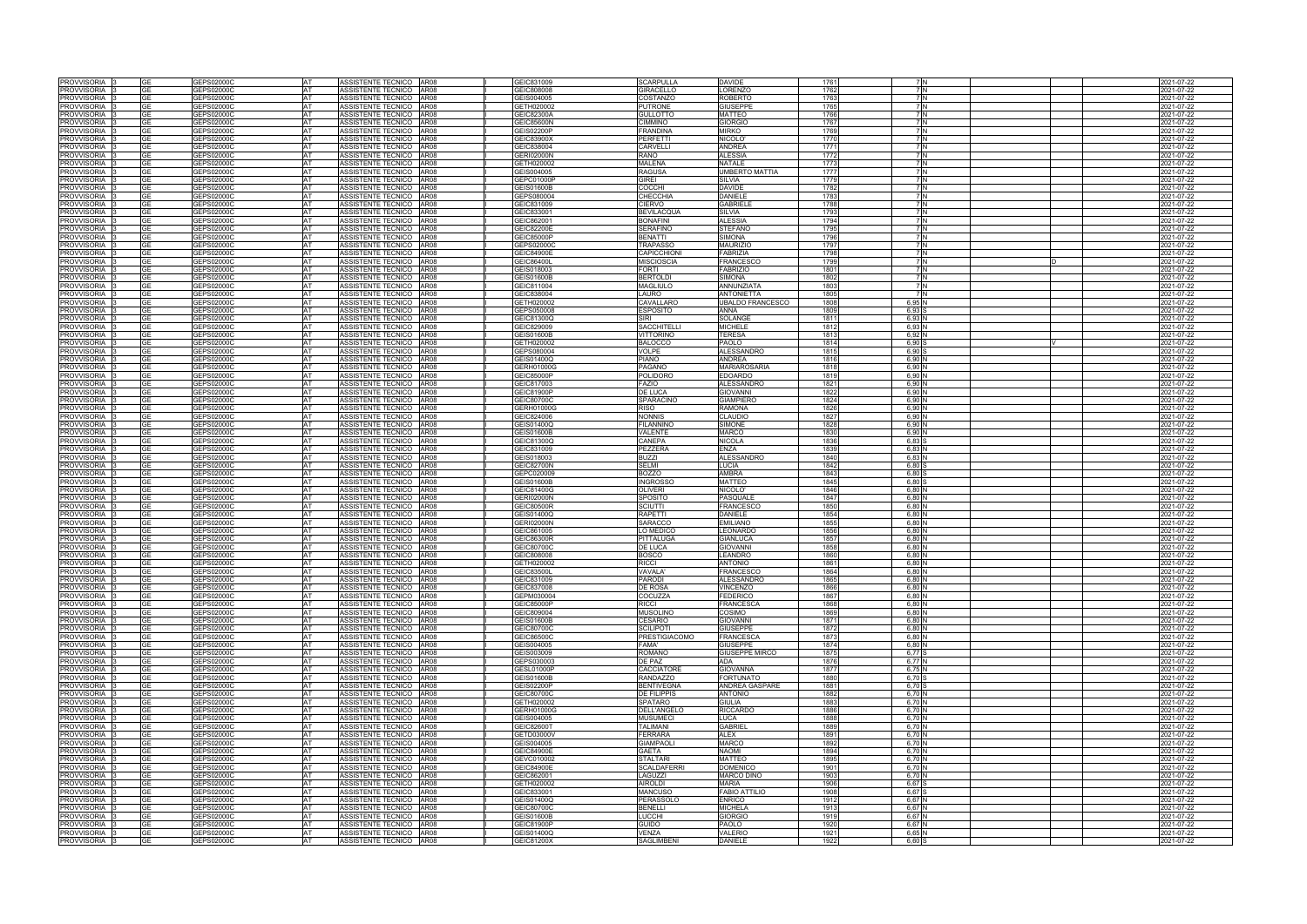|                                   |           | GEPS02000C                                         | ASSISTENTE TECNICO                                 | AR08                | GEIC831009                             | <b>SCARPULLA</b>                     | <b>DAVIDE</b>                      | 1761         |                    |  | 2021-07-22               |
|-----------------------------------|-----------|----------------------------------------------------|----------------------------------------------------|---------------------|----------------------------------------|--------------------------------------|------------------------------------|--------------|--------------------|--|--------------------------|
| <b>PROVVISORIA</b>                |           | GEPS02000C<br>AT                                   | ASSISTENTE TECNICO                                 | AR08                | GEIC808008                             | GIRACELLO                            | ORENZO                             | 1762         | 7 IN               |  | 2021-07-22               |
| <b>PROVVISORIA</b>                | GE        | GEPS02000C<br>AT                                   | ASSISTENTE TECNICO                                 | AR08                | GEIS004005                             | COSTANZO                             | <b>ROBERTO</b>                     | 1763         | 7 N                |  | 2021-07-22               |
| <b>PROVVISORIA</b>                | ٩F        | <b>GEPS02000C</b><br>AT                            | ASSISTENTE TECNICO AR08                            |                     | GETH020002                             | <b>PUTRONE</b>                       | GIUSEPPE                           | 1765         | 7 N                |  | 2021-07-22               |
| <b>PROVVISORIA</b>                |           | GEPS02000C<br>AT                                   | <b>ASSISTENTE TECNICO</b>                          | <b>AR08</b>         | GEIC82300A                             | <b>GULLOTTO</b>                      | MATTEO                             | 1766         | 7 N                |  | 021-07-22                |
| PROVVISORIA                       | ЭE        | GEPS02000C<br>AT<br>AT                             | ASSISTENTE TECNICO                                 | AR08                | <b>GEIC85600N</b>                      | <b>CIMMINO</b>                       | GIORGIO                            | 1767         | 7 N<br>7 N         |  | 2021-07-22               |
| <b>PROVVISORIA</b><br>PROVVISORIA | ٩F        | <b>GEPS02000C</b><br><b>AT</b><br>3EPS02000C       | ASSISTENTE TECNICO<br>ASSISTENTE TECNICO AR08      | <b>AR08</b>         | <b>GEIS02200P</b><br>GEIC83900X        | FRANDINA<br><b>PERFETTI</b>          | MIRKO<br>NICOLO'                   | 1769<br>1770 | 7 N                |  | 2021-07-22<br>2021-07-22 |
| PROVVISORIA                       | GЕ        | GEPS02000C<br><b>AT</b>                            | ASSISTENTE TECNICO                                 | AR08                | GEIC838004                             | <b>CARVELLI</b>                      | <b>ANDREA</b>                      | 1771         | 7 N                |  | 2021-07-22               |
| PROVVISORIA                       |           | GEPS02000C<br>AT                                   | <b>ASSISTENTE TECNICO</b>                          | AR08                | <b>GERI02000N</b>                      | <b>RANO</b>                          | ALESSIA                            | 1772         | 7 N                |  | 2021-07-22               |
| PROVVISORIA                       | GE        | GEPS02000C<br>AT                                   | ASSISTENTE TECNICO                                 | AR08                | GETH020002                             | <b>MALENA</b>                        | <b>NATALE</b>                      | 1773         | 7 N                |  | 2021-07-22               |
| PROVVISORIA                       | GE        | GEPS02000C<br><b>AT</b>                            | ASSISTENTE TECNICO   AR08                          |                     | GEIS004005                             | <b>RAGUSA</b>                        | UMBERTO MATTIA                     | 1777         | 7 N                |  | 2021-07-22               |
| PROVVISORIA                       |           | GEPS02000C<br>AT                                   | ASSISTENTE TECNICO                                 | AR08                | GEPC01000P                             | <b>GIREI</b>                         | SILVIA                             | 1779         | 7 N                |  | 2021-07-22               |
| PROVVISORIA                       | GЕ        | <b>AT</b><br>GEPS02000C                            | ASSISTENTE TECNICO                                 | AR08                | GEIS01600B                             | <b>COCCHI</b>                        | <b>DAVIDE</b>                      | 1782         | 7 N                |  | 2021-07-22               |
| PROVVISORIA                       | GF        | GEPS02000C<br><b>AT</b>                            | ASSISTENTE TECNICO                                 | AR08                | GEPS080004                             | <b>CHECCHIA</b>                      | DANIELE                            | 1783         | 7 N                |  | 2021-07-22               |
| PROVVISORIA                       |           | AT<br>3EPS02000C                                   | ASSISTENTE TECNICO AR08                            |                     | GEIC831009                             | <b>CIERVO</b>                        | <b>GABRIEL</b>                     | 1788         | 7 IN               |  | 2021-07-22               |
| PROVVISORIA                       | GF        | GEPS02000C<br><b>AT</b>                            | ASSISTENTE TECNICO                                 | AR08                | GEIC833001                             | <b>BEVILACQUA</b>                    | SILVIA                             | 1793         | 7 IN               |  | 2021-07-22               |
| PROVVISORIA                       | GЕ        | GEPS02000C<br>AT                                   | ASSISTENTE TECNICO   AR08                          |                     | GEIC862001                             | <b>BONAFINI</b>                      | <b>ALESSIA</b>                     | 1794         | 7 N                |  | 2021-07-22               |
| PROVVISORIA                       | GF        | GEPS02000C<br>AT                                   | ASSISTENTE TECNICO                                 | AR08                | GEIC82200E                             | <b>SERAFINO</b>                      | <b>STEFANO</b>                     | 1795         | 7 N                |  | 2021-07-22               |
| PROVVISORIA                       |           | GEPS02000C<br>AT                                   | ASSISTENTE TECNICO   AR08                          |                     | <b>GEIC85000P</b>                      | <b>BENATTI</b>                       | <b>SIMONA</b>                      | 1796         |                    |  | 2021-07-22               |
| PROVVISORIA<br><b>PROVVISORIA</b> | GF        | GEPS02000C<br>AT<br>GEPS02000C<br>AT               | ASSISTENTE TECNICO<br><b>ASSISTENTE TECNICO</b>    | AR08<br><b>AR08</b> | GEPS02000C<br>GEIC84900E               | <b>TRAPASSC</b><br>CAPICCHIONI       | <b>MAURIZIO</b><br><b>FABRIZIA</b> | 1797<br>1798 | 7 N                |  | 2021-07-22<br>2021-07-22 |
| PROVVISORIA                       | GЕ        | GEPS02000C<br>AT                                   | ASSISTENTE TECNICO                                 | AR08                | GEIC86400L                             | <b>MISCIOSCIA</b>                    | <b>FRANCESCO</b>                   | 1799         | 7 N                |  | 2021-07-22               |
| PROVVISORIA                       | GF        | GEPS02000C<br>AT                                   | ASSISTENTE TECNICO                                 | AR08                | GEIS018003                             | FORTI                                | <b>FABRIZIO</b>                    | 1801         |                    |  | 2021-07-22               |
| PROVVISORIA                       | GF        | GEPS02000C<br>AT                                   | ASSISTENTE TECNICO                                 | AR08                | <b>GEIS01600B</b>                      | <b>BERTOLDI</b>                      | <b>SIMONA</b>                      | 1802         | 7 N                |  | 2021-07-22               |
| <b>PROVVISORIA</b>                |           | GEPS02000C<br>AT                                   | <b>ASSISTENTE TECNICO</b>                          | AR08                | GEIC811004                             | <b>MAGLIULO</b>                      | ANNUNZIATA                         | 1803         | 7 N                |  | 2021-07-22               |
| <b>PROVVISORIA</b>                |           | GEPS02000C<br>AT                                   | <b>ASSISTENTE TECNICO</b>                          | <b>AR08</b>         | GEIC838004                             | <b>AURO</b>                          | <b>ANTONIETTA</b>                  | 1805         | 7 IN               |  | 2021-07-22               |
| <b>PROVVISORIA</b>                | GF        | GEPS02000C<br>AT                                   | <b>ASSISTENTE TECNICO</b>                          | <b>AR08</b>         | GETH020002                             | CAVALLARO                            | <b>JBALDO FRANCESCO</b>            | 1808         | 6,95 N             |  | 2021-07-22               |
| PROVVISORIA                       | GF        | GEPS02000C<br>AT                                   | ASSISTENTE TECNICO AR08                            |                     | GEPS050008                             | ESPOSITO                             | ANNA                               | 1809         | $6,93$ S           |  | 2021-07-22               |
| <b>PROVVISORIA</b>                | GΕ        | GEPS02000C<br>AT                                   | <b>ASSISTENTE TECNICO</b>                          | <b>AR08</b>         | GEIC81300Q                             | SIRI                                 | SOLANGE                            | 1811         | 6,93N              |  | 2021-07-22               |
| <b>PROVVISORIA</b>                |           | <b>GEPS02000C</b><br>AT                            | <b>ASSISTENTE TECNICO</b>                          | <b>AR08</b>         | GEIC829009                             | SACCHITELL                           | <b>MICHELE</b>                     | 1812         | 6,93N              |  | 021-07-22                |
| <b>PROVVISORIA</b>                | GE        | GEPS02000C<br>AT                                   | ASSISTENTE TECNICO                                 | AR08                | <b>GEIS01600B</b>                      | VITTORINO                            | <b>TERESA</b>                      | 1813         | 6,92 N             |  | 2021-07-22               |
| PROVVISORIA                       |           | EPS02000C<br>AT                                    | ASSISTENTE TECNICO AR08                            |                     | GETH020002                             | <b>BALOCCO</b>                       | PAOLO                              | 1814         | 6,90               |  | 021-07-22                |
| PROVVISORIA                       | GЕ        | GEPS02000C<br><b>AT</b>                            | ASSISTENTE TECNICO AR08                            |                     | GEPS080004                             | <b>VOLPE</b>                         | ALESSANDRO                         | 1815         | 6.90 S             |  | 2021-07-22               |
| PROVVISORIA                       | GE        | GEPS02000C<br>AT                                   | ASSISTENTE TECNICO AR08                            |                     | GEIS01400Q                             | <b>PIANO</b>                         | ANDREA                             | 1816         | 6,90 N             |  | 2021-07-22               |
| PROVVISORIA                       | GE        | GEPS02000C<br>AT                                   | <b>ASSISTENTE TECNICO</b>                          | AR08                | GERH01000G                             | PAGANO                               | <b>MARIAROSARIA</b>                | 1818         | 6,90 N             |  | 2021-07-22               |
| PROVVISORIA                       |           | GEPS02000C<br><b>AT</b>                            | ASSISTENTE TECNICO AR08                            |                     | GEIC85000P                             | <b>POLIDORO</b>                      | <b>EDOARDO</b>                     | 1819         | 6,90 N             |  | 2021-07-22               |
| PROVVISORIA                       | GЕ        | GEPS02000C<br><b>AT</b>                            | ASSISTENTE TECNICO   AR08                          |                     | GEIC817003                             | <b>FAZIO</b>                         | ALESSANDRO                         | 1821         | 6,90 N             |  | 2021-07-22               |
| PROVVISORIA<br>PROVVISORIA 3      | GE        | <b>GEPS02000C</b><br>AT<br>GEPS02000C<br><b>AT</b> | ASSISTENTE TECNICO<br>ASSISTENTE TECNICO AR08      | AR08                | GEIC81900P<br>GEIC80700C               | DE LUCA<br><b>SPARACINO</b>          | GIOVANNI<br><b>GIAMPIERO</b>       | 1822<br>1824 | 6,90 N<br>6.90 N   |  | 021-07-22<br>2021-07-22  |
| PROVVISORIA                       |           | AT<br>GEPS02000C                                   | ASSISTENTE TECNICO   AR08                          |                     | GERH01000G                             | <b>RISO</b>                          | RAMONA                             | 1826         | 6,90 N             |  | 2021-07-22               |
| PROVVISORIA                       | GF        | GEPS02000C<br><b>AT</b>                            | ASSISTENTE TECNICO                                 | AR08                | GEIC824006                             | <b>NONNIS</b>                        | CLAUDIO                            | 1827         | 6,90 N             |  | 2021-07-22               |
| PROVVISORIA                       | GF        | <b>AT</b><br>GEPS02000C                            | ASSISTENTE TECNICO   AR08                          |                     | GEIS01400Q                             | <b>FILANNINO</b>                     | <b>SIMONE</b>                      | 1828         | 6,90 N             |  | 2021-07-22               |
| PROVVISORIA                       | GE        | GEPS02000C<br><b>AT</b>                            | ASSISTENTE TECNICO AR08                            |                     | <b>GEIS01600B</b>                      | VALENTE                              | <b>MARCO</b>                       | 1830         | 6.90 N             |  | 2021-07-22               |
| PROVVISORIA                       |           | AT<br>3EPS02000C                                   | ASSISTENTE TECNICO   AR08                          |                     | GEIC81300Q                             | CANEPA                               | NICOLA                             | 1836         | $6,83$ \$          |  | 2021-07-22               |
| PROVVISORIA                       | GF        | GEPS02000C<br><b>AT</b>                            | ASSISTENTE TECNICO                                 | AR08                | GEIC831009                             | <b>PEZZERA</b>                       | ENZA                               | 1839         | 6.83N              |  | 2021-07-22               |
| <b>PROVVISORIA</b>                |           | GEPS02000C<br>AT                                   | <b>ASSISTENTE TECNICO</b>                          | AR08                | GEIS018003                             | <b>BUZZI</b>                         | ALESSANDRO                         | 1840         | 6,83N              |  | 2021-07-22               |
| PROVVISORIA                       | GF        | GEPS02000C<br>AT                                   | ASSISTENTE TECNICO                                 | AR08                | <b>GEIC82700N</b>                      | <b>SELMI</b>                         | LUCIA                              | 1842         | 6,80               |  | 2021-07-22               |
| PROVVISORIA                       | GF        | GEPS02000C<br>AT                                   | ASSISTENTE TECNICO                                 | AR08                | GEPC020009                             | <b>BOZZO</b>                         | AMBRA                              | 1843         | 6,80               |  | 2021-07-22               |
| PROVVISORIA                       | GF        | GEPS02000C<br>AT                                   | ASSISTENTE TECNICO                                 | AR08                | <b>GEIS01600B</b>                      | <b>INGROSSO</b>                      | <b>MATTEO</b>                      | 1845         | $6,80$ \$          |  | 2021-07-22               |
| <b>PROVVISORIA</b>                |           | GEPS02000C<br>AT                                   | <b>ASSISTENTE TECNICO</b>                          | <b>AR08</b>         | GEIC81400G                             | <b>OLIVERI</b>                       | NICOLO'                            | 1846         | 6,80N              |  | 2021-07-22               |
| PROVVISORIA                       | GF<br>GΕ  | GEPS02000C<br>AT                                   | ASSISTENTE TECNICO                                 | AR08                | <b>GERI02000N</b>                      | SPOSITO                              | PASQUALE                           | 1847         | 6.80N              |  | 2021-07-22               |
| <b>PROVVISORIA</b>                |           | GEPS02000C<br>AT                                   | <b>ASSISTENTE TECNICO</b>                          | <b>AR08</b>         | <b>GEIC80500R</b>                      | <b>SCIUTTI</b>                       | FRANCESCO                          | 1850         | 6,80 N             |  | 2021-07-22               |
|                                   |           |                                                    |                                                    |                     | GEIS01400Q                             | <b>RAPETTI</b>                       | DANIELE                            | 1854         | 6,80N              |  | 2021-07-22               |
| PROVVISORIA                       | GF        | <b>GEPS02000C</b><br>AT                            | ASSISTENTE TECNICO                                 | AR08                |                                        |                                      |                                    |              |                    |  |                          |
| <b>PROVVISORIA</b>                | GF        | GEPS02000C<br>AT                                   | ASSISTENTE TECNICO                                 | AR08                | <b>GERI02000N</b>                      | <b>SARACCO</b>                       | EMILIANO                           | 1855         | 6,80 N             |  | 2021-07-22               |
| <b>PROVVISORIA</b>                |           | <b>GEPS02000C</b><br>AT                            | <b>ASSISTENTE TECNICO</b>                          | <b>AR08</b>         | GEIC861005                             | O MEDICO                             | EONARDO                            | 1856         | 6,80 N             |  | 021-07-22                |
| <b>PROVVISORIA</b>                |           | <b>GEPS02000C</b><br>AT                            | <b>ASSISTENTE TECNICO</b>                          | <b>AR08</b>         | GEIC86300R                             | <b>PITTALUGA</b>                     | GIANLUCA                           | 1857         | 6,80 N             |  | 2021-07-22               |
| PROVVISORIA                       | GF        | <b>GEPS02000C</b><br>AT                            | ASSISTENTE TECNICO AR08                            |                     | GEIC80700C                             | DE LUCA                              | GIOVANNI                           | 1858         | 6,80N              |  | 2021-07-22               |
| PROVVISORIA                       |           | <b>GEPS02000C</b><br>AT                            | ASSISTENTE TECNICO                                 | AR08                | GEIC808008                             | <b>BOSCO</b>                         | LEANDRO                            | 1860         | 6,80 N             |  | 021-07-22                |
| PROVVISORIA 3<br>PROVVISORIA 3    | GЕ        | GEPS02000C<br>AT<br>GEPS02000C                     | ASSISTENTE TECNICO AR08<br>ASSISTENTE TECNICO AR08 |                     | GETH020002<br>GEIC83500L               | <b>RICCI</b><br>VAVALA'              | <b>OINOTAA</b><br><b>FRANCESCO</b> | 1861<br>1864 | 6,80 N<br>6,80 N   |  | 2021-07-22<br>2021-07-22 |
| PROVVISORIA                       |           | GEPS02000C<br>AT                                   | ASSISTENTE TECNICO AR08                            |                     | GEIC831009                             | <b>PARODI</b>                        | ALESSANDRC                         | 1865         | 6,80 N             |  | 2021-07-22               |
| PROVVISORIA 3                     | GE        | GEPS02000C<br><b>AT</b>                            | ASSISTENTE TECNICO AR08                            |                     | GEIC837008                             | <b>DE ROSA</b>                       | VINCENZO                           | 1866         | 6,80 N             |  | 2021-07-22               |
| PROVVISORIA 3                     | GЕ        | GEPS02000C<br><b>AT</b>                            | ASSISTENTE TECNICO AR08                            |                     | GEPM030004                             | COCUZZA                              | FEDERICO                           | 1867         | 6,80 N             |  | 2021-07-22               |
| PROVVISORIA 3                     |           | GEPS02000C<br><b>AT</b>                            | ASSISTENTE TECNICO AR08                            |                     | GEIC85000P                             | <b>RICCI</b>                         | <b>FRANCESCA</b>                   | 1868         | 6.80 N             |  | 2021-07-22               |
| PROVVISORIA 13                    | GF        | <b>AT</b><br>GEPS02000C                            | ASSISTENTE TECNICO AR08                            |                     | GEIC809004                             | <b>MUSOLINO</b>                      | COSIMO                             | 1869         | 6.80 N             |  | 2021-07-22               |
| PROVVISORIA                       | GF        | GEPS02000C<br><b>AT</b>                            | ASSISTENTE TECNICO AR08                            |                     | <b>GEIS01600B</b>                      | <b>CESARIO</b>                       | GIOVANNI                           | 1871         | 6,80 N             |  | 2021-07-22               |
| PROVVISORIA                       |           | GEPS02000C<br><b>AT</b>                            | ASSISTENTE TECNICO AR08                            |                     | GEIC80700C                             | <b>SCILIPOTI</b>                     | <b>GIUSEPPE</b>                    | 1872         | 6,80 N             |  | 2021-07-22               |
| PROVVISORIA 3                     | GE        | GEPS02000C<br><b>AT</b>                            | ASSISTENTE TECNICO AR08                            |                     | GEIC86500C                             | <b>PRESTIGIACOMO</b>                 | <b>FRANCESCA</b>                   | 1873         | 6.80 N             |  | 2021-07-22               |
| PROVVISORIA 3                     |           | GEPS02000C<br><b>AT</b>                            | ASSISTENTE TECNICO AR08                            |                     | GEIS004005                             | FAMA'                                | <b>GIUSEPPE</b>                    | 1874         | 6,80 N             |  | 2021-07-22               |
| PROVVISORIA                       | GF        | GEPS02000C<br><b>AT</b>                            | ASSISTENTE TECNICO   AR08                          |                     | GEIS003009                             | <b>ROMANO</b>                        | <b>GIUSEPPE MIRCO</b>              | 1875         | 6,77 S             |  | 2021-07-22               |
| PROVVISORIA                       | GF        | GEPS02000C<br>AT                                   | ASSISTENTE TECNICO AR08                            |                     | GEPS030003                             | DE PAZ                               | ADA                                | 1876         | 6.77 N             |  | 2021-07-22               |
| PROVVISORIA                       |           | GEPS02000C<br><b>AT</b>                            | ASSISTENTE TECNICO AR08                            |                     | GESL01000P                             | <b>CACCIATORE</b>                    | <b>GIOVANNA</b>                    | 1877         | 6,75 N             |  | 2021-07-22               |
| PROVVISORIA<br>PROVVISORIA        | GE        | GEPS02000C<br>AT<br>GEPS02000C<br><b>AT</b>        | ASSISTENTE TECNICO AR08<br>ASSISTENTE TECNICO AR08 |                     | <b>GEIS01600B</b><br><b>GEIS02200P</b> | <b>RANDAZZO</b><br><b>BENTIVEGNA</b> | <b>FORTUNATO</b><br>ANDREA GASPARE | 1880<br>1881 | 6,70<br>6,70 S     |  | 2021-07-22<br>2021-07-22 |
|                                   |           | AT                                                 |                                                    |                     |                                        |                                      |                                    |              |                    |  |                          |
| PROVVISORIA<br>PROVVISORIA        | GF        | GEPS02000C<br>GEPS02000C<br><b>AT</b>              | ASSISTENTE TECNICO AR08<br>ASSISTENTE TECNICO AR08 |                     | GEIC80700C<br>GETH020002               | <b>DE FILIPPIS</b><br><b>SPATARO</b> | ANTONIO<br>GIULIA                  | 1882<br>1883 | 6,70 N<br>6,70 N   |  | 2021-07-22<br>2021-07-22 |
| PROVVISORIA                       |           | GEPS02000C<br>AT                                   | ASSISTENTE TECNICO AR08                            |                     | GERH01000G                             | <b>DELL'ANGELO</b>                   | <b>RICCARDO</b>                    | 1886         | 6,70N              |  | 2021-07-22               |
| PROVVISORIA                       |           | GEPS02000C<br>AT                                   | ASSISTENTE TECNICO AR08                            |                     | GEIS004005                             | <b>MUSUMEC</b>                       | .UCA                               | 1888         | 6,70 N             |  | 2021-07-22               |
| PROVVISORIA                       | GE        | GEPS02000C<br><b>AT</b>                            | ASSISTENTE TECNICO AR08                            |                     | <b>GEIC82600T</b>                      | <b>TALIMANI</b>                      | <b>GABRIEL</b>                     | 1889         | 6,70 N             |  | 2021-07-22               |
| PROVVISORIA                       | GF        | GEPS02000C<br>AT                                   | ASSISTENTE TECNICO AR08                            |                     | GETD03000V                             | <b>FERRARA</b>                       | ALEX                               | 1891         | 6,70 N             |  | 2021-07-22               |
| PROVVISORIA                       |           | GEPS02000C<br>AT                                   | ASSISTENTE TECNICO AR08                            |                     | GEIS004005                             | <b>GIAMPAOL</b>                      | <b>MARCO</b>                       | 1892         | 6,70 N             |  | 2021-07-22               |
| PROVVISORIA                       | GF        | GEPS02000C<br>AT                                   | ASSISTENTE TECNICO AR08                            |                     | GEIC84900E                             | <b>GAETA</b>                         | <b>NAOMI</b>                       | 1894         | 6,70 N             |  | 2021-07-22               |
| PROVVISORIA                       | GE        | GEPS02000C<br><b>AT</b>                            | ASSISTENTE TECNICO AR08                            |                     | GEVC010002                             | <b>STALTARI</b>                      | <b>MATTEO</b>                      | 1895         | 6,70 N             |  | 2021-07-22               |
| PROVVISORIA  :                    |           | GEPS02000C<br>AT                                   | ASSISTENTE TECNICO AR08                            |                     | GEIC84900E                             | <b>SCALDAFERRI</b>                   | <b>DOMENICO</b>                    | 1901         | 6,70 N             |  | 2021-07-22               |
| PROVVISORIA 3                     | GE        | GEPS02000C<br><b>AT</b>                            | ASSISTENTE TECNICO AR08                            |                     | GEIC862001                             | LAGUZZI                              | <b>MARCO DINO</b><br><b>MARIA</b>  | 1903         | 6,70 N             |  | 2021-07-22               |
| PROVVISORIA  <br>PROVVISORIA      | GE        | GEPS02000C<br>AT<br>AT                             | ASSISTENTE TECNICO AR08<br>ASSISTENTE TECNICO AR08 |                     | GETH020002<br>GEIC833001               | <b>AIROLDI</b><br><b>MANCUSO</b>     | <b>FABIO ATTILIO</b>               | 1906<br>1908 | 6,67 S<br>6,67 S   |  | 2021-07-22               |
| PROVVISORIA <sup>3</sup>          | GЕ        | GEPS02000C<br>GEPS02000C<br><b>AT</b>              | ASSISTENTE TECNICO AR08                            |                     | GEIS01400Q                             | <b>PERASSOLO</b>                     | <b>ENRICO</b>                      | 1912         | 6,67 N             |  | 2021-07-22<br>2021-07-22 |
| PROVVISORIA 3                     | GE        | GEPS02000C<br><b>AT</b>                            | ASSISTENTE TECNICO AR08                            |                     | GEIC80700C                             | <b>BENELLI</b>                       | <b>MICHELA</b>                     | 1913         | 6,67 N             |  | 2021-07-22               |
| PROVVISORIA                       |           | GEPS02000C<br>AT                                   | ASSISTENTE TECNICO AR08                            |                     | <b>GEIS01600B</b>                      | LUCCHI                               | <b>GIORGIO</b>                     | 1919         | 6.67 N             |  | 2021-07-22               |
| PROVVISORIA I                     | GE        | GEPS02000C<br><b>AT</b>                            | ASSISTENTE TECNICO AR08                            |                     | GEIC81900P                             | <b>GUIDO</b>                         | PAOLO                              | 1920         | 6,67 N             |  | 2021-07-22               |
| PROVVISORIA  :<br>PROVVISORIA 3   | <b>GE</b> | GEPS02000C<br>AT<br>GEPS02000C<br><b>AT</b>        | ASSISTENTE TECNICO AR08<br>ASSISTENTE TECNICO AR08 |                     | GEIS01400Q<br>GEIC81200X               | <b>VENZA</b><br><b>SAGLIMBENI</b>    | VALERIO<br><b>DANIELE</b>          | 1921<br>1922 | 6,65 N<br>$6,60$ S |  | 2021-07-22<br>2021-07-22 |

|   | 2021-07-22               |
|---|--------------------------|
|   | 2021-07-22               |
|   | 2021-07-22               |
|   | 2021-07-22               |
|   | 2021-07-22               |
|   | 2021-07-22               |
|   | 2021-07-22               |
|   | 2021-07-22               |
|   | 2021-07-22               |
|   | 2021-07-22               |
|   | 2021-07-22               |
|   | 2021-07-22               |
|   | 2021-07-22               |
|   |                          |
|   | 2021-07-22<br>2021-07-22 |
|   | 2021-07-22               |
|   |                          |
|   | 2021-07-22               |
|   | 2021-07-22               |
|   | 2021-07-22               |
|   | 2021-07-22               |
|   | 2021-07-22               |
|   | 2021-07-22               |
| D | 2021-07-22               |
|   | 2021-07-22               |
|   | 2021-07-22               |
|   | 2021-07-22               |
|   | 2021-07-22               |
|   | 2021-07-22               |
|   | 2021-07-22               |
|   | 2021-07-22               |
|   | 2021-07-22               |
|   | 2021-07-22               |
| V | 2021-07-22               |
|   | 2021-07-22               |
|   | 2021-07-22               |
|   | 2021-07-22               |
|   | 2021-07-22               |
|   | 2021-07-22               |
|   | 2021-07-22               |
|   | 2021-07-22               |
|   | 2021-07-22               |
|   | 2021-07-22               |
|   | 2021-07-22               |
|   | 2021-07-22               |
|   |                          |
|   | 2021-07-22               |
|   | 2021-07-22               |
|   | 2021-07-22               |
|   | 2021-07-22               |
|   | 2021-07-22               |
|   | 2021-07-22               |
|   | 2021-07-22               |
|   | 2021-07-22               |
|   | 2021-07-22               |
|   | 2021-07-22               |
|   | 2021-07-22               |
|   | 2021-07-22               |
|   | 2021-07-22               |
|   | 2021-07-22               |
|   | 2021-07-22               |
|   | 2021-07-22               |
|   | 2021-07-22               |
|   | 2021-07-22               |
|   | 2021-07-22               |
|   | 2021-07-22               |
|   | 2021-07-22               |
|   | 2021-07-22               |
|   | 2021-07-22               |
|   | 2021-07-22               |
|   | 2021-07-22               |
|   | 2021-07-22               |
|   | 2021-07-22               |
|   | 2021-07-22               |
|   | 2021-07-22               |
|   | 2021-07-22               |
|   | 2021-07-22               |
|   | 2021-07-22               |
|   | 2021-07-22               |
|   | 2021-07-22               |
|   | 2021-07-22               |
|   |                          |
|   | 2021-07-22               |
|   | 2021-07-22               |
|   | 2021-07-22               |
|   | 2021-07-22               |
|   | 2021-07-22               |
|   | 2021-07-22               |
|   | 2021-07-22               |
|   | 2021-07-22               |
|   | 2021-07-22               |
|   | 2021-07-22               |
|   | 2021-07-22               |
|   | 2021-07-22               |
|   | 2021-07-22               |
|   | 2021-07-22               |
|   | 2021-07-22               |
|   |                          |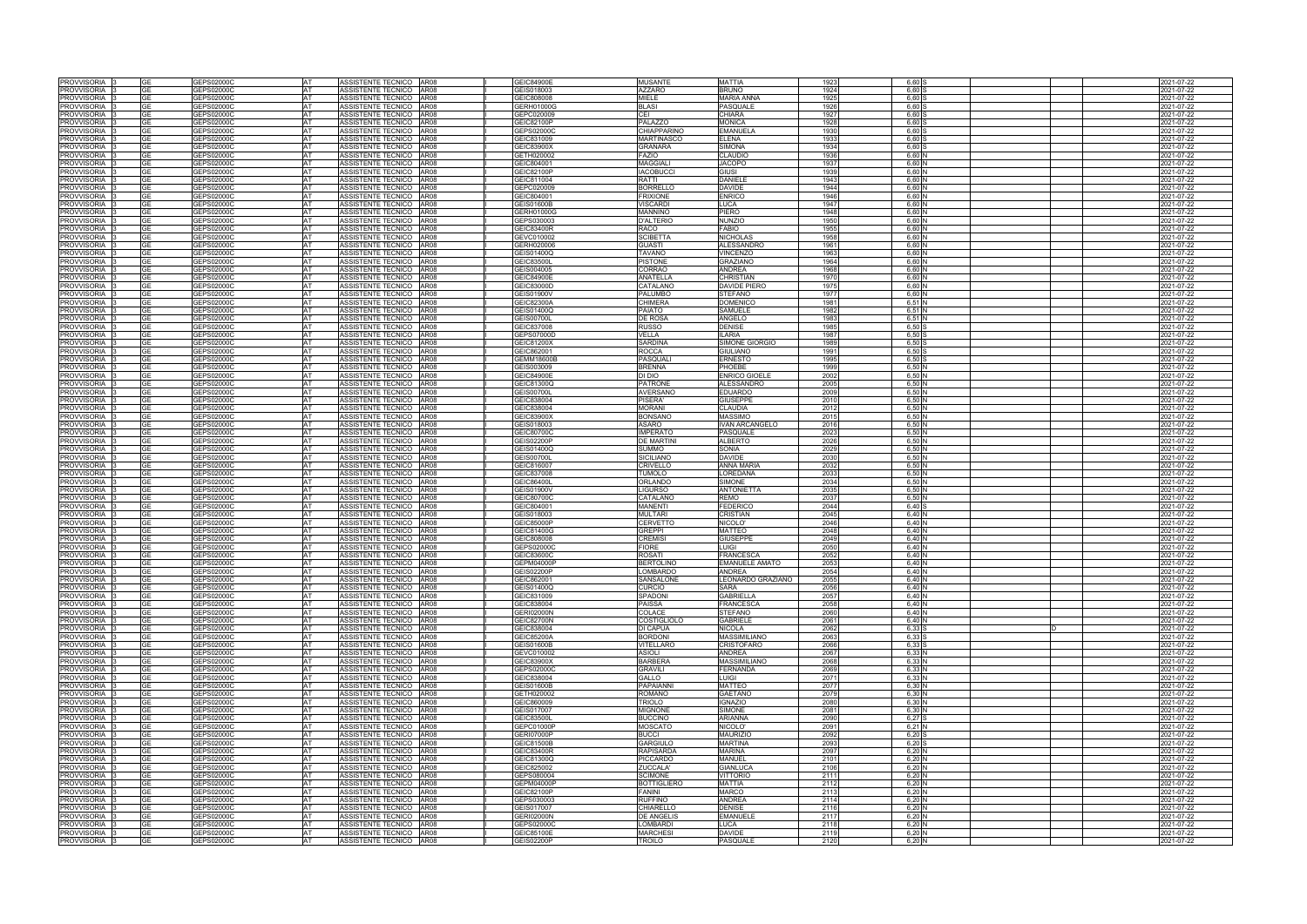| <b>PROVVISORIA</b>        |           | GEPS02000C        | <b>AT</b> | ASSISTENTE TECNICO AR08   |             | <b>GEIC84900E</b> | <b>MUSANTE</b>     | <b>MATTIA</b>         | 1923         | 6.60              |  | 2021-07-22 |
|---------------------------|-----------|-------------------|-----------|---------------------------|-------------|-------------------|--------------------|-----------------------|--------------|-------------------|--|------------|
| PROVVISORIA               | GЕ        | GEPS02000C        | AT        | ASSISTENTE TECNICO        | AR08        | GEIS018003        | <b>AZZARO</b>      | <b>BRUNO</b>          | 1924         | $6.60$ :          |  | 2021-07-22 |
| <b>PROVVISORIA</b>        |           | GEPS02000C        | AT        | ASSISTENTE TECNICO        | AR08        | GEIC808008        | <b>MIELE</b>       | MARIA ANNA            | 1925         | $6,60$ \$         |  | 2021-07-22 |
| <b>PROVVISORIA</b>        | GF        | GEPS02000C        | AT        | ASSISTENTE TECNICO AR08   |             | GERH01000G        | <b>BLASI</b>       | PASQUALE              | 1926         | $6,60$ :          |  | 2021-07-22 |
| PROVVISORIA               | GF        | GEPS02000C        | AT        | ASSISTENTE TECNICO        | AR08        | GEPC020009        | CEI                | CHIARA                | 1927         | $6,60$ :          |  | 2021-07-22 |
| PROVVISORIA               | GF        | GEPS02000C        | AT        | <b>ASSISTENTE TECNICO</b> | AR08        | GEIC82100P        | PALAZZO            | MONICA                | 1928         | $6,60$ :          |  | 2021-07-22 |
| <b>PROVVISORIA</b>        |           | GEPS02000C        | AT        | ASSISTENTE TECNICO AR08   |             | GEPS02000C        | <b>CHIAPPARINO</b> | EMANUELA              | 1930         | 6.60:             |  | 2021-07-22 |
| <b>PROVVISORIA</b>        |           | GEPS02000C        | AT        | ASSISTENTE TECNICO AR08   |             | GEIC831009        | <b>MARTINASCO</b>  | ELENA                 | 1933         | $6,60$ \$         |  | 2021-07-22 |
| <b>PROVVISORIA</b>        | ุา⊏       | GEPS02000C        | AT        | <b>ASSISTENTE TECNICO</b> | <b>AR08</b> | GEIC83900X        | <b>GRANARA</b>     | <b>SIMONA</b>         | 1934         | 6,60S             |  | 021-07-22  |
| PROVVISORIA               | GЕ        | GEPS02000C        | AT        | ASSISTENTE TECNICO        | AR08        | GETH020002        | FAZIO              | CLAUDIO               | 1936         | 6,60N             |  | 2021-07-22 |
|                           |           |                   |           |                           |             |                   |                    |                       |              |                   |  |            |
| <b>PROVVISORIA</b>        | GE        | GEPS02000C        | AT        | ASSISTENTE TECNICO        | AR08        | GEIC804001        | <b>MAGGIALI</b>    | <b>JACOPO</b>         | 1937         | 6,60N             |  | 2021-07-22 |
| <b>PROVVISORIA</b>        |           | <b>GEPS02000C</b> | AT        | ASSISTENTE TECNICO        | AR08        | GEIC82100P        | <b>IACOBUCCI</b>   | <b>GIUSI</b>          | 1939         | 6,60 N            |  | 021-07-22  |
| <b>PROVVISORIA</b>        |           | GEPS02000C        | AT        | <b>ASSISTENTE TECNICO</b> | <b>AR08</b> | GEIC811004        | <b>RATTI</b>       | DANIELE               | 1943         | 6.60N             |  | 021-07-22  |
| <b>PROVVISORIA</b>        |           | GEPS02000C        | AT        | <b>ASSISTENTE TECNICO</b> | <b>AR08</b> | GEPC020009        | <b>BORRELLO</b>    | <b>DAVIDE</b>         | 1944         | 6,60 N            |  | 2021-07-22 |
| PROVVISORIA               | GE        | GEPS02000C        | AT        | ASSISTENTE TECNICO        | AR08        | GEIC804001        | <b>FRIXIONE</b>    | <b>ENRICO</b>         | 1946         | 6,60 N            |  | 2021-07-22 |
| PROVVISORIA               | GF        | GEPS02000C        | AT        | ASSISTENTE TECNICO AR08   |             | <b>GEIS01600B</b> | <b>/ISCARDI</b>    | LUCA                  | 1947         | 6,60 N            |  | 2021-07-22 |
| PROVVISORIA               | GF        | GEPS02000C        | <b>AT</b> | ASSISTENTE TECNICO        | AR08        | GERH01000G        | <b>MANNINO</b>     | PIERO                 | 1948         | 6,60 N            |  | 2021-07-22 |
| PROVVISORIA               |           | <b>GEPS02000C</b> | AT        | <b>ASSISTENTE TECNICO</b> | AR08        | GEPS030003        | <b>D'ALTERIO</b>   | Nunzio                | 1950         | 6,60 N            |  | 2021-07-22 |
| PROVVISORIA               | <b>GE</b> | GEPS02000C        | <b>AT</b> | ASSISTENTE TECNICO        | AR08        | <b>GEIC83400R</b> | RACO               | <b>FABIO</b>          | 1955         | 6,60 N            |  | 2021-07-22 |
| PROVVISORIA               |           | 6EPS02000C        | AT        | ASSISTENTE TECNICO AR08   |             | GEVC010002        | <b>SCIBETTA</b>    | NICHOLAS              | 1958         | 6,60N             |  | 2021-07-22 |
| PROVVISORIA               | GE        | GEPS02000C        | <b>AT</b> | ASSISTENTE TECNICO AR08   |             | GERH020006        | <b>GUASTI</b>      | ALESSANDRO            | 1961         | 6.60 N            |  | 2021-07-22 |
| PROVVISORIA               | GE        | GEPS02000C        | AT        | ASSISTENTE TECNICO AR08   |             | GEIS01400Q        | <b>TAVANO</b>      | <b>VINCENZO</b>       | 1963         | 6,60 N            |  | 2021-07-22 |
|                           | GF        |                   |           |                           |             |                   |                    |                       |              |                   |  |            |
| PROVVISORIA               |           | GEPS02000C        | <b>AT</b> | <b>ASSISTENTE TECNICO</b> | AR08        | <b>GEIC83500L</b> | <b>PISTONE</b>     | <b>GRAZIANO</b>       | 1964         | 6,60 N            |  | 2021-07-22 |
| PROVVISORIA               |           | GEPS02000C        | AT        | ASSISTENTE TECNICO AR08   |             | GEIS004005        | CORRAO             | <b>ANDREA</b>         | 1968         | 6.60N             |  | 2021-07-22 |
| PROVVISORIA               | GE        | GEPS02000C        | <b>AT</b> | ASSISTENTE TECNICO AR08   |             | <b>GEIC84900E</b> | <b>ANATELLA</b>    | CHRISTIAN             | 1970         | 6.60 N            |  | 2021-07-22 |
| <b>PROVVISORIA</b>        |           | <b>GEPS02000C</b> | AT        | ASSISTENTE TECNICO        | AR08        | GEIC83000D        | CATALANC           | DAVIDE PIERO          | 1975         | $6,60$ $\prime$   |  | 021-07-22  |
| PROVVISORIA               | GE        | GEPS02000C        | AT        | ASSISTENTE TECNICO        | AR08        | GEIS01900V        | <b>PALUMBO</b>     | STEFANO               | 1977         | 6,60N             |  | 2021-07-22 |
| PROVVISORIA               |           | GEPS02000C        | AT        | ASSISTENTE TECNICO        | AR08        | GEIC82300A        | <b>CHIMERA</b>     | DOMENICO              | 1981         | $6,51$ N          |  | 2021-07-22 |
| PROVVISORIA               | GF        | GEPS02000C        | AT        | ASSISTENTE TECNICO        | <b>AR08</b> | GEIS01400Q        | <b>PAIATO</b>      | SAMUELE               | 1982         | 6,51 N            |  | 2021-07-22 |
| <b>PROVVISORIA</b>        | GF        | GEPS02000C        | AT        | ASSISTENTE TECNICO        | AR08        | <b>GEIS00700L</b> | <b>DE ROSA</b>     | ANGELO                | 1983         | $6,51$ N          |  | 2021-07-22 |
| PROVVISORIA               | GE        | GEPS02000C        | AT        | ASSISTENTE TECNICO        | AR08        | GEIC837008        | <b>RUSSO</b>       | <b>DENISE</b>         | 1985         | 6,50              |  | 2021-07-22 |
| <b>PROVVISORIA</b>        |           | GEPS02000C        | AT        | ASSISTENTE TECNICO        | AR08        | GEPS07000D        | VELLA              | LARIA                 | 1987         | $6,50$ \$         |  | 2021-07-22 |
| <b>PROVVISORIA</b>        | GF        | GEPS02000C        | AT        | ASSISTENTE TECNICO AR08   |             | <b>GEIC81200X</b> | <b>SARDINA</b>     | SIMONE GIORGIO        | 1989         | $6.50$ \$         |  | 2021-07-22 |
| <b>PROVVISORIA</b>        | GΕ        | GEPS02000C        | AT        | <b>ASSISTENTE TECNICO</b> | AR08        | GEIC862001        | <b>ROCCA</b>       | GIULIANO              | 1991         | $6,50$ S          |  | 2021-07-22 |
|                           |           |                   |           |                           |             |                   |                    |                       |              |                   |  |            |
| PROVVISORIA               | ЭF        | GEPS02000C        | AT        | ASSISTENTE TECNICO        | AR08        | <b>GEMM18600E</b> | PASQUAL            | ERNESTO               | 1995         | $6,50$ \$         |  | 2021-07-22 |
| <b>PROVVISORIA</b>        | GE        | GEPS02000C        | AT        | ASSISTENTE TECNICO        | AR08        | GEIS003009        | <b>BRENNA</b>      | PHOEBE                | 1999         | 6,50 N            |  | 2021-07-22 |
| <b>PROVVISORIA</b>        |           | <b>GEPS02000C</b> | AT        | ASSISTENTE TECNICO AR08   |             | GEIC84900E        | DI DIO             | <b>ENRICO GIOELE</b>  | 2002         | 6,50 N            |  | 2021-07-22 |
| <b>PROVVISORIA</b>        |           | GEPS02000C        | AT        | <b>ASSISTENTE TECNICO</b> | AR08        | GEIC81300Q        | <b>PATRONE</b>     | <b>ALESSANDRO</b>     | 2005         | 6,50 N            |  | 021-07-22  |
| PROVVISORIA               | GF        | <b>GEPS02000C</b> | AT        | ASSISTENTE TECNICO        | AR08        | <b>GEIS00700L</b> | <b>AVERSANO</b>    | <b>EDUARDO</b>        | 2009         | 6,50N             |  | 021-07-22  |
| PROVVISORIA               | GE        | GEPS02000C        | AT        | ASSISTENTE TECNICO        | AR08        | GEIC838004        | PISERA'            | GIUSEPPE              | 2010         | 6,50 N            |  | 2021-07-22 |
| PROVVISORIA               | GF        | GEPS02000C        | <b>AT</b> | ASSISTENTE TECNICO AR08   |             | GEIC838004        | <b>MORANI</b>      | <b>CLAUDIA</b>        | 2012         | 6,50 N            |  | 2021-07-22 |
| PROVVISORIA               | GE        | GEPS02000C        | <b>AT</b> | ASSISTENTE TECNICO        | AR08        | GEIC83900X        | <b>BONSANO</b>     | MASSIMO               | 2015         | 6,50 N            |  | 2021-07-22 |
| PROVVISORIA               |           | GEPS02000C        | AT        | <b>ASSISTENTE TECNICO</b> | <b>AR08</b> | GEIS018003        | <b>ASARO</b>       | VAN ARCANGELO         | 2016         | $6,50$ N          |  | 2021-07-22 |
| PROVVISORIA               | GE        | GEPS02000C        | AT        | ASSISTENTE TECNICO        | AR08        | GEIC80700C        | <b>IMPERATC</b>    | PASQUALE              | 2023         | 6,50 N            |  | 2021-07-22 |
| PROVVISORIA               | GF        | GEPS02000C        | <b>AT</b> | ASSISTENTE TECNICO AR08   |             | <b>GEIS02200P</b> | <b>DE MARTINI</b>  | ALBERTO               | 2026         | 6,50 N            |  | 2021-07-22 |
| <b>PROVVISORIA</b>        |           | GEPS02000C        | AT        | ASSISTENTE TECNICO AR08   |             | GEIS01400Q        | <b>SUMMO</b>       | SONIA                 |              | 6.50 N            |  | 2021-07-22 |
|                           | GE        | GEPS02000C        | <b>AT</b> |                           |             | GEIS00700L        | <b>SICILIANO</b>   | <b>DAVIDE</b>         | 2029<br>2030 | 6.50 N            |  |            |
| PROVVISORIA               |           |                   |           | ASSISTENTE TECNICO AR08   |             |                   |                    |                       |              |                   |  | 2021-07-22 |
| PROVVISORIA               | GE        | GEPS02000C        | <b>AT</b> | ASSISTENTE TECNICO        | AR08        | GEIC816007        | <b>CRIVELLO</b>    | <b>ANNA MARIA</b>     | 2032         | 6,50 N            |  | 2021-07-22 |
| PROVVISORIA               |           | 3EPS02000C        | AT        | ASSISTENTE TECNICO   AR08 |             | GEIC837008        | <b>TUMOLO</b>      | OREDANA               | 2033         | 6,50 N            |  | 2021-07-22 |
| PROVVISORIA               | GE        | GEPS02000C        | <b>AT</b> | ASSISTENTE TECNICO AR08   |             | GEIC86400L        | <b>ORLANDO</b>     | SIMONE                | 2034         | 6.50 N            |  | 2021-07-22 |
| <b>PROVVISORIA</b>        | GF        | GEPS02000C        | AT        | ASSISTENTE TECNICO AR08   |             | GEIS01900V        | <b>LIGURSO</b>     | <b>ANTONIETTA</b>     | 2035         | 6,50 N            |  | 2021-07-22 |
| PROVVISORIA               |           | <b>GEPS02000C</b> | AT        | <b>ASSISTENTE TECNICO</b> | AR08        | GEIC80700C        | CATALANC           | REMO                  | 2037         | 6.50 <sub>h</sub> |  | 2021-07-22 |
| <b>PROVVISORIA</b>        | GF        | GEPS02000C        | AT        | ASSISTENTE TECNICO        | AR08        | GEIC804001        | <b>MANENTI</b>     | <b>FEDERICO</b>       | 2044         | $6,40$ \$         |  | 2021-07-22 |
| PROVVISORIA               | GF        | GEPS02000C        | AT        | ASSISTENTE TECNICO        | AR08        | GEIS018003        | <b>MULTARI</b>     | CRISTIAN              | 2045         | 6,40 N            |  | 2021-07-22 |
| <b>PROVVISORIA</b>        |           | GEPS02000C        | AT        | ASSISTENTE TECNICO        | AR08        | GEIC85000P        | CERVETTO           | NICOLO'               | 2046         | $6,40$ $N$        |  | 2021-07-22 |
| PROVVISORIA               | GE        | GEPS02000C        | AT        | ASSISTENTE TECNICO        | AR08        | GEIC81400G        | <b>GREPPI</b>      | <b>MATTEO</b>         | 2048         | $6,40$ $N$        |  | 2021-07-22 |
| PROVVISORIA               |           | GEPS02000C        |           | ASSISTENTE TECNICO        | AR08        | GEIC808008        | <b>CREMISI</b>     | <b>GIUSEPPE</b>       | 2049         | $6,40$ $N$        |  | 2021-07-22 |
| PROVVISORIA               |           | GEPS02000C        | IAT.      | ASSISTENTE TECNICO        | AR08        | GEPS02000C        | <b>FIORE</b>       | UIGI.                 | 2050         | 6,40 N            |  | 2021-07-22 |
| <b>PROVVISORIA</b>        |           |                   |           | ASSISTENTE TECNICO        | AR08        |                   | <b>ROSATI</b>      |                       |              | 6,40N             |  |            |
|                           |           | GEPS02000C        |           |                           |             | GEIC83600C        |                    | FRANCESCA             | 2052         |                   |  | 2021-07-22 |
| PROVVISORIA               |           | GEPS02000C        | AT        | ASSISTENTE TECNICO AR08   |             | GEPM04000P        | <b>BERTOLINO</b>   | <b>EMANUELE AMATO</b> | 2053         | 6,40 N            |  | 2021-07-22 |
| PROVVISORIA 3             |           | GEPS02000C        |           | ASSISTENTE TECNICO AR08   |             | GEIS02200P        | <b>LOMBARDO</b>    | <b>ANDREA</b>         | 2054         | 6.40 N            |  | 2021-07-22 |
| PROVVISORIA               | <b>GE</b> | GEPS02000C        | AT        | ASSISTENTE TECNICO AR08   |             | GEIC862001        | SANSALONE          | LEONARDO GRAZIANO     | 2055         | 6,40 N            |  | 2021-07-22 |
| <b>PROVVISORIA</b>        | GΕ        | GEPS02000C        | AT        | ASSISTENTE TECNICO AR08   |             | GEIS01400Q        | <b>CURCIO</b>      | SARA                  | 2056         | 6,40 N            |  | 2021-07-22 |
| PROVVISORIA               |           | GEPS02000C        | AT        | ASSISTENTE TECNICO AR08   |             | GEIC831009        | SPADONI            | <b>GABRIELLA</b>      | 2057         | 6,40 N            |  | 2021-07-22 |
| PROVVISORIA               | GF        | GEPS02000C        | AT        | ASSISTENTE TECNICO AR08   |             | GEIC838004        | <b>PAISSA</b>      | <b>FRANCESCA</b>      | 2058         | 6,40 N            |  | 2021-07-22 |
| PROVVISORIA               |           | GEPS02000C        | AT        | ASSISTENTE TECNICO AR08   |             | <b>GERI02000N</b> | <b>COLACE</b>      | STEFANO               | 2060         | 6,40 N            |  | 2021-07-22 |
| PROVVISORIA               | GE        | GEPS02000C        | <b>AT</b> | ASSISTENTE TECNICO AR08   |             | <b>GEIC82700N</b> | <b>COSTIGLIOLO</b> | <b>GABRIELE</b>       | 2061         | 6,40 N            |  | 2021-07-22 |
| <b>PROVVISORIA</b>        | GF        | GEPS02000C        | AT        | ASSISTENTE TECNICO AR08   |             | GEIC838004        | <b>DI CAPUA</b>    | NICOLA                | 2062         | $6,33$ S          |  | 2021-07-22 |
| PROVVISORIA               | GE        | GEPS02000C        | AT        | ASSISTENTE TECNICO AR08   |             | GEIC85200A        | <b>BORDONI</b>     | <b>MASSIMILIANO</b>   | 2063         | 6,33 S            |  | 2021-07-22 |
| PROVVISORIA 3             | GE        | GEPS02000C        | AT        | ASSISTENTE TECNICO AR08   |             | GEIS01600B        | VITELLARO          | <b>CRISTOFARO</b>     | 2066         | 6,33 S            |  | 2021-07-22 |
| PROVVISORIA 3             | GE        | GEPS02000C        | <b>AT</b> | ASSISTENTE TECNICO AR08   |             | GEVC010002        | <b>ASIOLI</b>      | ANDREA                | 2067         | 6,33 N            |  | 2021-07-22 |
| PROVVISORIA 3             |           | GEPS02000C        | <b>AT</b> | ASSISTENTE TECNICO AR08   |             | GEIC83900X        | <b>BARBERA</b>     | <b>MASSIMILIANO</b>   | 2068         | 6,33 N            |  | 2021-07-22 |
| PROVVISORIA 3             | GE        | GEPS02000C        | <b>AT</b> | ASSISTENTE TECNICO AR08   |             | GEPS02000C        | <b>GRAVILI</b>     | <b>FERNANDA</b>       | 2069         | 6.33 N            |  | 2021-07-22 |
|                           |           |                   | AT        |                           |             |                   |                    | LUIGI                 |              |                   |  |            |
| PROVVISORIA 3             |           | GEPS02000C        |           | ASSISTENTE TECNICO AR08   |             | GEIC838004        | GALLO              |                       | 2071         | 6,33 N            |  | 2021-07-22 |
| PROVVISORIA               | GЕ        | GEPS02000C        | <b>AT</b> | ASSISTENTE TECNICO AR08   |             | GEIS01600B        | <b>PAPAIANNI</b>   | <b>MATTEO</b>         | 2077         | 6,30 N            |  | 2021-07-22 |
| PROVVISORIA 3             | GE        | GEPS02000C        | <b>AT</b> | ASSISTENTE TECNICO AR08   |             | GETH020002        | <b>ROMANO</b>      | <b>GAETANO</b>        | 2079         | 6,30 N            |  | 2021-07-22 |
| PROVVISORIA  :            | GE        | GEPS02000C        | <b>AT</b> | ASSISTENTE TECNICO AR08   |             | GEIC860009        | TRIOLO             | <b>IGNAZIO</b>        | 2080         | 6.30 N            |  | 2021-07-22 |
| PROVVISORIA               |           | GEPS02000C        | <b>AT</b> | ASSISTENTE TECNICO AR08   |             | GEIS017007        | <b>MIGNONE</b>     | <b>SIMONE</b>         | 2081         | 6.30 <sub>h</sub> |  | 2021-07-22 |
| PROVVISORIA               | GF        | GEPS02000C        | <b>AT</b> | ASSISTENTE TECNICO AR08   |             | GEIC83500L        | <b>BUCCINO</b>     | ARIANNA               | 2090         | 6,27S             |  | 2021-07-22 |
| PROVVISORIA               |           | GEPS02000C        | AT        | ASSISTENTE TECNICO AR08   |             | GEPC01000P        | <b>MOSCATO</b>     | NICOLO'               | 2091         | 6,21 N            |  | 2021-07-22 |
| PROVVISORIA               | GE        | GEPS02000C        | <b>AT</b> | ASSISTENTE TECNICO AR08   |             | <b>GERI07000P</b> | <b>BUCCI</b>       | <b>MAURIZIO</b>       | 2092         | 6,20S             |  | 2021-07-22 |
| PROVVISORIA               | GF        | GEPS02000C        | AT        | ASSISTENTE TECNICO AR08   |             | GEIC81500B        | <b>GARGIULO</b>    | <b>MARTINA</b>        | 2093         | $6,20$ \$         |  | 2021-07-22 |
| PROVVISORIA               | GF        | GEPS02000C        | <b>AT</b> | ASSISTENTE TECNICO AR08   |             | <b>GEIC83400R</b> | <b>RAPISARDA</b>   | <b>MARINA</b>         | 2097         | $6,20$ N          |  | 2021-07-22 |
| PROVVISORIA               |           | GEPS02000C        | AT        | ASSISTENTE TECNICO AR08   |             | GEIC81300Q        | <b>PICCARDO</b>    | <b>MANUEL</b>         | 2101         | $6,20$ N          |  | 2021-07-22 |
| PROVVISORIA               | GF        | GEPS02000C        | <b>AT</b> | ASSISTENTE TECNICO AR08   |             | GEIC825002        | ZUCCALA'           | <b>GIANLUCA</b>       | 2106         | $6,20$ N          |  | 2021-07-22 |
| PROVVISORIA               | GF        | GEPS02000C        | <b>AT</b> | ASSISTENTE TECNICO AR08   |             | GEPS080004        | <b>SCIMONE</b>     | VITTORIO              | 2111         | $6,20$ N          |  | 2021-07-22 |
| PROVVISORIA               | GЕ        | GEPS02000C        | AT        | ASSISTENTE TECNICO AR08   |             | GEPM04000P        | <b>BOTTIGLIERO</b> | <b>MATTIA</b>         | 2112         | $6,20$ N          |  | 2021-07-22 |
| PROVVISORIA               | GE        | GEPS02000C        | <b>AT</b> | ASSISTENTE TECNICO AR08   |             | GEIC82100P        | <b>FANINI</b>      | <b>MARCO</b>          | 2113         | 6,20 N            |  |            |
|                           |           |                   |           |                           |             |                   |                    |                       |              |                   |  | 2021-07-22 |
| PROVVISORIA               |           | GEPS02000C        | AT        | ASSISTENTE TECNICO AR08   |             | GEPS030003        | <b>RUFFINO</b>     | ANDREA                | 2114         | $6,20$ N          |  | 2021-07-22 |
| PROVVISORIA               | GF        | GEPS02000C        | <b>AT</b> | ASSISTENTE TECNICO AR08   |             | GEIS017007        | CHIARELLO          | <b>DENISE</b>         | 2116         | 6,20 N            |  | 2021-07-22 |
| PROVVISORIA               |           | GEPS02000C        | AT        | ASSISTENTE TECNICO AR08   |             | <b>GERI02000N</b> | <b>DE ANGELIS</b>  | EMANUELE              | 2117         | $6,20$ N          |  | 2021-07-22 |
| PROVVISORIA               | GE        | GEPS02000C        | <b>AT</b> | ASSISTENTE TECNICO AR08   |             | GEPS02000C        | <b>LOMBARDI</b>    | LUCA                  | 2118         | 6,20 N            |  | 2021-07-22 |
| PROVVISORIA <sup>13</sup> | GE        | GEPS02000C        | AT        | ASSISTENTE TECNICO AR08   |             | GEIC85100E        | <b>MARCHESI</b>    | <b>DAVIDE</b>         | 2119         | 6,20 N            |  | 2021-07-22 |
| PROVVISORIA 3             | <b>GE</b> | GEPS02000C        | AT        | ASSISTENTE TECNICO AR08   |             | <b>GEIS02200P</b> | <b>TROILO</b>      | PASQUALE              | 2120         | 6,20 N            |  | 2021-07-22 |
|                           |           |                   |           |                           |             |                   |                    |                       |              |                   |  |            |

|   | 2021-07-22               |
|---|--------------------------|
|   | 2021-07-22               |
|   | 2021-07-22               |
|   | 2021-07-22               |
|   | 2021-07-22               |
|   | 2021-07-22               |
|   | 2021-07-22               |
|   | 2021-07-22               |
|   | 2021-07-22               |
|   | 2021-07-22               |
|   | 2021-07-22               |
|   | 2021-07-22               |
|   | 2021-07-22               |
|   | 2021-07-22               |
|   | 2021-07-22               |
|   | 2021-07-22               |
|   | 2021-07-22               |
|   | 2021-07-22               |
|   | 2021-07-22               |
|   | 2021-07-22               |
|   | 2021-07-22               |
|   | 2021-07-22               |
|   | 2021-07-22               |
|   | 2021-07-22               |
|   | 2021-07-22               |
|   | 2021-07-22               |
|   | 2021-07-22               |
|   | 2021-07-22               |
|   | 2021-07-22               |
|   | 2021-07-22               |
|   | 2021-07-22               |
|   | 2021-07-22               |
|   | 2021-07-22               |
|   | 2021-07-22               |
|   | 2021-07-22               |
|   | 2021-07-22               |
|   | 2021-07-22               |
|   | 2021-07-22               |
|   | 2021-07-22               |
|   | 2021-07-22               |
|   | 2021-07-22               |
|   | 2021-07-22               |
|   | 2021-07-22               |
|   | 2021-07-22               |
|   | 2021-07-22               |
|   | 2021-07-22               |
|   | 2021-07-22               |
|   | 2021-07-22               |
|   |                          |
|   | 2021-07-22               |
|   | 2021-07-22               |
|   | 2021-07-22               |
|   | 2021-07-22               |
|   | 2021-07-22               |
|   | 2021-07-22               |
|   | 2021-07-22               |
|   | 2021-07-22               |
|   | 2021-07-22               |
|   | 2021-07-22               |
|   | 2021-07-22               |
|   | 2021-07-22               |
|   | 2021-07-22               |
|   | 2021-07-22               |
|   | 2021-07-22               |
|   | 2021-07-22               |
|   | 2021-07-22               |
|   | 2021-07-22               |
|   | 2021-07-22               |
| D | 2021-07-22               |
|   | 2021-07-22               |
|   | 2021-07-22               |
|   | 2021-07-22               |
|   | 2021-07-22               |
|   | 2021-07-22               |
|   | 2021-07-22               |
|   | 2021-07-22               |
|   | 2021-07-22               |
|   | 2021-07-22               |
|   | 2021-07-22               |
|   | 2021-07-22<br>2021-07-22 |
|   | 2021-07-22               |
|   | 2021-07-22               |
|   | 2021-07-22               |
|   | 2021-07-22               |
|   | 2021-07-22               |
|   | 2021-07-22               |
|   | 2021-07-22               |
|   | 2021-07-22               |
|   | 2021-07-22               |
|   | 2021-07-22               |
|   | 2021-07-22               |
|   | 2021-07-22               |
|   | 2021-07-22<br>2021-07-22 |